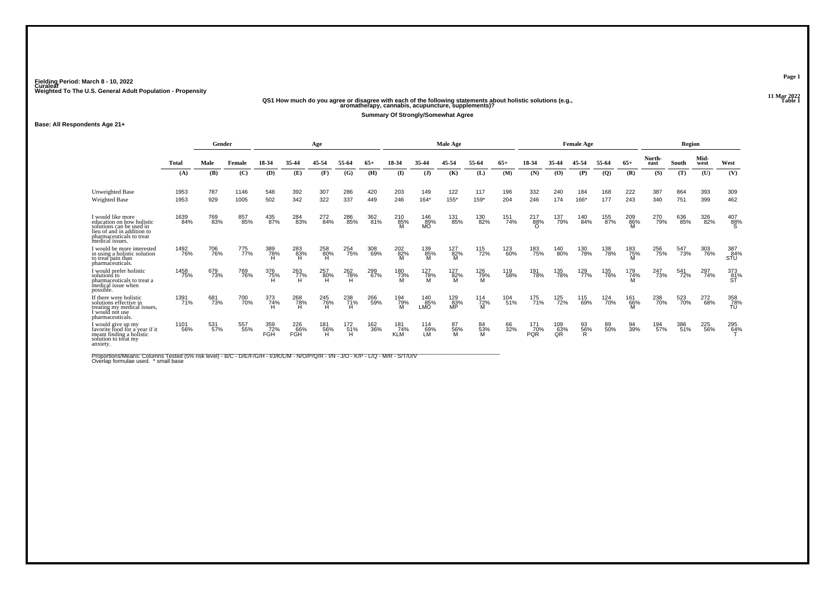# **11 Mar 2022QS1 How much do you agree or disagree with each of the following statements about holistic solutions (e.g., aromatherapy, cannabis, acupuncture, supplements)?**

**Summary Of Strongly/Somewhat Agree**

**Base: All Respondents Age 21+**

|                                                                                                                                                         | Gender       |            |              |                          |                          | Age             |                 |            |                                  |                   | Male Age          |                 |            |                          |                  | <b>Female Age</b> |            |                 |                | <b>Region</b> |              |                  |
|---------------------------------------------------------------------------------------------------------------------------------------------------------|--------------|------------|--------------|--------------------------|--------------------------|-----------------|-----------------|------------|----------------------------------|-------------------|-------------------|-----------------|------------|--------------------------|------------------|-------------------|------------|-----------------|----------------|---------------|--------------|------------------|
|                                                                                                                                                         | <b>Total</b> | Male       | Female       | 18-34                    | 35-44                    | 45-54           | 55-64           |            | 18-34                            | 35-44             | 45-54             | 55-64           | $65+$      | 18-34                    |                  | 54                | 55-64      | $65+$           | North-<br>east | South         | Mid-<br>west | West             |
|                                                                                                                                                         | (A)          | (B)        | (C)          | (D)                      | (E)                      | (F)             | (G)             | (H)        | $($ I                            | J                 | (K)               | (L)             | (M)        | (N)                      | (0)              | (P)               | (Q)        | (R)             | (S)            | (T)           | (U)          | (V)              |
| <b>Unweighted Base</b><br>Weighted Base                                                                                                                 | 1953<br>1953 | 787<br>929 | 1146<br>1005 | 548<br>502               | 392<br>342               | 307<br>322      | 286<br>337      | 420<br>449 | 203<br>246                       | 149<br>$164*$     | 122<br>155*       | 117<br>159*     | 196<br>204 | 332<br>246               | 240<br>174       | 184<br>166*       | 168<br>177 | 222<br>243      | 387<br>340     | 864<br>751    | 393<br>399   | 309<br>462       |
| I would like more<br>education on how holistic<br>solutions can be used in<br>lieu of and in addition to<br>pharmaceuticals to treat<br>medical issues. | 1639<br>84%  | 769<br>83% | 857<br>85%   | 435<br>87%               | 284<br>83%               | 272<br>84%      | 286<br>85%      | 362<br>81% | $\overset{210}{\substack{85\%}}$ | 146<br>89%<br>MO  | 131<br>85%        | 130<br>82%      | 151<br>74% | 217<br>88%<br>$\Omega$   | 137<br>79%       | 140<br>84%        | 155<br>87% | 209<br>86%      | 270<br>79%     | 636<br>85%    | 326<br>82%   | $^{407}_{88\%}$  |
| i would be more interested<br>in using a holistic solution<br>to treat pain than<br>pharmaceuticals.                                                    | 1492<br>76%  | 706<br>76% | 775<br>77%   | 389<br>78%<br>H          | 283<br>83%               | 258<br>80%<br>H | 254<br>75%      | 308<br>69% | 202<br>82%<br>M                  | 139<br>85%<br>M   | 127<br>82%<br>M   | 115<br>72%      | 123<br>60% | 183<br>75%               | 140<br>80%       | 130<br>78%        | 138<br>78% | 183<br>75%<br>M | 256<br>75%     | 547<br>73%    | 303<br>76%   | 387<br>STU       |
| I would prefer holistic<br>solutions to<br>pharmaceuticals to treat a<br>medical issue when<br>possible.                                                | 1458<br>75%  | 679<br>73% | 769<br>76%   | 376<br>75%<br>Ĥ          | 263<br>77%               | 257<br>80%<br>Ή | 262<br>78%<br>H | 299<br>67% | 180<br>73%<br>M                  | 127<br>78%<br>M   | $^{127}_{82\%}$ M | 126<br>79%<br>M | 119<br>58% | 191<br>78%               | 135<br>78%       | 129<br>77%        | 135<br>76% | 179<br>74%<br>M | 247<br>73%     | 541<br>72%    | 297<br>74%   | 373<br>81%       |
| If there were holistic<br>solutions effective in<br>treating my medical issues,<br>l would not use<br>pharmaceuticals.                                  | 1391<br>71%  | 681<br>73% | 700<br>70%   | 373<br>74%<br>н          | 268<br>78%               | 245<br>76%<br>H | 238<br>71%<br>H | 266<br>59% | 194<br>79%<br>M                  | 140<br>85%<br>LMO | 129<br>83%<br>MP  | 114<br>72%<br>M | 104<br>51% | 175<br>71%               | 125<br>72%       | 115<br>69%        | 124<br>70% | 161<br>66%      | 238<br>70%     | 523<br>70%    | 272<br>68%   | 358<br>78%<br>TÚ |
| I would give up mv<br>favorite food for a vear if it<br>meant finding a holistic<br>solution to treat my<br>anxiety.                                    | 1101<br>56%  | 531<br>57% | 557<br>55%   | 359<br>72%<br><b>FGH</b> | 226<br>66%<br><b>FGH</b> | 181<br>56%<br>Ή | 172<br>51%<br>H | 162<br>36% | 181<br>74%<br><b>KLM</b>         | 114<br>69%<br>LM. | 87<br>56%<br>M    | 84<br>53%<br>м  | 66<br>32%  | 171<br>70%<br><b>PQR</b> | 109<br>63%<br>QR | 93<br>56%<br>R    | 89<br>50%  | 94<br>39%       | 194<br>57%     | 386<br>51%    | 225<br>56%   | 295<br>64%       |

Proportions/Means: Columns Tested (5% risk level) - B/C - D/E/F/G/H - I/J/K/L/M - N/O/P/Q/R - I/N - J/O - K/P - L/Q - M/R - S/T/U/V<br>Overlap formulae used. \*small base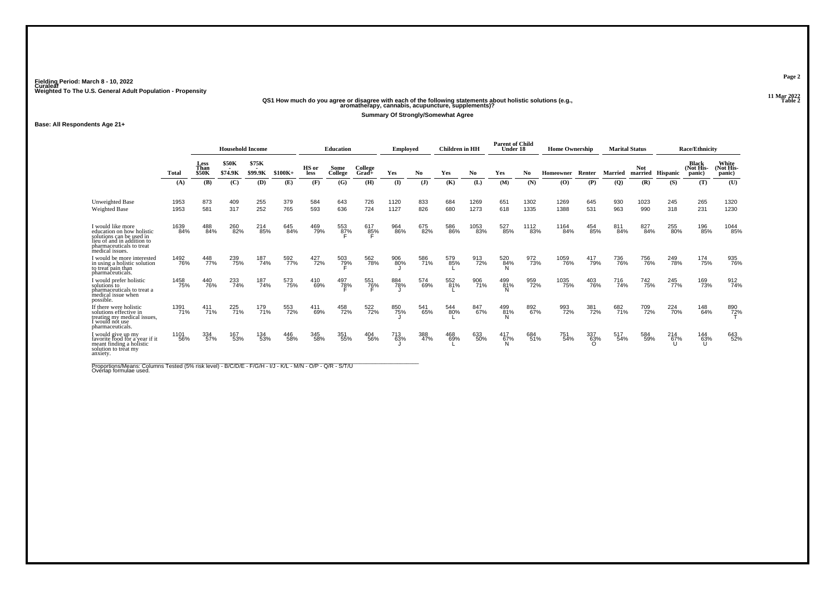# **11 Mar 2022QS1 How much do you agree or disagree with each of the following statements about holistic solutions (e.g., aromatherapy, cannabis, acupuncture, supplements)?**

**Summary Of Strongly/Somewhat Agree**

**Base: All Respondents Age 21+**

|                                                                                                                                                         |              | <b>Household Income</b><br>\$75K<br>Less |                  |            |            |               | Education           |                     | <b>Employed</b> |            | <b>Children</b> in HH |              | <b>Parent of Child</b><br>Under 18 |              | <b>Home Ownership</b> |            |                            | <b>Marital Status</b>          |            | <b>Race/Ethnicity</b>        |                              |
|---------------------------------------------------------------------------------------------------------------------------------------------------------|--------------|------------------------------------------|------------------|------------|------------|---------------|---------------------|---------------------|-----------------|------------|-----------------------|--------------|------------------------------------|--------------|-----------------------|------------|----------------------------|--------------------------------|------------|------------------------------|------------------------------|
|                                                                                                                                                         | Total        | Than<br><b>\$50K</b>                     | \$50K<br>\$74.9K | \$99.9K    | \$100K+    | HS or<br>less | Some<br>College     | College<br>$Grad +$ | Yes             | No.        | Yes                   | No.          | Yes                                | No           | Homeowner             | Renter     | Married                    | <b>Not</b><br>married Hispanic |            | Black<br>(Not His-<br>panic) | White<br>(Not His-<br>panic) |
|                                                                                                                                                         | (A)          | (B)                                      | (C)              | (D)        | (E)        | (F)           | (G)                 | (H)                 | $\mathbf{I}$    | (J)        | (K)                   | (L)          | (M)                                | (N)          | $\mathbf{(O)}$        | (P)        | $\left( \mathbf{Q}\right)$ | (R)                            | (S)        | (T)                          | (U)                          |
| <b>Unweighted Base</b><br><b>Weighted Base</b>                                                                                                          | 1953<br>1953 | 873<br>581                               | 409<br>317       | 255<br>252 | 379<br>765 | 584<br>593    | 643<br>636          | 726<br>724          | 1120<br>1127    | 833<br>826 | 684<br>680            | 1269<br>1273 | 651<br>618                         | 1302<br>1335 | 1269<br>1388          | 645<br>531 | 930<br>963                 | 1023<br>990                    | 245<br>318 | 265<br>231                   | 1320<br>1230                 |
| I would like more<br>education on how holistic<br>solutions can be used in<br>lieu of and in addition to<br>pharmaceuticals to treat<br>medical issues. | 1639<br>84%  | 488<br>84%                               | 260<br>82%       | 214<br>85% | 645<br>84% | 469<br>79%    | 553<br>8 <u>7</u> % | 617<br>85%          | 964<br>86%      | 675<br>82% | 586<br>86%            | 1053<br>83%  | 527<br>85%                         | 1112<br>83%  | 1164<br>84%           | 454<br>85% | 811<br>84%                 | 827<br>84%                     | 255<br>80% | 196<br>85%                   | 1044<br>85%                  |
| I would be more interested<br>in using a holistic solution<br>to treat pain than<br>pharmaceuticals.                                                    | 1492<br>76%  | 448<br>77%                               | 239<br>75%       | 187<br>74% | 592<br>77% | 427<br>72%    | 503<br>7 <u>9</u> % | 562<br>78%          | 906<br>80%      | 586<br>71% | 579<br>85%            | 913<br>72%   | 520<br>84%                         | 972<br>73%   | 1059<br>76%           | 417<br>79% | 736<br>76%                 | 756<br>76%                     | 249<br>78% | 174<br>75%                   | 935<br>76%                   |
| I would prefer holistic<br>solutions to<br>pharmaceuticals to treat a<br>medical issue when<br>possible.                                                | 1458<br>75%  | 440<br>76%                               | 233<br>74%       | 187<br>74% | 573<br>75% | 410<br>69%    | 497<br>7 <u>8</u> % | 551<br>76%          | 884<br>78%      | 574<br>69% | 552<br>81%            | 906<br>71%   | 499<br>81%<br>N                    | 959<br>72%   | 1035<br>75%           | 403<br>76% | 716<br>74%                 | 742<br>75%                     | 245<br>77% | 169<br>73%                   | 912<br>74%                   |
| If there were holistic<br>solutions effective in<br>treating my medical issues.<br>I would not use<br>pharmaceuticals.                                  | 1391<br>71%  | 411<br>71%                               | 225<br>71%       | 179<br>71% | 553<br>72% | 411<br>69%    | 458<br>72%          | 522<br>72%          | 850<br>75%      | 541<br>65% | 544<br>80%            | 847<br>67%   | 499<br>81%                         | 892<br>67%   | 993<br>72%            | 381<br>72% | 682<br>71%                 | 709<br>72%                     | 224<br>70% | 148<br>64%                   | 890<br>72%                   |
| I would give up my<br>favorite food for a year if it<br>meant finding a holistic<br>solution to treat my<br>anxiety.                                    | 1101<br>56%  | 334<br>57%                               | 167<br>53%       | 134<br>53% | 446<br>58% | 345<br>58%    | 351<br>55%          | 404<br>56%          | 713<br>63%      | 388<br>47% | 468<br>69%            | 633<br>50%   | 417<br>$\frac{67}{N}$              | 684<br>51%   | 751<br>54%            | 337<br>63% | 517<br>54%                 | 584<br>59%                     | 214<br>67% | 144<br>63%                   | 643<br>52%                   |

Proportions/Means: Columns Tested (5% risk level) - B/C/D/E - F/G/H - I/J - K/L - M/N - O/P - Q/R - S/T/U<br>Overlap formulae used.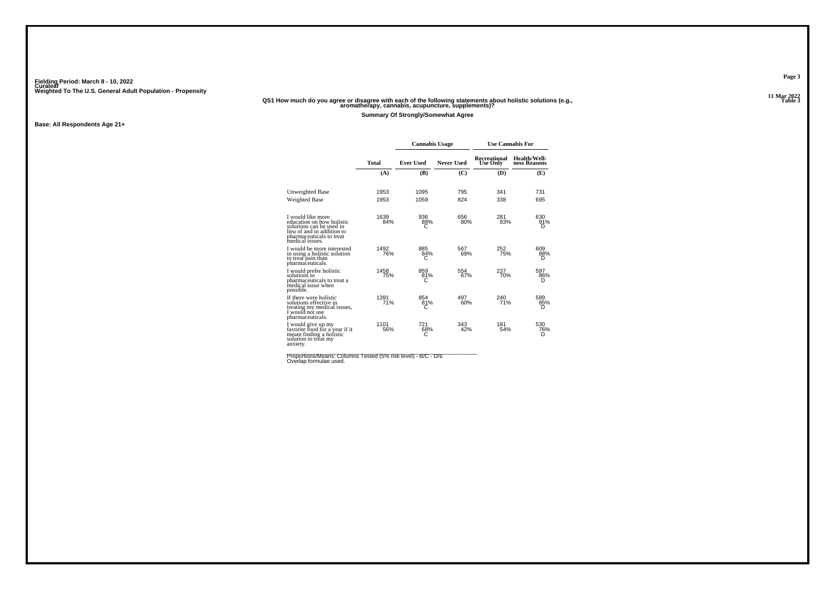#### **11 Mar 2022QS1 How much do you agree or disagree with each of the following statements about holistic solutions (e.g., aromatherapy, cannabis, acupuncture, supplements)?**

**Summary Of Strongly/Somewhat Agree**

**Base: All Respondents Age 21+**

|                                                                                                                                                         |             | <b>Cannabis Usage</b> |                   | <b>Use Cannabis For</b>  |                                     |
|---------------------------------------------------------------------------------------------------------------------------------------------------------|-------------|-----------------------|-------------------|--------------------------|-------------------------------------|
|                                                                                                                                                         | Total       | <b>Ever Used</b>      | <b>Never Used</b> | Recreational<br>Use Only | <b>Health/Well-</b><br>ness Reasons |
|                                                                                                                                                         | (A)         | (B)                   | (C)               | (D)                      | (E)                                 |
| <b>Unweighted Base</b>                                                                                                                                  | 1953        | 1095                  | 795               | 341                      | 731                                 |
| <b>Weighted Base</b>                                                                                                                                    | 1953        | 1059                  | 824               | 338                      | 695                                 |
| I would like more<br>education on how holistic<br>solutions can be used in<br>lieu of and in addition to<br>pharmaceuticals to treat<br>medical issues. | 1639<br>84% | 936<br>88%<br>С       | 656<br>80%        | 281<br>83%               | 630<br>91%<br>D                     |
| I would be more interested<br>in using a holistic solution<br>to treat pain than<br>pharmaceuticals.                                                    | 1492<br>76% | 885<br>84%            | 567<br>69%        | 252<br>75%               | 609<br>88%                          |
| I would prefer holistic<br>solutions to<br>pharmaceuticals to treat a<br>medical issue when<br>possible.                                                | 1458<br>75% | 859<br>81%            | 554<br>67%        | 237<br>70%               | 597<br>86%<br>D                     |
| If there were holistic<br>solutions effective in<br>treating my medical issues,<br>I would not use<br>pharmaceuticals.                                  | 1391<br>71% | 854<br>81%<br>C       | 497<br>60%        | 240<br>71%               | 589<br>85%<br>D                     |
| I would give up my<br>favorite food for a year if it<br>meant finding a holistic<br>solution to treat my<br>anxiety.                                    | 1101<br>56% | 721<br>68%<br>С       | 343<br>42%        | 181<br>54%               | 530<br>76%<br>D                     |

Proportions/Means: Columns Tested (5% risk level) - B/C - D/E<br>Overlap formulae used.

**Page 3**

**Table 3 Table 3**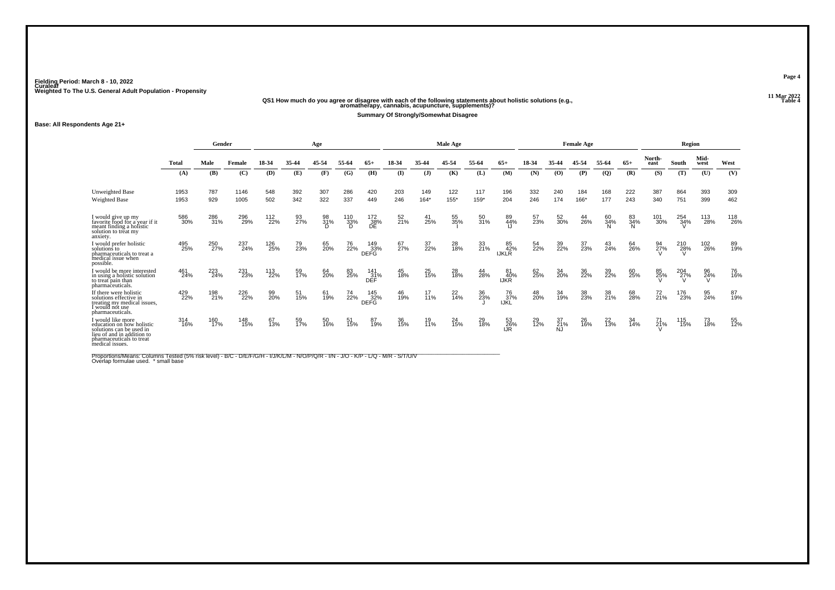# **11 Mar 2022QS1 How much do you agree or disagree with each of the following statements about holistic solutions (e.g., aromatherapy, cannabis, acupuncture, supplements)?**

**Summary Of Strongly/Somewhat Disagree**

**Base: All Respondents Age 21+**

|                                                                                                                                                         | Gender       |            |                    |            |            | Age            |                 |                    |            |               | Male Age       |             |                           |            |                 | <b>Female Age</b> |                |                |                | Region          |              |            |
|---------------------------------------------------------------------------------------------------------------------------------------------------------|--------------|------------|--------------------|------------|------------|----------------|-----------------|--------------------|------------|---------------|----------------|-------------|---------------------------|------------|-----------------|-------------------|----------------|----------------|----------------|-----------------|--------------|------------|
|                                                                                                                                                         | <b>Total</b> | Male       | Female             | 18-34      | 35-44      | 45-54          | 55-64           | 65+                | 18-34      | 35-44         | 45-54          | 55-64       | $65+$                     | 18-34      | 35-44           | 45-54             | 55-64          | $65+$          | North-<br>east | South           | Mid-<br>west | West       |
|                                                                                                                                                         | (A)          | (B)        | (C)                | (D)        | (E)        | (F)            | (G)             | (H)                | $($ I      | $($ $)$       | (K)            | (L)         | (M)                       | (N)        | (0)             | (P)               | (Q)            | (R)            | (S)            | (T)             | (U)          | (V)        |
| <b>Unweighted Base</b><br>Weighted Base                                                                                                                 | 1953<br>1953 | 787<br>929 | 1146<br>1005       | 548<br>502 | 392<br>342 | 307<br>322     | 286<br>337      | 420<br>449         | 203<br>246 | 149<br>$164*$ | 122<br>155*    | 117<br>159* | 196<br>204                | 332<br>246 | 240<br>174      | 184<br>166*       | 168<br>177     | 222<br>243     | 387<br>340     | 864<br>751      | 393<br>399   | 309<br>462 |
| would give up my<br>favorite food for a year if it<br>meant finding a holistic<br>solution to treat mv<br>anxiety.                                      | 586<br>30%   | 286<br>31% | 296<br>29%         | 112<br>22% | 93<br>27%  | 98<br>31%<br>D | 110<br>33%<br>D | 172<br>38%<br>DE   | 52<br>21%  | 41<br>25%     | 55<br>35%      | 50<br>31%   | 89<br>44%                 | 57<br>23%  | 52<br>30%       | 44<br>26%         | 60<br>34%      | 83<br>34%<br>N | 101<br>30%     | 254<br>34%      | 113<br>28%   | 118<br>26% |
| I would prefer holistic<br>solutions to<br>pharmaceuticals to treat a<br>medical issue when<br>possible                                                 | 495<br>25%   | 250<br>27% | 237<br>24%         | 126<br>25% | 79<br>23%  | 65<br>20%      | 76<br>22%       | 149<br>33%<br>DEFG | 67<br>27%  | 37<br>22%     | 28<br>18%      | 33<br>21%   | 85<br>42%<br><b>IJKLR</b> | 54<br>22%  | 39<br>22%       | 37<br>23%         | $^{43}_{24\%}$ | 64<br>26%      | 94<br>27%      | 210<br>28%<br>V | 102<br>26%   | 89<br>19%  |
| would be more interested<br>in using a holistic solution<br>to treat pain than<br>pharmaceuticals.                                                      | 461<br>24%   | 223<br>24% | 231<br>23%         | 113<br>22% | 59<br>17%  | 64<br>20%      | 83<br>25%       | 141<br>31%<br>DEF  | 45<br>18%  | 25<br>15%     | 28<br>18%      | 44<br>28%   | 81<br>40%<br>IJKR         | 62<br>25%  | 34<br>20%       | 36<br>22%         | 39<br>22%      | 60<br>25%      | 85<br>25%      | $^{204}_{27\%}$ | 96<br>24%    | 76<br>16%  |
| If there were holistic<br>solutions effective in<br>treating my medical issues.<br>would not use<br>pharmaceuticals.                                    | 429<br>22%   | 198<br>21% | <sup>226</sup> 22% | 99<br>20%  | 51<br>15%  | 61<br>19%      | 74<br>22%       | 145<br>32%<br>DEFG | 46<br>19%  | $17_{1%}$     | $^{22}_{14\%}$ | 36<br>23%   | 76<br>37%<br>IJKL         | 48<br>20%  | 34<br>19%       | 38<br>23%         | 38<br>21%      | 68<br>28%      | $^{72}_{21\%}$ | 176<br>23%      | 95<br>24%    | 87<br>19%  |
| I would like more<br>education on how holistic<br>solutions can be used in<br>lieu of and in addition to<br>pharmaceuticals to treat<br>medical issues. | 314<br>16%   | 160<br>17% | 148<br>15%         | 67<br>13%  | 59<br>17%  | 50<br>16%      | 51<br>15%       | 87<br>19%          | 36<br>15%  | 19<br>11%     | 24<br>15%      | 29<br>18%   | 53<br>26%<br>IJR          | 29<br>12%  | 37<br>21%<br>NJ | 26<br>16%         | $^{22}_{13\%}$ | 34<br>14%      | 71<br>21%      | 115<br>15%      | 73<br>18%    | 55<br>12%  |

Proportions/Means: Columns Tested (5% risk level) - B/C - D/E/F/G/H - I/J/K/L/M - N/O/P/Q/R - I/N - J/O - K/P - L/Q - M/R - S/T/U/V<br>Overlap formulae used. \*small base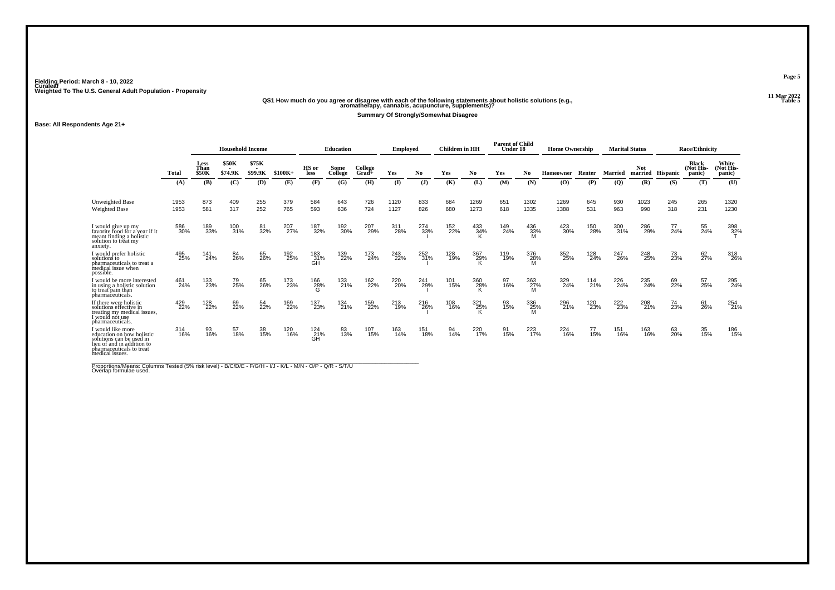# **11 Mar 2022QS1 How much do you agree or disagree with each of the following statements about holistic solutions (e.g., aromatherapy, cannabis, acupuncture, supplements)?**

**Summary Of Strongly/Somewhat Disagree**

**Base: All Respondents Age 21+**

|                                                                                                                                                         |              |                              | <b>Household Income</b> |                  |            |                   | <b>Education</b> |                    | <b>Employed</b> |            | <b>Children</b> in HH |              | <b>Parent of Child</b><br>Under 18 |                 | <b>Home Ownership</b> |            |                | <b>Marital Status</b> |                  | <b>Race/Ethnicity</b>               |                              |
|---------------------------------------------------------------------------------------------------------------------------------------------------------|--------------|------------------------------|-------------------------|------------------|------------|-------------------|------------------|--------------------|-----------------|------------|-----------------------|--------------|------------------------------------|-----------------|-----------------------|------------|----------------|-----------------------|------------------|-------------------------------------|------------------------------|
|                                                                                                                                                         | <b>Total</b> | Less<br>Than<br><b>\$50K</b> | \$50K<br>\$74.9K        | \$75K<br>\$99.9K | $$100K+$   | HS or<br>less     | Some<br>College  | College<br>$Grad+$ | Yes             | No.        | Yes                   | No.          | Yes                                | No              | Homeowner             | Renter     | <b>Married</b> | <b>Not</b>            | married Hispanic | <b>Black</b><br>(Not His-<br>panic) | White<br>(Not His-<br>panic) |
|                                                                                                                                                         | (A)          | (B)                          | (C)                     | (D)              | (E)        | (F)               | (G)              | (H)                | $\mathbf{I}$    | (J)        | (K)                   | (L)          | (M)                                | (N)             | (O)                   | (P)        | $\left($ Q     | (R)                   | (S)              | (T)                                 | (U)                          |
| <b>Unweighted Base</b><br><b>Weighted Base</b>                                                                                                          | 1953<br>1953 | 873<br>581                   | 409<br>317              | 255<br>252       | 379<br>765 | 584<br>593        | 643<br>636       | 726<br>724         | 1120<br>1127    | 833<br>826 | 684<br>680            | 1269<br>1273 | 651<br>618                         | 1302<br>1335    | 1269<br>1388          | 645<br>531 | 930<br>963     | 1023<br>990           | 245<br>318       | 265<br>231                          | 1320<br>1230                 |
| I would give up my<br>favorite food for a vear if it<br>meant finding a holistic<br>solution to treat my<br>anxiety.                                    | 586<br>30%   | 189<br>33%                   | 100<br>31%              | 81<br>32%        | 207<br>27% | 187<br>32%        | 192<br>30%       | 207<br>29%         | 311<br>28%      | 274<br>33% | 152<br>22%            | 433<br>34%   | 149<br>24%                         | 436<br>33%      | 423<br>30%            | 150<br>28% | 300<br>31%     | 286<br>29%            | 77<br>24%        | 55<br>24%                           | 398<br>32%                   |
| I would prefer holistic<br>solutions to<br>pharmaceuticals to treat a<br>medical issue when<br>possible.                                                | 495<br>25%   | 141<br>24%                   | 84<br>26%               | 65<br>26%        | 192<br>25% | 183<br>31%<br>GH  | 139<br>22%       | 173<br>24%         | 243<br>22%      | 252%       | 128<br>19%            | 367<br>29%   | 119<br>19%                         | 376<br>28%      | 352<br>25%            | 128<br>24% | 247<br>26%     | 248<br>25%            | 73<br>23%        | 62 <sub>7%</sub>                    | 318<br>26%                   |
| I would be more interested<br>in using a holistic solution<br>to treat pain than<br>pharmaceuticals.                                                    | 461<br>24%   | 133<br>23%                   | 79<br>25%               | 65<br>26%        | 173<br>23% | 166<br>28%<br>G   | 133<br>21%       | 162<br>22%         | 220<br>20%      | 241<br>29% | 101<br>15%            | 360<br>28%   | 97<br>16%                          | 363<br>27%      | 329<br>24%            | 114<br>21% | 226<br>24%     | 235<br>24%            | 69<br>22%        | 57<br>25%                           | 295<br>24%                   |
| If there were holistic<br>solutions effective in<br>treating my medical issues,<br>I would not use<br>pharmaceuticals.                                  | 429<br>22%   | 128<br>22%                   | 69<br>22%               | 54<br>22%        | 169<br>22% | 137<br>23%        | 134<br>21%       | 159<br>22%         | 213<br>19%      | 216<br>26% | 108<br>16%            | 321<br>25%   | 93<br>15%                          | 336<br>25%<br>M | 296<br>21%            | 120<br>23% | 222<br>23%     | 208<br>21%            | 74<br>23%        | 61<br>26%                           | 254<br>21%                   |
| I would like more<br>education on how holistic<br>solutions can be used in<br>lieu of and in addition to<br>pharmaceuticals to treat<br>medical issues. | 314<br>16%   | 93<br>16%                    | 57<br>18%               | 38<br>15%        | 120<br>16% | 124<br>_21%<br>GH | 83<br>13%        | 107<br>15%         | 163<br>14%      | 151<br>18% | 94<br>14%             | 220<br>17%   | 91<br>15%                          | 223<br>17%      | 224<br>16%            | 77<br>15%  | 151<br>16%     | 163<br>16%            | 63<br>20%        | 35<br>15%                           | 186<br>15%                   |

Proportions/Means: Columns Tested (5% risk level) - B/C/D/E - F/G/H - I/J - K/L - M/N - O/P - Q/R - S/T/U<br>Overlap formulae used.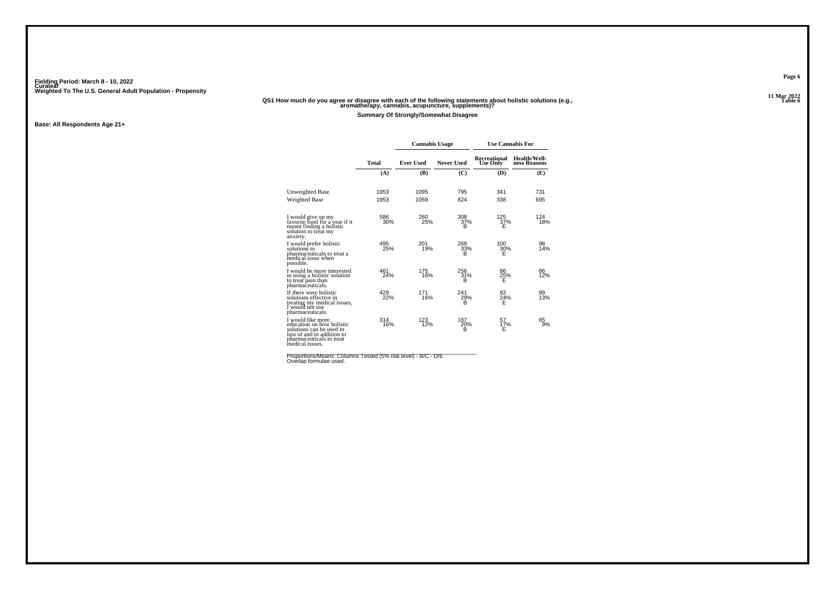### **11 Mar 2022QS1 How much do you agree or disagree with each of the following statements about holistic solutions (e.g., aromatherapy, cannabis, acupuncture, supplements)?**

**Summary Of Strongly/Somewhat Disagree**

**Base: All Respondents Age 21+**

|                                                                                                                                                         |            | <b>Cannabis Usage</b> |                   | <b>Use Cannabis For</b>         |                              |
|---------------------------------------------------------------------------------------------------------------------------------------------------------|------------|-----------------------|-------------------|---------------------------------|------------------------------|
|                                                                                                                                                         | Total      | <b>Ever Used</b>      | <b>Never Used</b> | Recreational<br><b>Use Only</b> | Health/Well-<br>ness Reasons |
|                                                                                                                                                         | (A)        | (B)                   | (C)               | (D)                             | (E)                          |
| Unweighted Base                                                                                                                                         | 1953       | 1095                  | 795               | 341                             | 731                          |
| <b>Weighted Base</b>                                                                                                                                    | 1953       | 1059                  | 824               | 338                             | 695                          |
| I would give up my<br>favorite food for a year if it<br>meant finding a holistic<br>solution to treat my<br>anxiety.                                    | 586<br>30% | 260<br>25%            | 308<br>37%<br>в   | $^{125}_{37\%}$<br>F            | 124<br>18%                   |
| I would prefer holistic<br>solutions to<br>pharmaceuticals to treat a<br>medical issue when<br>possible.                                                | 495<br>25% | 201<br>19%            | 269<br>33%<br>R   | 100<br>30%<br>F                 | 98<br>14%                    |
| I would be more interested<br>in using a holistic solution<br>to treat pain than<br>pharmaceuticals.                                                    | 461<br>24% | 175<br>16%            | 256<br>31%<br>в   | 86<br>$\frac{25}{E}$ %          | 86<br>12%                    |
| If there were holistic<br>solutions effective in<br>treating my medical issues,<br>I would not use<br>pharmaceuticals.                                  | 429<br>22% | 171<br>16%            | 241<br>29%<br>R   | 82<br>24%                       | 89<br>13%                    |
| I would like more<br>education on how holistic<br>solutions can be used in<br>lieu of and in addition to<br>pharmaceuticals to treat<br>medical issues. | 314<br>16% | 123<br>12%            | 167<br>20%<br>B   | 57<br>17%<br>Е                  | 65<br>9%                     |

Proportions/Means: Columns Tested (5% risk level) - B/C - D/E<br>Overlap formulae used.

**Page 6**

**Table 6 Table 6 Table 6 Table 6 Table 6 Table 6 Table 6 Table 6 Table 6 Table 6 Table 6 Table 6 Table 6 Table 6 Table 6 Table 6 Table 6 Table 6 Table 6 Table 6 Table 6 Table 6 T**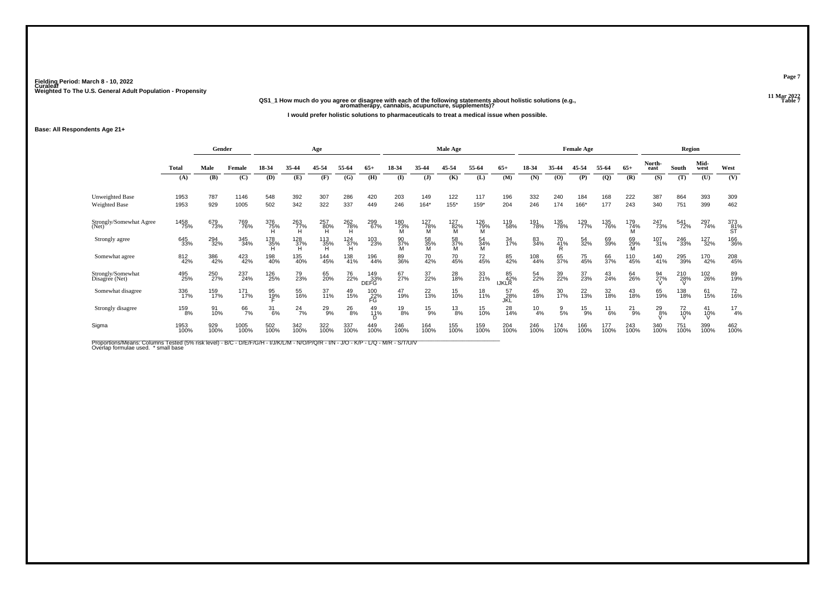**11 Mar 2022QS1\_1 How much do you agree or disagree with each of the following statements about holistic solutions (e.g., aromatherapy, cannabis, acupuncture, supplements)?**

**I would prefer holistic solutions to pharmaceuticals to treat a medical issue when possible.**

**Base: All Respondents Age 21+**

|                                     | Gender       |             |              |                  |                       | Age               |                 |                           |                 |                 | Male Age        |                 |                           |               |                 | <b>Female Age</b> |               |               |                | Region      |              |                  |
|-------------------------------------|--------------|-------------|--------------|------------------|-----------------------|-------------------|-----------------|---------------------------|-----------------|-----------------|-----------------|-----------------|---------------------------|---------------|-----------------|-------------------|---------------|---------------|----------------|-------------|--------------|------------------|
|                                     | <b>Total</b> | Male        | Female       | 18-34            | 35-44                 | 45-54             | 55-64           | $65+$                     | 18-34           | 35-44           | 45-54           | 55-64           | $65+$                     | 18-34         | 35-44           | 45-54             | 55-64         | $65+$         | North-<br>east | South       | Mid-<br>west | West             |
|                                     | (A)          | (B)         | (C)          | (D)              | (E)                   | (F)               | (G)             | (H)                       | $($ I           | $\mathbf{J}$    | (K)             | (L)             | (M)                       | (N)           | (0)             | (P)               | <b>(Q)</b>    | (R)           | (S)            | (T)         | (U)          | (V)              |
| Unweighted Base<br>Weighted Base    | 1953<br>1953 | 787<br>929  | 1146<br>1005 | 548<br>502       | 392<br>342            | 307<br>322        | 286<br>337      | 420<br>449                | 203<br>246      | 149<br>$164*$   | 122<br>155*     | 117<br>159*     | 196<br>204                | 332<br>246    | 240<br>174      | 184<br>166*       | 168<br>177    | 222<br>243    | 387<br>340     | 864<br>751  | 393<br>399   | 309<br>462       |
| Strongly/Somewhat Agree<br>(Net)    | 1458<br>75%  | 679<br>73%  | 769<br>76%   | 376<br>75%       | 263<br>77%            | 257<br>80%        | 262<br>78%<br>H | 299<br>67%                | 180<br>73%<br>M | 127<br>78%<br>M | 127<br>82%<br>M | 126<br>79%<br>M | 119<br>58%                | 191<br>78%    | 135<br>78%      | 129<br>77%        | 135<br>76%    | 179<br>74%    | 247<br>73%     | 541<br>72%  | 297<br>74%   | 373<br>81%<br>ST |
| Strongly agree                      | 645<br>33%   | 294<br>32%  | 345<br>34%   | 178<br>35%<br>H  | $\frac{128}{37\%}$    | 113<br>35%<br>H   | $^{124}_{37\%}$ | 103<br>23%                | 90<br>37%<br>M  | 58<br>35%<br>M  | 58<br>37%<br>M  | 54<br>34%<br>M  | 34<br>17%                 | 83<br>34%     | 70<br>41%<br>R  | 54<br>32%         | 69<br>39%     | 69<br>29%     | 107<br>31%     | 246<br>33%  | 127<br>32%   | 166<br>36%       |
| Somewhat agree                      | 812<br>42%   | 386<br>42%  | 423<br>42%   | 198<br>40%       | 135<br>40%            | 144<br>45%        | 138<br>41%      | 196<br>44%                | 89<br>36%       | 70<br>42%       | 70<br>45%       | 72<br>45%       | 85<br>42%                 | 108<br>44%    | 65<br>37%       | 75<br>45%         | 66<br>37%     | 110<br>45%    | 140<br>41%     | 295<br>39%  | 170<br>42%   | 208<br>45%       |
| Strongly/Somewhat<br>Disagree (Net) | 495<br>25%   | 250<br>27%  | 237<br>24%   | 126<br>25%       | 79<br>23%             | 65<br>20%         | 76<br>22%       | 149<br>33%<br><b>DEFG</b> | 67<br>27%       | 37<br>22%       | 28<br>18%       | 33<br>21%       | 85<br>42%<br><b>IJKLR</b> | 54<br>22%     | 39<br>22%       | 37<br>23%         | 43<br>24%     | 64<br>26%     | 94<br>27%      | 210<br>28%  | 102<br>26%   | 89<br>19%        |
| Somewhat disagree                   | 336<br>17%   | 159<br>17%  | 171<br>17%   | 95<br>19%        | 55<br>16%             | $\frac{37}{11\%}$ | 49<br>15%       | 100<br>22%<br>FG          | 47<br>19%       | $^{22}_{13\%}$  | 15<br>10%       | 18<br>11%       | 57<br>_28%<br>JKL         | 45<br>18%     | 30<br>17%       | 22<br>13%         | 32<br>18%     | 43<br>18%     | 65<br>19%      | 138<br>18%  | 61<br>15%    | 72<br>16%        |
| Strongly disagree                   | 159<br>8%    | 91<br>10%   | 66<br>7%     | $\frac{31}{6\%}$ | $^{24}$ <sub>7%</sub> | $^{29}_{9\%}$     | $^{26}_{8\%}$   | 49<br>11%<br>D            | $^{19}_{8\%}$   | $^{15}_{9\%}$   | $^{13}_{8\%}$   | 15<br>10%       | 28<br>14%                 | $^{10}_{4\%}$ | $\frac{9}{5\%}$ | $^{15}_{9%}$      | $^{11}_{6\%}$ | $^{21}_{9\%}$ | $^{29}_{.8\%}$ | 72<br>10%   | 41<br>10%    | $\frac{17}{4%}$  |
| Sigma                               | 1953<br>100% | 929<br>100% | 1005<br>100% | 502<br>100%      | 342<br>100%           | 322<br>100%       | 337<br>100%     | 449<br>100%               | 246<br>100%     | 164<br>100%     | 155<br>100%     | 159<br>100%     | 204<br>100%               | 246<br>100%   | 174<br>100%     | 166<br>100%       | 177<br>100%   | 243<br>100%   | 340<br>100%    | 751<br>100% | 399<br>100%  | 462<br>100%      |

Proportions/Means: Columns Tested (5% risk level) - B/C - D/E/F/G/H - I/J/K/L/M - N/O/P/Q/R - I/N - J/O - K/P - L/Q - M/R - S/T/U/V<br>Overlap formulae used. \*small base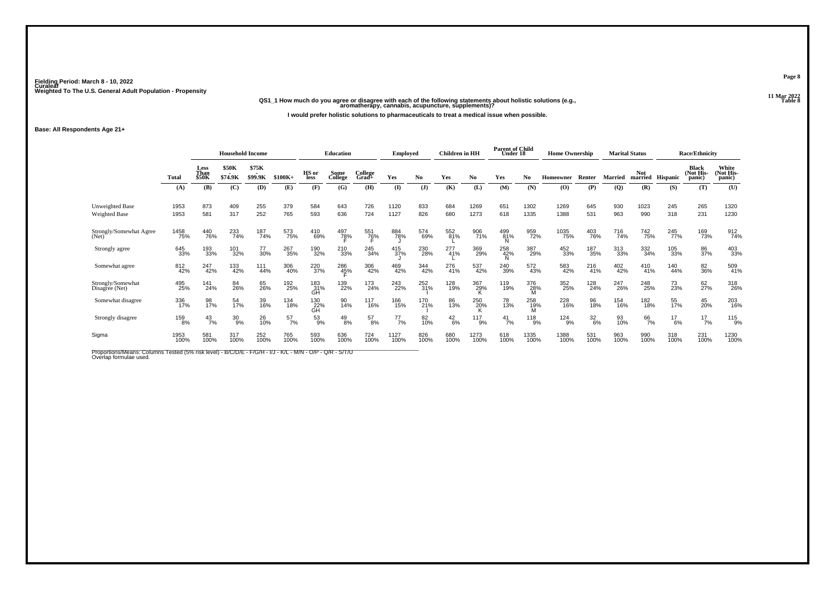## **11 Mar 2022QS1\_1 How much do you agree or disagree with each of the following statements about holistic solutions (e.g., aromatherapy, cannabis, acupuncture, supplements)?**

**I would prefer holistic solutions to pharmaceuticals to treat a medical issue when possible.**

**Base: All Respondents Age 21+**

|                                     |              | <b>Household Income</b> |                         |                  |             |                      | <b>Education</b>    |                  | <b>Employed</b> |             | <b>Children</b> in HH |              | <b>Parent of Child</b><br>Under 18 |                  | <b>Home Ownership</b> |                  |                | <b>Marital Status</b> |               | <b>Race/Ethnicity</b>               |                              |
|-------------------------------------|--------------|-------------------------|-------------------------|------------------|-------------|----------------------|---------------------|------------------|-----------------|-------------|-----------------------|--------------|------------------------------------|------------------|-----------------------|------------------|----------------|-----------------------|---------------|-------------------------------------|------------------------------|
|                                     | Total        | Less<br>Than<br>\$50K   | <b>\$50K</b><br>\$74.9K | \$75K<br>\$99.9K | $$100K+$    | HS or<br><b>less</b> | Some<br>College     | College<br>Grad+ | Yes             | No          | Yes                   | No.          | Yes                                | No               | Homeowner             | Renter           | <b>Married</b> | <b>Not</b><br>married | Hispanic      | <b>Black</b><br>(Not His-<br>panic) | White<br>(Not His-<br>panic) |
|                                     | (A)          | (B)                     | (C)                     | (D)              | (E)         | (F)                  | (G)                 | (H)              | $\bf(I)$        | (1)         | (K)                   | (L)          | (M)                                | (N)              | (O)                   | (P)              | (Q)            | (R)                   | (S)           | (T)                                 | (U)                          |
| Unweighted Base<br>Weighted Base    | 1953<br>1953 | 873<br>581              | 409<br>317              | 255<br>252       | 379<br>765  | 584<br>593           | 643<br>636          | 726<br>724       | 1120<br>1127    | 833<br>826  | 684<br>680            | 1269<br>1273 | 651<br>618                         | 1302<br>1335     | 1269<br>1388          | 645<br>531       | 930<br>963     | 1023<br>990           | 245<br>318    | 265<br>231                          | 1320<br>1230                 |
| Strongly/Somewhat Agree<br>(Net)    | 1458<br>75%  | 440<br>76%              | 233<br>74%              | 187<br>74%       | 573<br>75%  | 410<br>69%           | 497<br>7 <u>8</u> % | 551<br>76%       | 884<br>78%      | 574<br>69%  | 552<br>81%            | 906<br>71%   | 499<br>81%                         | 959<br>72%       | 1035<br>75%           | 403<br>76%       | 716<br>74%     | <sup>742</sup> 75%    | 245<br>77%    | 169<br>73%                          | 912<br>74%                   |
| Strongly agree                      | 645<br>33%   | 193<br>33%              | 101<br>32%              | 77<br>30%        | 267<br>35%  | 190<br>32%           | 210<br>33%          | 245<br>34%       | 415<br>37%      | 230<br>28%  | 277<br>41%            | 369<br>29%   | 258<br>42%                         | 387<br>29%       | 452<br>33%            | 187<br>35%       | 313<br>33%     | 332<br>34%            | 105<br>33%    | 86<br>37%                           | 403<br>33%                   |
| Somewhat agree                      | 812<br>42%   | 247<br>42%              | 133<br>42%              | 111<br>44%       | 306<br>40%  | 220<br>37%           | 286<br>45%          | 306<br>42%       | 469<br>42%      | 344<br>42%  | 276<br>41%            | 537<br>42%   | 240<br>39%                         | 572<br>43%       | 583<br>42%            | 216<br>41%       | 402<br>42%     | 410<br>41%            | 140<br>44%    | 82<br>36%                           | 509<br>41%                   |
| Strongly/Somewhat<br>Disagree (Net) | 495<br>25%   | 141<br>24%              | 84<br>26%               | 65<br>26%        | 192<br>25%  | 183<br>31%<br>GН     | 139<br>22%          | 173<br>24%       | 243<br>22%      | 252<br>31%  | 128<br>19%            | 367<br>29%   | 119<br>19%                         | 376<br>28%       | 352<br>25%            | 128<br>24%       | 247<br>26%     | 248<br>25%            | 73<br>23%     | 62<br>27%                           | 318<br>26%                   |
| Somewhat disagree                   | 336<br>17%   | 98<br>17%               | 54<br>17%               | 39<br>16%        | 134<br>18%  | 130<br>22%<br>GH     | 90<br>14%           | 117<br>16%       | 166<br>15%      | 170<br>21%  | 86<br>13%             | 250<br>20%   | 78<br>13%                          | 258<br>19%       | 228<br>16%            | 96<br>18%        | 154<br>16%     | 182<br>18%            | 55<br>17%     | 45<br>20%                           | 203<br>16%                   |
| Strongly disagree                   | 159<br>8%    | $^{43}_{7\%}$           | $^{30}_{9\%}$           | 26<br>10%        | 57<br>7%    | $^{53}_{9\%}$        | $^{49}_{8\%}$       | $^{57}_{8\%}$    | $^{77}_{7\%}$   | 82<br>10%   | $^{42}_{6\%}$         | 117<br>9%    | $\frac{41}{7\%}$                   | $\frac{118}{9%}$ | $^{124}_{9\%}$        | $\frac{32}{6\%}$ | 93<br>10%      | 66<br>7%              | $^{17}_{6\%}$ | $^{17}_{7\%}$                       | 115<br>9%                    |
| Sigma                               | 1953<br>100% | 581<br>100%             | 317<br>100%             | 252<br>100%      | 765<br>100% | 593<br>100%          | 636<br>100%         | 724<br>100%      | 1127<br>100%    | 826<br>100% | 680<br>100%           | 1273<br>100% | 618<br>100%                        | 1335<br>100%     | 1388<br>100%          | 531<br>100%      | 963<br>100%    | 990<br>100%           | 318<br>100%   | 231<br>100%                         | 1230<br>100%                 |

Proportions/Means: Columns Tested (5% risk level) - B/C/D/E - F/G/H - I/J - K/L - M/N - O/P - Q/R - S/T/U<br>Overlap formulae used.

**Page 8**

**Table 8 Table 8**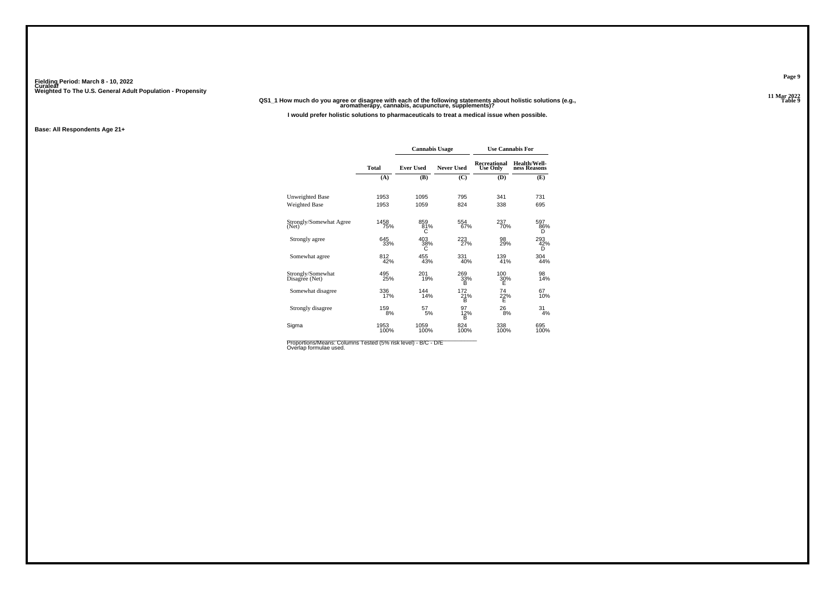#### **11 Mar 2022QS1\_1 How much do you agree or disagree with each of the following statements about holistic solutions (e.g., aromatherapy, cannabis, acupuncture, supplements)?**

**I would prefer holistic solutions to pharmaceuticals to treat a medical issue when possible.**

#### **Base: All Respondents Age 21+**

|                                     |              | <b>Cannabis Usage</b> |                   |                                 | <b>Use Cannabis For</b>      |
|-------------------------------------|--------------|-----------------------|-------------------|---------------------------------|------------------------------|
|                                     | <b>Total</b> | <b>Ever Used</b>      | <b>Never Used</b> | Recreational<br><b>Use Only</b> | Health/Well-<br>ness Reasons |
|                                     | (A)          | (B)                   | (C)               | (D)                             | (E)                          |
| Unweighted Base                     | 1953         | 1095                  | 795               | 341                             | 731                          |
| <b>Weighted Base</b>                | 1953         | 1059                  | 824               | 338                             | 695                          |
| Strongly/Somewhat Agree<br>(Net)    | 1458<br>75%  | 859<br>81%<br>C       | 554<br>67%        | 237<br>70%                      | 597<br>86%<br>D              |
| Strongly agree                      | 645<br>33%   | 403<br>38%<br>С       | 223<br>27%        | 98<br>29%                       | 293<br>42%<br>D              |
| Somewhat agree                      | 812<br>42%   | 455<br>43%            | 331<br>40%        | 139<br>41%                      | 304<br>44%                   |
| Strongly/Somewhat<br>Disagree (Net) | 495<br>25%   | 201<br>19%            | 269<br>33%<br>в   | 100<br>30%<br>E                 | 98<br>14%                    |
| Somewhat disagree                   | 336<br>17%   | 144<br>14%            | 172<br>21%<br>в   | 74<br>22%<br>Ē                  | 67<br>10%                    |
| Strongly disagree                   | 159<br>8%    | 57<br>5%              | 97<br>12%<br>B    | 26<br>8%                        | 31<br>4%                     |
| Sigma                               | 1953<br>100% | 1059<br>100%          | 824<br>100%       | 338<br>100%                     | 695<br>100%                  |

Proportions/Means: Columns Tested (5% risk level) - B/C - D/E<br>Overlap formulae used.

**Page 9**

**Table 9 Table 9**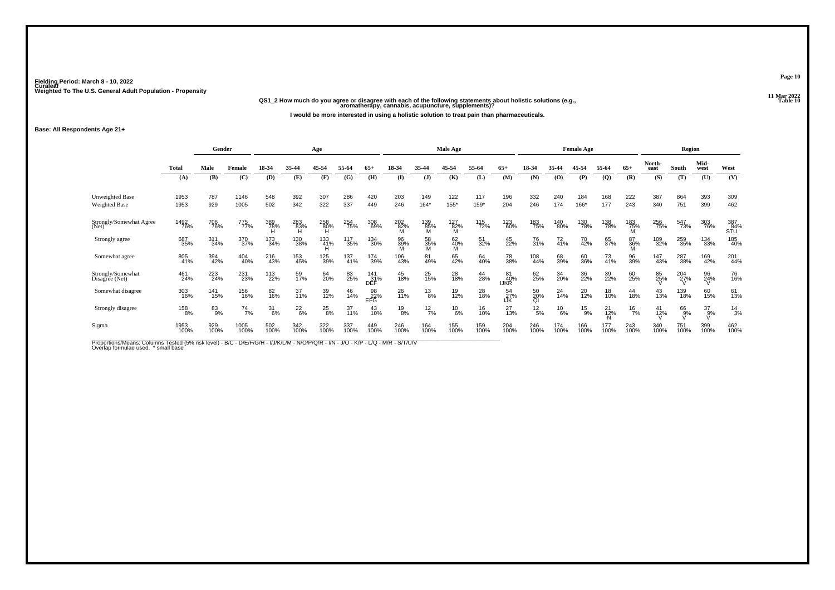## **11 Mar 2022QS1\_2 How much do you agree or disagree with each of the following statements about holistic solutions (e.g., aromatherapy, cannabis, acupuncture, supplements)?**

**I would be more interested in using a holistic solution to treat pain than pharmaceuticals.**

#### **Base: All Respondents Age 21+**

|                                         | Gender       |             |               |             | Age              |                 |                    |                    |                 | Male Age        |                 |               |                          |                 | <b>Female Age</b> |               |                             |                 | Region         |             |                  |                   |
|-----------------------------------------|--------------|-------------|---------------|-------------|------------------|-----------------|--------------------|--------------------|-----------------|-----------------|-----------------|---------------|--------------------------|-----------------|-------------------|---------------|-----------------------------|-----------------|----------------|-------------|------------------|-------------------|
|                                         | Total        | Male        | Female        | 18-34       | 35-44            | 45-54           | 55-64              | $65+$              | 18-34           | 35-44           | 45-54           | 55-64         | $65+$                    | 18-34           | 35-44             | 45-54         | 55-64                       | $65+$           | North-<br>east | South       | Mid-<br>west     | West              |
|                                         | (A)          | (B)         | (C)           | (D)         | (E)              | (F)             | (G)                | (H)                | $($ $\Gamma$    | $\mathbf{J}$    | (K)             | (L)           | (M)                      | (N)             | $\bf{(0)}$        | (P)           | $\left( \mathbf{Q} \right)$ | (R)             | (S)            | (T)         | (U)              | (V)               |
| <b>Unweighted Base</b><br>Weighted Base | 1953<br>1953 | 787<br>929  | 1146<br>1005  | 548<br>502  | 392<br>342       | 307<br>322      | 286<br>337         | 420<br>449         | 203<br>246      | 149<br>164*     | 122<br>155*     | 117<br>$159*$ | 196<br>204               | 332<br>246      | 240<br>174        | 184<br>166*   | 168<br>177                  | 222<br>243      | 387<br>340     | 864<br>751  | 393<br>399       | 309<br>462        |
| Strongly/Somewhat Agree<br>(Net)        | 1492<br>76%  | 706<br>76%  | 775<br>77%    | 389<br>78%  | 283<br>83%<br>H  | 258<br>80%<br>Ή | 254<br>75%         | 308<br>69%         | 202<br>82%<br>M | 139<br>85%<br>M | 127<br>82%<br>M | 115<br>72%    | 123<br>60%               | 183<br>75%      | 140<br>80%        | 130<br>78%    | 138<br>78%                  | 183<br>75%<br>M | 256<br>75%     | 547<br>73%  | 303<br>76%       | 387<br>84%<br>STU |
| Strongly agree                          | 687<br>35%   | 311<br>34%  | 370<br>37%    | 173<br>34%  | 130<br>38%       | 133<br>41%      | 117<br>35%         | 134<br>30%         | 96<br>39%       | 58<br>35%<br>M  | 62<br>40%<br>M  | 51<br>32%     | 45<br>22%                | 76<br>31%       | 72<br>41%         | 70<br>42%     | 65<br>37%                   | 87<br>36%       | 109<br>32%     | 259<br>35%  | 134<br>33%       | 185<br>40%        |
| Somewhat agree                          | 805<br>41%   | 394<br>42%  | 404<br>40%    | 216<br>43%  | 153<br>45%       | 125<br>39%      | $\frac{137}{41\%}$ | 174<br>39%         | 106<br>43%      | 81<br>49%       | 65<br>42%       | 64<br>40%     | 78<br>38%                | 108<br>44%      | 68<br>39%         | 60<br>36%     | $\frac{73}{41%}$            | 96<br>39%       | 147<br>43%     | 287<br>38%  | 169<br>42%       | 201<br>44%        |
| Strongly/Somewhat<br>Disagree (Net)     | 461<br>24%   | 223<br>24%  | 231<br>23%    | 113<br>22%  | 59<br>17%        | 64<br>20%       | 83<br>25%          | 141<br>_31%<br>DEF | 45<br>18%       | 25<br>15%       | 28<br>18%       | 44<br>28%     | 81<br>40%<br><b>IJKR</b> | 62<br>25%       | 34<br>20%         | 36<br>22%     | 39<br>22%                   | 60<br>25%       | 85<br>25%      | 204<br>27%  | 96<br>24%        | 76<br>16%         |
| Somewhat disagree                       | 303<br>16%   | 141<br>15%  | 156<br>16%    | 82<br>16%   | $\frac{37}{11%}$ | 39<br>12%       | 46<br>14%          | 98<br>22%<br>EFG   | 26<br>11%       | $^{13}_{8\%}$   | 19<br>12%       | 28<br>18%     | 54<br>27%<br>IJK         | 50<br>20%<br>Ql | 24<br>14%         | 20<br>12%     | 18<br>10%                   | 44<br>18%       | 43<br>13%      | 139<br>18%  | 60<br>15%        | 61<br>13%         |
| Strongly disagree                       | 158<br>8%    | 83<br>9%    | $^{74}_{7\%}$ | $31_{6\%}$  | $^{22}_{6\%}$    | $^{25}_{8\%}$   | 37<br>11%          | 43<br>10%          | $^{19}_{8\%}$   | $^{12}_{7\%}$   | $^{10}_{6\%}$   | 16<br>10%     | 27<br>13%                | $^{12}_{\ 5\%}$ | $^{10}_{6\%}$     | $^{15}_{9\%}$ | $^{21}_{12\%}$              | $\frac{16}{7%}$ | $^{41}_{12\%}$ | 66<br>9%    | $\frac{37}{9\%}$ | $^{14}_{3%}$      |
| Sigma                                   | 1953<br>100% | 929<br>100% | 1005<br>100%  | 502<br>100% | 342<br>100%      | 322<br>100%     | 337<br>100%        | 449<br>100%        | 246<br>100%     | 164<br>100%     | 155<br>100%     | 159<br>100%   | 204<br>100%              | 246<br>100%     | 174<br>100%       | 166<br>100%   | 177<br>100%                 | 243<br>100%     | 340<br>100%    | 751<br>100% | 399<br>100%      | 462<br>100%       |

Proportions/Means: Columns Tested (5% risk level) - B/C - D/E/F/G/H - I/J/K/L/M - N/O/P/Q/R - I/N - J/O - K/P - L/Q - M/R - S/T/U/V<br>Overlap formulae used. \*small base

**Page 10**

**Table 10 Table 10**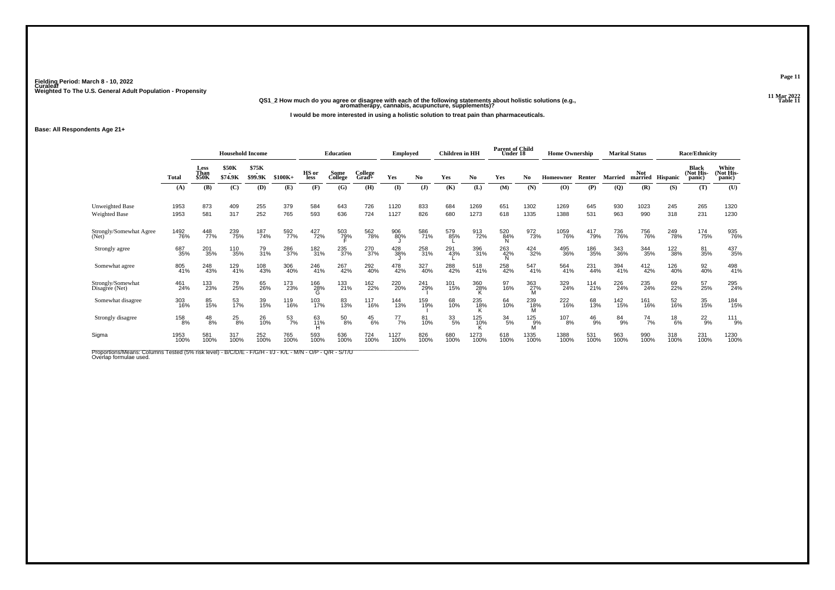## **11 Mar 2022QS1\_2 How much do you agree or disagree with each of the following statements about holistic solutions (e.g., aromatherapy, cannabis, acupuncture, supplements)?**

**I would be more interested in using a holistic solution to treat pain than pharmaceuticals.**

**Base: All Respondents Age 21+**

|                                     |              | <b>Household Income</b> |                         |                  |                  | <b>Education</b> |                     | <b>Employed</b>  |               | <b>Children</b> in HH |             | <b>Parent of Child</b><br>Under 18 |             | <b>Home Ownership</b> |              |               | <b>Marital Status</b> |                       | <b>Race/Ethnicity</b> |                                     |                              |
|-------------------------------------|--------------|-------------------------|-------------------------|------------------|------------------|------------------|---------------------|------------------|---------------|-----------------------|-------------|------------------------------------|-------------|-----------------------|--------------|---------------|-----------------------|-----------------------|-----------------------|-------------------------------------|------------------------------|
|                                     | <b>Total</b> | Less<br>Than<br>\$50K   | <b>\$50K</b><br>\$74.9K | \$75K<br>\$99.9K | $$100K+$         | HS or<br>less    | Some<br>College     | College<br>Grad+ | Yes           | N <sub>0</sub>        | Yes         | No                                 | Yes         | No                    | Homeowner    | Renter        | <b>Married</b>        | <b>Not</b><br>married | <b>Hispanic</b>       | <b>Black</b><br>(Not His-<br>panic) | White<br>(Not His-<br>panic) |
|                                     | (A)          | (B)                     | (C)                     | <b>(D)</b>       | (E)              | (F)              | (G)                 | (H)              | $\mathbf{I}$  | (J)                   | (K)         | (L)                                | (M)         | (N)                   | (O)          | (P)           | (Q)                   | (R)                   | (S)                   | (T)                                 | (U)                          |
| Unweighted Base<br>Weighted Base    | 1953<br>1953 | 873<br>581              | 409<br>317              | 255<br>252       | 379<br>765       | 584<br>593       | 643<br>636          | 726<br>724       | 1120<br>1127  | 833<br>826            | 684<br>680  | 1269<br>1273                       | 651<br>618  | 1302<br>1335          | 1269<br>1388 | 645<br>531    | 930<br>963            | 1023<br>990           | 245<br>318            | 265<br>231                          | 1320<br>1230                 |
| Strongly/Somewhat Agree<br>(Net)    | 1492<br>76%  | 448<br>77%              | 239<br>75%              | 187<br>74%       | 592<br>77%       | 427<br>72%       | 503<br>7 <u>9</u> % | 562<br>78%       | 906<br>80%    | 586<br>71%            | 579<br>85%  | 913<br>72%                         | 520<br>84%  | 972<br>73%            | 1059<br>76%  | 417<br>79%    | 736<br>76%            | 756<br>76%            | 249<br>78%            | 174<br>75%                          | 935<br>76%                   |
| Strongly agree                      | 687<br>35%   | 201<br>35%              | 110<br>35%              | 79<br>31%        | 286<br>37%       | 182<br>31%       | 235<br>37%          | 270<br>37%       | 428<br>38%    | 258<br>31%            | 291<br>43%  | 396<br>31%                         | 263<br>42%  | 424<br>32%            | 495<br>36%   | 186<br>35%    | 343<br>36%            | 344<br>35%            | 122<br>38%            | 81<br>35%                           | 437<br>35%                   |
| Somewhat agree                      | 805<br>41%   | 248<br>43%              | 129<br>41%              | 108<br>43%       | 306<br>40%       | 246<br>41%       | 267<br>42%          | 292<br>40%       | 478<br>42%    | 327<br>40%            | 288<br>42%  | 518<br>41%                         | 258<br>42%  | 547<br>41%            | 564<br>41%   | 231<br>44%    | 394<br>41%            | 412<br>42%            | 126<br>40%            | 92<br>40%                           | 498<br>41%                   |
| Strongly/Somewhat<br>Disagree (Net) | 461<br>24%   | 133<br>23%              | 79<br>25%               | 65<br>26%        | 173<br>23%       | 166<br>28%<br>G  | 133<br>21%          | 162<br>22%       | 220<br>20%    | 241<br>29%            | 101<br>15%  | 360<br>28%                         | 97<br>16%   | 363<br>27%            | 329<br>24%   | 114<br>21%    | 226<br>24%            | 235<br>24%            | 69<br>22%             | 57<br>25%                           | 295<br>24%                   |
| Somewhat disagree                   | 303<br>16%   | 85<br>15%               | 53<br>17%               | 39<br>15%        | 119<br>16%       | 103<br>17%       | 83<br>13%           | 117<br>16%       | 144<br>13%    | 159<br>19%            | 68<br>10%   | 235<br>18%                         | 64<br>10%   | 239<br>18%            | 222<br>16%   | 68<br>13%     | 142<br>15%            | 161<br>16%            | 52<br>16%             | 35<br>15%                           | 184<br>15%                   |
| Strongly disagree                   | 158<br>8%    | $^{48}_{8\%}$           | $^{25}_{8\%}$           | 26<br>10%        | $\frac{53}{7\%}$ | 63<br>11%<br>н   | $^{50}_{8\%}$       | $^{45}_{6\%}$    | $^{77}_{7\%}$ | 81<br>10%             | 33/5%       | 125<br>10%                         | 34<br>5%    | 125<br>9%             | 107<br>8%    | $^{46}_{9\%}$ | 84<br>9%              | $^{74}_{7\%}$         | $^{18}_{6\%}$         | $^{22}_{9%}$                        | $^{111}_{9\%}$               |
| Sigma                               | 1953<br>100% | 581<br>100%             | 317<br>100%             | 252<br>100%      | 765<br>100%      | 593<br>100%      | 636<br>100%         | 724<br>100%      | 1127<br>100%  | 826<br>100%           | 680<br>100% | 1273<br>100%                       | 618<br>100% | 1335<br>100%          | 1388<br>100% | 531<br>100%   | 963<br>100%           | 990<br>100%           | 318<br>100%           | 231<br>100%                         | 1230<br>100%                 |

Proportions/Means: Columns Tested (5% risk level) - B/C/D/E - F/G/H - I/J - K/L - M/N - O/P - Q/R - S/T/U<br>Overlap formulae used.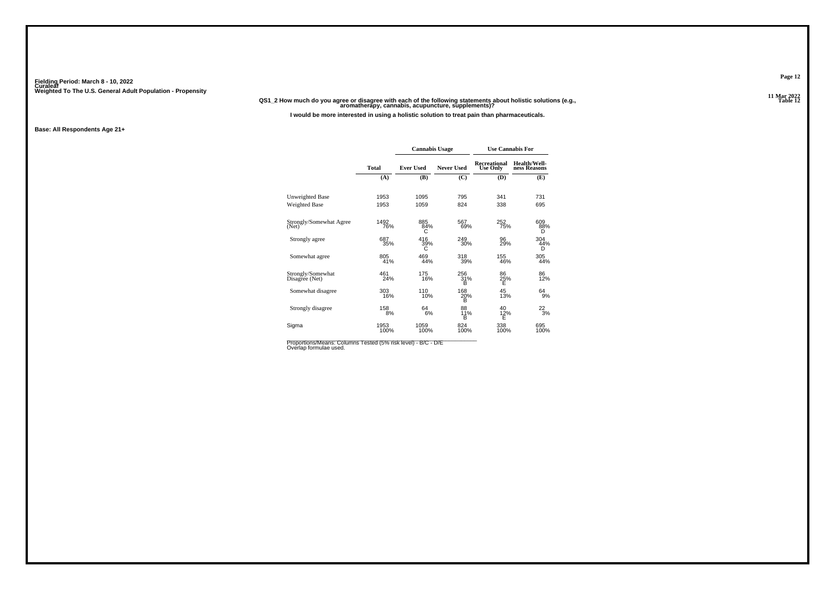#### **11 Mar 2022QS1\_2 How much do you agree or disagree with each of the following statements about holistic solutions (e.g., aromatherapy, cannabis, acupuncture, supplements)?**

**I would be more interested in using a holistic solution to treat pain than pharmaceuticals.**

#### **Base: All Respondents Age 21+**

|                                     |              | <b>Cannabis Usage</b> |                   |                                 | <b>Use Cannabis For</b>      |
|-------------------------------------|--------------|-----------------------|-------------------|---------------------------------|------------------------------|
|                                     | <b>Total</b> | <b>Ever Used</b>      | <b>Never Used</b> | Recreational<br><b>Use Only</b> | Health/Well-<br>ness Reasons |
|                                     | (A)          | (B)                   | (C)               | (D)                             | (E)                          |
| Unweighted Base                     | 1953         | 1095                  | 795               | 341                             | 731                          |
| <b>Weighted Base</b>                | 1953         | 1059                  | 824               | 338                             | 695                          |
| Strongly/Somewhat Agree<br>(Net)    | 1492<br>76%  | 885<br>84%<br>C       | 567<br>69%        | 252<br>75%                      | 609<br>88%<br>D              |
| Strongly agree                      | 687<br>35%   | 416<br>39%<br>С       | 249<br>30%        | 96<br>29%                       | 304<br>44%<br>D              |
| Somewhat agree                      | 805<br>41%   | 469<br>44%            | 318<br>39%        | 155<br>46%                      | 305<br>44%                   |
| Strongly/Somewhat<br>Disagree (Net) | 461<br>24%   | 175<br>16%            | 256<br>31%<br>в   | 86<br>25%<br>Ė                  | 86<br>12%                    |
| Somewhat disagree                   | 303<br>16%   | 110<br>10%            | 168<br>20%<br>в   | 45<br>13%                       | 64<br>9%                     |
| Strongly disagree                   | 158<br>8%    | 64<br>6%              | 88<br>11%<br>B    | 40<br>$\frac{12}{E}$            | $^{22}_{3\%}$                |
| Sigma                               | 1953<br>100% | 1059<br>100%          | 824<br>100%       | 338<br>100%                     | 695<br>100%                  |

Proportions/Means: Columns Tested (5% risk level) - B/C - D/E<br>Overlap formulae used.

**Page 12**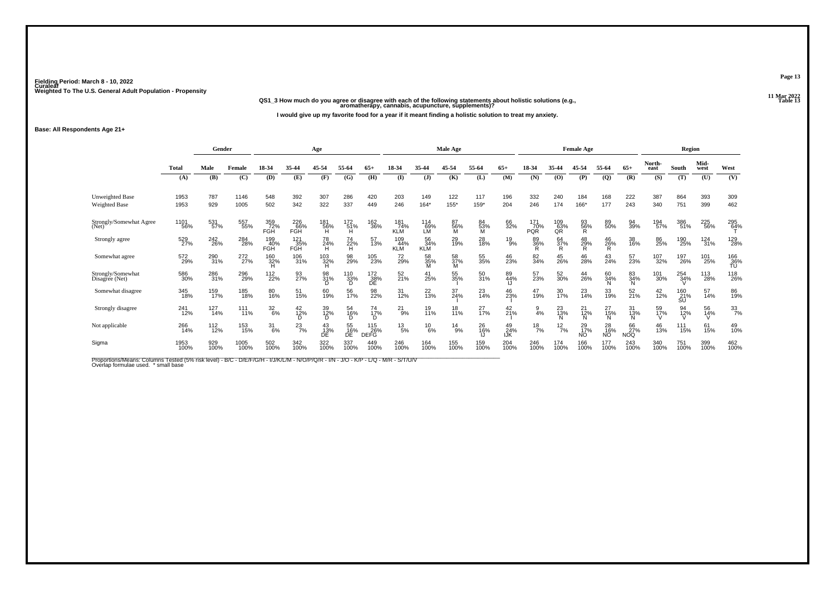**11 Mar 2022QS1\_3 How much do you agree or disagree with each of the following statements about holistic solutions (e.g., aromatherapy, cannabis, acupuncture, supplements)?**

**I would give up my favorite food for a year if it meant finding a holistic solution to treat my anxiety.**

**Base: All Respondents Age 21+**

|                                         |              | Gender      |                 |                          |                          | Age             |                                                                 |                    |                          |                         | Male Age             |                |                    |                          |                  | <b>Female Age</b> |                              |                      |                | Region           |              |                    |
|-----------------------------------------|--------------|-------------|-----------------|--------------------------|--------------------------|-----------------|-----------------------------------------------------------------|--------------------|--------------------------|-------------------------|----------------------|----------------|--------------------|--------------------------|------------------|-------------------|------------------------------|----------------------|----------------|------------------|--------------|--------------------|
|                                         | <b>Total</b> | Male        | Female          | 18-34                    | 35-44                    | 45-54           | 55-64                                                           | $65+$              | 18-34                    | 35-44                   | 45-54                | 55-64          | $65+$              | 18-34                    | 35-44            | 45-54             | 55-64                        | $65+$                | North-<br>east | South            | Mid-<br>west | West               |
|                                         | (A)          | (B)         | (C)             | (D)                      | (E)                      | (F)             | (G)                                                             | (H)                | $($ I                    | $($ $)$                 | (K)                  | (L)            | (M)                | (N)                      | (O)              | (P)               | $\mathbf{Q}$                 | (R)                  | (S)            | (T)              | (U)          | (V)                |
| <b>Unweighted Base</b><br>Weighted Base | 1953<br>1953 | 787<br>929  | 1146<br>1005    | 548<br>502               | 392<br>342               | 307<br>322      | 286<br>337                                                      | 420<br>449         | 203<br>246               | 149<br>$164*$           | 122<br>155*          | 117<br>159*    | 196<br>204         | 332<br>246               | 240<br>174       | 184<br>166*       | 168<br>177                   | 222<br>243           | 387<br>340     | 864<br>751       | 393<br>399   | 309<br>462         |
| Strongly/Somewhat Agree<br>(Net)        | 1101<br>56%  | 531<br>57%  | 557<br>55%      | 359<br>72%<br>FGH        | 226<br>66%<br>FGH        | 181<br>56%      | $^{172}_{\substack{51\%\\ \sf H}}$                              | 162<br>36%         | 181<br>74%<br><b>KLM</b> | 114<br>69%<br>LM        | 87<br>$\frac{56}{M}$ | 84<br>53%<br>M | 66<br>32%          | 171<br>70%<br><b>PQR</b> | 109<br>63%<br>QR | 93<br>56%<br>R    | 89<br>50%                    | 94<br>39%            | 194<br>57%     | 386<br>51%       | 225<br>56%   | 295<br>64%         |
| Strongly agree                          | 529<br>27%   | 242<br>26%  | 284<br>28%      | 199<br>40%<br><b>FGH</b> | 121<br>35%<br><b>FGH</b> | 78<br>24%<br>H  | 74<br>22%<br>H                                                  | 57<br>13%          | 109<br>44%<br><b>KLM</b> | 56<br>34%<br><b>KLM</b> | 29<br>19%            | 28<br>18%      | $^{19}_{9\%}$      | 89<br>36%                | 64<br>37%        | $^{48}_{29\%}$    | 46<br>26%<br>R.              | 38<br>16%            | 86<br>25%      | 190<br>25%       | 124<br>31%   | 129<br>28%         |
| Somewhat agree                          | 572<br>29%   | 290<br>31%  | 272<br>27%      | 160<br>32%               | 106<br>31%               | 103<br>32%      | 98<br>29%                                                       | 105<br>23%         | 72<br>29%                | 58<br>35%               | 58<br>37%<br>M       | 55<br>35%      | 46<br>23%          | 82<br>34%                | 45<br>26%        | 46<br>28%         | 43<br>24%                    | 57<br>23%            | 107<br>32%     | 197<br>26%       | 101<br>25%   | $^{166}_{36\%}$ TU |
| Strongly/Somewhat<br>Disagree (Net)     | 586<br>30%   | 286<br>31%  | 296<br>29%      | 112<br>22%               | 93<br>27%                | 98<br>31%       | $\underset{\begin{array}{c} 110\\ \text{D} \end{array}}{133\%}$ | 172<br>38%<br>DE   | 52<br>21%                | 41<br>25%               | 55<br>35%            | 50<br>31%      | 89<br>44%          | 57<br>23%                | 52<br>30%        | 44<br>26%         | 60<br>34%                    | 83<br>34%<br>'N.     | 101<br>30%     | 254<br>34%       | 113<br>28%   | 118<br>26%         |
| Somewhat disagree                       | 345<br>18%   | 159<br>17%  | 185<br>18%      | 80<br>16%                | 51<br>15%                | 60<br>19%       | 56<br>17%                                                       | 98<br>22%          | 31<br>12%                | 22<br>13%               | 37<br>24%            | 23<br>14%      | 46<br>23%          | 47<br>19%                | 30<br>17%        | 23<br>14%         | 33<br>19%                    | 52<br>21%            | $^{42}_{12\%}$ | 160<br>21%<br>SU | 57<br>14%    | 86<br>19%          |
| Strongly disagree                       | 241<br>12%   | 127<br>14%  | $^{111}_{11\%}$ | $\frac{32}{6\%}$         | 42 <sub>%</sub><br>D     | 39<br>12%       | 54<br>16%<br>D                                                  | 74<br>17%<br>D     | $^{21}_{9\%}$            | 19<br>11%               | 18<br>11%            | 27<br>17%      | $^{42}_{21\%}$     | 4%                       | 23<br>13%        | 21<br>12%<br>N    | $^{27}_{15\%}$<br>N          | 31<br>$\frac{13}{N}$ | 59<br>17%      | 94<br>12%<br>V   | 56<br>14%    | 33/7%              |
| Not applicable                          | 266<br>14%   | 112<br>12%  | 153<br>15%      | $31_{6\%}$               | $^{23}_{7\%}$            | 43<br>13%<br>DE | 55<br>16%<br>DÉ                                                 | 115<br>26%<br>DEFG | $^{13}_{5\%}$            | $^{10}_{6\%}$           | $^{14}_{9\%}$        | 26<br>16%      | $^{49}_{24\%}$ lJK | $^{18}_{7\%}$            | $^{12}_{7\%}$    | 29<br>17%<br>NO   | 28<br>16%<br>NO <sup>1</sup> | 66<br>27%<br>NOQ     | 46<br>13%      | 111<br>15%       | 61<br>15%    | 49<br>10%          |
| Sigma                                   | 1953<br>100% | 929<br>100% | 1005<br>100%    | 502<br>100%              | 342<br>100%              | 322<br>100%     | 337<br>100%                                                     | 449<br>100%        | 246<br>100%              | 164<br>100%             | 155<br>100%          | 159<br>100%    | 204<br>100%        | 246<br>100%              | 174<br>100%      | 166<br>100%       | 177<br>100%                  | 243<br>100%          | 340<br>100%    | 751<br>100%      | 399<br>100%  | 462<br>100%        |

Proportions/Means: Columns Tested (5% risk level) - B/C - D/E/F/G/H - I/J/K/L/M - N/O/P/Q/R - I/N - J/O - K/P - L/Q - M/R - S/T/U/V<br>Overlap formulae used. \*small base

**Page 13**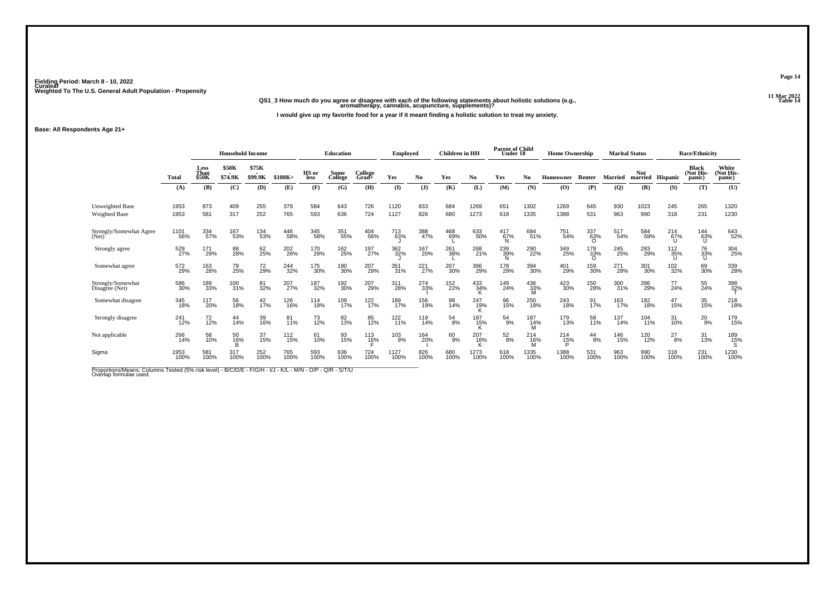**11 Mar 2022QS1\_3 How much do you agree or disagree with each of the following statements about holistic solutions (e.g., aromatherapy, cannabis, acupuncture, supplements)?**

**I would give up my favorite food for a year if it meant finding a holistic solution to treat my anxiety.**

**Base: All Respondents Age 21+**

|                                         |              | <b>Household Income</b> |                         |                  |             |                      | <b>Education</b> |                     | Employed     |             | <b>Children</b> in HH |              | <b>Parent of Child</b><br>Under 18 |              | <b>Home Ownership</b> |                        |                | <b>Marital Status</b>          |               | <b>Race/Ethnicity</b>               |                              |
|-----------------------------------------|--------------|-------------------------|-------------------------|------------------|-------------|----------------------|------------------|---------------------|--------------|-------------|-----------------------|--------------|------------------------------------|--------------|-----------------------|------------------------|----------------|--------------------------------|---------------|-------------------------------------|------------------------------|
|                                         | <b>Total</b> | Less<br>Than<br>\$50K   | <b>\$50K</b><br>\$74.9K | \$75K<br>\$99.9K | $$100K+$    | HS or<br><b>less</b> | Some<br>College  | College<br>Grad+    | Yes          | No.         | Yes                   | No           | Yes                                | No           | Homeowner             | Renter                 | Married        | <b>Not</b><br>married Hispanic |               | <b>Black</b><br>(Not His-<br>panic) | White<br>(Not His-<br>panic) |
|                                         | (A)          | (B)                     | (C)                     | (D)              | (E)         | (F)                  | (G)              | (H)                 | $\mathbf{I}$ | (J)         | (K)                   | (L)          | (M)                                | (N)          | (O)                   | (P)                    | $\overline{Q}$ | (R)                            | (S)           | (T)                                 | (U)                          |
| Unweighted Base<br><b>Weighted Base</b> | 1953<br>1953 | 873<br>581              | 409<br>317              | 255<br>252       | 379<br>765  | 584<br>593           | 643<br>636       | 726<br>724          | 1120<br>1127 | 833<br>826  | 684<br>680            | 1269<br>1273 | 651<br>618                         | 1302<br>1335 | 1269<br>1388          | 645<br>531             | 930<br>963     | 1023<br>990                    | 245<br>318    | 265<br>231                          | 1320<br>1230                 |
| Strongly/Somewhat Agree<br>(Net)        | 1101<br>56%  | 334<br>57%              | 167<br>53%              | 134<br>53%       | 446<br>58%  | 345<br>58%           | 351<br>55%       | 404<br>56%          | 713<br>63%   | 388<br>47%  | 468<br>69%            | 633<br>50%   | 417<br>67%                         | 684<br>51%   | 751<br>54%            | 337<br>63%<br>$\Omega$ | 517<br>54%     | 584<br>59%                     | 214<br>67%    | 144<br>63%<br>IJ                    | 643<br>52%                   |
| Strongly agree                          | 529<br>27%   | 171<br>29%              | 88<br>28%               | 62<br>25%        | 202<br>26%  | 170<br>29%           | 162<br>25%       | 197<br>27%          | 362<br>32%   | 167<br>20%  | 261<br>38%            | 268<br>21%   | 239<br>39%                         | 290<br>22%   | 349<br>25%            | 178<br>33%<br>O        | 245<br>25%     | 283<br>29%                     | 112<br>35%    | 76<br>33%<br>u                      | 304<br>25%                   |
| Somewhat agree                          | 572<br>29%   | 163<br>28%              | 79<br>25%               | 72<br>29%        | 244<br>32%  | 175<br>30%           | 190<br>30%       | 207<br>29%          | 351<br>31%   | 221<br>27%  | 207<br>30%            | 366<br>29%   | 178<br>29%                         | 394<br>30%   | 401<br>29%            | 159<br>30%             | 271<br>28%     | 301<br>30%                     | 102<br>32%    | 69<br>30%                           | 339<br>28%                   |
| Strongly/Somewhat<br>Disagree (Net)     | 586<br>30%   | 189<br>33%              | 100<br>31%              | 81<br>32%        | 207<br>27%  | 187<br>32%           | 192<br>30%       | 207<br>29%          | 311<br>28%   | 274<br>33%  | 152<br>22%            | 433<br>34%   | 149<br>24%                         | 436<br>33%   | 423<br>30%            | 150<br>28%             | 300<br>31%     | 286<br>29%                     | 77<br>24%     | 55<br>24%                           | 398<br>32%                   |
| Somewhat disagree                       | 345<br>18%   | 117<br>20%              | 56<br>18%               | $^{42}_{17\%}$   | 126<br>16%  | 114<br>19%           | 109<br>17%       | 122<br>17%          | 189<br>17%   | 156<br>19%  | 98<br>14%             | 247<br>19%   | 96<br>15%                          | 250<br>19%   | 243<br>18%            | 91<br>17%              | 163<br>17%     | 182<br>18%                     | 47<br>15%     | 35 <sub>%</sub>                     | 218<br>18%                   |
| Strongly disagree                       | 241<br>12%   | $72$<br>12%             | 44<br>14%               | 39<br>16%        | 81<br>11%   | 73<br>12%            | 82<br>13%        | 85<br>12%           | 122<br>11%   | 119<br>14%  | $^{54}_{8\%}$         | 187<br>15%   | 54<br>9%                           | 187<br>14%   | 179<br>13%            | 58<br>11%              | 137<br>14%     | 104<br>11%                     | 31<br>10%     | $^{20}_{9%}$                        | 179<br>15%                   |
| Not applicable                          | 266<br>14%   | 58<br>10%               | 50<br>16%               | 37<br>15%        | 112<br>15%  | 61<br>10%            | 93<br>15%        | 113<br>1 <u>6</u> % | 103<br>9%    | 164<br>20%  | 60<br>9%              | 207<br>16%   | $^{52}_{8\%}$                      | 214<br>16%   | 214<br>15%            | $^{44}_{8\%}$          | 146<br>15%     | 120<br>12%                     | $^{27}_{8\%}$ | 31<br>13%                           | 189<br>15%                   |
| Sigma                                   | 1953<br>100% | 581<br>100%             | 317<br>100%             | 252<br>100%      | 765<br>100% | 593<br>100%          | 636<br>100%      | 724<br>100%         | 1127<br>100% | 826<br>100% | 680<br>100%           | 1273<br>100% | 618<br>100%                        | 1335<br>100% | 1388<br>100%          | 531<br>100%            | 963<br>100%    | 990<br>100%                    | 318<br>100%   | 231<br>100%                         | 1230<br>100%                 |

Proportions/Means: Columns Tested (5% risk level) - B/C/D/E - F/G/H - I/J - K/L - M/N - O/P - Q/R - S/T/U<br>Overlap formulae used.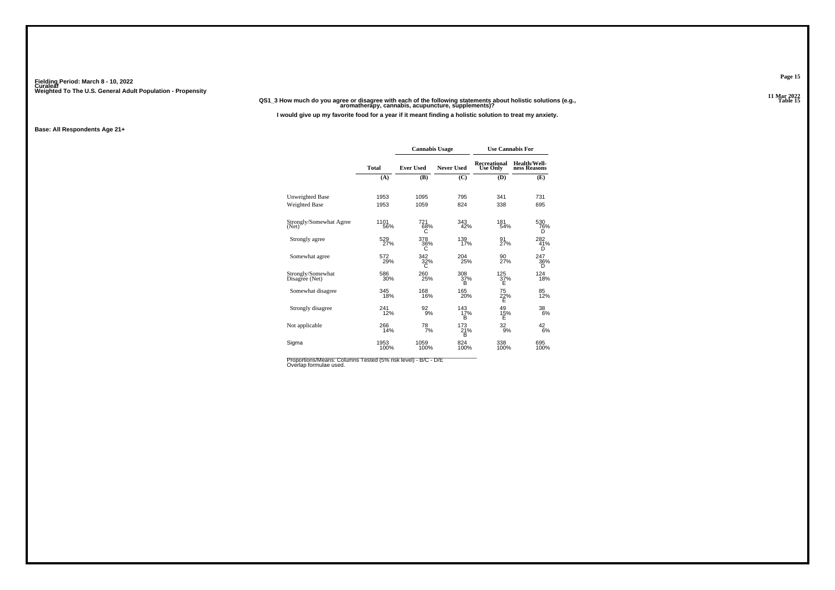**11 Mar 2022QS1\_3 How much do you agree or disagree with each of the following statements about holistic solutions (e.g., aromatherapy, cannabis, acupuncture, supplements)?**

**I would give up my favorite food for a year if it meant finding a holistic solution to treat my anxiety.**

#### **Base: All Respondents Age 21+**

|                                     |              | <b>Cannabis Usage</b> |                 | <b>Use Cannabis For</b>         |                              |
|-------------------------------------|--------------|-----------------------|-----------------|---------------------------------|------------------------------|
|                                     | <b>Total</b> | <b>Ever Used</b>      | Never Used      | Recreational<br><b>Use Only</b> | Health/Well-<br>ness Reasons |
|                                     | (A)          | (B)                   | (C)             | (D)                             | (E)                          |
| Unweighted Base                     | 1953         | 1095                  | 795             | 341                             | 731                          |
| <b>Weighted Base</b>                | 1953         | 1059                  | 824             | 338                             | 695                          |
| Strongly/Somewhat Agree<br>(Net)    | 1101<br>56%  | 721<br>68%<br>С       | 343<br>42%      | 181<br>54%                      | 530<br>76%<br>D              |
| Strongly agree                      | 529<br>27%   | 378<br>36%<br>С       | 139<br>17%      | 91<br>27%                       | 282<br>41%<br>D              |
| Somewhat agree                      | 572<br>29%   | 342<br>32%<br>C.      | 204<br>25%      | 90<br>27%                       | 247<br>36%<br>D              |
| Strongly/Somewhat<br>Disagree (Net) | 586<br>30%   | 260<br>25%            | 308<br>37%<br>B | 125<br>37%<br>Е                 | 124<br>18%                   |
| Somewhat disagree                   | 345<br>18%   | 168<br>16%            | 165<br>20%      | 75<br>$\frac{22}{5}$ %          | 85<br>12%                    |
| Strongly disagree                   | 241<br>12%   | 92<br>9%              | 143<br>17%<br>B | 49<br>15%<br>Ė                  | 38<br>6%                     |
| Not applicable                      | 266<br>14%   | $^{78}_{7\%}$         | 173<br>21%<br>B | 32<br>9%                        | 42<br>6%                     |
| Sigma                               | 1953<br>100% | 1059<br>100%          | 824<br>100%     | 338<br>100%                     | 695<br>100%                  |

Proportions/Means: Columns Tested (5% risk level) - B/C - D/E<br>Overlap formulae used.

**Page 15**

**Table 15 Table 15**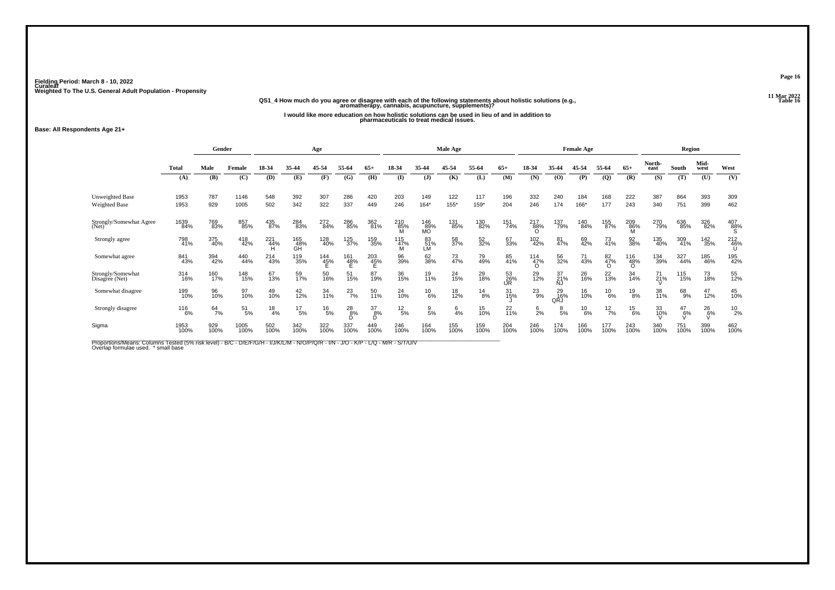## **11 Mar 2022QS1\_4 How much do you agree or disagree with each of the following statements about holistic solutions (e.g., aromatherapy, cannabis, acupuncture, supplements)?**

**I would like more education on how holistic solutions can be used in lieu of and in addition to pharmaceuticals to treat medical issues.**

**Base: All Respondents Age 21+**

|                                     |              | Gender        |               |                 |                  | Age             |                   |                                       |                 |                          | Male Age    |               |                  |                                |                  | <b>Female Age</b> |                       |                       |                | Region        |                               |                 |
|-------------------------------------|--------------|---------------|---------------|-----------------|------------------|-----------------|-------------------|---------------------------------------|-----------------|--------------------------|-------------|---------------|------------------|--------------------------------|------------------|-------------------|-----------------------|-----------------------|----------------|---------------|-------------------------------|-----------------|
|                                     | <b>Total</b> | Male          | Female        | 18-34           | 35-44            | 45-54           | 55-64             | 65+                                   | 18-34           | 35-44                    | 45-54       | 55-64         | $65+$            | 18-34                          | 35-44            | 45-54             | 55-64                 | $65+$                 | North-<br>east | South         | Mid-<br>west                  | West            |
|                                     | (A)          | (B)           | (C)           | (D)             | (E)              | (F)             | (G)               | (H)                                   | $($ I           | $($ $\bf{J})$            | (K)         | (L)           | (M)              | (N)                            | (0)              | (P)               | $\mathbf{Q}$          | (R)                   | (S)            | (T)           | (U)                           | (V)             |
| Unweighted Base<br>Weighted Base    | 1953<br>1953 | 787<br>929    | 1146<br>1005  | 548<br>502      | 392<br>342       | 307<br>322      | 286<br>337        | 420<br>449                            | 203<br>246      | 149<br>$164*$            | 122<br>155* | 117<br>159*   | 196<br>204       | 332<br>246                     | 240<br>174       | 184<br>166*       | 168<br>177            | 222<br>243            | 387<br>340     | 864<br>751    | 393<br>399                    | 309<br>462      |
| Strongly/Somewhat Agree<br>(Net)    | 1639<br>84%  | 769<br>83%    | 857<br>85%    | 435<br>87%      | 284<br>83%       | 272<br>84%      | 286<br>85%        | 362<br>81%                            | 210<br>85%      | $\frac{146}{89\%}$<br>MO | 131<br>85%  | 130<br>82%    | 151<br>74%       | $^{217}_{88\%}$<br>Ω           | 137<br>79%       | 140<br>84%        | 155<br>87%            | 209<br>86%            | 270<br>79%     | 636<br>85%    | 326<br>82%                    | $^{407}_{88\%}$ |
| Strongly agree                      | 798<br>41%   | 375<br>40%    | 418<br>42%    | 221<br>44%      | 165<br>48%<br>GH | 128<br>40%      | 125<br>37%        | 159<br>35%                            | 115<br>47%      | 83<br>51%<br>LM          | 58<br>37%   | 52<br>32%     | 67<br>33%        | 102<br>42%                     | 81<br>47%        | 69<br>42%         | 73<br>41%             | 92<br>38%             | 135<br>40%     | 309<br>41%    | <sup>142</sup> <sub>35%</sub> | 212<br>46%      |
| Somewhat agree                      | 841<br>43%   | 394<br>42%    | 440<br>44%    | 214<br>43%      | 119<br>35%       | $^{144}_{45\%}$ | 161<br>-48%<br>-E | $^{203}_{\  \  \, 45\%}_{\  \  \, E}$ | 96<br>39%       | 62<br>38%                | 73<br>47%   | 79<br>49%     | 85<br>41%        | $\frac{114}{47\%}$<br>$\Omega$ | 56<br>32%        | 71<br>43%         | 82<br>47%<br>$\Omega$ | 116<br>48%<br>$\circ$ | 134<br>39%     | 327<br>44%    | 185<br>46%                    | 195<br>42%      |
| Strongly/Somewhat<br>Disagree (Net) | 314<br>16%   | 160<br>17%    | 148<br>15%    | 67<br>13%       | 59<br>17%        | 50<br>16%       | 51<br>15%         | 87<br>19%                             | 36<br>15%       | 19<br>11%                | 24<br>15%   | 29<br>18%     | 53<br>26%<br>IJR | 29<br>12%                      | 37<br>21%<br>NJ  | 26<br>16%         | 22<br>13%             | 34<br>14%             | $^{71}_{21\%}$ | 115<br>15%    | 73<br>18%                     | 55<br>12%       |
| Somewhat disagree                   | 199<br>10%   | 96<br>10%     | 97<br>10%     | 49<br>10%       | $^{42}_{12\%}$   | 34<br>11%       | $^{23}_{7\%}$     | 50<br>11%                             | 24<br>10%       | $^{10}_{6\%}$            | 18<br>12%   | $^{14}_{8\%}$ | 31<br>15%        | $^{23}_{9\%}$                  | 29<br>16%<br>QRJ | 16<br>10%         | $^{10}_{6\%}$         | $^{19}_{8\%}$         | 38<br>11%      | 68<br>9%      | 47<br>12%                     | 45<br>10%       |
| Strongly disagree                   | 116<br>6%    | $^{64}_{7\%}$ | $^{51}_{5\%}$ | $\frac{18}{4%}$ | $^{17}_{\ 5\%}$  | $^{16}_{5\%}$   | $^{28}_{8\%}$     | $\frac{37}{8%}$<br>D                  | $^{12}_{\ 5\%}$ | 9<br>5%                  | 6<br>4%     | 15<br>10%     | 22<br>11%        | $\frac{6}{2}$ %                | 8<br>5%          | $^{10}_{6\%}$     | $^{12}_{7\%}$         | $^{15}_{6\%}$         | 33<br>10%      | $^{47}_{6\%}$ | $^{26}_{6\%}$                 | $^{10}_{2\%}$   |
| Sigma                               | 1953<br>100% | 929<br>100%   | 1005<br>100%  | 502<br>100%     | 342<br>100%      | 322<br>100%     | 337<br>100%       | 449<br>100%                           | 246<br>100%     | 164<br>100%              | 155<br>100% | 159<br>100%   | 204<br>100%      | 246<br>100%                    | 174<br>100%      | 166<br>100%       | 177<br>100%           | 243<br>100%           | 340<br>100%    | 751<br>100%   | 399<br>100%                   | 462<br>100%     |

Proportions/Means: Columns Tested (5% risk level) - B/C - D/E/F/G/H - I/J/K/L/M - N/O/P/Q/R - I/N - J/O - K/P - L/Q - M/R - S/T/U/V<br>Overlap formulae used. \*small base

**Page 16**

**Table 16 Table 16**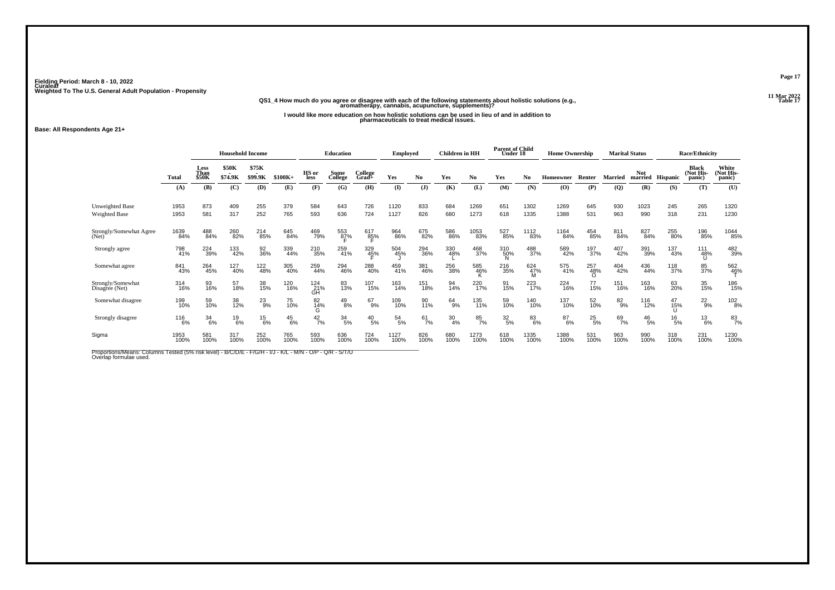# **11 Mar 2022QS1\_4 How much do you agree or disagree with each of the following statements about holistic solutions (e.g., aromatherapy, cannabis, acupuncture, supplements)?**

**I would like more education on how holistic solutions can be used in lieu of and in addition to pharmaceuticals to treat medical issues.**

**Base: All Respondents Age 21+**

|                                                |              | <b>Household Income</b> |                         |                  | <b>Education</b> |                      | <b>Employed</b>     |                  | <b>Children</b> in HH |               | <b>Parent of Child</b><br>Under 18 |              | <b>Home Ownership</b> |                |              | <b>Marital Status</b> |                | <b>Race/Ethnicity</b> |               |                                     |                              |
|------------------------------------------------|--------------|-------------------------|-------------------------|------------------|------------------|----------------------|---------------------|------------------|-----------------------|---------------|------------------------------------|--------------|-----------------------|----------------|--------------|-----------------------|----------------|-----------------------|---------------|-------------------------------------|------------------------------|
|                                                | <b>Total</b> | Less<br>Than<br>\$50K   | <b>\$50K</b><br>\$74.9K | \$75K<br>\$99.9K | $$100K+$         | HS or<br><b>less</b> | Some<br>College     | College<br>Grad+ | Yes                   | No.           | Yes                                | No           | Yes                   | N <sub>0</sub> | Homeowner    | Renter                | <b>Married</b> | <b>Not</b><br>married | Hispanic      | <b>Black</b><br>(Not His-<br>panic) | White<br>(Not His-<br>panic) |
|                                                | (A)          | (B)                     | (C)                     | (D)              | (E)              | (F)                  | (G)                 | (H)              | $\mathbf{I}$          | $($ $)$       | (K)                                | (L)          | (M)                   | (N)            | (O)          | (P)                   | $\overline{Q}$ | (R)                   | (S)           | (T)                                 | (U)                          |
| <b>Unweighted Base</b><br><b>Weighted Base</b> | 1953<br>1953 | 873<br>581              | 409<br>317              | 255<br>252       | 379<br>765       | 584<br>593           | 643<br>636          | 726<br>724       | 1120<br>1127          | 833<br>826    | 684<br>680                         | 1269<br>1273 | 651<br>618            | 1302<br>1335   | 1269<br>1388 | 645<br>531            | 930<br>963     | 1023<br>990           | 245<br>318    | 265<br>231                          | 1320<br>1230                 |
| Strongly/Somewhat Agree<br>(Net)               | 1639<br>84%  | 488<br>84%              | 260<br>82%              | 214<br>85%       | 645<br>84%       | 469<br>79%           | 553<br>8 <u>7</u> % | 617<br>85%       | 964<br>86%            | 675<br>82%    | 586<br>86%                         | 1053<br>83%  | 527<br>85%            | 1112<br>83%    | 1164<br>84%  | 454<br>85%            | 811<br>84%     | 827<br>84%            | 255<br>80%    | 196<br>85%                          | 1044<br>85%                  |
| Strongly agree                                 | 798<br>41%   | 224<br>39%              | 133<br>42%              | 92<br>36%        | 339<br>44%       | 210<br>35%           | 259<br>41%          | 329<br>45%       | 504<br>45%            | 294<br>36%    | 330<br>48%                         | 468<br>37%   | 310<br>50%<br>N       | 488<br>37%     | 589<br>42%   | 197<br>37%            | 407<br>42%     | 391<br>39%            | 137<br>43%    | 111<br>48%                          | 482<br>39%                   |
| Somewhat agree                                 | 841<br>43%   | 264<br>45%              | 127<br>40%              | 122<br>48%       | 305<br>40%       | 259<br>44%           | 294<br>46%          | 288<br>40%       | 459<br>41%            | 381<br>46%    | 256<br>38%                         | 585<br>46%   | 216<br>35%            | 624<br>47%     | 575<br>41%   | 257<br>48%<br>∩       | 404<br>42%     | 436<br>44%            | 118<br>37%    | 85<br>37%                           | 562<br>4 <u>6</u> %          |
| Strongly/Somewhat<br>Disagree (Net)            | 314<br>16%   | 93<br>16%               | 57<br>18%               | 38<br>15%        | 120<br>16%       | 124<br>21%<br>GH     | 83<br>13%           | 107<br>15%       | 163<br>14%            | 151<br>18%    | 94<br>14%                          | 220<br>17%   | 91<br>15%             | 223<br>17%     | 224<br>16%   | 77<br>15%             | 151<br>16%     | 163<br>16%            | 63<br>20%     | 35<br>15%                           | 186<br>15%                   |
| Somewhat disagree                              | 199<br>10%   | 59<br>10%               | 38<br>12%               | $^{23}_{9\%}$    | 75<br>10%        | 82<br>14%<br>G       | $^{49}_{8\%}$       | $^{67}_{9\%}$    | 109<br>10%            | 90<br>11%     | $^{64}_{9\%}$                      | 135<br>11%   | 59<br>10%             | 140<br>10%     | 137<br>10%   | 52<br>10%             | 82%            | 116<br>12%            | 47<br>15%     | $^{22}_{9%}$                        | 102<br>8%                    |
| Strongly disagree                              | 116<br>6%    | $\frac{34}{6\%}$        | $^{19}_{6\%}$           | $^{15}_{6\%}$    | $^{45}_{6\%}$    | 42/7%                | $\frac{34}{5\%}$    | $^{40}_{\ 5\%}$  | $\frac{54}{5\%}$      | $^{61}_{7\%}$ | $\frac{30}{4%}$                    | 85<br>7%     | $\frac{32}{5\%}$      | $83\atop 6\%$  | 87<br>6%     | $^{25}_{\ 5\%}$       | 69<br>7%       | $^{46}_{\ 5\%}$       | $^{16}_{5\%}$ | $^{13}_{6\%}$                       | $^{83}_{7\%}$                |
| Sigma                                          | 1953<br>100% | 581<br>100%             | 317<br>100%             | 252<br>100%      | 765<br>100%      | 593<br>100%          | 636<br>100%         | 724<br>100%      | 1127<br>100%          | 826<br>100%   | 680<br>100%                        | 1273<br>100% | 618<br>100%           | 1335<br>100%   | 1388<br>100% | 531<br>100%           | 963<br>100%    | 990<br>100%           | 318<br>100%   | 231<br>100%                         | 1230<br>100%                 |

Proportions/Means: Columns Tested (5% risk level) - B/C/D/E - F/G/H - I/J - K/L - M/N - O/P - Q/R - S/T/U<br>Overlap formulae used.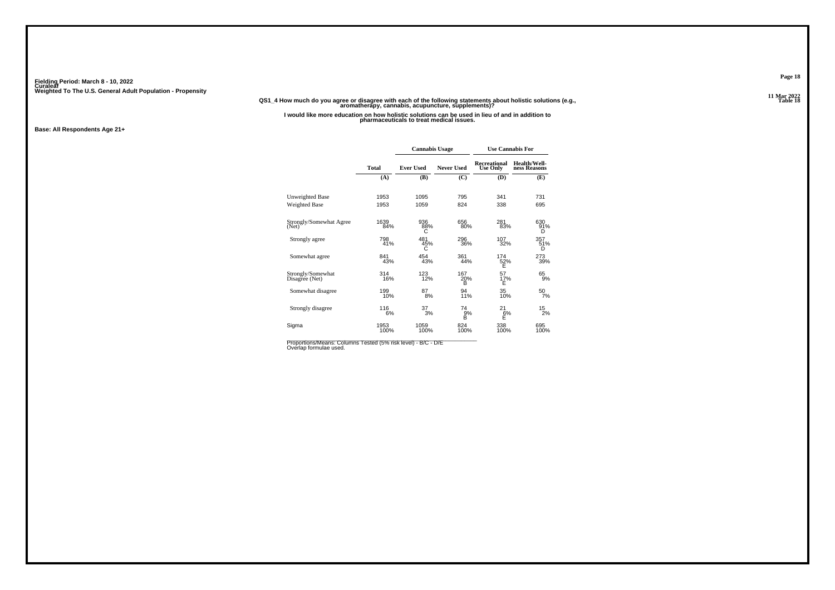#### **11 Mar 2022QS1\_4 How much do you agree or disagree with each of the following statements about holistic solutions (e.g., aromatherapy, cannabis, acupuncture, supplements)?**

**I would like more education on how holistic solutions can be used in lieu of and in addition to pharmaceuticals to treat medical issues.**

**Base: All Respondents Age 21+**

|                                     |              | <b>Cannabis Usage</b> |                   | <b>Use Cannabis For</b>         |                              |
|-------------------------------------|--------------|-----------------------|-------------------|---------------------------------|------------------------------|
|                                     | <b>Total</b> | <b>Ever Used</b>      | <b>Never Used</b> | Recreational<br><b>Use Only</b> | Health/Well-<br>ness Reasons |
|                                     | (A)          | (B)                   | (C)               | (D)                             | (E)                          |
| Unweighted Base                     | 1953         | 1095                  | 795               | 341                             | 731                          |
| Weighted Base                       | 1953         | 1059                  | 824               | 338                             | 695                          |
| Strongly/Somewhat Agree<br>(Net)    | 1639<br>84%  | 936<br>88%<br>С       | 656<br>80%        | 281<br>83%                      | 630<br>91%<br>D              |
| Strongly agree                      | 798<br>41%   | 481<br>45%<br>С       | 296<br>36%        | 107<br>32%                      | 357<br>51%<br>D              |
| Somewhat agree                      | 841<br>43%   | 454<br>43%            | 361<br>44%        | 174<br>52%<br>E                 | 273<br>39%                   |
| Strongly/Somewhat<br>Disagree (Net) | 314<br>16%   | 123<br>12%            | 167<br>20%<br>в   | 57<br>17%<br>E                  | 65<br>9%                     |
| Somewhat disagree                   | 199<br>10%   | 87<br>8%              | 94<br>11%         | 35<br>10%                       | 50<br>7%                     |
| Strongly disagree                   | 116<br>6%    | 37<br>3%              | 74<br>9%<br>B     | 21<br>$\frac{6}{5}$             | 15<br>2%                     |
| Sigma                               | 1953<br>100% | 1059<br>100%          | 824<br>100%       | 338<br>100%                     | 695<br>100%                  |

Proportions/Means: Columns Tested (5% risk level) - B/C - D/E<br>Overlap formulae used.

**Page 18**

**Table 18 Table 18**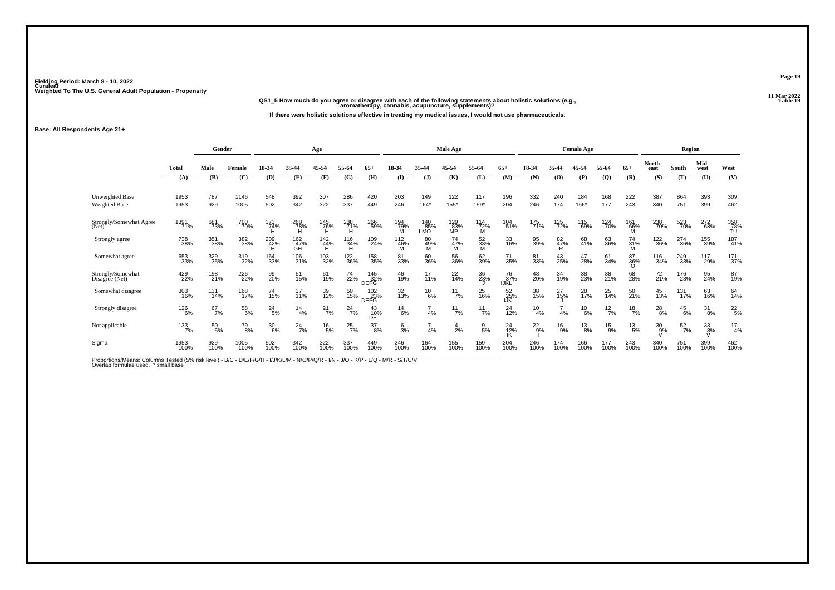**11 Mar 2022QS1\_5 How much do you agree or disagree with each of the following statements about holistic solutions (e.g., aromatherapy, cannabis, acupuncture, supplements)?**

**If there were holistic solutions effective in treating my medical issues, I would not use pharmaceuticals.**

**Base: All Respondents Age 21+**

|                   |               |              |                                                                                                 |                                                                    | Age                                                     |                                          |                                                                                       |                                                                                                          |                                                                                                |                  |                                                |                                |                                        |                                |                                                                                                                                                               |                                               |                                                                                                                                      |                             |                                                |                                                                                                                                                |                                                                                       |
|-------------------|---------------|--------------|-------------------------------------------------------------------------------------------------|--------------------------------------------------------------------|---------------------------------------------------------|------------------------------------------|---------------------------------------------------------------------------------------|----------------------------------------------------------------------------------------------------------|------------------------------------------------------------------------------------------------|------------------|------------------------------------------------|--------------------------------|----------------------------------------|--------------------------------|---------------------------------------------------------------------------------------------------------------------------------------------------------------|-----------------------------------------------|--------------------------------------------------------------------------------------------------------------------------------------|-----------------------------|------------------------------------------------|------------------------------------------------------------------------------------------------------------------------------------------------|---------------------------------------------------------------------------------------|
| <b>Total</b>      | Male          | Female       | 18-34                                                                                           | 35-44                                                              | 45-54                                                   | 55-64                                    | $65+$                                                                                 | 18-34                                                                                                    | 35-44                                                                                          | 45-54            | 55-64                                          | $65+$                          | 18-34                                  | 35-44                          | 45-54                                                                                                                                                         | 55-64                                         | $65+$                                                                                                                                | North-<br>east              | South                                          | Mid-<br>west                                                                                                                                   | West                                                                                  |
| (A)               | (B)           | (C)          | (D)                                                                                             | (E)                                                                | (F)                                                     | (G)                                      | (H)                                                                                   | $($ I                                                                                                    | $\mathbf{J}$                                                                                   | (K)              | (L)                                            | (M)                            | (N)                                    | (O)                            | (P)                                                                                                                                                           | (Q)                                           | (R)                                                                                                                                  | (S)                         | (T)                                            | (U)                                                                                                                                            | (V)                                                                                   |
| 1953<br>1953      | 787<br>929    | 1146<br>1005 | 548<br>502                                                                                      | 392<br>342                                                         | 307<br>322                                              | 286<br>337                               | 420<br>449                                                                            | 203<br>246                                                                                               | 149<br>$164*$                                                                                  | 122<br>$155*$    | 117<br>159*                                    | 196<br>204                     | 332<br>246                             | 240<br>174                     | 184<br>166*                                                                                                                                                   | 168<br>177                                    | 222<br>243                                                                                                                           | 387<br>340                  | 864<br>751                                     | 393<br>399                                                                                                                                     | 309<br>462                                                                            |
| 1391<br>71%       |               |              |                                                                                                 | 268<br>78%                                                         |                                                         |                                          |                                                                                       |                                                                                                          | LMO                                                                                            | 129<br>83%<br>MP | 114<br>72%<br>м                                |                                |                                        |                                |                                                                                                                                                               |                                               |                                                                                                                                      |                             |                                                | 272<br>68%                                                                                                                                     | 358<br>78%<br>TÚ                                                                      |
| 738<br>38%        |               |              |                                                                                                 | 162<br>47%<br>GĤ                                                   |                                                         |                                          |                                                                                       | 112<br>46%                                                                                               | 80<br>49%<br>LM                                                                                | 74<br>47%<br>M   | 52<br>33%                                      | 33<br>16%                      |                                        | 82<br>47%<br>R                 |                                                                                                                                                               | 63<br>36%                                     | 74<br>31%<br>M                                                                                                                       |                             |                                                | 155<br>39%                                                                                                                                     | 187<br>41%                                                                            |
| 653<br>33%        |               |              |                                                                                                 | 106<br>31%                                                         |                                                         |                                          |                                                                                       | 81<br>33%                                                                                                | 60<br>36%                                                                                      | 56<br>36%        | 62<br>39%                                      | 71<br>35%                      |                                        |                                |                                                                                                                                                               | 61<br>34%                                     | 87<br>36%<br>$\Omega$                                                                                                                |                             |                                                | 117<br>29%                                                                                                                                     | $^{171}_{37\%}$                                                                       |
| 429<br>22%        |               |              | 99<br>20%                                                                                       | 51<br>15%                                                          |                                                         | 74<br>22%                                | 145<br>32%                                                                            | 46<br>19%                                                                                                | 17<br>11%                                                                                      | $^{22}_{14\%}$   | 36<br>23%                                      | 76<br>37%                      |                                        |                                |                                                                                                                                                               | 38<br>21%                                     | 68<br>28%                                                                                                                            |                             | 176<br>23%                                     | 95<br>24%                                                                                                                                      | 87<br>19%                                                                             |
| 303<br>16%        |               |              | 74<br>15%                                                                                       | 37<br>11%                                                          | 39<br>12%                                               | 50<br>15%                                |                                                                                       | 32<br>13%                                                                                                |                                                                                                |                  | 25<br>16%                                      |                                |                                        |                                |                                                                                                                                                               | 25<br>14%                                     | 50<br>21%                                                                                                                            |                             | 131<br>17%                                     | 63<br>16%                                                                                                                                      | 64<br>14%                                                                             |
| 126<br>6%         | $^{67}_{7\%}$ | 58<br>6%     |                                                                                                 |                                                                    |                                                         |                                          | 43<br>10%                                                                             | $^{14}_{6\%}$                                                                                            | 4%                                                                                             |                  | $^{11}_{7\%}$                                  | 24<br>12%                      |                                        |                                |                                                                                                                                                               | $\frac{12}{7\%}$                              |                                                                                                                                      |                             |                                                | $\frac{31}{8\%}$                                                                                                                               | $^{22}_{5%}$                                                                          |
| $\frac{133}{7\%}$ |               | 79<br>8%     | 30/6%                                                                                           |                                                                    |                                                         |                                          |                                                                                       | $\frac{6}{3}$ %                                                                                          | 4%                                                                                             | 4<br>2%          | $\frac{9}{5%}$                                 |                                |                                        |                                |                                                                                                                                                               |                                               |                                                                                                                                      |                             |                                                | 33<br>8%                                                                                                                                       | $^{17}_{4%}$                                                                          |
| 1953<br>100%      | 929<br>100%   | 1005<br>100% | 502<br>100%                                                                                     | 342<br>100%                                                        | 322<br>100%                                             | 337<br>100%                              |                                                                                       | 246<br>100%                                                                                              | 164<br>100%                                                                                    | 155<br>100%      |                                                | 204<br>100%                    |                                        |                                |                                                                                                                                                               | 177<br>100%                                   | 243<br>100%                                                                                                                          |                             | 751<br>100%                                    | 399<br>100%                                                                                                                                    | 462<br>100%                                                                           |
|                   |               |              | Gender<br>681<br>73%<br>351<br>38%<br>329<br>35%<br>198<br>21%<br>131<br>14%<br>$^{50}_{\ 5\%}$ | 700<br>70%<br>382<br>38%<br>319<br>32%<br>226<br>22%<br>168<br>17% | 373<br>74%<br>209<br>42%<br>164<br>33%<br>$^{24}_{5\%}$ | $\frac{14}{4%}$<br>$^{24}$ <sup>7%</sup> | 245<br>76%<br>142<br>44%<br>103<br>32%<br>61<br>19%<br>$^{21}_{7\%}$<br>$^{16}_{5\%}$ | $^{238}_{71\%}$<br>116<br>34%<br>H<br>122<br>36%<br>DEFG<br>$^{24}$ <sub>7%</sub><br>DË<br>$^{25}_{7\%}$ | 266<br>59%<br>109<br>24%<br>158<br>35%<br>102<br>23%<br>DEFG<br>$\frac{37}{8%}$<br>449<br>100% | 194<br>79%<br>M  | <b>Male Age</b><br>140<br>85%<br>$^{10}_{6\%}$ | $^{11}_{7\%}$<br>$^{11}_{7\%}$ | IJŘĹ<br>24<br>12%<br>IK<br>159<br>100% | 104<br>51%<br>52<br>25%<br>IJK | 175<br>71%<br>95<br>39%<br>81<br>33%<br>43<br>25%<br>48<br>20%<br>34<br>19%<br>38<br>15%<br>$^{10}_{4\%}$<br>4%<br>$^{22}_{9%}$<br>246<br>100%<br>174<br>100% | 125<br>72%<br>$^{27}_{15\%}$<br>$^{16}_{9\%}$ | <b>Female Age</b><br>115<br>69%<br>68<br>41%<br>47<br>28%<br>38<br>23%<br>28<br>17%<br>$^{10}_{6\%}$<br>$^{13}_{8\%}$<br>166<br>100% | 124<br>70%<br>$^{15}_{9\%}$ | 161<br>66%<br>$\frac{18}{7%}$<br>$^{13}_{5\%}$ | 238<br>70%<br><sup>122</sup> <sub>36%</sub><br>116<br>34%<br>$^{72}_{21\%}$<br>$^{45}_{13\%}$<br>$^{28}_{8\%}$<br>$^{30}_{9\%}$<br>340<br>100% | Region<br>523<br>70%<br>274<br>36%<br>249<br>33%<br>$^{45}_{6\%}$<br>$\frac{52}{7\%}$ |

Proportions/Means: Columns Tested (5% risk level) - B/C - D/E/F/G/H - I/J/K/L/M - N/O/P/Q/R - I/N - J/O - K/P - L/Q - M/R - S/T/U/V<br>Overlap formulae used. \*small base

**Page 19**

**Table 19 Table 19**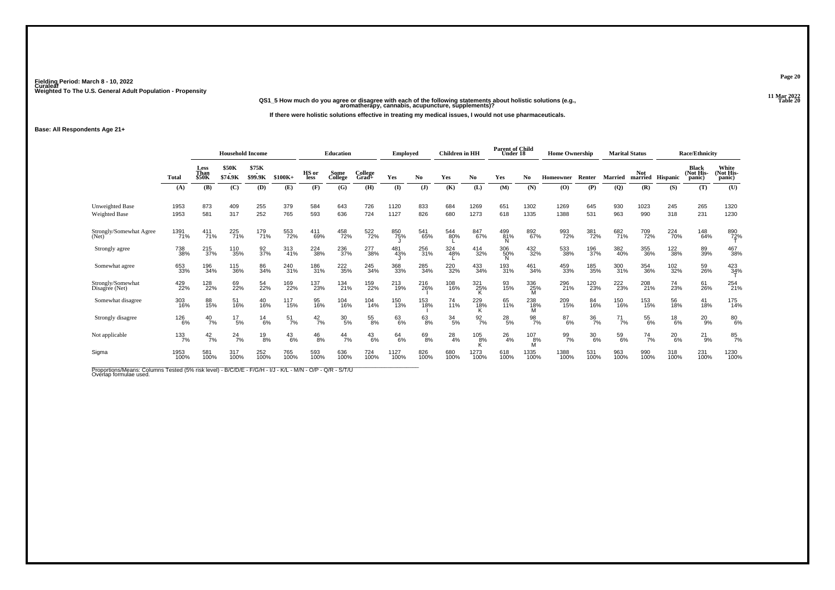**11 Mar 2022QS1\_5 How much do you agree or disagree with each of the following statements about holistic solutions (e.g., aromatherapy, cannabis, acupuncture, supplements)?**

**If there were holistic solutions effective in treating my medical issues, I would not use pharmaceuticals.**

**Base: All Respondents Age 21+**

|                                     |                              | <b>Household Income</b> |                         |                  |                  |                      | <b>Education</b> |                  | <b>Employed</b> |               | <b>Children</b> in HH |                  | <b>Parent of Child</b><br>Under 18 |                 | <b>Home Ownership</b> |                  | <b>Marital Status</b> |                                 |               | <b>Race/Ethnicity</b>               |                              |
|-------------------------------------|------------------------------|-------------------------|-------------------------|------------------|------------------|----------------------|------------------|------------------|-----------------|---------------|-----------------------|------------------|------------------------------------|-----------------|-----------------------|------------------|-----------------------|---------------------------------|---------------|-------------------------------------|------------------------------|
|                                     | <b>Total</b>                 | Less<br>Than<br>\$50K   | <b>\$50K</b><br>\$74.9K | \$75K<br>\$99.9K | $$100K+$         | HS or<br><b>less</b> | Some<br>College  | College<br>Grad+ | Yes             | No            | Yes                   | No.              | Yes                                | No              | Homeowner             | Renter           |                       | Not<br>Married married Hispanic |               | <b>Black</b><br>(Not His-<br>panic) | White<br>(Not His-<br>panic) |
|                                     | (A)                          | (B)                     | (C)                     | (D)              | (E)              | (F)                  | (G)              | (H)              | $\bf(I)$        | $($ $)$       | (K)                   | (L)              | (M)                                | (N)             | (O)                   | (P)              | $\mathbf{Q}$          | (R)                             | (S)           | (T)                                 | (U)                          |
| Unweighted Base<br>Weighted Base    | 1953<br>1953                 | 873<br>581              | 409<br>317              | 255<br>252       | 379<br>765       | 584<br>593           | 643<br>636       | 726<br>724       | 1120<br>1127    | 833<br>826    | 684<br>680            | 1269<br>1273     | 651<br>618                         | 1302<br>1335    | 1269<br>1388          | 645<br>531       | 930<br>963            | 1023<br>990                     | 245<br>318    | 265<br>231                          | 1320<br>1230                 |
| Strongly/Somewhat Agree<br>(Net)    | 1391<br>71%                  | 411<br>71%              | 225<br>71%              | 179<br>71%       | 553<br>72%       | 411<br>69%           | 458<br>72%       | 522<br>72%       | 850<br>75%      | 541<br>65%    | 544<br>80%            | 847<br>67%       | 499<br>81%                         | 892<br>67%      | 993<br>72%            | 381<br>72%       | 682<br>71%            | 709<br>72%                      | 224<br>70%    | 148<br>64%                          | 890<br>72%                   |
| Strongly agree                      | 738<br>38%                   | 215<br>37%              | 110<br>35%              | 92<br>37%        | 313<br>41%       | 224<br>38%           | 236<br>37%       | 277<br>38%       | 481<br>43%      | 256<br>31%    | 324<br>48%            | 414<br>32%       | 306<br>50%                         | 432<br>32%      | 533<br>38%            | 196<br>37%       | 382<br>40%            | 355<br>36%                      | 122<br>38%    | 89<br>39%                           | 467<br>38%                   |
| Somewhat agree                      | 653<br>33%                   | 196<br>34%              | 115<br>36%              | 86<br>34%        | 240<br>31%       | 186<br>31%           | 222<br>35%       | 245<br>34%       | 368<br>33%      | 285<br>34%    | 220<br>32%            | 433<br>34%       | 193<br>31%                         | 461<br>34%      | 459<br>33%            | 185<br>35%       | 300<br>31%            | 354<br>36%                      | 102<br>32%    | 59<br>26%                           | 423<br>34%                   |
| Strongly/Somewhat<br>Disagree (Net) | 429<br>22%                   | 128<br>22%              | 69<br>22%               | 54<br>22%        | 169<br>22%       | 137<br>23%           | 134<br>21%       | 159<br>22%       | 213<br>19%      | 216<br>26%    | 108<br>16%            | 321<br>25%       | 93<br>15%                          | 336<br>25%      | 296<br>21%            | 120<br>23%       | 222<br>23%            | 208<br>21%                      | 74<br>23%     | 61<br>26%                           | 254<br>21%                   |
| Somewhat disagree                   | 303<br>16%                   | 88<br>15%               | 51<br>16%               | 40<br>16%        | 117<br>15%       | 95<br>16%            | 104<br>16%       | 104<br>14%       | 150<br>13%      | 153<br>18%    | 74<br>11%             | 229<br>18%       | 65<br>11%                          | 238<br>18%      | 209<br>15%            | 84<br>16%        | 150<br>16%            | 153<br>15%                      | 56<br>18%     | 41<br>18%                           | 175<br>14%                   |
| Strongly disagree                   | <sup>126</sup> <sub>6%</sub> | $^{40}_{7\%}$           | $^{17}_{5\%}$           | $^{14}_{6\%}$    | $\frac{51}{7\%}$ | $^{42}_{7\%}$        | $^{30}_{\ 5\%}$  | $^{55}_{8\%}$    | 63<br>6%        | $^{63}_{8\%}$ | $\frac{34}{5\%}$      | $\frac{92}{7\%}$ | $^{28}_{5\%}$                      | $\frac{98}{7%}$ | 87<br>6%              | $\frac{36}{7\%}$ | $^{71}_{7\%}$         | 55<br>6%                        | $^{18}_{6\%}$ | $^{20}_{9%}$                        | 80<br>6%                     |
| Not applicable                      | 133<br>7%                    | $^{42}_{7\%}$           | $^{24}$ <sup>7%</sup>   | $^{19}_{8\%}$    | $^{43}_{6\%}$    | $^{46}_{8\%}$        | $^{44}_{7\%}$    | $^{43}_{6\%}$    | $^{64}_{6\%}$   | 69<br>8%      | $^{28}_{4\%}$         | 105<br>8%        | $^{26}_{4\%}$                      | 107<br>8%       | 99<br>7%              | $\frac{30}{6\%}$ | 59<br>6%              | $^{74}_{7\%}$                   | $^{20}_{6\%}$ | $^{21}_{9\%}$                       | $\frac{85}{7%}$              |
| Sigma                               | 1953<br>100%                 | 581<br>100%             | 317<br>100%             | 252<br>100%      | 765<br>100%      | 593<br>100%          | 636<br>100%      | 724<br>100%      | 1127<br>100%    | 826<br>100%   | 680<br>100%           | 1273<br>100%     | 618<br>100%                        | 1335<br>100%    | 1388<br>100%          | 531<br>100%      | 963<br>100%           | 990<br>100%                     | 318<br>100%   | 231<br>100%                         | 1230<br>100%                 |

Proportions/Means: Columns Tested (5% risk level) - B/C/D/E - F/G/H - I/J - K/L - M/N - O/P - Q/R - S/T/U<br>Overlap formulae used.

**Page 20**

**Table 20 Table 20**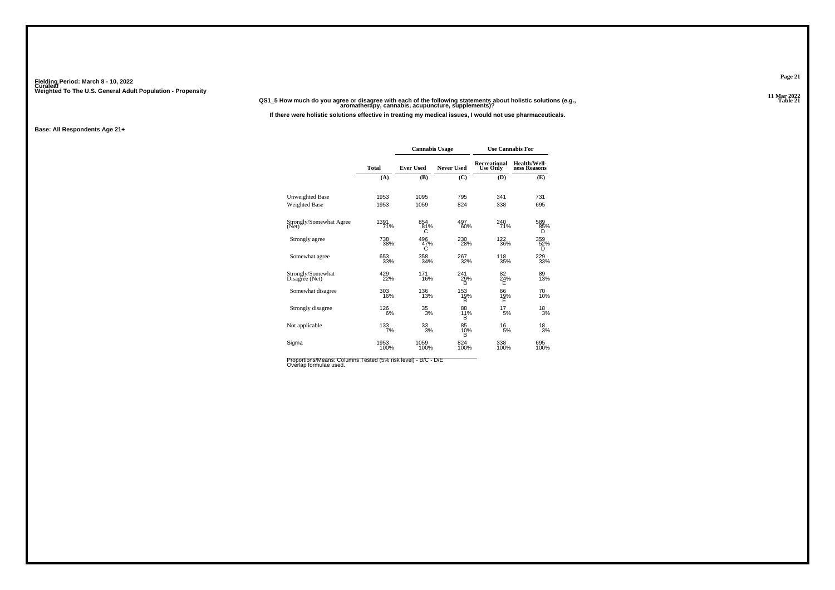**11 Mar 2022QS1\_5 How much do you agree or disagree with each of the following statements about holistic solutions (e.g., aromatherapy, cannabis, acupuncture, supplements)?**

**If there were holistic solutions effective in treating my medical issues, I would not use pharmaceuticals.**

#### **Base: All Respondents Age 21+**

|                                     |              | <b>Cannabis Usage</b> |                   | <b>Use Cannabis For</b>                |                              |
|-------------------------------------|--------------|-----------------------|-------------------|----------------------------------------|------------------------------|
|                                     | <b>Total</b> | <b>Ever Used</b>      | <b>Never Used</b> | <b>Recreational</b><br><b>Use Only</b> | Health/Well-<br>ness Reasons |
|                                     | (A)          | (B)                   | (C)               | (D)                                    | (E)                          |
| <b>Unweighted Base</b>              | 1953         | 1095                  | 795               | 341                                    | 731                          |
| <b>Weighted Base</b>                | 1953         | 1059                  | 824               | 338                                    | 695                          |
| Strongly/Somewhat Agree<br>(Net)    | 1391<br>71%  | 854<br>81%<br>C       | 497<br>60%        | 240<br>71%                             | 589<br>85%<br>D              |
| Strongly agree                      | 738<br>38%   | 496<br>47%<br>C       | 230<br>28%        | 122<br>36%                             | 359<br>52%<br>D              |
| Somewhat agree                      | 653<br>33%   | 358<br>34%            | 267<br>32%        | 118<br>35%                             | 229<br>33%                   |
| Strongly/Somewhat<br>Disagree (Net) | 429<br>22%   | 171<br>16%            | 241<br>29%<br>в   | 82<br>24%<br>Е                         | 89<br>13%                    |
| Somewhat disagree                   | 303<br>16%   | 136<br>13%            | 153<br>19%<br>B   | 66<br>19%<br>Ε                         | 70<br>10%                    |
| Strongly disagree                   | 126<br>6%    | 35<br>3%              | 88<br>11%<br>B    | 17<br>5%                               | 18<br>3%                     |
| Not applicable                      | 133<br>7%    | $\frac{33}{3%}$       | 85<br>10%<br>в    | 16<br>5%                               | $\frac{18}{3%}$              |
| Sigma                               | 1953<br>100% | 1059<br>100%          | 824<br>100%       | 338<br>100%                            | 695<br>100%                  |

Proportions/Means: Columns Tested (5% risk level) - B/C - D/E<br>Overlap formulae used.

**Page 21**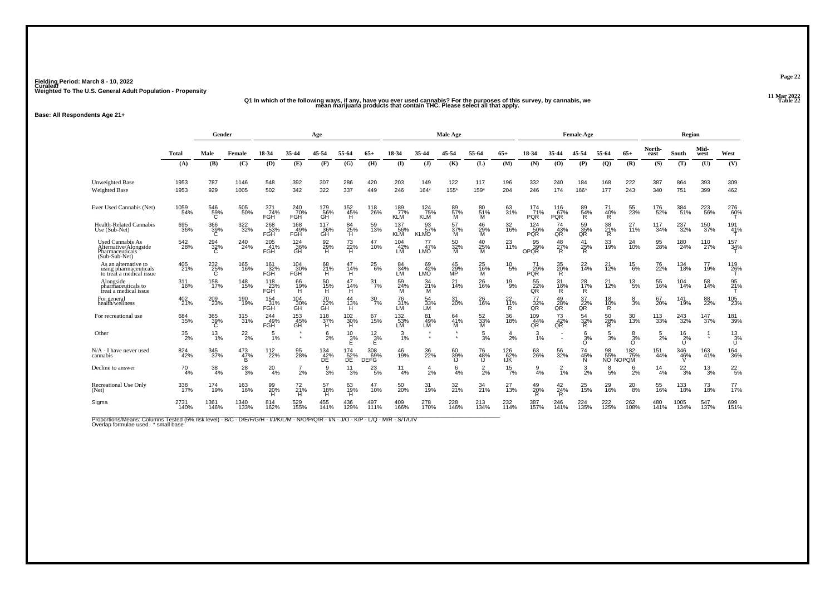#### .<br>11 Mar 2022 هـ "Q1 In which of the following ways, if any, have you ever used cannabis? For the purposes of this survey, by cannabis, we<br>22 mean marijuana products that contain THC. Please select all that apply.

**Base: All Respondents Age 21+**

|                                                                               |                  | Gender          |                      |                   |                                | Age                   |                   |                            |                          |                               | Male Age               |                      |                   |                          |                                    | <b>Female Age</b> |                       |                                |                    | Region                |                 |                     |
|-------------------------------------------------------------------------------|------------------|-----------------|----------------------|-------------------|--------------------------------|-----------------------|-------------------|----------------------------|--------------------------|-------------------------------|------------------------|----------------------|-------------------|--------------------------|------------------------------------|-------------------|-----------------------|--------------------------------|--------------------|-----------------------|-----------------|---------------------|
|                                                                               | <b>Total</b>     | Male            | Female               | 18-34             | 35-44                          | 45-54                 | 55-64             | $65+$                      | 18-34                    | 35-44                         | 45-54                  | 55-64                | $65+$             | 18-34                    | 35-44                              | 45-54             | 55-64                 | $65+$                          | North-<br>east     | South                 | Mid-<br>west    | West                |
|                                                                               | (A)              | (B)             | (C)                  | (D)               | (E)                            | (F)                   | (G)               | (H)                        | $($ I                    | $($ $)$                       | (K)                    | (L)                  | (M)               | (N)                      | (0)                                | (P)               | (Q)                   | (R)                            | (S)                | (T)                   | (U)             | (V)                 |
| <b>Unweighted Base</b><br>Weighted Base                                       | 1953<br>1953     | 787<br>929      | 1146<br>1005         | 548<br>502        | 392<br>342                     | 307<br>322            | 286<br>337        | 420<br>449                 | 203<br>246               | 149<br>$164*$                 | 122<br>155*            | 117<br>159*          | 196<br>204        | 332<br>246               | 240<br>174                         | 184<br>166*       | 168<br>177            | 222<br>243                     | 387<br>340         | 864<br>751            | 393<br>399      | 309<br>462          |
| Ever Used Cannabis (Net)                                                      | 1059<br>54%      | 546<br>59%<br>C | 505<br>50%           | 371<br>74%<br>FGH | 240<br>70%<br>FGH              | 179<br>56%<br>GH      | 152%<br>H         | <sup>118</sup><br>26%      | 189%<br><b>KLM</b>       | 124 75%<br><b>KLM</b>         | 89 <sub>%</sub><br>м   | 80 <sub>%</sub><br>M | 63<br>31%         | 174<br>71%<br><b>POR</b> | 116<br>67%<br><b>POR</b>           | 89<br>54%<br>R.   | 40%<br>R              | 55<br>23%                      | <sup>176</sup> 52% | 384<br>51%            | 223<br>56%      | 276<br>60%          |
| <b>Health-Related Cannabis</b><br>Use (Sub-Net)                               | 695<br>36%       | 366<br>39%<br>C | 322<br>32%           | 268<br>53%<br>FGH | 168<br>49%<br>FGH              | 117<br>36%<br>ĞĤ      | 84<br>25%<br>H.   | 59<br>13%                  | 137<br>56%<br><b>KLM</b> | 93<br>57%<br><b>KLMO</b>      | 57<br>37%<br>м         | 46<br>29%<br>м       | 32<br>16%         | 124<br>50%<br><b>PQR</b> | 74<br>43%<br>QŘ                    | 59<br>35%<br>QŘ   | 38<br>21%<br>R        | 27<br>11%                      | 117<br>34%         | 237<br>32%            | 150<br>37%      | 191<br>41%          |
| Used Cannabis As<br>Alternative/Alongside<br>Pharmaceuticals<br>(Sub-Sub-Net) | 542<br>28%       | $^{294}_{32\%}$ | 240<br>24%           | 205<br>41%<br>FGH | $^{124}_{36\%}$ GH             | 92<br>29%<br>H        | 73<br>22%<br>H    | 47<br>10%                  | 104<br>42%<br>LM         | $^{77}_{47\%}$<br>LMO         | 50<br>32%<br>M         | $^{40}_{25\%}$       | 23<br>11%         | 95 <sub>%</sub><br>OPOR  | 48<br>27%<br>R                     | 25%<br>R          | 33<br>19%             | 24<br>10%                      | 95<br>28%          | 180<br>24%            | 110<br>27%      | 157<br>34%          |
| As an alternative to<br>using pharmaceuticals<br>to treat a medical issue     | 405<br>21%       | 232<br>25%<br>C | 165<br>16%           | 161<br>32%<br>FGH | $^{104}_{\phantom{1}30\%}$ FGH | 68<br>21%<br>H        | 47<br>14%<br>н    | $^{25}_{6\%}$              | 84<br>34%<br>LМ          | 69<br>42%<br>LMO <sup>1</sup> | $^{45}_{29\%}$ MP      | 25<br>16%<br>M       | $^{10}_{\ 5\%}$   | 71<br>29%<br><b>PQR</b>  | 35<br>20%<br>R                     | $^{22}_{14\%}$    | 21<br>12%             | $^{15}_{6\%}$                  | 76<br>22%          | 134<br>18%            | 77<br>19%       | $^{119}_{26\%}$     |
| Alongside<br>pharmaceuticals to<br>treat a medical issue                      | 311<br>16%       | 158<br>17%      | 148<br>15%           | 118<br>23%<br>FĞH | 66<br>19%<br>H                 | 50<br>15%<br>н        | 47<br>14%<br>H    | 31<br>7%                   | 59<br>24%<br>M           | 34<br>21%<br>м                | 21<br>14%              | 26<br>16%            | 19<br>. ğ%        | 55<br>22%<br>QR          | 31<br>18%<br>R                     | 28<br>17%<br>R    | 21<br>$\frac{1}{2}$ % | $^{13}_{5\%}$                  | 55<br>16%          | 104<br>14%            | 58<br>14%       | 95<br>21%           |
| For general<br>health/wellness                                                | 402<br>21%       | 209<br>23%      | 190<br>19%           | 154<br>31%<br>FĞH | 104<br>30%<br>GH               | 70<br>22%<br>ĞΉ       | 44<br>13%<br>H    | $\frac{30}{7%}$            | 76<br>31%<br>LM          | 54<br>33%<br>LM               | 31<br>20%              | 26<br>16%            | 22<br>11%<br>R    | 77<br>32%<br>QR          | 49<br>28%<br>QŘ                    | 37<br>22%<br>QR   | 18<br>10%<br>R        | 8<br>3%                        | 67<br>20%          | 141<br>19%            | 88<br>22%       | 105<br>23%          |
| For recreational use                                                          | 684<br>35%       | 365<br>39%<br>C | 315<br>31%           | 244%<br>FGH       | 153<br>45%<br>GH               | $^{118}_{37\%}$<br>H  | 102<br>30%<br>н   | 67<br>15%                  | 132 <sub>%</sub><br>LМ   | 81<br>49%<br>LM               | 64<br>41%<br>м         | 52<br>33%<br>М       | 36<br>18%         | 109<br>44%<br>QR         | 73<br>42%<br>QR                    | $\frac{54}{32\%}$ | 50 <sub>%</sub><br>R  | 30<br>13%                      | 113<br>33%         | <sup>243</sup> 32%    | $^{147}_{37\%}$ | 181<br>39%          |
| Other                                                                         | $\frac{35}{2\%}$ | $^{13}_{1\%}$   | $^{22}_{2\%}$        | $\frac{5}{1%}$    | $\bullet$<br>$\bullet$         | 6<br>2%               | $^{10}_{2\%}$     | 12<br>3%<br>E              | $\frac{3}{1%}$           | $\bullet$                     | $\bullet$<br>$\bullet$ | 5<br>3%              | 4<br>2%           | 3<br>1%                  |                                    | 6<br>3%<br>O      | $\frac{5}{3}$ %       | $\frac{8}{3%}$<br>Ő            | $\frac{5}{2}$ %    | $\frac{16}{2\%}$<br>U |                 | $^{13}_{.3\%}$<br>Ū |
| N/A - I have never used<br>cannabis                                           | 824<br>42%       | 345 37%         | $^{473}_{47\%}$<br>B | 112%              | 95<br>28%                      | $^{134}_{42\%}$<br>DE | 174<br>52%<br>ĐĒ. | $\frac{308}{69}\%$<br>DEFG | 46<br>19%                | 36<br>22%                     | 60<br>39%<br>IJ        | 76<br>48%<br>IJ      | 126<br>62%<br>IJК | 63<br>26%                | 56<br>32%                          | 74<br>45%<br>N    | 98<br>55%             | 182 <sub>75%</sub><br>NO NOPOM | 151<br>44%         | 346%                  | 163<br>41%      | <sup>164</sup> 36%  |
| Decline to answer                                                             | 70<br>4%         | 38<br>4%        | 28<br>3%             | 20<br>4%          | 2%                             | 9<br>3%               | 11<br>3%          | 23<br>-5%                  | 11<br>4%                 | 4<br>2%                       | 6<br>4%                | $\frac{2}{2}$ %      | $\frac{15}{7\%}$  | 9<br>4%                  | $\overline{2}$<br>$\overline{1}\%$ | $\frac{3}{2\%}$   | 8<br>5%               | 6<br>2%                        | $^{14}_{4\%}$      | $^{22}_{3\%}$         | 13<br>3%        | $^{22}_{5%}$        |
| Recreational Use Only<br>(Net)                                                | 338<br>17%       | 174<br>19%      | 163<br>16%           | 99<br>20%<br>н    | $^{72}_{21\%}$<br>н            | 57<br>18%<br>н        | 63<br>19%<br>н    | 47<br>10%                  | 50 <sub>%</sub>          | 31<br>19%                     | 32 <sub>0%</sub>       | 34 <sub>%</sub>      | 27<br>13%         | 49<br>20%                | $^{42}_{24\%}$<br>R                | 25 <sub>%</sub>   | 29<br>16%             | $^{20}_{8\%}$                  | 55<br>16%          | 133<br>18%            | 73<br>18%       | $77$ <sub>%</sub>   |
| Sigma                                                                         | 2731<br>140%     | 1361<br>146%    | 1340<br>133%         | 814<br>162%       | 529<br>155%                    | 455<br>141%           | 436<br>129%       | 497<br>111%                | 409<br>166%              | 278<br>170%                   | 228<br>146%            | 213<br>134%          | 232<br>114%       | 387<br>157%              | 246<br>141%                        | 224<br>135%       | 222<br>125%           | 262<br>108%                    | 480<br>141%        | 1005<br>134%          | 547<br>137%     | 699<br>151%         |

Proportions/Means: Columns Tested (5% risk level) - B/C - D/E/F/G/H - I/J/K/L/M - N/O/P/Q/R - I/N - J/O - K/P - L/Q - M/R - S/T/U/V<br>Overlap formulae used. \* small base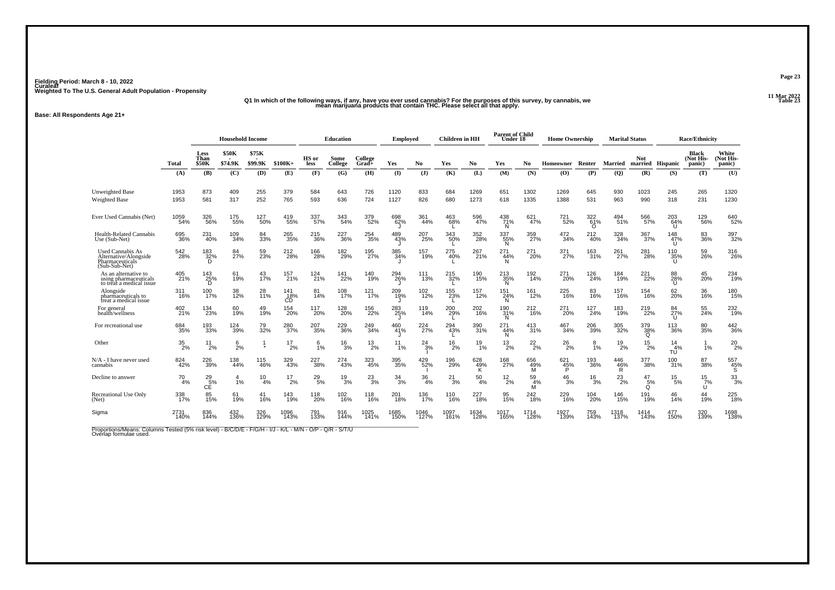#### .11 Mar 2022<br>11 Q1 In which of the following ways, if any, have you ever used cannabis? For the purposes of this survey, by cannabis, we<br>12 mean marijuana products that contain THC. Please select all that apply.

**Base: All Respondents Age 21+**

|                                                                                      |                  |                              | <b>Household Income</b> |                        |                  |                 | <b>Education</b> |                    | Employed        |                        | <b>Children</b> in HH |                        | <b>Parent of Child</b><br>Under 18 |                 | <b>Home Ownership</b>    |                        | <b>Marital Status</b> |                             |                           | <b>Race/Ethnicity</b>        |                              |
|--------------------------------------------------------------------------------------|------------------|------------------------------|-------------------------|------------------------|------------------|-----------------|------------------|--------------------|-----------------|------------------------|-----------------------|------------------------|------------------------------------|-----------------|--------------------------|------------------------|-----------------------|-----------------------------|---------------------------|------------------------------|------------------------------|
|                                                                                      | Total            | Less<br>Than<br><b>\$50K</b> | <b>\$50K</b><br>\$74.9K | \$75K<br>\$99.9K       | $$100K+$         | HS or<br>less   | Some<br>College  | College<br>$Grad+$ | Yes             | No                     | Yes                   | No.                    | Yes                                | No              | Homeowner                | Renter                 | Married               | <b>Not</b>                  | married Hispanic          | Black<br>(Not His-<br>panic) | White<br>(Not His-<br>panic) |
|                                                                                      | (A)              | (B)                          | (C)                     | (D)                    | (E)              | (F)             | (G)              | (H)                | $($ I           | (J)                    | (K)                   | (L)                    | (M)                                | (N)             | (0)                      | $(\mathbf{P})$         | (Q)                   | (R)                         | (S)                       | (T)                          | (U)                          |
| <b>Unweighted Base</b><br>Weighted Base                                              | 1953<br>1953     | 873<br>581                   | 409<br>317              | 255<br>252             | 379<br>765       | 584<br>593      | 643<br>636       | 726<br>724         | 1120<br>1127    | 833<br>826             | 684<br>680            | 1269<br>1273           | 651<br>618                         | 1302<br>1335    | 1269<br>1388             | 645<br>531             | 930<br>963            | 1023<br>990                 | 245<br>318                | 265<br>231                   | 1320<br>1230                 |
| Ever Used Cannabis (Net)                                                             | 1059<br>54%      | 326<br>56%                   | 175<br>55%              | 127<br>50%             | 419<br>55%       | 337<br>57%      | 343<br>54%       | 379<br>52%         | 698<br>62%      | 361<br>44%             | 463<br>68%            | 596<br>47%             | 438<br>71%<br>N                    | 621<br>47%      | 721<br>52%               | 322<br>61%<br>$\Omega$ | 494<br>51%            | 566<br>57%                  | 203<br>64%<br>U           | 129<br>56%                   | 640<br>52%                   |
| Health-Related Cannabis<br>Use (Sub-Net)                                             | 695<br>36%       | 231<br>40%                   | 109<br>34%              | 84<br>33%              | 265<br>35%       | 215<br>36%      | 227<br>36%       | 254<br>35%         | 489<br>43%      | 207<br>25%             | 343<br>50%            | 352<br>28%             | 337<br>55%<br>N                    | 359<br>27%      | $\substack{472 \\ 34\%}$ | 212<br>40%             | 328<br>34%            | 367 <sub>9%</sub>           | 148<br>47%                | 83<br>36%                    | 397<br>32%                   |
| <b>Used Cannabis As</b><br>Alternative/Alongside<br>Pharmaceuticals<br>(Sub-Sub-Net) | 542<br>28%       | 183<br>32%<br>D              | 84<br>27%               | 59<br>23%              | 212<br>28%       | 166<br>28%      | 182<br>29%       | 195<br>27%         | 385<br>34%      | 157<br>19%             | 275<br>40%            | 267<br>21%             | 271<br>44%<br>N                    | 271<br>20%      | 371<br>27%               | 163<br>31%             | 261<br>27%            | 281<br>28%                  | 110<br>35%                | 59<br>26%                    | 316<br>26%                   |
| As an alternative to<br>using pharmaceuticals<br>to treat a medical issue            | 405<br>21%       | 143<br>25%<br>D              | 61<br>19%               | 43<br>17%              | 157<br>21%       | 124<br>21%      | 141<br>22%       | 140<br>19%         | 294<br>26%      | 111<br>13%             | 215<br>32%            | 190<br>15%             | 213<br>35%<br>N                    | 192<br>14%      | 271<br>20%               | 126<br>24%             | 184<br>19%            | 221<br>22%                  | 88<br>28%<br>u            | 45<br>20%                    | 234<br>19%                   |
| Alongside<br>pharmaceuticals to<br>treat a medical issue                             | 311<br>16%       | 100<br>17%                   | 38<br>12%               | 28<br>$\frac{1}{11}$ % | 141<br>18%<br>CĎ | 81<br>14%       | 108<br>17%       | $^{121}_{17\%}$    | 209<br>19%      | 102<br>12%             | 155<br>23%            | 157<br>12%             | 151<br>24%<br>N                    | 161<br>12%      | $^{225}_{16\%}$          | 83<br>16%              | 157<br>16%            | 154<br>16%                  | 62<br>20%                 | 36<br>16%                    | 180<br>15%                   |
| For general<br>health/wellness                                                       | 402<br>21%       | 134<br>23%                   | 60<br>19%               | 49<br>19%              | 154<br>20%       | 117<br>20%      | 128<br>20%       | 156<br>22%         | 283<br>25%      | 119<br>14%             | 200<br>29%<br>L       | 202<br>16%             | 190<br>31%<br>N                    | 212<br>16%      | 271<br>20%               | 127<br>24%             | 183<br>19%            | 219<br>22%                  | 84<br>$\frac{27}{6}$<br>U | 55<br>24%                    | 232<br>19%                   |
| For recreational use                                                                 | 684<br>35%       | 193<br>33%                   | 124<br>39%              | 79<br>32%              | 280<br>37%       | 207<br>35%      | 229<br>36%       | 249<br>34%         | 460<br>41%      | 224<br>$\frac{1}{27%}$ | 294<br>43%            | 390<br>31%             | 271<br>44%<br>N                    | 413<br>31%      | 467<br>34%               | 206<br>39%             | 305<br>32%            | 379<br>38%<br>$\Omega$      | 113<br>36%                | 80<br>35%                    | 442<br>36%                   |
| Other                                                                                | $\frac{35}{2\%}$ | 11<br>2%                     | 6<br>2%                 | 1                      | 17<br>2%         | 6<br>1%         | 16<br>3%         | $^{13}_{2\%}$      | 11<br>1%        | 24<br>3%               | 16<br>2%              | 19<br>1%               | $^{13}_{2\%}$                      | $^{22}_{2\%}$   | $^{26}_{2\%}$            | 8<br>1%                | 19<br>2%              | $^{15}_{2\%}$               | 14<br>4%<br>TU            | 1%                           | $^{20}_{2\%}$                |
| N/A - I have never used<br>cannabis                                                  | 824<br>42%       | 226<br>39%                   | 138<br>44%              | 115<br>46%             | 329<br>43%       | 227<br>38%      | 274<br>43%       | 323<br>45%         | 395<br>35%      | 429<br>52%             | 196<br>29%            | 628<br>49%<br>к        | 168<br>27%                         | 656<br>49%<br>м | 621<br>45%               | 193<br>36%             | 446<br>46%<br>R       | 377<br>38%                  | 100<br>31%                | 87<br>38%                    | 557<br>$\frac{45}{S}$        |
| Decline to answer                                                                    | $^{70}_{4\%}$    | $^{29}_{5\%}$<br>CĔ          | 1%                      | 10<br>4%               | $^{17}_{2\%}$    | $^{29}_{\ 5\%}$ | $^{19}_{3\%}$    | $^{23}_{3%}$       | $\frac{34}{3%}$ | 36<br>4%               | $^{21}_{3\%}$         | 50<br>4%               | $^{12}_{2\%}$                      | 59<br>4%<br>м   | $^{46}_{3\%}$            | $^{16}_{3\%}$          | $^{23}_{2\%}$         | $^{47}_{\substack{5\%\\Q}}$ | 15<br>5%                  | $\frac{15}{7}\%$<br>U        | $\frac{33}{3\%}$             |
| Recreational Use Only<br>(Net)                                                       | 338<br>17%       | 85<br>15%                    | 61<br>19%               | 41<br>16%              | 143<br>19%       | 118<br>20%      | 102<br>16%       | 118<br>16%         | 201<br>18%      | 136<br>17%             | 110<br>16%            | 227<br>$\frac{1}{18%}$ | 95<br>15%                          | 242<br>18%      | 229<br>16%               | 104<br>20%             | 146<br>15%            | 191<br>19%                  | 46<br>14%                 | 44<br>19%                    | 225<br>18%                   |
| Sigma                                                                                | 2731<br>140%     | 836<br>144%                  | 432<br>136%             | 326<br>129%            | 1096<br>143%     | 791<br>133%     | 916<br>144%      | 1025<br>141%       | 1685<br>150%    | 1046<br>127%           | 1097<br>161%          | 1634<br>128%           | 1017<br>165%                       | 1714<br>128%    | 1927<br>139%             | 759<br>143%            | 1318<br>137%          | 1414<br>143%                | 477<br>150%               | 320<br>139%                  | 1698<br>138%                 |

Proportions/Means: Columns Tested (5% risk level) - B/C/D/E - F/G/H - I/J - K/L - M/N - O/P - Q/R - S/T/U<br>Overlap formulae used.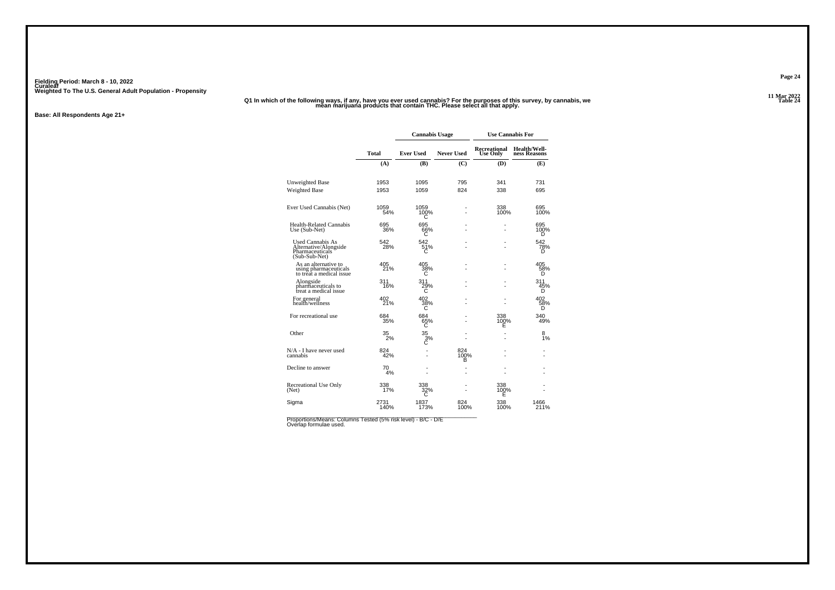#### .<br>11 Mar 2022 - Q1 In which of the following ways, if any, have you ever used cannabis? For the purposes of this survey, by cannabis, we<br>12 mean marijuana products that contain THC. Please select all that apply.

**Base: All Respondents Age 21+**

|                                                                               |              | <b>Cannabis Usage</b> |                   | <b>Use Cannabis For</b>         |                              |
|-------------------------------------------------------------------------------|--------------|-----------------------|-------------------|---------------------------------|------------------------------|
|                                                                               | <b>Total</b> | <b>Ever Used</b>      | <b>Never Used</b> | Recreational<br><b>Use Only</b> | Health/Well-<br>ness Reasons |
|                                                                               | (A)          | (B)                   | (C)               | (D)                             | (E)                          |
| <b>Unweighted Base</b>                                                        | 1953         | 1095                  | 795               | 341                             | 731                          |
| Weighted Base                                                                 | 1953         | 1059                  | 824               | 338                             | 695                          |
| Ever Used Cannabis (Net)                                                      | 1059<br>54%  | 1059<br>100%<br>С     |                   | 338<br>100%                     | 695<br>100%                  |
| <b>Health-Related Cannabis</b><br>Use (Sub-Net)                               | 695<br>36%   | 695<br>66%<br>С       |                   |                                 | 695<br>100%<br>D             |
| Used Cannabis As<br>Alternative/Alongside<br>Pharmaceuticals<br>(Sub-Sub-Net) | 542<br>28%   | 542<br>51%<br>С       |                   |                                 | 542<br>78%<br>D              |
| As an alternative to<br>using pharmaceuticals<br>to treat a medical issue     | 405<br>21%   | 405<br>38%<br>C       |                   |                                 | 405<br>58%<br>D              |
| Alongside<br>pharmaceuticals to<br>treat a medical issue                      | 311<br>16%   | 311<br>29%<br>C       |                   |                                 | 311<br>45%<br>D              |
| For general<br>health/wellness                                                | 402<br>21%   | 402<br>38%<br>С       |                   |                                 | 402<br>58%<br>D              |
| For recreational use                                                          | 684<br>35%   | 684<br>65%<br>С       |                   | 338<br>100%<br>E                | 340<br>49%                   |
| Other                                                                         | 35<br>2%     | 35<br>3%<br>C         |                   |                                 | 8<br>1%                      |
| N/A - I have never used<br>cannabis                                           | 824<br>42%   |                       | 824<br>100%<br>в  |                                 |                              |
| Decline to answer                                                             | 70<br>4%     |                       |                   |                                 |                              |
| Recreational Use Only<br>(Net)                                                | 338<br>17%   |                       |                   | 338<br>100%<br>E                |                              |
| Sigma                                                                         | 2731<br>140% | 1837<br>173%          | 824<br>100%       | 338<br>100%                     | 1466<br>211%                 |

Proportions/Means: Columns Tested (5% risk level) - B/C - D/E<br>Overlap formulae used.

**Page 24**

11 Mar 2022<br>Table 24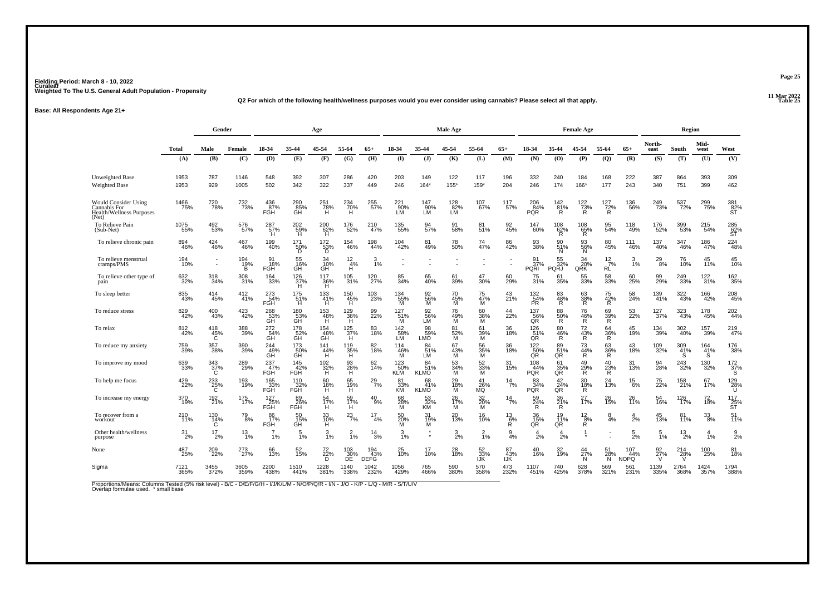**11 Mar 2022Q2 For which of the following health/wellness purposes would you ever consider using cannabis? Please select all that apply.**

**Base: All Respondents Age 21+**

|                                                                           |               | Gender                       |                                 |                           |                                    | Age                           |                                       |                           |                                |                          | Male Age             |                      |                      |                                        |                        | <b>Female Age</b>     |                        |                                 |                  | Region          |                       |                                             |
|---------------------------------------------------------------------------|---------------|------------------------------|---------------------------------|---------------------------|------------------------------------|-------------------------------|---------------------------------------|---------------------------|--------------------------------|--------------------------|----------------------|----------------------|----------------------|----------------------------------------|------------------------|-----------------------|------------------------|---------------------------------|------------------|-----------------|-----------------------|---------------------------------------------|
|                                                                           | <b>Total</b>  | Male                         | Female                          | 18-34                     | 35-44                              | 45-54                         | 55-64                                 | $65+$                     | 18-34                          | 35-44                    | 45-54                | 55-64                | $65+$                | 18-34                                  | 35-44                  | 45-54                 | 55-64                  | $65+$                           | North-<br>east   | South           | Mid-<br>west          | West                                        |
|                                                                           | (A)           | (B)                          | (C)                             | (D)                       | (E)                                | (F)                           | (G)                                   | (H)                       | $($ $\Gamma$                   | (1)                      | (K)                  | (L)                  | (M)                  | (N)                                    | (0)                    | (P)                   | (Q)                    | (R)                             | (S)              | (T)             | (U)                   | (V)                                         |
| <b>Unweighted Base</b><br><b>Weighted Base</b>                            | 1953<br>1953  | 787<br>929                   | 1146<br>1005                    | 548<br>502                | 392<br>342                         | 307<br>322                    | 286<br>337                            | 420<br>449                | 203<br>246                     | 149<br>$164*$            | 122<br>155*          | 117<br>159*          | 196<br>204           | 332<br>246                             | 240<br>174             | 184<br>166*           | 168<br>177             | 222<br>243                      | 387<br>340       | 864<br>751      | 393<br>399            | 309<br>462                                  |
| Would Consider Using<br>Cannabis For<br>Health/Wellness Purposes<br>(Net) | 1466<br>75%   | 720<br>78%                   | 732<br>73%                      | 436<br>87%<br>FGH         | 290<br>85%<br>GH                   | 251<br>78%<br>H               | 234<br>70%<br>H                       | 255<br>57%                | 221<br>90%<br>LM               | 147<br>.90%<br>LM        | 128<br>82%<br>LM     | 107<br>67%           | 117<br>57%           | 206<br>PQR                             | 142<br>$\frac{81}{8}$  | $\frac{122}{73\%}$    | $^{127}_{72\%}$        | 136<br>56%                      | 249<br>73%       | 537<br>72%      | 299<br>75%            | 381<br>82%<br>ST                            |
| To Relieve Pain<br>(Sub-Net)                                              | 1075<br>55%   | 492<br>53%                   | 576<br>57%                      | 287 <sub>57%</sub><br>H   | $^{202}_{\substack{59\%\\ \rm H}}$ | $^{200}_{62\%}$               | <sup>176</sup> 52%                    | 210<br>47%                | 135<br>55%                     | 94<br>57%                | 91<br>58%            | 81<br>51%            | 92<br>45%            | 147<br>60%                             | $^{108}_{62\%}$        | $^{108}_{65\%}$ R     | 95<br>54%              | 118<br>49%                      | 176<br>52%       | 399<br>53%      | 215<br>54%            | 285<br>62%<br>ST                            |
| To relieve chronic pain                                                   | 894<br>46%    | 424<br>46%                   | 467<br>46%                      | 199<br>40%                | $^{171}_{\hphantom{1}50\%}$        | $^{172}_{\substack{53\%\\D}}$ | 154<br>46%                            | 198<br>44%                | 104<br>42%                     | 81<br>49%                | 78<br>50%            | 74<br>47%            | 86<br>42%            | 93<br>38%                              | 90<br>51%<br>N         | 93<br>56%<br>N        | 80<br>45%              | 111<br>46%                      | 137<br>40%       | 347<br>46%      | 186<br>47%            | <sup>224</sup> <sub>48%</sub>               |
| To relieve menstrual<br>cramps/PMS                                        | 194<br>10%    | $\sim$<br>$\sim$             | 194<br>$^{19}_{\substack{9\%}}$ | 91<br>18%<br><b>FGH</b>   | 55<br>16%<br>GH                    | 34<br>34<br>10%<br>GH         | $\frac{12}{4\%}$<br>н                 | $\frac{3}{1\%}$           |                                |                          |                      |                      |                      | 91<br>37%<br>PQRI <sup>'</sup>         | 55<br>32%<br>PQRJ      | 34<br>20%<br>QRK      | $\frac{12}{7}\%$<br>RĹ | 3<br>1%                         | 29 <sub>8%</sub> | 76<br>10%       | 45<br>11%             | 45<br>10%                                   |
| To relieve other type of<br>pain                                          | 632<br>32%    | 318<br>34%                   | 308<br>31%                      | 164<br>33%                | $^{126}_{37\%}$                    | 117<br>36%<br>H               | $^{105}_{31\%}$                       | 120<br>27%                | 85<br>34%                      | 65<br>40%                | 61<br>39%            | 47<br>30%            | 60<br>29%            | 75<br>31%                              | 61<br>35%              | 55<br>33%             | 58<br>33%              | 60<br>25%                       | 99<br>29%        | 249<br>33%      | 122<br>31%            | $\frac{162}{35\%}$                          |
| To sleep better                                                           | 835<br>43%    | 414<br>45%                   | $^{412}_{41\%}$                 | 273<br>54%<br>FGH         | 175<br>51%<br>н                    | $133 \atop 41\%$<br>H         | $^{150}_{\  \  \, 45\%}_{\  \  \, H}$ | 103<br>23%                | 134<br>55%<br>M                | 92<br>56%<br>M           | 70<br>45%<br>M       | 75<br>47%<br>м       | 43<br>21%            | 132<br>54%<br>PR                       | 83<br>48%<br>R         | 63<br>38%<br>R        | 75<br>42%<br>R         | 58<br>24%                       | 139<br>41%       | 322<br>43%      | 166<br>42%            | $^{208}_{45\%}$                             |
| To reduce stress                                                          | 829<br>42%    | 400<br>43%                   | 423<br>42%                      | 268<br>53%<br>GH          | 180<br>53%<br>GH                   | 153<br>48%<br>H               | 129<br>38%<br>H                       | 99<br>22%                 | 127<br>$\frac{51}{10}$ %       | 92<br>56%<br>LM          | 76<br>49%<br>M       | 60<br>$\frac{38}{9}$ | 22%                  | 137<br>56%<br>QR                       | 88<br>50%<br>R         | 76<br>$^{46}_{R}$     | 69<br>39%<br>R         | 53<br>22%                       | 127<br>37%       | 323<br>43%      | 178<br>45%            | 202<br>44%                                  |
| To relax                                                                  | 812<br>42%    | 418<br>$^{45\%}_{C}$         | 388<br>39%                      | 272<br>$\overline{G}$ 54% | 178<br>$GH$ $GH$                   | 154<br>48%<br>GH              | 125<br>37%<br>H                       | 83<br>18%                 | 142<br>58%<br>LM               | 98<br>59%<br>LMÕ         | 81<br>$\frac{52}{M}$ | 61<br>39%<br>M       | 36<br>18%            | 126<br>51%<br>QR                       | 80<br>$\frac{46}{R}$   | 72<br>43%<br>R        | 64<br>36%<br>R         | 45<br>19%                       | 134<br>39%       | 302<br>40%      | 157<br>39%            | 219<br>47%                                  |
| To reduce my anxiety                                                      | 759<br>39%    | 357<br>38%                   | 390<br>39%                      | 244<br>_49%<br>GH         | 173<br>50 <sub>%</sub>             | 141<br>-44%<br>-H             | 119<br>35%<br>H                       | 82<br>18%                 | $^{114}_{\substack{46\% \ M}}$ | 84<br>51%<br>LM          | 67<br>$\frac{43}{M}$ | 56<br>35%<br>M       | 36<br>18%            | $^{122}_{\substack{50\%\\ \text{QR}}}$ | 89<br>51%<br>QR        | 73<br>44%<br>R        | 63<br>$\frac{36}{R}$   | 43<br>18%                       | 109<br>32%       | 309<br>41%<br>S | 164<br>$\frac{41}{S}$ | 176<br>38%                                  |
| To improve my mood                                                        | 639<br>33%    | 343<br>$\overset{37}{\circ}$ | 289<br>29%                      | 237<br>47%<br><b>FGH</b>  | 145<br>42%<br><b>FGH</b>           | $^{102}_{32\%}$               | 93<br>$^{28}_{H}$                     | 62<br>14%                 | 123<br>50%<br><b>KLM</b>       | 84<br>51%<br><b>KLMO</b> | 53<br>34%<br>ĬΜ      | 52<br>33%<br>M       | 31<br>15%            | 108<br>44%<br><b>PQR</b>               | 61<br>$\frac{35}{9}$   | 49<br>$\frac{29}{R}$  | 40<br>$\frac{23}{R}$   | 31<br>13%                       | 94<br>28%        | 243<br>32%      | 130<br>32%            | $\frac{172}{37\%}$                          |
| To help me focus                                                          | 429<br>22%    | 233<br>25%<br>C              | 193<br>19%                      | 165<br>33%<br>FGH         | 110<br>F <sup>32%</sup>            | 60<br>18%<br>H                | 65<br>19%<br>H                        | $^{29}_{7\%}$             | 81<br>33%<br>KM                | 68<br>41%<br><b>KLMO</b> | 29<br>$\frac{78}{9}$ | 41<br>26%<br>MQ      | $^{14}_{7\%}$        | 83<br>$P\overline{QR}^{3\bar{4}\%}$    | 42<br>$\frac{24}{9}$ % | 30<br>$\frac{18}{R}$  | 24<br>$\overline{1}3%$ | $^{15}_{6\%}$                   | 75<br>22%        | 158<br>21%      | 67<br>17%             | <sup>129</sup><br>၁၉%                       |
| To increase my energy                                                     | 370<br>19%    | 192<br>21%                   | 175<br>17%                      | $\frac{127}{25\%}$<br>FGH | 89<br>26%<br>FGH                   | 54<br>17%<br>Ĥ                | 59<br>17%<br>н                        | $^{40}_{9\%}$             | 68<br>28%<br>īΜ                | 53<br>32%<br>КM          | 26<br>17%<br>м       | 32<br>20%<br>м       | $^{14}_{7\%}$        | 59<br>24%<br>Ŕ.                        | 36<br>21%<br>R         | 27<br>17%             | 26<br>15%              | 26<br><b>11%</b>                | 54<br>16%        | 126<br>17%      | 72<br>18%             | $\overset{117}{\underset{\text{ST}}{25\%}}$ |
| To recover from a<br>workout                                              | 210<br>11%    | $^{130}_{14\%}$<br>C         | 79<br>8%                        | 86<br>17%<br><b>FGH</b>   | 50<br>15%<br>GH                    | 33<br>10%<br>H                | $^{23}_{7\%}$                         | 17<br>4%                  | 50<br>20%<br>M                 | 31<br>19%<br>M           | 20<br>13%            | 16<br>10%            | $^{13}_{6\%}$<br>R   | 36<br>$\frac{15}{9}$                   | 19<br>11%<br>QR        | $\frac{12}{8}\%$<br>Ŕ | 8<br>4%                | $\overline{4}$<br>2%            | 45<br>13%        | 81<br>11%       | 33<br>8%              | 51<br>11%                                   |
| Other health/wellness<br>purpose                                          | $^{31}_{2\%}$ | 17<br>2%                     | $^{13}_{1\%}$                   | 1%                        | 5<br>1%                            | 3<br>1%                       | $\frac{2}{1\%}$                       | $\frac{14}{3%}$           | 3<br>1%                        | $\bullet$<br>$\star$     | $\frac{3}{2\%}$      | $\frac{2}{1}$ %      | 9<br>4%              | $\overline{4}$<br>2%                   | $\overline{4}$<br>2%   |                       |                        | $\frac{5}{2%}$                  | 1%               | $^{13}_{2\%}$   | 1%                    | $\frac{9}{2}$ %                             |
| None                                                                      | 487<br>25%    | 209<br>22%                   | 273<br>27%                      | 66<br>13%                 | 52<br>15%                          | 72<br>22%<br>D                | 103<br>$DE^{30\%}$                    | 194<br>43%<br><b>DEFG</b> | 25<br>10%                      | 17<br>10%                | 28<br>18%            | 52<br>33%<br>IJK     | 87<br>$\frac{43}{1}$ | 40<br>16%                              | 32<br>19%              | 44<br>27%<br>Ñ        | 51<br>28%<br>N.        | 107<br>44%<br>NOPO <sup>1</sup> | 92<br>27%        | 214<br>28%<br>Ŵ | 100<br>25%            | 81<br>18%                                   |
| Sigma                                                                     | 7121<br>365%  | 3455<br>372%                 | 3605<br>359%                    | 2200<br>438%              | 1510<br>441%                       | 1228<br>381%                  | 1140<br>338%                          | 1042<br>232%              | 1056<br>429%                   | 765<br>466%              | 590<br>380%          | 570<br>358%          | 473<br>232%          | 1107<br>451%                           | 740<br>425%            | 628<br>378%           | 569<br>321%            | 561<br>231%                     | 1139<br>335%     | 2764<br>368%    | 1424<br>357%          | 1794<br>388%                                |

Proportions/Means: Columns Tested (5% risk level) - B/C - D/E/F/G/H - I/J/K/L/M - N/O/P/Q/R - I/N - J/O - K/P - L/Q - M/R - S/T/U/V<br>Overlap formulae used. \* small base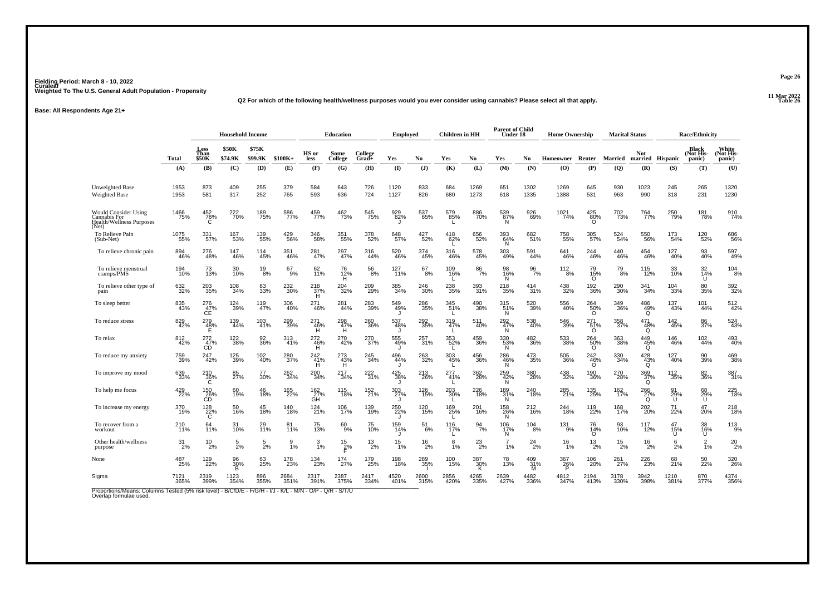**11 Mar 2022Q2 For which of the following health/wellness purposes would you ever consider using cannabis? Please select all that apply.**

#### **Base: All Respondents Age 21+**

|                                                                                         |                  | <b>Household Income</b> |                         |                  |                 |                  | <b>Education</b> |                  | <b>Employed</b>    |                 | Children in HH   |                                 | <b>Parent of Child</b><br>Under 18 |                  | <b>Home Ownership</b> |                                 |                    | <b>Marital Status</b>   |                      | <b>Race/Ethnicity</b>               |                              |
|-----------------------------------------------------------------------------------------|------------------|-------------------------|-------------------------|------------------|-----------------|------------------|------------------|------------------|--------------------|-----------------|------------------|---------------------------------|------------------------------------|------------------|-----------------------|---------------------------------|--------------------|-------------------------|----------------------|-------------------------------------|------------------------------|
|                                                                                         | Total            | Less<br>Than<br>\$50K   | <b>\$50K</b><br>\$74.9K | \$75K<br>\$99.9K | $$100K+$        | HS or<br>less    | Some<br>College  | College<br>Grad+ | Yes                | No              | Yes              | No                              | Yes                                | No.              | Homeowner             | Renter                          | <b>Married</b>     | <b>Not</b><br>married   | <b>Hispanic</b>      | <b>Black</b><br>(Not His-<br>panic) | White<br>(Not His-<br>panic) |
|                                                                                         | (A)              | (B)                     | (C)                     | (D)              | (E)             | (F)              | (G)              | (H)              | $\mathbf{I}$       | (J)             | (K)              | (L)                             | (M)                                | (N)              | (0)                   | (P)                             | (Q)                | (R)                     | (S)                  | (T)                                 | (U)                          |
| <b>Unweighted Base</b><br><b>Weighted Base</b>                                          | 1953<br>1953     | 873<br>581              | 409<br>317              | 255<br>252       | 379<br>765      | 584<br>593       | 643<br>636       | 726<br>724       | 1120<br>1127       | 833<br>826      | 684<br>680       | 1269<br>1273                    | 651<br>618                         | 1302<br>1335     | 1269<br>1388          | 645<br>531                      | 930<br>963         | 1023<br>990             | 245<br>318           | 265<br>231                          | 1320<br>1230                 |
| <b>Would Consider Using</b><br>Cannabis For<br><b>Health/Wellness Purposes</b><br>(Net) | 1466<br>75%      | 452<br>78%<br>C         | 222<br>70%              | 189<br>75%       | 586<br>77%      | 459<br>77%       | 462<br>73%       | 545<br>75%       | 929<br>82%         | 537<br>65%      | 579<br>85%       | 886<br>70%                      | 539<br>87%<br><sup>N</sup>         | 926<br>69%       | 1021<br>74%           | $^{425}_{80\%}$                 | 702<br>73%         | 764<br>77%              | 250<br>79%           | 181<br>78%                          | 910<br>74%                   |
| To Relieve Pain<br>(Sub-Net)                                                            | 1075<br>55%      | 331<br>57%              | 167<br>53%              | 139<br>55%       | 429<br>56%      | 346<br>58%       | 351<br>55%       | 378<br>52%       | 648<br>57%         | $^{427}_{52\%}$ | 418<br>62%       | 656<br>52%                      | 393<br>64%<br>Ñ.                   | 682<br>51%       | 758<br>55%            | 305<br>57%                      | 524<br>54%         | 550<br>56%              | 173<br>54%           | 120<br>52%                          | 686<br>56%                   |
| To relieve chronic pain                                                                 | 894<br>46%       | 276<br>48%              | 147<br>46%              | 114<br>45%       | 351<br>46%      | 281<br>47%       | 297<br>47%       | 316<br>44%       | 520<br>46%         | 374<br>45%      | 316<br>46%       | 578<br>45%                      | 303<br>49%                         | 591<br>44%       | 641<br>46%            | 244<br>46%                      | 440<br>46%         | 454<br>46%              | 127<br>40%           | 93<br>40%                           | 597<br>49%                   |
| To relieve menstrual<br>cramps/PMS                                                      | 194<br>10%       | 73<br>13%               | 30<br>10%               | $^{19}_{8\%}$    | 67<br>9%        | 62<br>11%        | 76<br>12%<br>H   | $\frac{56}{8%}$  | 127<br>11%         | 67<br>8%        | 109<br>16%       | 86<br>7%                        | 98<br>16%<br>N                     | $\frac{96}{7\%}$ | 112<br>8%             | 79<br>15%<br>$\circ$            | 79 <sub>8%</sub>   | 115<br>12%              | 33<br>10%            | 32<br>14%<br>U                      | $\frac{104}{8%}$             |
| To relieve other type of<br>pain                                                        | 632<br>32%       | 203<br>35%              | 108<br>34%              | 83<br>33%        | 232<br>30%      | 218<br>37%<br>H  | 204<br>32%       | 209<br>29%       | 385<br>34%         | 246<br>30%      | 238<br>35%       | 393<br>31%                      | 218<br>35%                         | 414<br>31%       | 438<br>32%            | 192<br>36%                      | 290<br>30%         | 341<br>34%              | 104<br>33%           | 80<br>35%                           | 392<br>32%                   |
| To sleep better                                                                         | 835<br>43%       | 276<br>47%<br>CÊ        | 124<br>39%              | 119<br>47%       | 306<br>40%      | 271<br>46%       | 281<br>44%       | 283<br>39%       | 549<br>49%         | 286<br>35%      | 345<br>51%       | 490<br>38%                      | 315<br>51%<br>Ñ                    | 520<br>39%       | 556<br>40%            | $^{264}_{\substack{50\% \\ 0}}$ | 349<br>36%         | $^{486}_{~49\%}$        | 137<br>43%           | 101<br>44%                          | 512<br>42%                   |
| To reduce stress                                                                        | 829<br>42%       | $^{279}_{48\%}$         | 139<br>44%              | 103<br>41%       | 299<br>39%      | 271<br>-46%<br>H | 298<br>47%<br>H  | 260<br>36%       | 537<br>48%         | 292<br>35%      | 319<br>47%       | 511<br>40%                      | 292<br>47%<br>N.                   | 538<br>40%       | 546<br>39%            | 271<br>-51%<br>O                | 358<br>37%         | 471<br>$\frac{48\%}{9}$ | $\frac{142}{45\%}$   | 86<br>37%                           | 524<br>43%                   |
| To relax                                                                                | 812<br>42%       | 272<br>47%<br>CD        | 122<br>38%              | 92<br>36%        | 313<br>41%      | 272<br>46%<br>H  | 270<br>42%       | 270<br>37%       | 555<br>49%         | 257<br>31%      | 353<br>52%<br>L. | 459<br>36%                      | 330<br>53%<br>N                    | 482<br>36%       | 533<br>38%            | $^{264}_{\substack{50\% \\ 0}}$ | 363<br>38%         | $^{449}_{45\%}$         | 146<br>46%           | 102<br>44%                          | 493<br>40%                   |
| To reduce my anxiety                                                                    | 759<br>39%       | 247<br>42%              | 125<br>39%              | 102<br>40%       | 280<br>37%      | 242<br>41%<br>н  | 273<br>43%<br>н  | 245<br>34%       | 496<br>44%         | 263<br>32%      | 303<br>45%       | 456<br>36%                      | 286<br>46%<br>Ñ                    | 473<br>35%       | 505<br>36%            | 242<br>$^{46\%}_{0}$            | 330<br>34%         | $\frac{428}{43\%}$      | 127<br>40%           | 90<br>39%                           | 469<br>38%                   |
| To improve my mood                                                                      | 639<br>33%       | 210<br>$\frac{36}{6}$   | 85<br>27%               | 77<br>30%        | 262<br>34%      | 200<br>34%       | 217<br>34%       | 222<br>31%       | $^{425}_{38\%}$    | 213<br>26%      | 277<br>41%<br>L. | 362<br>28%                      | $^{259}_{42\%}$                    | 380<br>28%       | 438<br>32%            | 190<br>36%                      | 270<br>28%         | 369<br>37%<br>Q         | 112<br>35%           | 82<br>36%                           | 387<br>31%                   |
| To help me focus                                                                        | 429<br>22%       | 150<br>26%<br>CD        | 60<br>19%               | 46<br>18%        | 165<br>22%      | 162<br>27%<br>GH | 115<br>18%       | 152<br>21%       | 303<br>27%         | 126<br>15%      | 203<br>30%       | 226<br>18%                      | 189<br>31%<br>N                    | 240<br>18%       | 285<br>21%            | 135<br>25%                      | 162<br>17%         | 266<br>27%<br>Q         | 91<br>$\frac{29}{0}$ | 68<br>29%<br>U                      | 225<br>18%                   |
| To increase my energy                                                                   | 370<br>19%       | 128<br>$\frac{22}{6}$   | 50<br>16%               | 45<br>18%        | 140<br>18%      | 124<br>21%       | 106<br>17%       | 139<br>19%       | 250<br>22%<br>J.   | 120<br>15%      | 169<br>25%<br>L. | 201<br>16%                      | 158<br>26%<br>N                    | 212<br>16%       | 244<br>18%            | 119<br>22%                      | 168<br>17%         | 202<br>20%              | 71<br>22%            | 47<br>20%                           | 218<br>18%                   |
| To recover from a<br>workout                                                            | 210 <sub>%</sub> | 64<br>11%               | 31<br>10%               | 29 <sub>0%</sub> | 81 <sub>%</sub> | 75<br>13%        | $^{60}_{9\%}$    | 75<br>10%        | 159<br>14%         | $^{51}_{\ 6\%}$ | $^{116}_{17\%}$  | $\frac{94}{7\%}$                | 106<br>17%<br>N                    | $^{104}_{8\%}$   | 131 <sub>9%</sub>     | 76<br>14%<br>$\Omega$           | 93<br>10%          | $117_{2\%}$             | 47<br>15%<br>U       | 38<br>16%<br>U                      | $113_{9\%}$                  |
| Other health/wellness<br>purpose                                                        | $31_{2\%}$       | $^{10}_{2\%}$           | $\frac{5}{2%}$          | $\frac{5}{2%}$   | $\frac{9}{1\%}$ | $\frac{3}{1\%}$  | $\frac{15}{5}$ % | $^{13}_{2\%}$    | $15$ <sub>1%</sub> | $^{16}_{2\%}$   | 8<br>1%          | $^{23}_{2\%}$                   | $7_{1%}$                           | $^{24}_{2\%}$    | $\frac{16}{1\%}$      | $^{13}_{2\%}$                   | $^{15}_{2\%}$      | $^{16}_{2\%}$           | 6<br>2%              | $\frac{2}{1%}$                      | $^{20}_{2\%}$                |
| None                                                                                    | 487<br>25%       | 129<br>22%              | 96<br>30%<br>B          | 63<br>25%        | 178<br>23%      | 134<br>23%       | 174<br>27%       | 179<br>25%       | 198<br>18%         | 289<br>35%      | 100<br>15%       | $\underset{\mathsf{K}}{^{387}}$ | 78<br>13%                          | 409<br>31%<br>м  | 367<br>26%<br>P       | 106<br>20%                      | 261 <sub>27%</sub> | 226<br>23%              | 68<br>21%            | 50 <sub>%</sub>                     | 320<br>26%                   |
| Sigma                                                                                   | 7121<br>365%     | 2319<br>399%            | 1123<br>354%            | 896<br>355%      | 2684<br>351%    | 2317<br>391%     | 2387<br>375%     | 2417<br>334%     | 4520<br>401%       | 2600<br>315%    | 2856<br>420%     | 4265<br>335%                    | 2639<br>427%                       | 4482<br>336%     | 4812<br>347%          | 2194<br>413%                    | 3178<br>330%       | 3942<br>398%            | 1210<br>381%         | 870<br>377%                         | 4374<br>356%                 |

Proportions/Means: Columns Tested (5% risk level) - B/C/D/E - F/G/H - I/J - K/L - M/N - O/P - Q/R - S/T/U<br>Overlap formulae used.

**Page 26**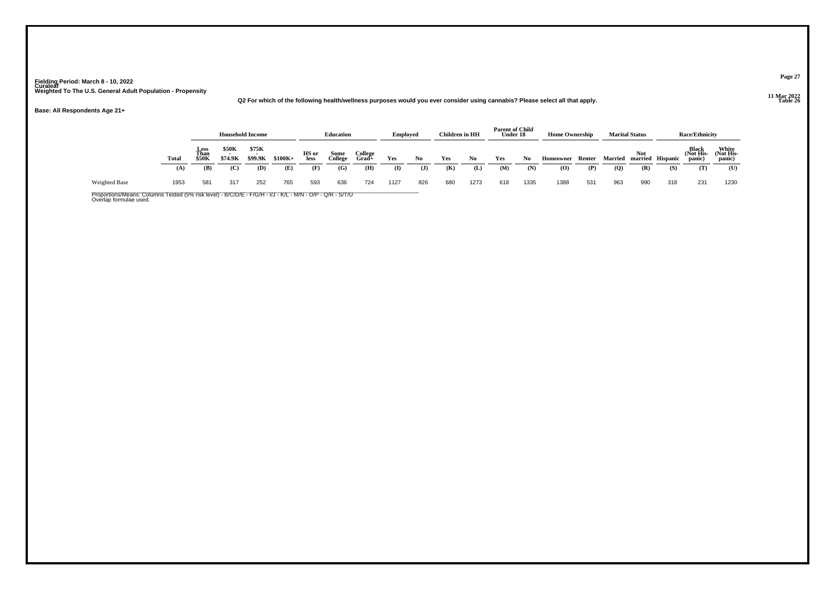**11 Mar 2022Q2 For which of the following health/wellness purposes would you ever consider using cannabis? Please select all that apply.**

**Base: All Respondents Age 21+**

|                      |       |                              | <b>Household Income</b> |                  |          |               | <b>Education</b> |                  | <b>Employed</b> |     | <b>Children</b> in HH |      | <b>Parent of Child</b><br>Under 18 |      | <b>Home Ownership</b> |        |                | <b>Marital Status</b> |                  | <b>Race/Ethnicity</b>               |                              |
|----------------------|-------|------------------------------|-------------------------|------------------|----------|---------------|------------------|------------------|-----------------|-----|-----------------------|------|------------------------------------|------|-----------------------|--------|----------------|-----------------------|------------------|-------------------------------------|------------------------------|
|                      | Total | <b>Less</b><br>Than<br>\$50K | <b>\$50K</b><br>\$74.9K | \$75K<br>\$99.9K | $$100K+$ | HS or<br>less | Some<br>College  | College<br>Grad+ | Yes             | No  | Yes                   | No   | Yes                                | No   | Homeowner             | Renter | <b>Married</b> | <b>Not</b>            | married Hispanic | <b>Black</b><br>(Not His-<br>panic) | White<br>(Not His-<br>panic) |
|                      | (A)   | (B)                          | (C)                     | (D)              | (E)      | (F)           | (G)              | (H)              | $\mathbf{I}$    | J   | (K)                   | (L)  | (M)                                | (N)  | $\overline{O}$        | (P)    | $\mathbf{Q}$   | (R)                   | (S)              | (T)                                 | (U)                          |
| <b>Weighted Base</b> | 1953  | 581                          | 317                     | 252              | 765      | 593           | 636              | 724              | 1127            | 826 | 680                   | 1273 | 618                                | 1335 | 1388                  | 531    | 963            | 990                   | 318              | 231                                 | 1230                         |

Proportions/Means: Columns Tested (5% risk level) - B/C/D/E - F/G/H - I/J - K/L - M/N - O/P - Q/R - S/T/U<br>Overlap formulae used.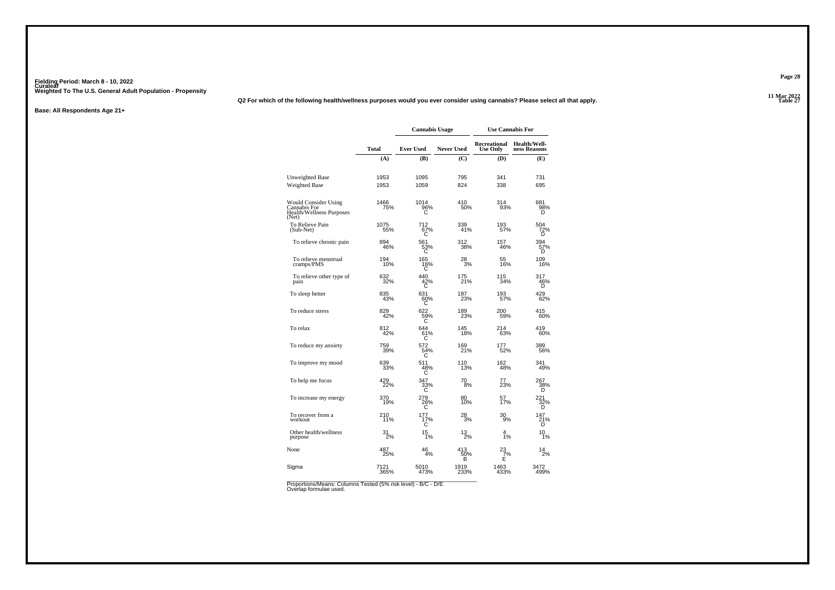**11 Mar 2022Q2 For which of the following health/wellness purposes would you ever consider using cannabis? Please select all that apply.**

**Base: All Respondents Age 21+**

|                                                                           |              | <b>Cannabis Usage</b> |                   | <b>Use Cannabis For</b>         |                                     |
|---------------------------------------------------------------------------|--------------|-----------------------|-------------------|---------------------------------|-------------------------------------|
|                                                                           | Total        | <b>Ever Used</b>      | <b>Never Used</b> | Recreational<br><b>Use Only</b> | <b>Health/Well-</b><br>ness Reasons |
|                                                                           | (A)          | (B)                   | $\mathbf C$       | (D)                             | (E)                                 |
| <b>Unweighted Base</b><br><b>Weighted Base</b>                            | 1953<br>1953 | 1095<br>1059          | 795<br>824        | 341<br>338                      | 731<br>695                          |
| Would Consider Using<br>Cannabis For<br>Health/Wellness Purposes<br>(Net) | 1466<br>75%  | 1014<br>96%           | 410<br>50%        | 314<br>93%                      | 681<br>98%<br>n                     |
| To Relieve Pain<br>(Sub-Net)                                              | 1075<br>55%  | 712<br>67%<br>С       | 339<br>41%        | 193<br>57%                      | 504<br>72%<br>D                     |
| To relieve chronic pain                                                   | 894<br>46%   | 561<br>53%<br>C       | 312<br>38%        | 157<br>46%                      | 394<br>57%<br>D                     |
| To relieve menstrual<br>cramps/PMS                                        | 194<br>10%   | 165<br>16%<br>С       | $^{28}_{3%}$      | 55<br>16%                       | 109<br>16%                          |
| To relieve other type of<br>pain                                          | 632<br>32%   | 440<br>$^{42\%}_{C}$  | 175<br>21%        | 115<br>34%                      | 317<br>46%                          |
| To sleep better                                                           | 835<br>43%   | 631<br>60%<br>C       | 187<br>23%        | 193<br>57%                      | 429<br>62%                          |
| To reduce stress                                                          | 829<br>42%   | 622<br>59%            | 189<br>23%        | 200<br>59%                      | 415<br>60%                          |
| To relax                                                                  | 812<br>42%   | 644<br>61%<br>С       | 145<br>18%        | 214<br>63%                      | 419<br>60%                          |
| To reduce my anxiety                                                      | 759<br>39%   | 572<br>$\frac{54}{3}$ | 169<br>21%        | 177<br>52%                      | 389<br>56%                          |
| To improve my mood                                                        | 639<br>33%   | 511<br>48%<br>С       | 110<br>13%        | 162<br>48%                      | 341<br>49%                          |
| To help me focus                                                          | 429<br>22%   | 347<br>33%<br>Ć       | 70<br>8%          | 77<br>23%                       | 267<br>38%<br>D                     |
| To increase my energy                                                     | 370<br>19%   | 279<br>26%<br>С       | 80<br>10%         | 57<br>17%                       | $\frac{221}{32\%}$                  |
| To recover from a<br>workout                                              | 210<br>11%   | 177<br>17%<br>С       | 28<br>3%          | 30<br>9%                        | 147<br>21%<br>D                     |
| Other health/wellness<br>purpose                                          | 31/2%        | 15<br>1%              | $^{13}_{2\%}$     | $\frac{4}{1%}$                  | 10<br>ī%                            |
| None                                                                      | 487<br>25%   | 46<br>4%              | 413<br>50%<br>B   | $\frac{23}{7}\%$                | 14<br>$\frac{1}{2}$ %               |
| Sigma                                                                     | 7121<br>365% | 5010<br>473%          | 1919<br>233%      | 1463<br>433%                    | 3472<br>499%                        |

Proportions/Means: Columns Tested (5% risk level) - B/C - D/E<br>Overlap formulae used.

**Page 28**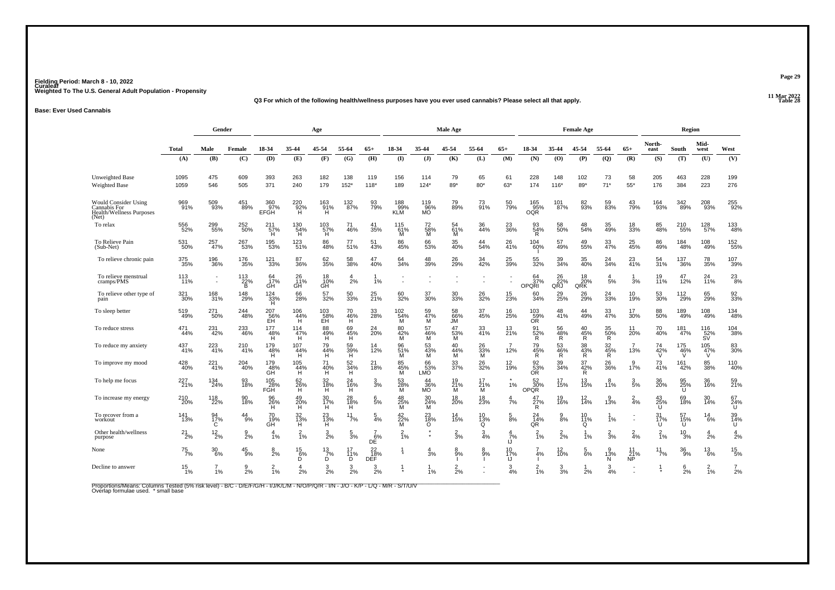#### **11 Mar 2022Q3 For which of the following health/wellness purposes have you ever used cannabis? Please select all that apply.**

#### **Base: Ever Used Cannabis**

|                                                                                         |                    | Gender                  |                      |                      |                               | Age                   |                       |                       |                                 |                      | Male Age               |                     |                       |                                                   |                   | <b>Female Age</b>                                       |                             |                        |                | Region                        |                                    |                       |
|-----------------------------------------------------------------------------------------|--------------------|-------------------------|----------------------|----------------------|-------------------------------|-----------------------|-----------------------|-----------------------|---------------------------------|----------------------|------------------------|---------------------|-----------------------|---------------------------------------------------|-------------------|---------------------------------------------------------|-----------------------------|------------------------|----------------|-------------------------------|------------------------------------|-----------------------|
|                                                                                         | <b>Total</b>       | Male                    | Female               | 18-34                | 35-44                         | 45-54                 | 55-64                 | $65+$                 | 18-34                           | 35-44                | 45-54                  | 55-64               | $65+$                 | 18-34                                             | 35-44             | 45-54                                                   | 55-64                       | $65+$                  | North-<br>east | South                         | Mid-<br>west                       | West                  |
|                                                                                         | (A)                | (B)                     | (C)                  | (D)                  | (E)                           | (F)                   | (G)                   | (H)                   | (1)                             | $($ $)$              | (K)                    | (L)                 | (M)                   | (N)                                               | (0)               | (P)                                                     | (Q)                         | (R)                    | (S)            | (T)                           | (U)                                | (V)                   |
| <b>Unweighted Base</b><br>Weighted Base                                                 | 1095<br>1059       | 475<br>546              | 609<br>505           | 393<br>371           | 263<br>240                    | 182<br>179            | 138<br>$152*$         | 119<br>$118*$         | 156<br>189                      | 114<br>$124*$        | 79<br>89*              | 65<br>$80*$         | 61<br>63*             | 228<br>174                                        | 148<br>$116*$     | 102<br>89*                                              | 73<br>$71*$                 | 58<br>55*              | 205<br>176     | 463<br>384                    | 228<br>223                         | 199<br>276            |
| <b>Would Consider Using</b><br>Cannabis For<br><b>Health/Wellness Purposes</b><br>(Net) | 969<br>91%         | 509<br>93%              | 451<br>89%           | 360<br>97%<br>EFGH   | 220<br>92%<br>H               | 163<br>91%<br>н       | 132<br>87%            | 93<br>79%             | 188<br>99%<br>KLM               | 119<br>06%<br>MO     | 79<br>89%              | 73<br>91%           | 50<br>79%             | $\frac{165}{95\%}$ OQR                            | 101<br>87%        | 82<br>93%                                               | 59<br>83%                   | 43<br>79%              | 164<br>93%     | 342<br>89%                    | 208<br>93%                         | 255<br>92%            |
| To relax                                                                                | 556<br>52%         | 299<br>55%              | 252<br>50%           | 211<br>57%<br>H      | 130<br>54%<br>Ή΄              | $^{103}_{~57\%}$      | 71<br>46%             | 41<br>35%             | 115<br>61%<br>M                 | 72<br>58%<br>M       | 61%<br>M               | 36<br>44%           | 23<br>36%             | 93<br>54%<br>R                                    | 58<br>50%         | 48<br>54%                                               | 35<br>49%                   | 18<br>33%              | 85<br>48%      | 210<br>55%                    | 128<br>57%                         | 133<br>48%            |
| To Relieve Pain<br>(Sub-Net)                                                            | 531<br>50%         | 257<br>47%              | 267<br>53%           | 195<br>53%           | 123<br>51%                    | 86<br>48%             | 77 <sub>%</sub>       | 51<br>43%             | 86<br>45%                       | 66<br>53%            | 35<br>40%              | 44 <sub>%</sub>     | 26<br>41%             | 104<br>60%                                        | 57<br>49%         | 49<br>55%                                               | 33<br>47%                   | 25 <sub>%</sub>        | 86<br>49%      | 184<br>48%                    | 108<br>49%                         | 152<br>55%            |
| To relieve chronic pain                                                                 | 375<br>35%         | 196<br>36%              | 176<br>35%           | 121<br>33%           | 87<br>36%                     | 62<br>35%             | 58<br>38%             | 47<br>40%             | 64<br>34%                       | 48<br>39%            | 26<br>29%              | 34<br>42%           | 25<br>39%             | 55<br>32%                                         | 39<br>34%         | 35<br>40%                                               | $^{24}_{34\%}$              | 23<br>41%              | 54<br>31%      | 137<br>36%                    | 78<br>35%                          | 107<br>39%            |
| To relieve menstrual<br>cramps/PMS                                                      | $\frac{113}{11\%}$ | $\sim$<br>$\sim$        | $\frac{113}{22\%}$   | 64<br>17%<br>GH      | $^{26}_{11\%}$                | $^{18}_{.10\%}$       | 2%                    | 1%                    |                                 |                      |                        |                     |                       | 64<br>OPORI                                       | $\frac{26}{22\%}$ | $\begin{array}{c} 18 \\ 20\% \\ \text{QRK} \end{array}$ | $\boldsymbol{\Delta}$<br>5% | -1<br>3%               | 19<br>11%      | 47<br>12%                     | 24<br>11%                          | $^{23}_{8\%}$         |
| To relieve other type of<br>pain                                                        | 321<br>30%         | 168<br>31%              | 148<br>29%           | 124<br>33%<br>Ĥ.     | 66<br>28%                     | 57<br>32%             | 50<br>33%             | 25<br>21%             | 60<br>32%                       | 37<br>30%            | 30<br>33%              | 26<br>32%           | 15<br>23%             | 60<br>34%                                         | 29<br>25%         | 26<br>29%                                               | $\frac{24}{33%}$            | 10 <sub>%</sub>        | 53<br>30%      | 112<br>29%                    | 65<br>29%                          | 92<br>33%             |
| To sleep better                                                                         | 519<br>49%         | 271<br>50%              | 244<br>48%           | 207<br>-36%<br>EH    | 106<br>$^{144}_{\text{H}}$    | $^{103}_{-58\%}$      | 70<br>$^{46}_{H}$ %   | 33<br>28%             | $^{102}_{\substack{54\% \\ M}}$ | 59<br>47%<br>M       | 58<br>66%<br>JM        | 37<br>45%           | 16<br>25%             | $^{103}_{-59\%}$ OR                               | 48<br>41%         | 44<br>49%                                               | 33<br>47%                   | 17<br>30%              | 88<br>50%      | 189<br>49%                    | 108<br>49%                         | 134<br>48%            |
| To reduce stress                                                                        | 471<br>44%         | 231<br>42%              | 233<br>46%           | 177<br><br>H<br>H    | 114<br>47%<br>H               | 88<br>49%<br>H        | 69<br>45%<br>H        | 24<br>20%             | $^{80}_{42\%}$<br>M             | 57<br>46%<br>M       | 47<br>$\frac{1}{6}$ 3% | 33<br>41%           | $^{13}_{21\%}$        | 91<br>$\frac{52}{R}$                              | $\frac{56}{48\%}$ | 40<br>$\frac{45}{R}$                                    | 35<br>50%<br>R              | 11<br>20%              | 70<br>40%      | 181<br>47%                    | 116<br>52%<br>SV                   | 104<br>38%            |
| To reduce my anxiety                                                                    | 437<br>41%         | 223<br>41%              | 210<br>41%           | 179<br>48%<br>H      | 107<br>$^{44\%}_{\text{H}}$   | 79<br>$^{44\%}_{H}$   | 59<br>39%<br>H        | 12%                   | 96<br>$\frac{51}{M}$            | 53<br>$\frac{43}{M}$ | 40<br>$\frac{44}{M}$   | 26<br>33%<br>M      | 12%                   | 79<br>45%<br>R                                    | 53<br>46%<br>R    | 38<br>43%<br>R                                          | 32<br>45%<br>R              | 13%                    | 74<br>42%      | $\substack{175 \\ 46\% \\ 0}$ | 105<br>47%                         | 83<br>30%             |
| To improve my mood                                                                      | 428<br>40%         | 221<br>$\frac{1}{4}$ 1% | 204<br>40%           | 179<br>48%<br>GH     | 105<br>44%<br>H <sub>1</sub>  | 71<br>40%<br>H        | 52<br>34%<br>H.       | 21<br>18%             | 85<br>45%<br>M                  | 66<br>ុនី<br>Samo    | 33<br>37%              | 26<br>32%           | 12<br>19%             | $\overset{92}{\underset{\text{OR}}{\text{53\%}}}$ | 39<br>34%         | 37<br>42%<br>R                                          | 26<br>36%                   | 17%                    | 73<br>41%      | 161<br>42%                    | 85<br>38%                          | <sup>110</sup><br>40% |
| To help me focus                                                                        | 227<br>21%         | 134<br>24%              | 93<br>18%            | 105<br>28%<br>FGH    | $^{62}_{26\%}$                | 32<br>18%<br>H        | 24<br>16%<br>H        | 3<br>3%               | 53<br>28%<br>M                  | 44<br>36%<br>MO      | 19<br>$^{21}_{M}$      | 17<br>$^{21}_{M}$ % | 1%                    | 52<br>OPOR                                        | 17<br>15%         | 13<br>15%                                               | 8<br>11%                    | $\frac{3}{5\%}$        | 36<br>20%      | 95<br>25%<br>U                | 36<br>16%                          | 59<br>21%             |
| To increase my energy                                                                   | 210<br>20%         | 118<br>22%              | 90<br>18%            | 96<br>26%<br>н       | 49<br>20%<br>H.               | 30<br>17%<br>н        | 28<br>$\frac{18}{11}$ | 6<br>5%               | 48<br>$\frac{25}{M}$            | 30<br>24%<br>īΜ      | 18<br>20%              | 18<br>23%           | 4<br>7%               | 47<br>27%<br>Ŕ.                                   | 19<br>16%         | $\frac{12}{14%}$                                        | $3\%$                       | $\frac{2}{4}$ %        | $^{43}_{25\%}$ | 69<br>18%                     | 30<br>14%                          | 67<br>24%<br>U        |
| To recover from a<br>workout                                                            | 141<br>13%         | 94<br>17%<br>C          | 44<br>9%             | 70<br>19%<br>GĤ      | 32<br>13%<br>ΉÏ               | 23<br>13%<br>H.       | 11<br>7%              | 5<br>4%               | 42<br>$\frac{25}{M}$ %          | 23<br>18%<br>Ō       | 14<br>15%              | 10<br>13%<br>Ō      | $\frac{5}{8\%}$       | 24<br>14%<br>QR                                   | 9<br>8%           | 10<br>11%<br>Q                                          | 1%                          | ÷                      | 31<br>17%<br>Ü | 57<br>15%<br>ΪŪΪ              | 14<br>6%                           | 39<br>14%<br>U        |
| Other health/wellness<br>purpose                                                        | $^{21}_{2\%}$      | $^{12}_{2\%}$           | g<br>$\frac{8}{2}$ % | $\overline{a}$<br>1% | $\frac{2}{1\%}$               | $\frac{3}{2%}$        | 5<br>3%               | $DE$ <sup>6%</sup>    | $\frac{2}{1\%}$                 |                      | $\frac{2}{3}$ %        | $\frac{3}{4%}$      | $\frac{4}{7}$ %<br>IJ | $\frac{2}{1%}$                                    | $\frac{2}{2}$ %   | 1%                                                      | $\frac{2}{3}$ %             | $\frac{2}{4%}$         | $\frac{2}{1%}$ | $^{10}_{3\%}$                 | 2%                                 | $\frac{4}{2%}$        |
| None                                                                                    | $^{75}_{7\%}$      | $\frac{30}{6\%}$        | $^{45}_{9\%}$        | $\frac{8}{2%}$       | $^{15}_{\substack{6\% \\ D}}$ | $\frac{13}{7}\%$<br>Ď | 17<br>11%<br>Ď.       | $\frac{22}{18\%}$ DEF |                                 | 3%                   | $8\%$                  | 8<br>9%             | 10<br>17%<br>IJ       | 4%                                                | $^{12}_{10\%}$    | $\frac{5}{6%}$                                          | 13%<br>N                    | 11<br>$\frac{21}{N}$ % | $^{11}_{7\%}$  | $\frac{36}{9\%}$              | $^{13}_{6\%}$                      | $^{15}_{5\%}$         |
| Decline to answer                                                                       | $\frac{15}{1\%}$   | 1%                      | $\mathbf{Q}$<br>2%   | $^{2}_{1\%}$         | 4<br>2%                       | 3<br>2%               | 3<br>2%               | 3<br>2%               |                                 | 1%                   | $^{2}_{2\%}$           |                     | 3<br>4%               | 1%                                                | $\frac{3}{3}$ %   | 2%                                                      | 3<br>4%                     |                        |                | $\frac{6}{2\%}$               | $\overline{2}$<br>$\overline{1}\%$ | $\frac{7}{2%}$        |

Proportions/Means: Columns Tested (5% risk level) - B/C - D/E/F/G/H - I/J/K/L/M - N/O/P/Q/R - I/N - J/O - K/P - L/Q - M/R - S/T/U/V<br>Overlap formulae used. \*small base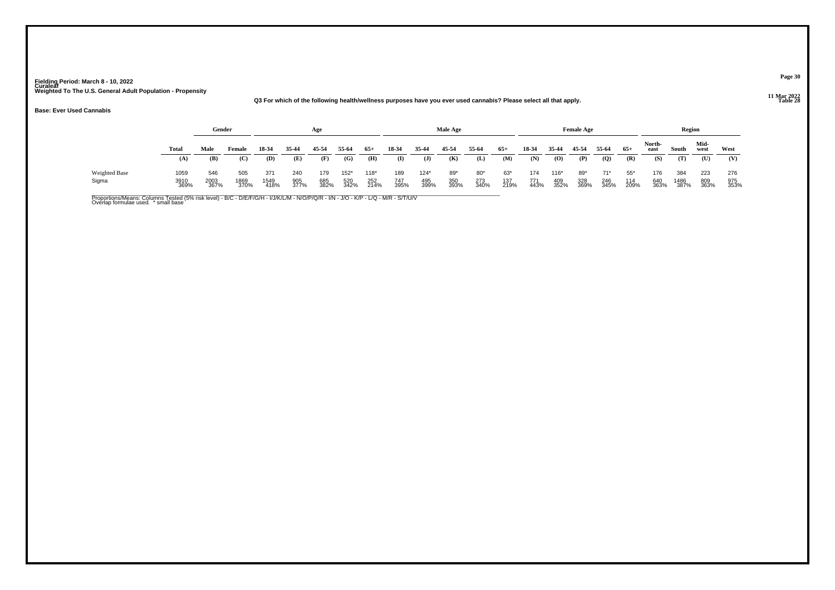#### **11 Mar 2022Q3 For which of the following health/wellness purposes have you ever used cannabis? Please select all that apply.**

#### **Base: Ever Used Cannabis**

|                               |                      | Gender              |                     |                     |                    | Age                |                       |                       |                    |                       | Male Age           |                      |                    |                    |                       | <b>Female Age</b>  |                      |                      |                    | Region              |                    |                    |
|-------------------------------|----------------------|---------------------|---------------------|---------------------|--------------------|--------------------|-----------------------|-----------------------|--------------------|-----------------------|--------------------|----------------------|--------------------|--------------------|-----------------------|--------------------|----------------------|----------------------|--------------------|---------------------|--------------------|--------------------|
|                               | Total                | Male                | Female              | 18-34               | 35-44              | 45-54              | 55-64                 | $65+$                 | 18-34              | 35-44                 | 45-54              | 55-64                | $65+$              | 18-34              | 35-44                 | 45-54              | 55-64                | $65+$                | North-<br>east     | South               | Mid-<br>west       | West               |
|                               | (A)                  | (B)                 | (C)                 | (D)                 | (E)                | (F)                | (G)                   | (H)                   | (I)                | $\mathbf{J}$          | (K)                | (L)                  | (M)                | (N)                | (0)                   | (P)                | (Q)                  | (R)                  | (S)                | (T)                 | $(\mathbf{U})$     | (V)                |
| <b>Weighted Base</b><br>Sigma | 1059<br>3910<br>369% | 546<br>2003<br>367% | 505<br>1869<br>370% | 371<br>1549<br>418% | 240<br>905<br>377% | 179<br>685<br>382% | $152*$<br>520<br>342% | $118*$<br>252<br>214% | 189<br>747<br>395% | $124*$<br>495<br>399% | 89*<br>350<br>393% | $80*$<br>273<br>340% | 63*<br>137<br>219% | 174<br>771<br>443% | $116*$<br>409<br>352% | 89*<br>328<br>369% | $71*$<br>246<br>345% | $55*$<br>114<br>209% | 176<br>640<br>363% | 384<br>1486<br>387% | 223<br>809<br>363% | 276<br>975<br>353% |

Proportions/Means: Columns Tested (5% risk level) - B/C - D/E/F/G/H - I/J/K/L/M - N/O/P/Q/R - I/N - J/O - K/P - L/Q - M/R - S/T/U/V<br>Overlap formulae used. \* small base

#### **Page 30**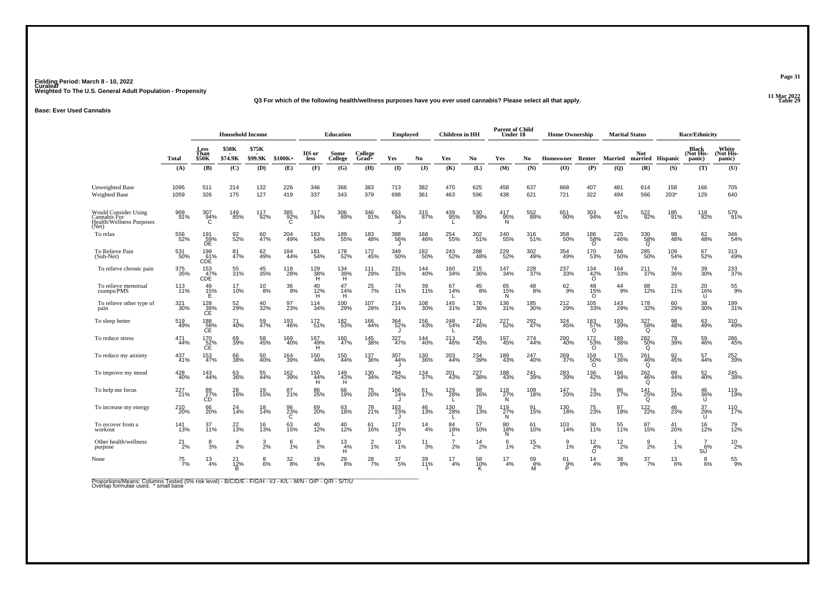#### **11 Mar 2022Q3 For which of the following health/wellness purposes have you ever used cannabis? Please select all that apply.**

#### **Base: Ever Used Cannabis**

|                                                                                  |                    | <b>Household Income</b>        |                         |                  |                  |                  | <b>Education</b>      |                  | <b>Employed</b>    |                       | <b>Children</b> in HH |               | <b>Parent of Child</b><br>Under 18            |                    | <b>Home Ownership</b> |                                 |                        | <b>Marital Status</b>           |                  | <b>Race/Ethnicity</b>        |                              |
|----------------------------------------------------------------------------------|--------------------|--------------------------------|-------------------------|------------------|------------------|------------------|-----------------------|------------------|--------------------|-----------------------|-----------------------|---------------|-----------------------------------------------|--------------------|-----------------------|---------------------------------|------------------------|---------------------------------|------------------|------------------------------|------------------------------|
|                                                                                  | Total              | Less<br>Than<br><b>\$50K</b>   | <b>\$50K</b><br>\$74.9K | \$75K<br>\$99.9K | $$100K+$         | HS or<br>less    | Some<br>College       | College<br>Grad+ | Yes                | N <sub>0</sub>        | Yes                   | No.           | Yes                                           | No                 | Homeowner Renter      |                                 | Married                | <b>Not</b>                      | married Hispanic | Black<br>(Not His-<br>panic) | White<br>(Not His-<br>panic) |
|                                                                                  | (A)                | (B)                            | (C)                     | (D)              | (E)              | (F)              | (G)                   | (H)              | (1)                | (J)                   | (K)                   | (L)           | (M)                                           | (N)                | (O)                   | (P)                             | (Q)                    | (R)                             | (S)              | (T)                          | (U)                          |
| <b>Unweighted Base</b><br><b>Weighted Base</b>                                   | 1095<br>1059       | 511<br>326                     | 214<br>175              | 132<br>127       | 226<br>419       | 346<br>337       | 366<br>343            | 383<br>379       | 713<br>698         | 382<br>361            | 470<br>463            | 625<br>596    | 458<br>438                                    | 637<br>621         | 668<br>721            | 407<br>322                      | 481<br>494             | 614<br>566                      | 158<br>203*      | 166<br>129                   | 705<br>640                   |
| <b>Would Consider Using</b><br>Cannabis For<br>Health/Wellness Purposes<br>(Net) | 969<br>91%         | 307<br>94%<br>C                | 149<br>85%              | 117<br>92%       | 385<br>92%<br>C  | 317<br>94%       | 306<br>89%            | 346<br>91%       | 653<br>94%         | 315<br>87%            | 439<br>95%            | 530<br>89%    | 417<br>-95%<br>N                              | 552<br>89%         | 651<br>90%            | 303<br>94%                      | 447<br>91%             | 522%                            | 185<br>91%       | 118<br>92%                   | 579<br>91%                   |
| To relax                                                                         | 556<br>52%         | 191<br>59%<br>DE               | 92 <sub>%</sub>         | 60<br>47%        | 204<br>49%       | 183<br>54%       | 189<br>55%            | 183<br>48%       | 388<br>56%         | <sup>168</sup><br>46% | 254<br>55%            | 302<br>51%    | 240<br>55%                                    | 316<br>51%         | 358<br>50%            | 186<br>58%<br>O                 | 225<br>46%             | 330<br>58%<br>Q                 | 98<br>48%        | 62<br>48%                    | 346<br>54%                   |
| To Relieve Pain<br>(Sub-Net)                                                     | 531<br>50%         | 199<br>61%<br>CDE <sup>1</sup> | 81<br>47%               | 62<br>49%        | 184<br>44%       | 181<br>54%       | 178<br>52%            | 172<br>45%       | 349<br>50%         | 182<br>50%            | 243<br>52%            | 288<br>48%    | 229<br>52%                                    | $\frac{302}{49\%}$ | 354<br>49%            | 170<br>53%                      | 246<br>50%             | 285<br>50%                      | 109<br>54%       | 67<br>52%                    | 313<br>49%                   |
| To relieve chronic pain                                                          | 375<br>35%         | 153<br>47%<br>CDE <sup>1</sup> | 55<br>31%               | 45<br>35%        | 118<br>28%       | 129<br>38%<br>H. | 134<br>39%<br>H       | 111<br>29%       | 231<br>33%         | 144<br>40%            | 160<br>34%            | 215<br>36%    | 147<br>34%                                    | 228<br>37%         | 237<br>33%            | $\frac{134}{42\%}$              | 164<br>33%             | 211<br>37%                      | 74<br>36%        | 39<br>30%                    | 233<br>37%                   |
| To relieve menstrual<br>cramps/PMS                                               | 113<br>11%         | 49<br>15%<br>Е                 | 17<br>10%               | $^{10}_{8\%}$    | $\frac{36}{9\%}$ | 40<br>12%<br>н   | 47<br>14%<br>H        | $^{25}_{7\%}$    | 74<br>11%          | 39<br>11%             | 67<br>14%             | $^{45}_{8\%}$ | 65<br>15%<br>N                                | 48<br>8%           | $62\over 9%$          | 48<br>15%<br>Ő                  | $^{44}_{9\%}$          | 68<br>12%                       | 23<br>11%        | 20<br>16%<br>U               | $^{55}_{9\%}$                |
| To relieve other type of<br>pain                                                 | 321<br>30%         | $^{128}_{39\%}$ CE             | 52<br>29%               | 40<br>32%        | 97<br>23%        | 114<br>34%       | 100<br>29%            | 107<br>28%       | 214<br>31%         | 108<br>30%            | 145<br>31%            | 176<br>30%    | 136<br>31%                                    | 185<br>30%         | 212<br>29%            | 105<br>33%                      | 143<br>29%             | 178<br>32%                      | 60<br>29%        | 38<br>30%                    | 199<br>31%                   |
| To sleep better                                                                  | 519<br>49%         | 188<br>CE                      | 71<br>40%               | 59<br>47%        | 193<br>46%       | 172<br>51%       | 182<br>53%            | 166<br>44%       | 364<br>52%         | 156<br>43%            | 248<br>54%<br>L.      | 271<br>46%    | 227<br>52%                                    | 292<br>47%         | 324<br>45%            | 183<br>$^{157}_{0}$             | 193<br>39%             | 327<br>$\frac{58}{9}$           | 98<br>48%        | 63<br>49%                    | 310<br>49%                   |
| To reduce stress                                                                 | 471<br>44%         | 170<br>$CE$ <sup>52%</sup>     | 69<br>39%               | 58<br>45%        | 169<br>40%       | 167<br>49%<br>H. | 160<br>47%            | 145<br>38%       | 327<br>47%         | 144<br>40%            | 213<br>46%            | 258<br>43%    | 197<br>45%                                    | 274<br>44%         | 290<br>40%            | 172<br>53%<br>O                 | 189<br>38%             | 282<br>50%<br>Q                 | 79<br>39%        | 59<br>46%                    | 286<br>45%                   |
| To reduce my anxiety                                                             | 437<br>41%         | 153<br>47%                     | 66<br>38%               | 50<br>40%        | 164<br>39%       | 150<br>44%       | 150<br>44%            | 137<br>36%       | 307<br>44%         | 130<br>36%            | 203<br>44%            | 234<br>39%    | 189<br>43%                                    | 247<br>$-40%$      | 269<br>37%            | $^{159}_{\substack{50\% \\ 0}}$ | 175<br>36%             | 261<br>46%<br>$\Omega$          | 92<br>45%        | 57<br>44%                    | 252<br>39%                   |
| To improve my mood                                                               | 428<br>40%         | 143<br>44%                     | 63<br>36%               | 55<br>44%        | 162<br>39%       | 150<br>44%<br>H  | 149<br>$\frac{43}{H}$ | 130<br>34%       | 294<br>42%         | 134<br>37%            | 201<br>43%            | 227<br>38%    | 188<br>43%                                    | 241<br>39%         | 283<br>39%            | 136<br>42%                      | 166<br>34%             | 262<br>46%                      | 89<br>44%        | 52<br>40%                    | 245<br>38%                   |
| To help me focus                                                                 | 227<br>21%         | 89<br>27%<br>CD                | 28<br>16%               | 19<br>15%        | 87<br>21%        | 86<br>25%        | 66<br>19%             | 75<br>20%        | <sup>166</sup> 24% | 61<br>17%             | 129<br>28%            | 98<br>16%     | 118<br>27%                                    | 109<br>18%         | 147<br>20%            | 74<br>23%                       | 86<br>17%              | Q<br>141<br>$^{125}_{\text{Q}}$ | 51<br>25%        | 46<br>$\frac{36}{0}$         | 119<br>19%                   |
| To increase my energy                                                            | 210<br>20%         | 66<br>20%                      | $^{24}_{14\%}$          | 18<br>14%        | 96<br>23%        | 69<br>20%        | 63<br>18%             | 78<br>21%        | 163<br>23%         | 46<br>13%             | L.<br>130<br>28%      | 79<br>13%     | N<br>119<br>$\overset{.}{N}{}^{\frac{27}{N}}$ | 91<br>15%          | 130<br>18%            | 75<br>23%                       | 87<br>18%              | 122 <sub>%</sub>                | 46<br>23%        | 37<br>29%                    | 110<br>17%                   |
| To recover from a<br>workout                                                     | $\frac{141}{13\%}$ | 37<br>11%                      | 22 <sub>0%</sub>        | $16_{13\%}$      | 63<br>15%        | 40<br>12%        | 40<br>12%             | 61<br>16%        | 127<br>18%         | $^{14}_{4\%}$         | 84<br>18%             | 57<br>10%     | 80<br>18%                                     | 61 <sub>0%</sub>   | 103<br>14%            | 36<br>11%                       | 55<br>11%              | 87<br>15%                       | 41<br>20%        | U<br>16%                     | 79 <sub>%</sub>              |
| Other health/wellness<br>purpose                                                 | $^{21}_{2\%}$      | $\frac{8}{3%}$                 | $\overline{4}$<br>2%    | $\frac{3}{2\%}$  | 6<br>1%          | $\frac{6}{2%}$   | 13<br>4%              | $\frac{2}{1%}$   | $^{10}_{1\%}$      | $^{11}_{3\%}$         | $\overline{7}$<br>2%  | $^{14}_{2\%}$ | N<br>$6\frac{6}{1\%}$                         | $^{15}_{2\%}$      | 9<br>1%               | $\frac{12}{4\%}$                | $^{12}_{2\%}$          | $\frac{9}{2\%}$                 | 1%               | $\frac{7}{6%}$               | $^{10}_{2\%}$                |
| None                                                                             | $^{75}_{7\%}$      | $^{13}_{4\%}$                  | $^{21}_{12\%}$<br>R     | $8\%$            | $\frac{32}{8\%}$ | $^{19}_{6\%}$    | H<br>$^{29}_{\ 8\%}$  | $^{28}_{7\%}$    | $\frac{37}{5\%}$   | 39<br>11%             | $\frac{17}{4%}$       | 58<br>10%     | $^{17}_{4\%}$                                 | 59%<br>м           | $^{61}_{9\%}$         | $\circ$<br>$\frac{14}{4%}$      | $\substack{38 \\ 8\%}$ | $\frac{37}{7}\%$                | $^{13}_{6\%}$    | SŬ<br>$_{6\%}^8$             | $^{55}_{9\%}$                |

Proportions/Means: Columns Tested (5% risk level) - B/C/D/E - F/G/H - I/J - K/L - M/N - O/P - Q/R - S/T/U<br>Overlap formulae used. \* small base

**Page 31**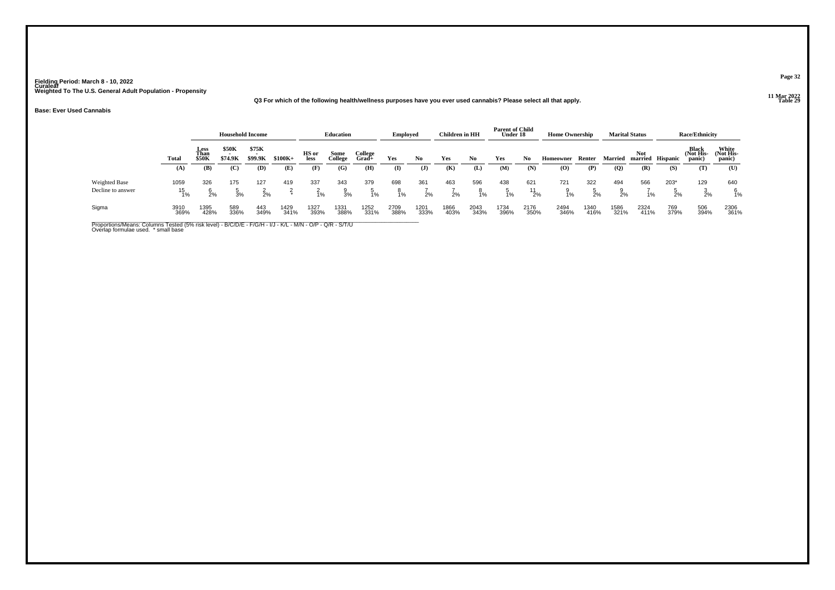#### **11 Mar 2022Q3 For which of the following health/wellness purposes have you ever used cannabis? Please select all that apply.**

#### **Base: Ever Used Cannabis**

|                                    |                  |                       | <b>Household Income</b> |                        |              |                      | Education       |                        | <b>Employed</b> |              | Children in HH |                        | <b>Parent of Child</b><br>Under 18 |                      | <b>Home Ownership</b> |              |                            | <b>Marital Status</b> |              | <b>Race/Ethnicity</b>        |                             |
|------------------------------------|------------------|-----------------------|-------------------------|------------------------|--------------|----------------------|-----------------|------------------------|-----------------|--------------|----------------|------------------------|------------------------------------|----------------------|-----------------------|--------------|----------------------------|-----------------------|--------------|------------------------------|-----------------------------|
|                                    | Total            | Less<br>Than<br>\$50K | \$50K<br>\$74.9K        | \$75K<br>\$99.9K       | $$100K+$     | HS or<br><b>less</b> | Some<br>College | College<br>$Grad +$    | Yes             | No           | Yes            | No                     | Yes                                | No                   | Homeowner             | Renter       | <b>Married</b>             | <b>Not</b><br>married | Hispanic     | Black<br>(Not His-<br>panic) | White<br>Not His-<br>panic) |
|                                    | (A)              | (B)                   | (C)                     | (D)                    | (E)          | (F)                  | (G)             | (H)                    | $\mathbf{I}$    | J            | (K)            | (L)                    | (M)                                | (N)                  | (0)                   | (P)          | $\left( \mathbf{Q}\right)$ | (R)                   | (S)          | (T)                          | (U)                         |
| Weighted Base<br>Decline to answer | 1059<br>15<br>1% | 326<br>2%             | 175<br>3%               | 127<br>$\frac{2}{2}$ % | 419          | 337<br>1%            | 343<br>3%       | 379<br>$\frac{5}{1\%}$ | 698<br>8<br>1%  | 361<br>2%    | 463<br>2%      | 596<br>$\frac{8}{1\%}$ | 438<br>1%                          | 621<br>$^{11}_{2\%}$ | 721<br>1%             | 322<br>2%    | 494<br>2%                  | 566<br>1%             | $203*$<br>2% | 129<br>2%                    | 640<br>1%                   |
| Sigma                              | 3910<br>369%     | 1395<br>428%          | 589<br>336%             | 443<br>349%            | 1429<br>341% | 1327<br>393%         | 1331<br>388%    | 1252<br>331%           | 2709<br>388%    | 1201<br>333% | 1866<br>403%   | 2043<br>343%           | 1734<br>396%                       | 2176<br>350%         | 2494<br>346%          | 1340<br>416% | 1586<br>321%               | 2324<br>411%          | 769<br>379%  | 506<br>394%                  | 2306<br>361%                |

Proportions/Means: Columns Tested (5% risk level) - B/C/D/E - F/G/H - I/J - K/L - M/N - O/P - Q/R - S/T/U<br>Overlap formulae used. \* small base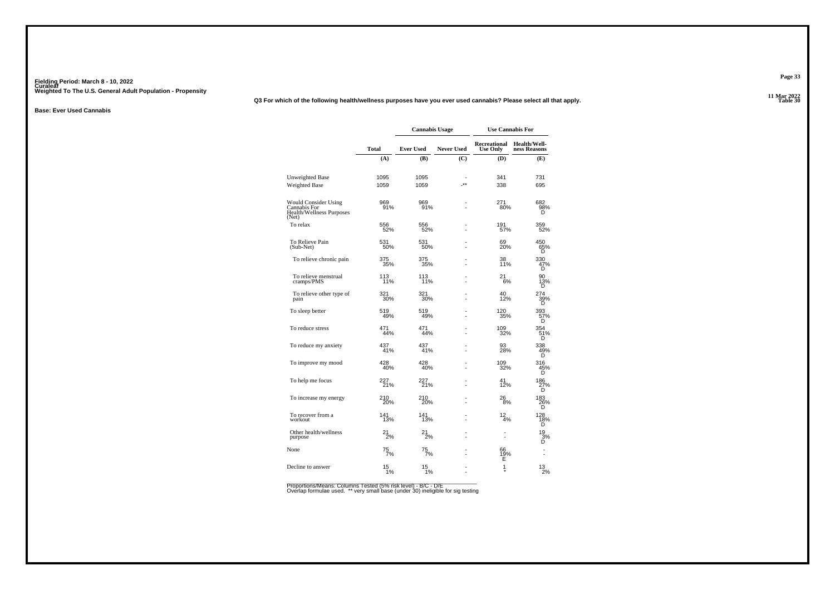#### **11 Mar 2022Q3 For which of the following health/wellness purposes have you ever used cannabis? Please select all that apply.**

**Base: Ever Used Cannabis**

|                                                                                  |                    | <b>Cannabis Usage</b> |                   | <b>Use Cannabis For</b>         |                                     |
|----------------------------------------------------------------------------------|--------------------|-----------------------|-------------------|---------------------------------|-------------------------------------|
|                                                                                  | <b>Total</b>       | <b>Ever Used</b>      | <b>Never Used</b> | Recreational<br><b>Use Only</b> | <b>Health/Well-</b><br>ness Reasons |
|                                                                                  | (A)                | (B)                   | (C)               | (D)                             | (E)                                 |
| Unweighted Base<br><b>Weighted Base</b>                                          | 1095<br>1059       | 1095<br>1059          | $**$              | 341<br>338                      | 731<br>695                          |
| <b>Would Consider Using</b><br>Cannabis For<br>Health/Wellness Purposes<br>(Net) | 969<br>91%         | 969<br>91%            |                   | 271<br>80%                      | 682<br>$\frac{98}{5}$ %             |
| To relax                                                                         | 556<br>52%         | 556<br>52%            |                   | 191<br>57%                      | 359<br>52%                          |
| To Relieve Pain<br>(Sub-Net)                                                     | 531<br>50%         | 531<br>50%            |                   | 69<br>20%                       | 450<br>65%<br>D                     |
| To relieve chronic pain                                                          | 375<br>35%         | 375<br>35%            |                   | 38<br>11%                       | 330<br>47%<br>Ď                     |
| To relieve menstrual<br>cramps/PMS                                               | 113<br>11%         | 113<br>11%            |                   | 21<br>6%                        | 90<br>$\frac{13}{D}$                |
| To relieve other type of<br>pain                                                 | 321<br>30%         | 321<br>30%            |                   | 40<br>12%                       | 274<br>39%<br>D                     |
| To sleep better                                                                  | 519<br>49%         | 519<br>49%            |                   | 120<br>35%                      | $0$<br>393<br>57%<br>D              |
| To reduce stress                                                                 | 471<br>44%         | 471<br>44%            |                   | 109<br>32%                      | 354<br>51%<br>D                     |
| To reduce my anxiety                                                             | 437<br>41%         | 437<br>41%            |                   | 93<br>28%                       | 338<br>49%                          |
| To improve my mood                                                               | 428<br>40%         | 428<br>40%            |                   | 109<br>32%                      | 316<br>45%<br>D                     |
| To help me focus                                                                 | 227<br>21%         | 227<br>21%            |                   | 41<br>12%                       | 186<br>27%<br>D                     |
| To increase my energy                                                            | 210<br>20%         | 210<br>20%            |                   | 26<br>8%                        | 183<br>26%<br>D                     |
| To recover from a<br>workout                                                     | 141<br>13%         | 141<br>13%            |                   | $\frac{12}{4%}$                 | 128<br>18%<br>Õ                     |
| Other health/wellness<br>purpose                                                 | 21<br>2%           | 21<br>2%              |                   |                                 | $\frac{19}{3%}$<br>D                |
| None                                                                             | $^{75}_{7\%}$      | $^{75}_{7\%}$         |                   | 66<br>1 <u>9</u> %<br>Ė         |                                     |
| Decline to answer                                                                | $15$ <sub>1%</sub> | $15$ <sub>1%</sub>    |                   | 1                               | $^{13}_{2\%}$                       |

Proportions/Means: Columns Tested (5% risk level) - B/C - D/E<br>Overlap formulae used. \*\* very small base (under 30) ineligible for sig testing

**Page 33**

**Table 30 Table 30**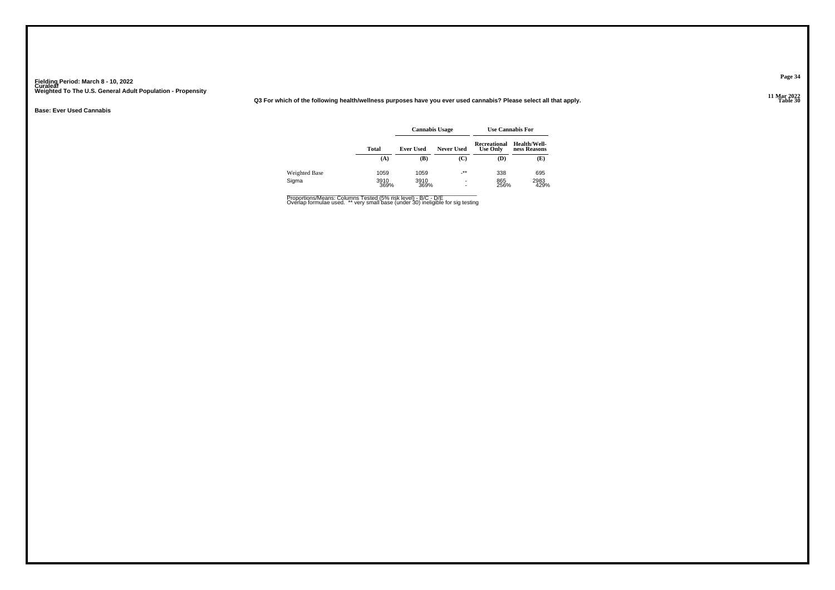**11 Mar 2022Q3 For which of the following health/wellness purposes have you ever used cannabis? Please select all that apply.**

**Base: Ever Used Cannabis**

|               |              | <b>Cannabis Usage</b> |                          |                                        | <b>Use Cannabis For</b>      |
|---------------|--------------|-----------------------|--------------------------|----------------------------------------|------------------------------|
|               | Total        | <b>Ever Used</b>      | <b>Never Used</b>        | <b>Recreational</b><br><b>Use Only</b> | Health/Well-<br>ness Reasons |
|               | (A)          | (B)                   | (C)                      | (D)                                    | (E)                          |
| Weighted Base | 1059         | 1059                  | $^{-**}$                 | 338                                    | 695                          |
| Sigma         | 3910<br>369% | 3910<br>369%          | $\overline{\phantom{a}}$ | 865<br>256%                            | 2983<br>429%                 |

Proportions/Means: Columns Tested (5% risk level) - B/C - D/E<br>Overlap formulae used. \*\* very small base (under 30) ineligible for sig testing

**Page 34**

**Table 30 Table 30**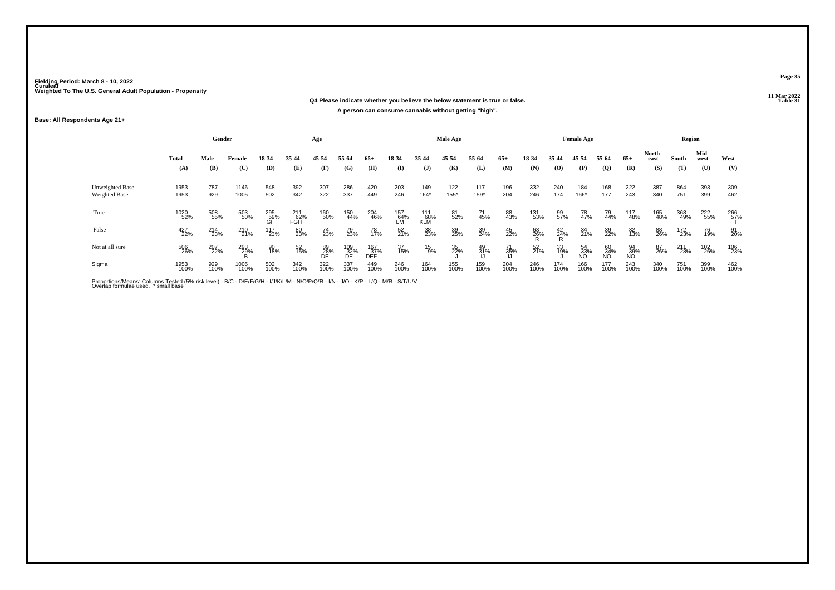#### **11 Mar 2022Q4 Please indicate whether you believe the below statement is true or false.A person can consume cannabis without getting "high".**

#### **Base: All Respondents Age 21+**

|                                                |              | Gender      |              |                  |                     | Age             |                  |                   |                    |                   | Male Age    |             |                 |             |                | <b>Female Age</b> |                 |                 |                | Region      |              |             |
|------------------------------------------------|--------------|-------------|--------------|------------------|---------------------|-----------------|------------------|-------------------|--------------------|-------------------|-------------|-------------|-----------------|-------------|----------------|-------------------|-----------------|-----------------|----------------|-------------|--------------|-------------|
|                                                | Total        | Male        | Female       | 18-34            | 35-44               | 45-54           | 55-64            | $65+$             | 18-34              | 35-44             | 45-54       | 55-64       | $65+$           | 18-34       | 35-44          | 45-54             | 55-64           | $65+$           | North-<br>east | South       | Mid-<br>west | West        |
|                                                | (A)          | (B)         | (C)          | (D)              | (E)                 | (F)             | (G)              | (H)               | $\mathbf{I}$       | $\mathbf{J}$      | (K)         | (L)         | (M)             | (N)         | (O)            | (P)               | (Q)             | (R)             | (S)            | (T)         | (U)          | (V)         |
| <b>Unweighted Base</b><br><b>Weighted Base</b> | 1953<br>1953 | 787<br>929  | 1146<br>1005 | 548<br>502       | 392<br>342          | 307<br>322      | 286<br>337       | 420<br>449        | 203<br>246         | 149<br>$164*$     | 122<br>155* | 117<br>159* | 196<br>204      | 332<br>246  | 240<br>174     | 184<br>166*       | 168<br>177      | 222<br>243      | 387<br>340     | 864<br>751  | 393<br>399   | 309<br>462  |
| True                                           | 1020<br>52%  | 508<br>55%  | 503<br>50%   | 295<br>59%<br>GH | $^{211}_{62\%}$ FGH | 160<br>50%      | 150<br>44%       | 204<br>46%        | 157<br>- 64%<br>LM | 111<br>68%<br>KLM | 81<br>52%   | 71<br>45%   | 88<br>43%       | 131<br>53%  | 99<br>57%      | 78<br>47%         | 79<br>44%       | 117<br>48%      | 165<br>48%     | 368<br>49%  | 222<br>55%   | 266<br>57%  |
| False                                          | 427<br>22%   | 214<br>23%  | 210<br>21%   | 117<br>23%       | 80<br>23%           | 74<br>23%       | 79<br>23%        | 78<br>17%         | 52<br>21%          | 38<br>23%         | 39<br>25%   | 39<br>24%   | 45<br>22%       | 63<br>26%   | $^{42}_{24\%}$ | 34<br>21%         | 39<br>22%       | 32<br>13%       | 88<br>26%      | 172<br>23%  | 76<br>19%    | 91<br>20%   |
| Not at all sure                                | 506<br>26%   | 207<br>22%  | 293<br>29%   | 90<br>18%        | 52<br>15%           | 89<br>28%<br>DE | 109<br>32%<br>DE | 167<br>37%<br>DEF | 37<br>15%          | $^{15}_{9\%}$     | 35<br>22%   | 49<br>31%   | 71<br>35%<br>IJ | 52<br>21%   | 33<br>19%      | 54<br>33%<br>NO   | 60<br>34%<br>NO | 94<br>39%<br>NO | 87<br>26%      | 211<br>28%  | 102<br>26%   | 106<br>23%  |
| Sigma                                          | 1953<br>100% | 929<br>100% | 1005<br>100% | 502<br>100%      | 342<br>100%         | 322<br>100%     | 337<br>100%      | 449<br>100%       | 246<br>100%        | 164<br>100%       | 155<br>100% | 159<br>100% | 204<br>100%     | 246<br>100% | 174<br>100%    | 166<br>100%       | 177<br>100%     | 243<br>100%     | 340<br>100%    | 751<br>100% | 399<br>100%  | 462<br>100% |

Proportions/Means: Columns Tested (5% risk level) - B/C - D/E/F/G/H - I/J/K/L/M - N/O/P/Q/R - I/N - J/O - K/P - L/Q - M/R - S/T/U/V<br>Overlap formulae used. \*small base

**Table 31 Table 31**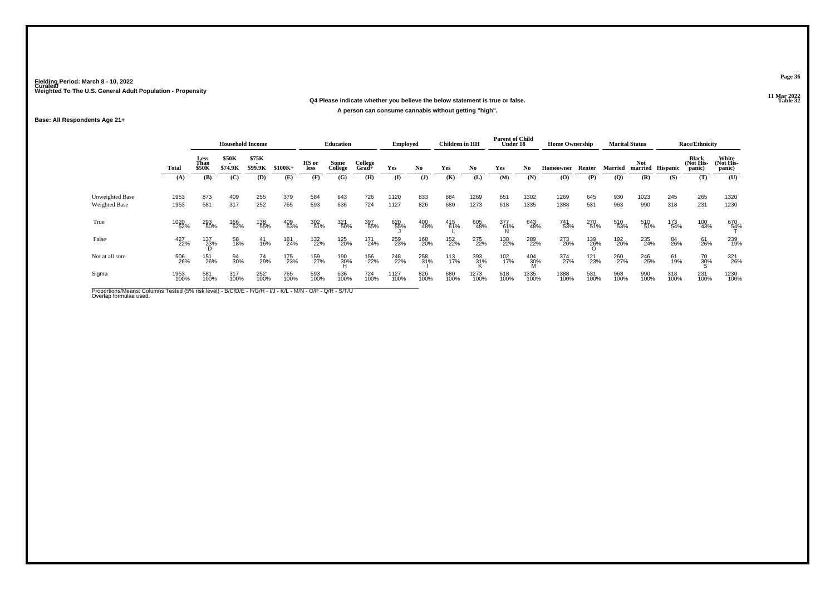#### **11 Mar 2022Q4 Please indicate whether you believe the below statement is true or false.A person can consume cannabis without getting "high".**

#### **Base: All Respondents Age 21+**

|                                                |              | <b>Household Income</b>      |                         |                                              |             |               | <b>Education</b> |                    | <b>Employed</b> |             | Children in HH |              | <b>Parent of Child</b><br>Under 18 |                | <b>Home Ownership</b> |             |              | <b>Marital Status</b> |                 | <b>Race/Ethnicity</b>        |                              |
|------------------------------------------------|--------------|------------------------------|-------------------------|----------------------------------------------|-------------|---------------|------------------|--------------------|-----------------|-------------|----------------|--------------|------------------------------------|----------------|-----------------------|-------------|--------------|-----------------------|-----------------|------------------------------|------------------------------|
|                                                | Total        | Less<br>Than<br><b>\$50K</b> | <b>\$50K</b><br>\$74.9K | \$75K<br>$\overline{\phantom{a}}$<br>\$99.9K | $$100K+$    | HS or<br>less | Some<br>College  | College<br>$Grad+$ | Yes             | No          | Yes            | No           | Yes                                | N <sub>0</sub> | Homeowner             | Renter      | Married      | <b>Not</b><br>married | <b>Hispanic</b> | Black<br>(Not His-<br>panic) | White<br>(Not His-<br>panic) |
|                                                | (A)          | (B)                          | (C)                     | (D)                                          | (E)         | (F)           | (G)              | (H)                | $\mathbf{I}$    | (J)         | (K)            | (L)          | (M)                                | (N)            | (O)                   | (P)         | $\mathbf{Q}$ | (R)                   | (S)             | (T)                          | (U)                          |
| <b>Unweighted Base</b><br><b>Weighted Base</b> | 1953<br>1953 | 873<br>581                   | 409<br>317              | 255<br>252                                   | 379<br>765  | 584<br>593    | 643<br>636       | 726<br>724         | 1120<br>1127    | 833<br>826  | 684<br>680     | 1269<br>1273 | 651<br>618                         | 1302<br>1335   | 1269<br>1388          | 645<br>531  | 930<br>963   | 1023<br>990           | 245<br>318      | 265<br>231                   | 1320<br>1230                 |
| True                                           | 1020<br>52%  | 293<br>50%                   | 166<br>52%              | 138<br>55%                                   | 409<br>53%  | 302<br>51%    | 321<br>50%       | 397<br>55%         | 620<br>55%      | 400<br>48%  | 415<br>61%     | 605<br>48%   | 377<br>61%                         | 643<br>48%     | 741<br>53%            | 270<br>51%  | 510<br>53%   | 510<br>51%            | 173<br>54%      | 100<br>43%                   | 670<br>54%                   |
| False                                          | 427<br>22%   | 137<br>23%                   | 58<br>18%               | 41<br>16%                                    | 181<br>24%  | 132<br>22%    | 125<br>20%       | 171<br>24%         | 259<br>23%      | 168<br>20%  | 152<br>22%     | 275<br>22%   | 138<br>22%                         | 289<br>22%     | 273<br>20%            | 139<br>26%  | 192<br>20%   | 235<br>24%            | 84<br>26%       | 61<br>26%                    | 239<br>19%                   |
| Not at all sure                                | 506<br>26%   | 151<br>26%                   | 94<br>30%               | 74<br>29%                                    | 175<br>23%  | 159<br>27%    | 190<br>30%       | 156<br>22%         | 248<br>22%      | 258<br>31%  | 113<br>17%     | 393<br>31%   | 102<br>17%                         | 404<br>30%     | 374<br>27%            | 121<br>23%  | 260<br>27%   | 246<br>25%            | 61<br>19%       | 70<br>30%                    | 321<br>26%                   |
| Sigma                                          | 1953<br>100% | 581<br>100%                  | 317<br>100%             | 252<br>100%                                  | 765<br>100% | 593<br>100%   | 636<br>100%      | 724<br>100%        | 1127<br>100%    | 826<br>100% | 680<br>100%    | 1273<br>100% | 618<br>100%                        | 1335<br>100%   | 1388<br>100%          | 531<br>100% | 963<br>100%  | 990<br>100%           | 318<br>100%     | 231<br>100%                  | 1230<br>100%                 |

Proportions/Means: Columns Tested (5% risk level) - B/C/D/E - F/G/H - I/J - K/L - M/N - O/P - Q/R - S/T/U<br>Overlap formulae used.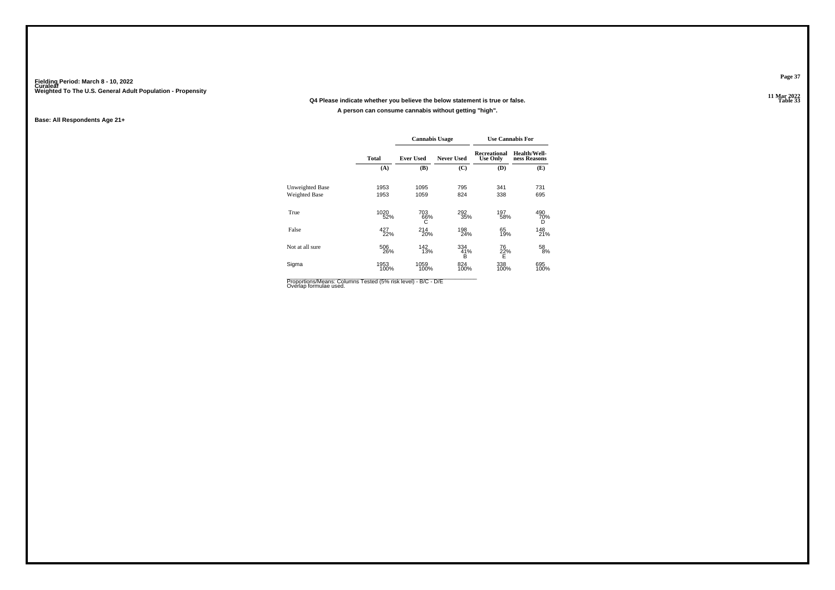### **11 Mar 2022Q4 Please indicate whether you believe the below statement is true or false.A person can consume cannabis without getting "high".**

#### **Base: All Respondents Age 21+**

|                                                                                         |              | <b>Cannabis Usage</b> |                   |                                 | <b>Use Cannabis For</b>      |
|-----------------------------------------------------------------------------------------|--------------|-----------------------|-------------------|---------------------------------|------------------------------|
|                                                                                         | <b>Total</b> | <b>Ever Used</b>      | <b>Never Used</b> | Recreational<br><b>Use Only</b> | Health/Well-<br>ness Reasons |
|                                                                                         | (A)          | (B)                   | (C)               | (D)                             | (E)                          |
| Unweighted Base                                                                         | 1953         | 1095                  | 795               | 341                             | 731                          |
| Weighted Base                                                                           | 1953         | 1059                  | 824               | 338                             | 695                          |
| True                                                                                    | 1020<br>52%  | 703<br>66%<br>С       | 292<br>35%        | 197<br>58%                      | 490<br>70%<br>D              |
| False                                                                                   | 427<br>22%   | 214<br>20%            | 198<br>24%        | 65<br>19%                       | 148<br>21%                   |
| Not at all sure                                                                         | 506<br>26%   | 142<br>13%            | 334<br>41%<br>в   | 76<br>22%<br>E                  | 58<br>8%                     |
| Sigma                                                                                   | 1953<br>100% | 1059<br>100%          | 824<br>100%       | 338<br>100%                     | 695<br>100%                  |
| Proportions/Means: Columns Tested (5% risk level) - B/C - D/E<br>Overlap formulae used. |              |                       |                   |                                 |                              |

**Page 37**

**Table 33**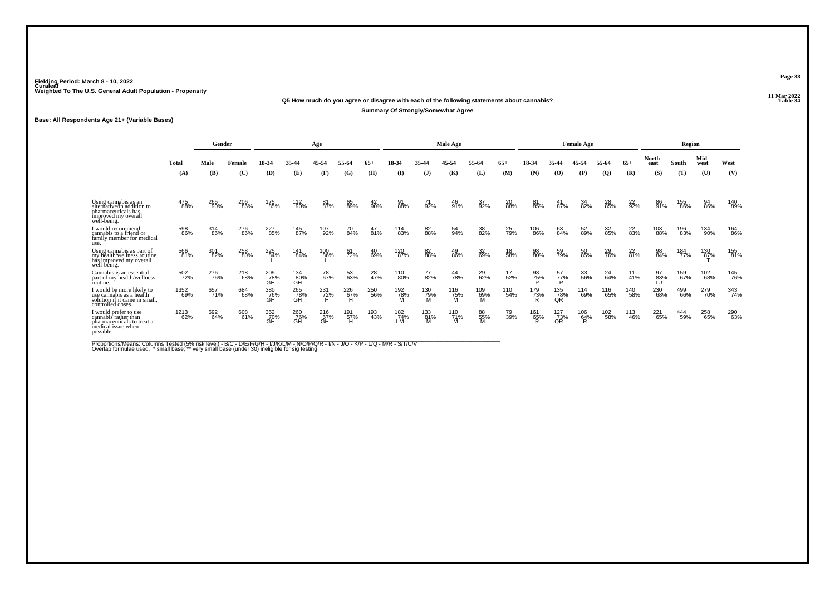### **11 Mar 2022Q5 How much do you agree or disagree with each of the following statements about cannabis?Summary Of Strongly/Somewhat Agree**

**Base: All Respondents Age 21+ (Variable Bases)**

|                                                                                                                 |              | Gender     |            |                  |                  | Age              |                 |            |                  |                  | Male Age        |                 |            |                 |                       | <b>Female Age</b> |              |                 |                 | Region     |                     |            |
|-----------------------------------------------------------------------------------------------------------------|--------------|------------|------------|------------------|------------------|------------------|-----------------|------------|------------------|------------------|-----------------|-----------------|------------|-----------------|-----------------------|-------------------|--------------|-----------------|-----------------|------------|---------------------|------------|
|                                                                                                                 | <b>Total</b> | Male       | Female     | 18-34            | 35-44            | 45-54            | 55-64           | 65+        | 18-34            | 35-44            | 45-54           | 55-64           | $65+$      | 18-34           | 35-44                 | 45-54             | 55-64        | $65+$           | North-<br>east  | South      | Mid-<br>west        | West       |
|                                                                                                                 | (A)          | (B)        | (C)        | (D)              | (E)              | (F)              | (G)             | (H)        | $\mathbf{I}$     | $($ $)$          | (K)             | (L)             | (M)        | (N)             | (O)                   | (P)               | $\mathbf{Q}$ | (R)             | (S)             | (T)        | (U)                 | (V)        |
| Using cannabis as an<br>alternative/in addition to<br>pharmaceuticals has<br>improved my overall<br>well-being. | 475<br>88%   | 265<br>90% | 206<br>86% | 175<br>85%       | 112<br>90%       | 81<br>87%        | 65<br>89%       | 42<br>90%  | 91<br>88%        | 71<br>92%        | 46<br>91%       | 37<br>92%       | 20<br>88%  | 81<br>85%       | $\frac{41}{87\%}$     | 34<br>82%         | 28<br>85%    | 22 <sub>%</sub> | 86<br>91%       | 155<br>86% | 94<br>86%           | 140<br>89% |
| I would recommend<br>cannabis to a friend or<br>family member for medical<br>use.                               | 598<br>86%   | 314<br>86% | 276<br>86% | 227<br>85%       | 145<br>87%       | 107<br>92%       | 70<br>84%       | 47<br>81%  | 114<br>83%       | 82<br>88%        | 54<br>94%       | 38<br>82%       | 25<br>79%  | 106<br>86%      | 63<br>84%             | 52<br>89%         | 32<br>85%    | 22<br>83%       | 103<br>88%      | 196<br>83% | 134<br>90%          | 164<br>86% |
| Using cannabis as part of<br>my health/wellness routine<br>has improved my overall<br>well-being.               | 566<br>81%   | 301<br>82% | 258<br>80% | 225<br>84%<br>H  | 141<br>84%       | 100<br>86%       | 61<br>72%       | 40<br>69%  | 120<br>87%       | 82<br>88%        | 49<br>86%       | 32<br>69%       | 18<br>58%  | 98<br>80%       | 59<br>79%             | 50<br>85%         | 29<br>76%    | 22<br>81%       | 98<br>84%       | 184<br>77% | 130<br>8 <u>7</u> % | 155<br>81% |
| Cannabis is an essential<br>part of my health/wellness<br>routine.                                              | 502<br>72%   | 276<br>76% | 218<br>68% | 209<br>78%<br>ĠĤ | 134<br>80%<br>ĞĤ | 78<br>67%        | 53<br>63%       | 28<br>47%  | 110<br>80%       | 77<br>82%        | 44<br>78%       | 29<br>62%       | 17<br>52%  | 93<br>75%       | 57<br>77%<br>Þ        | 33<br>56%         | 24<br>64%    | 11<br>41%       | 97<br>83%<br>TÚ | 159<br>67% | 102<br>68%          | 145<br>76% |
| I would be more likely to<br>use cannabis as a health<br>solution if it came in small,<br>controlled doses.     | 1352<br>69%  | 657<br>71% | 684<br>68% | 380<br>76%<br>GH | 265<br>78%<br>ĠĤ | 231<br>$72\%$ H  | 226<br>67%<br>H | 250<br>56% | 192<br>78%<br>M  | 130<br>79%<br>M  | 116<br>75%<br>M | 109<br>69%<br>M | 110<br>54% | 179<br>73%<br>R | 135<br>$\frac{78}{9}$ | 114<br>69%        | 116<br>65%   | 140<br>58%      | 230<br>68%      | 499<br>66% | 279<br>70%          | 343<br>74% |
| I would prefer to use<br>cannabis rather than<br>pharmaceuticals to treat a<br>medical issue when<br>possible.  | 1213<br>62%  | 592<br>64% | 608<br>61% | 352<br>70%<br>GH | 260<br>76%<br>GH | 216<br>67%<br>GH | 191<br>57%<br>H | 193<br>43% | 182<br>74%<br>LM | 133<br>81%<br>LM | 110<br>71%<br>м | 88<br>55%<br>M  | 79<br>39%  | 161<br>65%<br>R | 127<br>73%<br>QR      | 106<br>64%<br>R   | 102<br>58%   | 113<br>46%      | 221<br>65%      | 444<br>59% | 258<br>65%          | 290<br>63% |

Proportions/Means: Columns Tested (5% risk level) - B/C - D/E/F/G/H - I/J/K/L/M - N/O/P/Q/R - I/N - J/O - K/P - L/Q - M/R - S/T/U/V<br>Overlap formulae used. \* small base; \*\* very small base (under 30) ineligible for sig te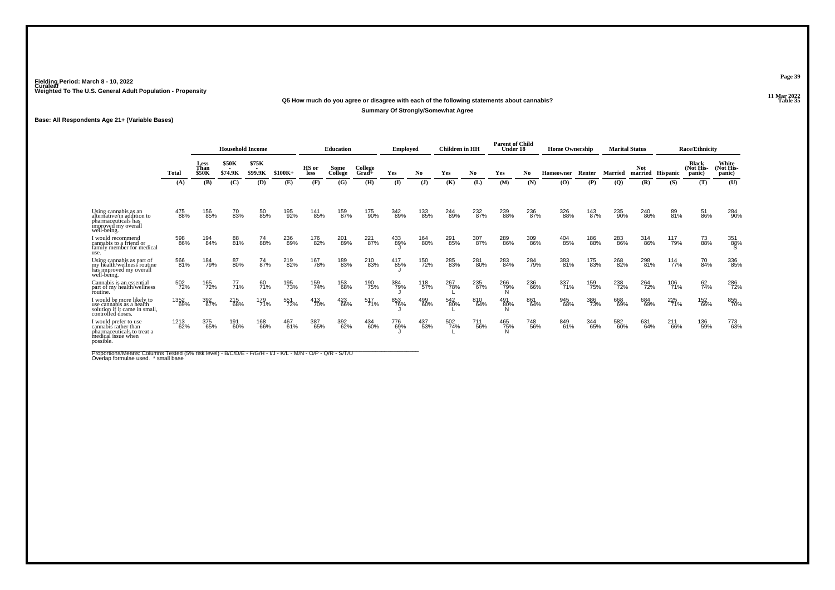### **11 Mar 2022Q5 How much do you agree or disagree with each of the following statements about cannabis?Summary Of Strongly/Somewhat Agree**

**Base: All Respondents Age 21+ (Variable Bases)**

|                                                                                                                 |              |                                     | <b>Household Income</b> |                  |            |               | Education       |                     | Employed   |                | <b>Children</b> in HH |            | <b>Parent of Child</b><br>Under 18 |            | <b>Home Ownership</b> |            |                | <b>Marital Status</b> |            | <b>Race/Ethnicity</b>        |                              |
|-----------------------------------------------------------------------------------------------------------------|--------------|-------------------------------------|-------------------------|------------------|------------|---------------|-----------------|---------------------|------------|----------------|-----------------------|------------|------------------------------------|------------|-----------------------|------------|----------------|-----------------------|------------|------------------------------|------------------------------|
|                                                                                                                 | <b>Total</b> | <b>Less</b><br>Than<br><b>\$50K</b> | \$50K<br>\$74.9K        | \$75K<br>\$99.9K | $$100K+$   | HS or<br>less | Some<br>College | College<br>$Grad +$ | Yes        | N <sub>0</sub> | Yes                   | No         | Yes                                | No         | Homeowner             | Renter     | <b>Married</b> | <b>Not</b><br>married | Hispanic   | Black<br>(Not His-<br>panic) | White<br>(Not His-<br>panic) |
|                                                                                                                 | (A)          | (B)                                 | (C)                     | (D)              | (E)        | (F)           | (G)             | (H)                 | (I)        | $\mathbf{J}$   | (K)                   | (L)        | (M)                                | (N)        | $\bf(0)$              | (P)        | $\mathbf{Q}$   | (R)                   | (S)        | (T)                          | (U)                          |
| Using cannabis as an<br>alternative/in addition to<br>pharmaceuticals has<br>improved my overall<br>well-being. | 475<br>88%   | 156<br>85%                          | 70<br>83%               | 50<br>85%        | 195<br>92% | 141<br>85%    | 159<br>87%      | 175<br>90%          | 342<br>89% | 133<br>85%     | 244<br>89%            | 232<br>87% | 239<br>88%                         | 236<br>87% | 326<br>88%            | 143<br>87% | 235<br>90%     | 240<br>86%            | 89<br>81%  | 51<br>86%                    | 284<br>90%                   |
| I would recommend<br>cannabis to a friend or<br>family member for medical<br>use.                               | 598<br>86%   | 194<br>84%                          | 88<br>81%               | 74<br>88%        | 236<br>89% | 176<br>82%    | 201<br>89%      | 221<br>87%          | 433<br>89% | 164<br>80%     | 291<br>85%            | 307<br>87% | 289<br>86%                         | 309<br>86% | 404<br>85%            | 186<br>88% | 283<br>86%     | 314<br>86%            | 117<br>79% | 73<br>88%                    | 351<br>88%<br>S              |
| Using cannabis as part of<br>my health/wellness routine<br>has improved my overall<br>well-being.               | 566<br>81%   | 184<br>79%                          | 87<br>80%               | 74<br>87%        | 219<br>82% | 167<br>78%    | 189<br>83%      | 210<br>83%          | 417<br>85% | 150<br>72%     | 285<br>83%            | 281<br>80% | 283<br>84%                         | 284<br>79% | 383<br>81%            | 175<br>83% | 268<br>82%     | 298<br>81%            | 114<br>77% | 70<br>84%                    | 336<br>85%                   |
| Cannabis is an essential<br>part of my health/wellness<br>foutine.                                              | 502<br>72%   | 165<br>72%                          | 77<br>71%               | 60<br>71%        | 195<br>73% | 159<br>74%    | 153<br>68%      | 190<br>75%          | 384<br>79% | 118<br>57%     | 267<br>78%            | 235<br>67% | 266<br>79%<br>N                    | 236<br>66% | 337<br>71%            | 159<br>75% | 238<br>72%     | 264<br>72%            | 106<br>71% | 62<br>74%                    | 286<br>72%                   |
| I would be more likely to<br>use cannabis as a health<br>solution if it came in small,<br>controlled doses.     | 1352<br>69%  | 392<br>67%                          | 215<br>68%              | 179<br>71%       | 551<br>72% | 413<br>70%    | 423<br>66%      | 517<br>71%          | 853<br>76% | 499<br>60%     | 542<br>80%            | 810<br>64% | 491<br>80%                         | 861<br>64% | 945<br>68%            | 386<br>73% | 668<br>69%     | 684<br>69%            | 225<br>71% | 152<br>66%                   | 855<br>70%                   |
| I would prefer to use<br>cannabis rather than<br>pharmaceuticals to treat a<br>medical issue when<br>possible.  | 1213<br>62%  | 375<br>65%                          | 191<br>60%              | 168<br>66%       | 467<br>61% | 387<br>65%    | 392<br>62%      | 434<br>60%          | 776<br>69% | 437<br>53%     | 502<br>74%            | 711<br>56% | 465<br>75%                         | 748<br>56% | 849<br>61%            | 344<br>65% | 582<br>60%     | 631<br>64%            | 211<br>66% | 136<br>59%                   | 773<br>63%                   |

Proportions/Means: Columns Tested (5% risk level) - B/C/D/E - F/G/H - I/J - K/L - M/N - O/P - Q/R - S/T/U<br>Overlap formulae used. \* small base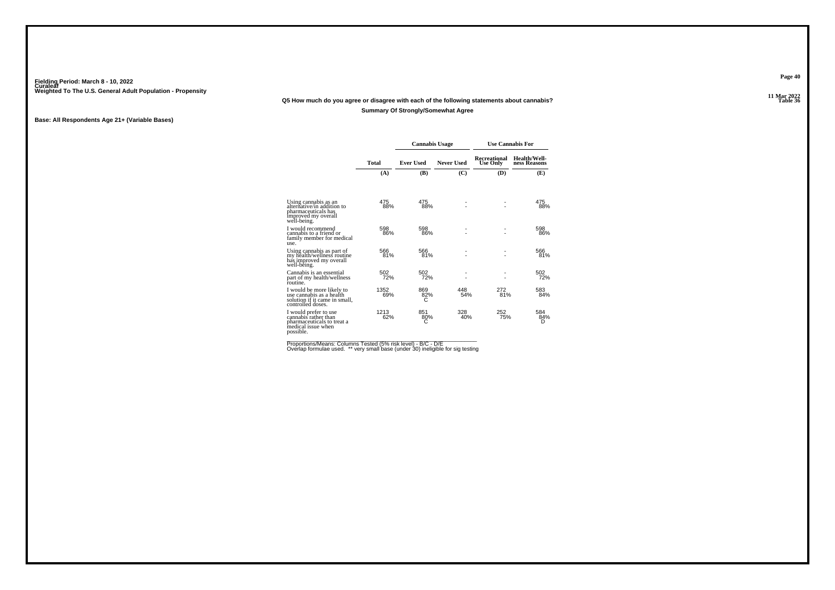### **11 Mar 2022Q5 How much do you agree or disagree with each of the following statements about cannabis?Summary Of Strongly/Somewhat Agree**

#### **Base: All Respondents Age 21+ (Variable Bases)**

|                                                                                                                 |             | <b>Cannabis Usage</b> |                   |                          | <b>Use Cannabis For</b>      |
|-----------------------------------------------------------------------------------------------------------------|-------------|-----------------------|-------------------|--------------------------|------------------------------|
|                                                                                                                 | Total       | <b>Ever Used</b>      | <b>Never Used</b> | Recreational<br>Use Only | Health/Well-<br>ness Reasons |
|                                                                                                                 | (A)         | (B)                   | (C)               | (D)                      | (E)                          |
| Using cannabis as an<br>alternative/in addition to<br>pharmaceuticals has<br>improved my overall<br>well-being. | 475<br>88%  | 475<br>88%            |                   |                          | 475<br>88%                   |
| I would recommend<br>cannabis to a friend or<br>family member for medical<br>use.                               | 598<br>86%  | 598<br>86%            |                   |                          | 598<br>86%                   |
| Using cannabis as part of<br>my health/wellness routine<br>has improved my overall<br>well-bêing.               | 566<br>81%  | 566<br>81%            | ٠                 |                          | 566<br>81%                   |
| Cannabis is an essential<br>part of my health/wellness<br>routine.                                              | 502<br>72%  | 502<br>72%            |                   |                          | 502<br>72%                   |
| I would be more likely to<br>use cannabis as a health<br>solution if it came in small,<br>controlled doses.     | 1352<br>69% | 869<br>82%            | 448<br>54%        | 272<br>81%               | 583<br>84%                   |
| I would prefer to use<br>cannabis rather than<br>pharmaceuticals to treat a<br>medical issue when<br>possible.  | 1213<br>62% | 851<br>80%<br>С       | 328<br>40%        | 252<br>75%               | 584<br>84%<br>D              |

Proportions/Means: Columns Tested (5% risk level) - B/C - D/E<br>Overlap formulae used. \*\* very small base (under 30) ineligible for sig testing

**Page 40**

11 Mar 2022<br>Table 36 **Table 36**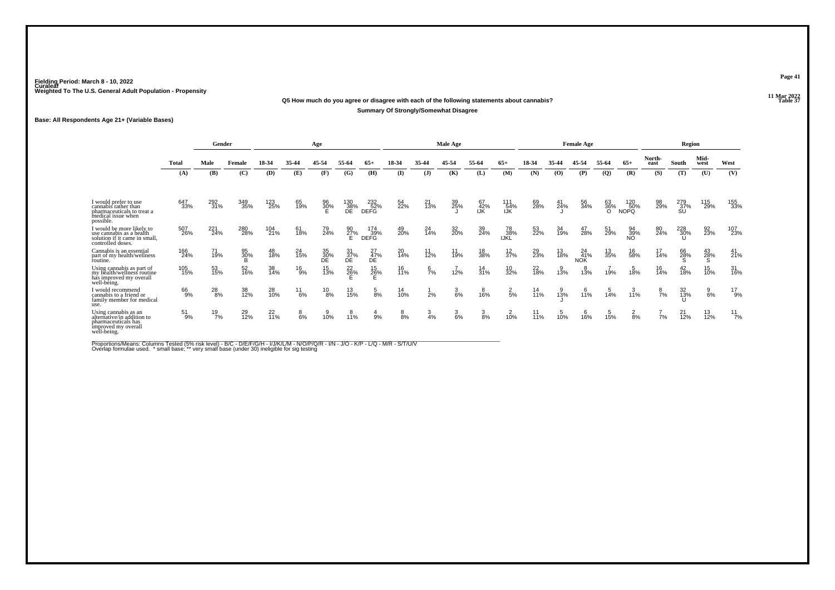#### **11 Mar 2022Q5 How much do you agree or disagree with each of the following statements about cannabis?Summary Of Strongly/Somewhat Disagree**

**Base: All Respondents Age 21+ (Variable Bases)**

|                                                                                                                 |               | Gender        |                       |                |               | Age             |                  |                    |                   |                 | Male Age        |                   |                   |           |           | <b>Female Age</b> |                |                    |                 | Region            |                 |                |
|-----------------------------------------------------------------------------------------------------------------|---------------|---------------|-----------------------|----------------|---------------|-----------------|------------------|--------------------|-------------------|-----------------|-----------------|-------------------|-------------------|-----------|-----------|-------------------|----------------|--------------------|-----------------|-------------------|-----------------|----------------|
|                                                                                                                 | <b>Total</b>  | Male          | Female                | 18-34          | 35-44         | 45-54           | 55-64            | $65+$              | 18-34             | 35-44           | 45-54           | 55-64             | $65+$             | 18-34     | 35-44     | 45-54             | 55-64          | $65+$              | North-<br>east  | South             | Mid-<br>west    | West           |
|                                                                                                                 | (A)           | (B)           | (C)                   | (D)            | (E)           | (F)             | (G)              | (H)                | $($ I             | $\mathbf{J}$    | (K)             | (L)               | (M)               | (N)       | (O)       | (P)               | <b>(Q)</b>     | (R)                | (S)             | (T)               | (U)             | (V)            |
| I would prefer to use<br>cannabis rather than<br>pharmaceuticals to treat a<br>medical issue when<br>possible.  | 647<br>33%    | 292<br>31%    | 349<br>35%            | 123<br>25%     | 65<br>19%     | 96<br>30%<br>E  | 130<br>38%<br>DE | 232<br>52%<br>DEFG | 54<br>22%         | $^{21}_{13\%}$  | 39<br>25%       | 67<br>42%<br>IJK  | 111<br>54%<br>IJK | 69<br>28% | 41<br>24% | 56<br>34%         | 63<br>36%<br>O | 120<br>50%<br>NOPQ | 98<br>29%       | 279<br>37%<br>SU  | 115<br>29%      | 155<br>33%     |
| I would be more likely to<br>use cannabis as a health<br>solution if it came in small,<br>controlled doses.     | 507<br>26%    | 221<br>24%    | 280<br>28%            | 104<br>21%     | 61<br>18%     | 79<br>24%       | 90<br>27%<br>E   | 174<br>39%<br>DEFG | 49<br>20%         | 24<br>14%       | 32<br>20%       | 39<br>24%         | 78<br>38%<br>IJKL | 53<br>22% | 34<br>19% | 47<br>28%         | 51<br>29%      | 94<br>39%<br>NO    | 80<br>24%       | 228<br>30%<br>Ս   | 92<br>23%       | 107<br>23%     |
| Cannabis is an essential<br>part of my health/wellness<br>routine.                                              | 166<br>24%    | 71<br>19%     | 95<br>30%<br><b>B</b> | 48<br>18%      | 24<br>15%     | 35<br>30%<br>DE | 31<br>37%<br>DE  | 27<br>47%<br>DE    | 20<br>14%         | $11$<br>$12%$   | 11<br>19%       | 18<br>38%         | $\frac{12}{37\%}$ | 29<br>23% | 13<br>18% | 24<br>41%<br>NOK  | 13<br>35%      | 16<br>58%          | 17<br>14%       | 66<br>28%<br>S    | $^{43}_{28\%}$  | $^{41}_{21\%}$ |
| Using cannabis as part of<br>my health/wellness routine<br>has improved my overall<br>well-being.               | 105<br>15%    | 53<br>15%     | 52<br>16%             | 38<br>14%      | $^{16}_{9%}$  | 15<br>13%       | $^{22}_{26\%}$   | $^{15}_{26\%}$     | 16<br>11%         | $\frac{6}{7}$ % | 12%             | $\frac{14}{31\%}$ | 10<br>32%         | 22<br>18% | $3\%$     | 13%               | 19%            | 18%                | 16<br>14%       | $^{42}_{18\%}$    | 15<br>10%       | 31<br>16%      |
| would recommend<br>cannabis to a friend or<br>family member for medical<br>use.                                 | 66<br>9%      | $^{28}_{8\%}$ | 38<br>12%             | 28<br>10%      | $^{11}_{6\%}$ | $^{10}_{8\%}$   | 13<br>15%        | $\frac{5}{8%}$     | $\frac{14}{10\%}$ | 2%              | $\frac{3}{6\%}$ | 16%               | $\frac{2}{5}$ %   | 14<br>11% | 13%       | 11%               | 14%            | 11%                | $\frac{8}{7}$ % | $\frac{32}{13\%}$ | $\frac{9}{6\%}$ | $^{17}_{9\%}$  |
| Using cannabis as an<br>alternative/in addition to<br>pharmaceuticals has<br>improved my overall<br>well-being. | $^{51}_{9\%}$ | $^{19}_{7\%}$ | 29<br>12%             | $^{22}_{11\%}$ | $8\%$         | 10%             | $^{8}_{11\%}$    | 9%                 | $\frac{8}{8\%}$   | $\frac{3}{4%}$  | $\frac{3}{6\%}$ | 3<br>8%           | 10%               | 11<br>11% | 10%       | $^{6}_{16\%}$     | 15%            | $\frac{2}{8%}$     | 7%              | $^{21}_{12\%}$    | 13<br>12%       | $^{11}_{7\%}$  |

Proportions/Means: Columns Tested (5% risk level) - B/C - D/E/F/G/H - I/J/K/L/M - N/O/P/Q/R - I/N - J/O - K/P - L/Q - M/R - S/T/U/V<br>Overlap formulae used. \*small base; \* very small base (under 30) ineligible for sig testin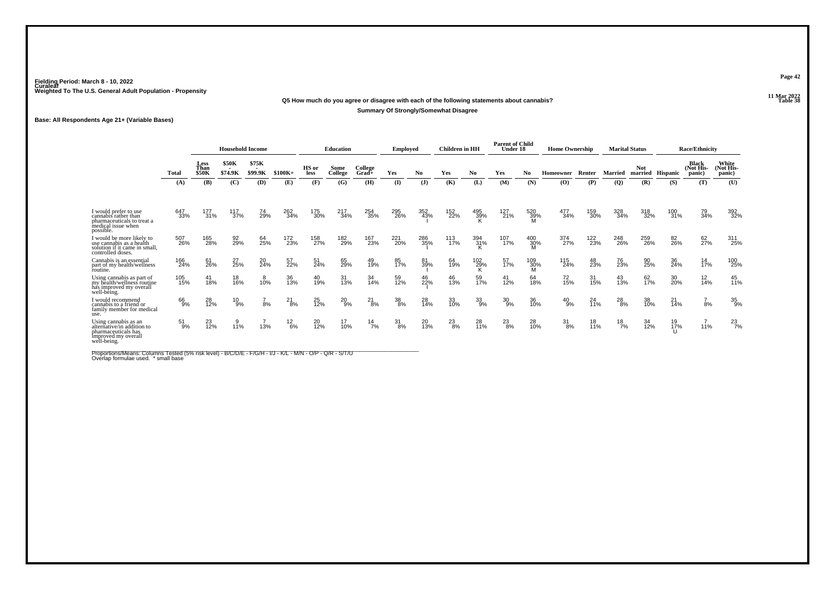### **11 Mar 2022Q5 How much do you agree or disagree with each of the following statements about cannabis?Summary Of Strongly/Somewhat Disagree**

#### **Base: All Respondents Age 21+ (Variable Bases)**

|                                                                                                                 |               |                                     | <b>Household Income</b> |                         |               |                      | Education       |                  | <b>Employed</b>  |              | Children in HH |                 | <b>Parent of Child</b><br>Under 18 |                    | <b>Home Ownership</b> |            |               | <b>Marital Status</b> |                 | <b>Race/Ethnicity</b>               |                             |
|-----------------------------------------------------------------------------------------------------------------|---------------|-------------------------------------|-------------------------|-------------------------|---------------|----------------------|-----------------|------------------|------------------|--------------|----------------|-----------------|------------------------------------|--------------------|-----------------------|------------|---------------|-----------------------|-----------------|-------------------------------------|-----------------------------|
|                                                                                                                 | <b>Total</b>  | <b>Less</b><br>Than<br><b>\$50K</b> | \$50K<br>\$74.9K        | \$75K<br><b>\$99.9K</b> | $$100K+$      | HS or<br><b>less</b> | Some<br>College | College<br>Grad+ | Yes              | No           | Yes            | No              | Yes                                | No                 | <b>Homeowner</b>      | Renter     | Married       | Not.<br>married       | Hispanic        | <b>Black</b><br>(Not His-<br>panic) | White<br>Not His-<br>panic) |
|                                                                                                                 | (A)           | (B)                                 | (C)                     | (D)                     | (E)           | (F)                  | (G)             | (H)              | (I)              | $\mathbf{J}$ | (K)            | (L)             | (M)                                | (N)                | (O)                   | (P)        | $\mathbf{Q}$  | (R)                   | (S)             | (T)                                 | (U)                         |
| I would prefer to use<br>cannabis rather than<br>pharmaceuticals to treat a<br>medical issue when<br>possible.  | 647<br>33%    | 177<br>31%                          | 117<br>37%              | 74<br>29%               | 262<br>34%    | 175<br>30%           | 217<br>34%      | 254<br>35%       | 295<br>26%       | 352<br>43%   | 152<br>22%     | 495<br>39%<br>K | 127<br>21%                         | 520<br>39%<br>M    | 477<br>34%            | 159<br>30% | 328<br>34%    | 318<br>32%            | 100<br>31%      | 79<br>34%                           | 392<br>32%                  |
| I would be more likely to<br>use cannabis as a health<br>solution if it came in small,<br>controlled doses.     | 507<br>26%    | 165<br>28%                          | 92<br>29%               | 64<br>25%               | 172<br>23%    | 158<br>27%           | 182<br>29%      | 167<br>23%       | 221<br>20%       | 286<br>35%   | 113<br>17%     | 394<br>31%<br>K | 107<br>17%                         | 400<br>30%         | 374<br>27%            | 122<br>23% | 248<br>26%    | 259<br>26%            | 82<br>26%       | 62<br>27%                           | 311<br>25%                  |
| Cannabis is an essential<br>part of my health/wellness<br>foutine.                                              | 166<br>24%    | 61<br>26%                           | 27<br>25%               | 20<br>24%               | 57<br>22%     | 51<br>24%            | 65<br>29%       | 49<br>19%        | 85<br>17%        | 81<br>39%    | 64<br>19%      | $^{102}_{29\%}$ | 57<br>17%                          | $\frac{109}{30\%}$ | 115<br>24%            | 48<br>23%  | 76<br>23%     | 90<br>25%             | 36<br>24%       | $\frac{14}{17\%}$                   | 100<br>25%                  |
| Using cannabis as part of<br>my health/wellness routine<br>has improved my overall<br>well-being.               | 105<br>15%    | 41<br>18%                           | 18<br>16%               | 8<br>10%                | 36<br>13%     | 40<br>19%            | 31<br>13%       | 34<br>14%        | 59<br>12%        | 46<br>22%    | 46<br>13%      | 59<br>17%       | $^{41}_{12\%}$                     | 64<br>18%          | 72<br>15%             | 31<br>15%  | 43<br>13%     | 62<br>17%             | 30 <sub>%</sub> | $\frac{12}{14\%}$                   | 45<br>11%                   |
| I would recommend<br>cannabis to a friend or<br>family member for medical<br>use.                               | 66<br>9%      | 28<br>12%                           | $^{10}_{9\%}$           | 8%                      | $^{21}_{8\%}$ | 25<br>12%            | $^{20}_{9\%}$   | $^{21}_{8\%}$    | $\frac{38}{8\%}$ | 28<br>14%    | 33<br>10%      | $^{33}_{9\%}$   | $^{30}_{9\%}$                      | 36<br>10%          | $^{40}_{9\%}$         | 24<br>11%  | $^{28}_{8\%}$ | 38<br>10%             | 21<br>14%       | $\frac{7}{8%}$                      | 35<br>9%                    |
| Using cannabis as an<br>alternative/in addition to<br>pharmaceuticals has<br>improved my overall<br>well-being. | $^{51}_{9\%}$ | 23<br>12%                           | 9<br>11%                | 13%                     | $^{12}_{6\%}$ | 20<br>12%            | 17<br>10%       | $^{14}_{7\%}$    | $\frac{31}{8\%}$ | 20<br>13%    | $^{23}_{8\%}$  | 28<br>11%       | $^{23}_{8\%}$                      | 28<br>10%          | $\frac{31}{8\%}$      | 18<br>11%  | $^{18}_{7\%}$ | 34<br>12%             | 19<br>17%       | 11%                                 | $^{23}_{7\%}$               |

Proportions/Means: Columns Tested (5% risk level) - B/C/D/E - F/G/H - I/J - K/L - M/N - O/P - Q/R - S/T/U<br>Overlap formulae used. \* small base

**Page 42**

#### 11 Mar 2022<br>Table 38 **Table 38**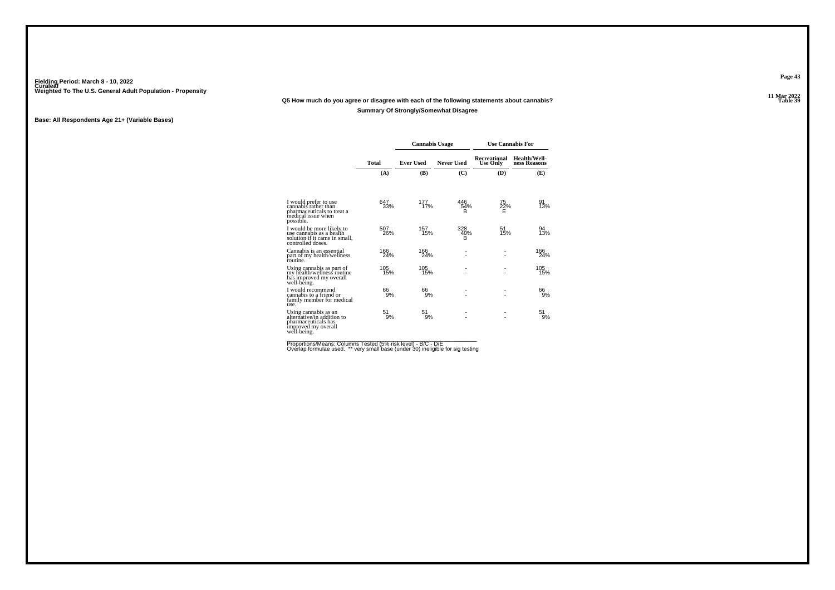### **11 Mar 2022Q5 How much do you agree or disagree with each of the following statements about cannabis?Summary Of Strongly/Somewhat Disagree**

#### **Base: All Respondents Age 21+ (Variable Bases)**

|                                                                                                                 |            | <b>Cannabis Usage</b> |                   | <b>Use Cannabis For</b>         |                              |
|-----------------------------------------------------------------------------------------------------------------|------------|-----------------------|-------------------|---------------------------------|------------------------------|
|                                                                                                                 | Total      | <b>Ever Used</b>      | <b>Never Used</b> | Recreational<br><b>Use Only</b> | Health/Well-<br>ness Reasons |
|                                                                                                                 | (A)        | (B)                   | (C)               | (D)                             | (E)                          |
| I would prefer to use<br>cannabis rather than<br>pharmaceuticals to treat a<br>medical issue when<br>possible.  | 647<br>33% | 177<br>17%            | 446<br>54%<br>в   | 75<br>22%<br>E                  | 91<br>13%                    |
| I would be more likely to<br>use cannabis as a health<br>solution if it came in small,<br>controlled doses.     | 507<br>26% | 157<br>15%            | 328<br>40%<br>B   | 51<br>15%                       | 94<br>13%                    |
| Cannabis is an essential<br>part of my health/wellness<br>routine.                                              | 166<br>24% | 166<br>24%            |                   |                                 | 166<br>24%                   |
| Using cannabis as part of<br>my health/wellness routine<br>has improved my overall<br>well-bêing.               | 105<br>15% | 105<br>15%            |                   |                                 | 105<br>15%                   |
| I would recommend<br>cannabis to a friend or<br>family member for medical<br>use.                               | 66<br>9%   | 66<br>9%              |                   |                                 | 66<br>9%                     |
| Using cannabis as an<br>alternative/in addition to<br>pharmaceuticals has<br>improved my overall<br>well-being. | 51<br>9%   | 51<br>9%              |                   |                                 | 51<br>9%                     |

Proportions/Means: Columns Tested (5% risk level) - B/C - D/E<br>Overlap formulae used. \*\* very small base (under 30) ineligible for sig testing

**Page 43**

#### 11 Mar 2022<br>Table 39 **Table 39**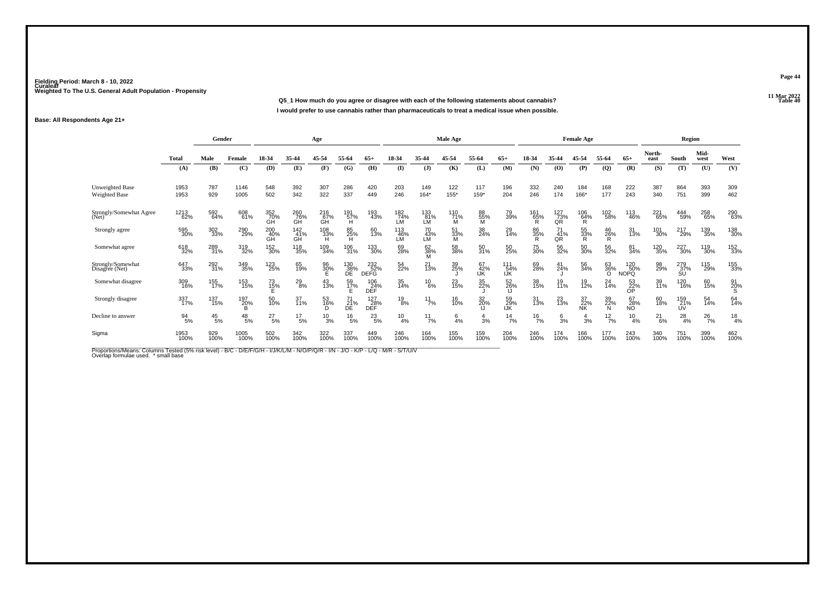**11 Mar 2022Q5\_1 How much do you agree or disagree with each of the following statements about cannabis? Table 40 I would prefer to use cannabis rather than pharmaceuticals to treat a medical issue when possible.**

#### **Base: All Respondents Age 21+**

|                                         |               | Gender        |                 |                  |                  | Age             |                                |                           |                  |                    | Male Age        |                  |                        |                 |                  | <b>Female Age</b> |                       |                           |                | Region           |               |                |
|-----------------------------------------|---------------|---------------|-----------------|------------------|------------------|-----------------|--------------------------------|---------------------------|------------------|--------------------|-----------------|------------------|------------------------|-----------------|------------------|-------------------|-----------------------|---------------------------|----------------|------------------|---------------|----------------|
|                                         | Total         | Male          | Female          | 18-34            | 35-44            | 45-54           | 55-64                          | $65+$                     | 18-34            | 35-44              | 45-54           | 55-64            | $65+$                  | 18-34           | 35-44            | 45-54             | 55-64                 | $65+$                     | North-<br>east | South            | Mid-<br>west  | West           |
|                                         | (A)           | (B)           | (C)             | (D)              | (E)              | (F)             | (G)                            | (H)                       | $($ I            | (1)                | (K)             | (L)              | (M)                    | (N)             | (0)              | (P)               | $\overline{Q}$        | (R)                       | (S)            | (T)              | (U)           | (V)            |
| <b>Unweighted Base</b><br>Weighted Base | 1953<br>1953  | 787<br>929    | 1146<br>1005    | 548<br>502       | 392<br>342       | 307<br>322      | 286<br>337                     | 420<br>449                | 203<br>246       | 149<br>$164*$      | 122<br>$155*$   | 117<br>159*      | 196<br>204             | 332<br>246      | 240<br>174       | 184<br>166*       | 168<br>177            | 222<br>243                | 387<br>340     | 864<br>751       | 393<br>399    | 309<br>462     |
| Strongly/Somewhat Agree<br>(Net)        | 1213<br>62%   | 592<br>64%    | 608<br>61%      | 352<br>70%<br>GH | 260<br>76%<br>GH | $^{216}_{67\%}$ | 191<br>57%<br>H                | 193<br>43%                | 182<br>74%<br>LM | 133<br>81%<br>LM   | 110<br>71%<br>M | 88<br>55%<br>м   | 79<br>39%              | 161<br>65%<br>R | 127<br>73%<br>QR | $^{106}_{64\%}$   | 102<br>58%            | 113<br>46%                | 221<br>65%     | 444<br>59%       | 258<br>65%    | 290<br>63%     |
| Strongly agree                          | 595<br>30%    | 302<br>33%    | 290<br>29%      | 200<br>40%<br>GH | 142<br>41%<br>GH | 108<br>33%<br>н | 85<br>25%<br>H                 | 60<br>13%                 | 113<br>46%<br>LM | 70<br>43%<br>LM    | 51<br>33%<br>M  | 38<br>24%        | 29<br>14%              | 86<br>35%<br>R  | 71<br>41%<br>QR  | 55<br>33%<br>R    | 46<br>26%<br>R        | 31<br>13%                 | 101<br>30%     | 217<br>29%       | 139<br>35%    | 138<br>30%     |
| Somewhat agree                          | 618<br>32%    | 289<br>31%    | 319<br>32%      | 152<br>30%       | 118<br>35%       | 109<br>34%      | 106<br>31%                     | 133<br>30%                | 69<br>28%        | 62<br>38%<br>М     | 58<br>38%       | 50<br>31%        | 50<br>25%              | 75<br>30%       | 56<br>32%        | 50<br>30%         | 56<br>32%             | 81<br>34%                 | 120<br>35%     | 227<br>30%       | 119<br>30%    | 152<br>33%     |
| Strongly/Somewhat<br>Disagree (Net)     | 647<br>33%    | 292<br>31%    | 349<br>35%      | 123<br>25%       | 65<br>19%        | 96<br>30%       | $\underset{\text{DE}}{^{130}}$ | 232<br>52%<br><b>DEFG</b> | 54<br>22%        | $^{21}_{13\%}$     | 39<br>25%       | 67<br>42%<br>IJK | $^{111}_{54\%}$<br>IJK | 69<br>28%       | 41<br>24%        | 56<br>34%         | 63<br>36%<br>$\Omega$ | 120<br>50%<br><b>NOPQ</b> | 98<br>29%      | 279<br>37%<br>SU | 115<br>29%    | 155<br>33%     |
| Somewhat disagree                       | 309<br>16%    | 155<br>17%    | 153<br>15%      | 73<br>15%        | 29<br>8%         | 43<br>13%       | 59<br>17%                      | 106<br>24%<br>DEF         | 35<br>14%        | $^{10}_{6\%}$      | 23<br>15%       | 35<br>22%        | 52<br>26%<br>IJ        | 38<br>15%       | 19<br>11%        | 19<br>12%         | 24<br>14%             | $\frac{53}{22\%}$         | 39<br>11%      | 120<br>16%       | 60<br>15%     | $^{91}_{20\%}$ |
| Strongly disagree                       | 337<br>17%    | 137<br>15%    | 197<br>20%<br>B | 50<br>10%        | 37<br>11%        | 53<br>16%       | $\frac{21}{DE}$ %              | 127<br>DEF                | $^{19}_{8\%}$    | $11$ <sub>7%</sub> | 16<br>10%       | 32<br>20%        | 59<br>29%<br>IJK       | 31<br>13%       | 23<br>13%        | 37<br>22%<br>NK   | 39<br>22%<br>N        | 67<br>28%<br>NÓ.          | 60<br>18%      | 159<br>21%<br>UV | 54<br>14%     | 64<br>14%      |
| Decline to answer                       | $^{94}_{5\%}$ | $^{45}_{5\%}$ | $^{48}_{\ 5\%}$ | $^{27}_{5\%}$    | $^{17}_{5\%}$    | $^{10}_{3%}$    | $^{16}_{5\%}$                  | $^{23}_{5\%}$             | $^{10}_{4\%}$    | $11_{7\%}$         | $\frac{6}{4}$ % | $\frac{4}{3}$ %  | $^{14}$ 7%             | $^{16}_{7\%}$   | $\frac{6}{3}$ %  | 3%                | $\frac{12}{7}$ %      | $^{10}_{4\%}$             | $^{21}_{6\%}$  | $^{28}_{4\%}$    | $^{26}_{7\%}$ | $^{18}_{4%}$   |
| Sigma                                   | 1953<br>100%  | 929<br>100%   | 1005<br>100%    | 502<br>100%      | 342<br>100%      | 322<br>100%     | 337<br>100%                    | 449<br>100%               | 246<br>100%      | 164<br>100%        | 155<br>100%     | 159<br>100%      | 204<br>100%            | 246<br>100%     | 174<br>100%      | 166<br>100%       | 177<br>100%           | 243<br>100%               | 340<br>100%    | 751<br>100%      | 399<br>100%   | 462<br>100%    |

Proportions/Means: Columns Tested (5% risk level) - B/C - D/E/F/G/H - I/J/K/L/M - N/O/P/Q/R - I/N - J/O - K/P - L/Q - M/R - S/T/U/V<br>Overlap formulae used. \*small base

**Page 44**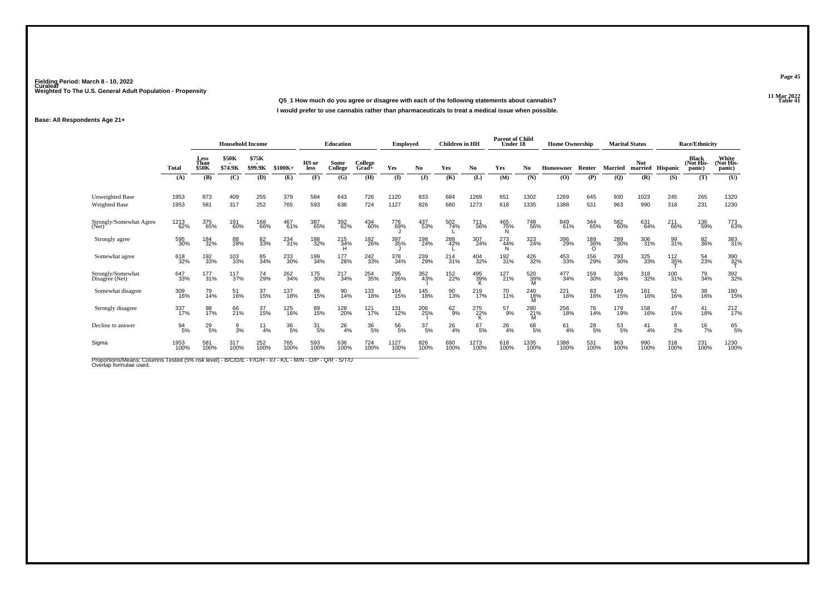**11 Mar 2022Q5\_1 How much do you agree or disagree with each of the following statements about cannabis?P Table 41 I would prefer to use cannabis rather than pharmaceuticals to treat a medical issue when possible.**

#### **Base: All Respondents Age 21+**

|                                     |                  | <b>Household Income</b> |                                              |                  |                  | <b>Education</b> |                 | Employed         |               | <b>Children</b> in HH |               | <b>Parent of Child</b><br>Under 18 |                 | <b>Home Ownership</b> |              | <b>Marital Status</b> |                |                       | <b>Race/Ethnicity</b> |                                     |                              |
|-------------------------------------|------------------|-------------------------|----------------------------------------------|------------------|------------------|------------------|-----------------|------------------|---------------|-----------------------|---------------|------------------------------------|-----------------|-----------------------|--------------|-----------------------|----------------|-----------------------|-----------------------|-------------------------------------|------------------------------|
|                                     | Total            | Less<br>Than<br>\$50K   | \$50K<br>$\overline{\phantom{a}}$<br>\$74.9K | \$75K<br>\$99.9K | $$100K+$         | HS or<br>less    | Some<br>College | College<br>Grad+ | Yes           | No.                   | Yes           | No.                                | Yes             | No                    | Homeowner    | Renter                | <b>Married</b> | <b>Not</b><br>married | <b>Hispanic</b>       | <b>Black</b><br>(Not His-<br>panic) | White<br>(Not His-<br>panic) |
|                                     | (A)              | (B)                     | (C)                                          | (D)              | (E)              | (F)              | (G)             | (H)              | $\bf(I)$      | (J)                   | (K)           | (L)                                | (M)             | (N)                   | (0)          | (P)                   | (Q)            | (R)                   | (S)                   | (T)                                 | (U)                          |
| Unweighted Base<br>Weighted Base    | 1953<br>1953     | 873<br>581              | 409<br>317                                   | 255<br>252       | 379<br>765       | 584<br>593       | 643<br>636      | 726<br>724       | 1120<br>1127  | 833<br>826            | 684<br>680    | 1269<br>1273                       | 651<br>618      | 1302<br>1335          | 1269<br>1388 | 645<br>531            | 930<br>963     | 1023<br>990           | 245<br>318            | 265<br>231                          | 1320<br>1230                 |
| Strongly/Somewhat Agree<br>(Net)    | 1213<br>62%      | 375<br>65%              | 191<br>60%                                   | 168<br>66%       | 467<br>61%       | 387<br>65%       | 392<br>62%      | 434<br>60%       | 776<br>69%    | 437<br>53%            | 502<br>74%    | 711<br>56%                         | 465<br>75%<br>N | 748<br>56%            | 849<br>61%   | 344<br>65%            | 582<br>60%     | 631<br>64%            | 211<br>-66%           | 136<br>59%                          | 773<br>63%                   |
| Strongly agree                      | 595<br>30%       | 184<br>32%              | 88<br>28%                                    | 82<br>33%        | 234<br>31%       | 188<br>32%       | 215<br>34%<br>н | 192<br>26%       | 397<br>35%    | 198<br>24%            | 288<br>42%    | 307<br>24%                         | 273<br>44%<br>N | 323<br>24%            | 396<br>29%   | 189<br>36%            | 289<br>30%     | 306<br>31%            | 99<br>31%             | 82<br>36%                           | 383<br>31%                   |
| Somewhat agree                      | 618<br>32%       | 192<br>33%              | 103<br>33%                                   | 85<br>34%        | 233<br>30%       | 199<br>34%       | 177<br>28%      | 242<br>33%       | 378<br>34%    | 239<br>29%            | 214<br>31%    | 404<br>32%                         | 192<br>31%      | 426<br>32%            | 453<br>33%   | 156<br>29%            | 293<br>30%     | 325<br>33%            | $\frac{112}{35\%}$    | 54<br>23%                           | 390<br>32%                   |
| Strongly/Somewhat<br>Disagree (Net) | 647<br>33%       | 177<br>31%              | 117<br>37%                                   | 74<br>29%        | 262<br>34%       | 175<br>30%       | $^{217}_{34\%}$ | 254<br>35%       | 295<br>26%    | 352<br>43%            | 152<br>22%    | 495<br>39%                         | 127<br>21%      | 520<br>39%            | 477<br>34%   | 159<br>30%            | 328<br>34%     | 318<br>32%            | 100<br>31%            | 79<br>34%                           | 392<br>32%                   |
| Somewhat disagree                   | 309<br>16%       | 79<br>14%               | 51<br>16%                                    | 37<br>15%        | 137<br>18%       | 86<br>15%        | 90<br>14%       | 133<br>18%       | 164<br>15%    | 145<br>18%            | 90<br>13%     | 219<br>17%                         | 70<br>11%       | 240<br>18%<br>M       | 221<br>16%   | 83<br>16%             | 149<br>15%     | 161<br>16%            | 52<br>16%             | 38<br>16%                           | 180<br>15%                   |
| Strongly disagree                   | 337<br>17%       | 98<br>17%               | 66<br>21%                                    | 37<br>15%        | 125<br>16%       | 89<br>15%        | 128<br>20%      | 121<br>17%       | 131<br>12%    | 206<br>25%            | $62\atop 9\%$ | 275<br>22%                         | $^{57}_{9\%}$   | 280<br>21%<br>M       | 256<br>18%   | 76<br>14%             | 179<br>19%     | 158<br>16%            | 47<br>15%             | 41<br>18%                           | $^{212}_{17\%}$              |
| Decline to answer                   | $\frac{94}{5\%}$ | $^{29}_{5\%}$           | $\frac{9}{3\%}$                              | 11<br>4%         | $\frac{36}{5\%}$ | $\frac{31}{5\%}$ | $^{26}_{4\%}$   | $\frac{36}{5\%}$ | $^{56}_{5\%}$ | $\frac{37}{5\%}$      | $^{26}_{4\%}$ | $^{67}_{5\%}$                      | $^{26}_{4\%}$   | 68<br>5%              | 61<br>4%     | $^{28}_{\ 5\%}$       | $^{53}_{5\%}$  | 41<br>4%              | 8<br>2%               | $16$ <sub>7%</sub>                  | 65 <sub>9%</sub>             |
| Sigma                               | 1953<br>100%     | 581<br>100%             | 317<br>100%                                  | 252<br>100%      | 765<br>100%      | 593<br>100%      | 636<br>100%     | 724<br>100%      | 1127<br>100%  | 826<br>100%           | 680<br>100%   | 1273<br>100%                       | 618<br>100%     | 1335<br>100%          | 1388<br>100% | 531<br>100%           | 963<br>100%    | 990<br>100%           | 318<br>100%           | 231<br>100%                         | 1230<br>100%                 |

Proportions/Means: Columns Tested (5% risk level) - B/C/D/E - F/G/H - I/J - K/L - M/N - O/P - Q/R - S/T/U<br>Overlap formulae used.

**Page 45**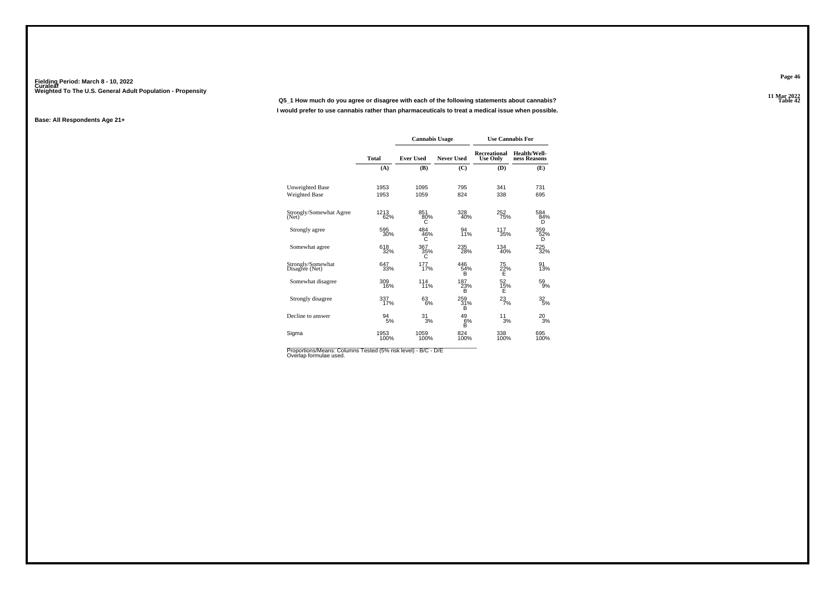**11 Mar 2022Q5\_1 How much do you agree or disagree with each of the following statements about cannabis?I would prefer to use cannabis rather than pharmaceuticals to treat a medical issue when possible.**

#### **Base: All Respondents Age 21+**

|                                     |              | <b>Cannabis Usage</b> |                               |                                 | <b>Use Cannabis For</b>      |
|-------------------------------------|--------------|-----------------------|-------------------------------|---------------------------------|------------------------------|
|                                     | Total        | <b>Ever Used</b>      | <b>Never Used</b>             | Recreational<br><b>Use Only</b> | Health/Well-<br>ness Reasons |
|                                     | (A)          | (B)                   | (C)                           | (D)                             | (E)                          |
| Unweighted Base                     | 1953         | 1095                  | 795                           | 341                             | 731                          |
| <b>Weighted Base</b>                | 1953         | 1059                  | 824                           | 338                             | 695                          |
| Strongly/Somewhat Agree<br>(Net)    | 1213<br>62%  | 851<br>80%<br>С       | 328<br>40%                    | 252<br>75%                      | 584<br>84%<br>D              |
| Strongly agree                      | 595<br>30%   | 484<br>46%<br>C       | 94<br>11%                     | 117<br>35%                      | 359<br>52%<br>D              |
| Somewhat agree                      | 618<br>32%   | 367<br>35%<br>С       | 235<br>28%                    | 134<br>40%                      | 225<br>32%                   |
| Strongly/Somewhat<br>Disagree (Net) | 647<br>33%   | 177<br>17%            | 446<br>54%<br>B               | 75<br>$\frac{22}{E}$ %          | 91<br>13%                    |
| Somewhat disagree                   | 309<br>16%   | 114<br>11%            | 187<br>23%<br>Ř               | 52<br>15%<br>Ė                  | 59<br>9%                     |
| Strongly disagree                   | 337<br>17%   | 63<br>6%              | 259<br>31%<br>B               | $^{23}_{7\%}$                   | 32<br>$\overline{5}$ %       |
| Decline to answer                   | 94<br>5%     | 31/3%                 | $^{49}_{\substack{6\% \\ B}}$ | 11<br>3%                        | $^{20}_{3%}$                 |
| Sigma                               | 1953<br>100% | 1059<br>100%          | 824<br>100%                   | 338<br>100%                     | 695<br>100%                  |

Proportions/Means: Columns Tested (5% risk level) - B/C - D/E<br>Overlap formulae used.

**Page 46**

11 Mar 2022<br>Table 42 **Table 42**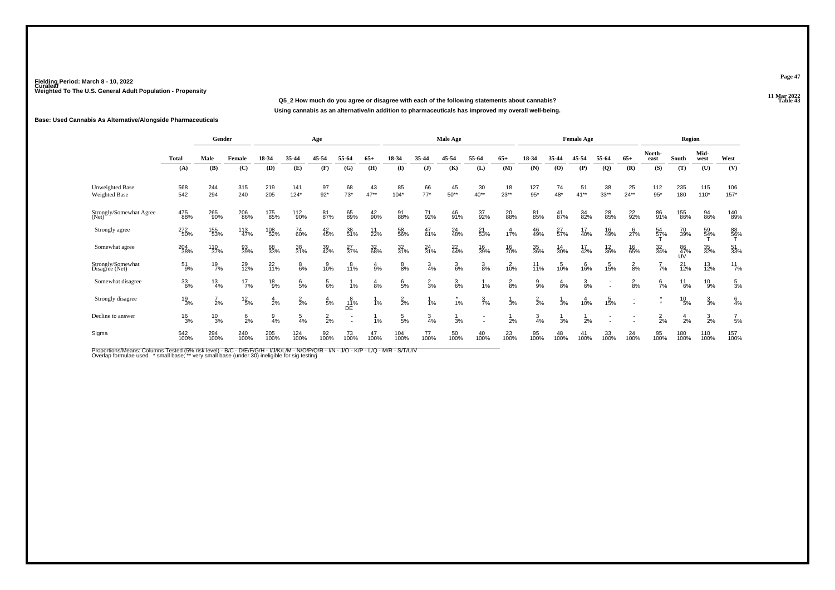**11 Mar 2022Q5\_2 How much do you agree or disagree with each of the following statements about cannabis? Table 43 Using cannabis as an alternative/in addition to pharmaceuticals has improved my overall well-being.**

#### **Base: Used Cannabis As Alternative/Alongside Pharmaceuticals**

|                                     |               | Gender          |                 |                 |                 | Age             |                  |              |                 |                 | <b>Male Age</b> |                 |                 |                   |                 | <b>Female Age</b> |                   |                          |                 | Region          |                 |                 |
|-------------------------------------|---------------|-----------------|-----------------|-----------------|-----------------|-----------------|------------------|--------------|-----------------|-----------------|-----------------|-----------------|-----------------|-------------------|-----------------|-------------------|-------------------|--------------------------|-----------------|-----------------|-----------------|-----------------|
|                                     | <b>Total</b>  | Male            | Female          | 18-34           | 35-44           | 45-54           | 55-64            | 65+          | 18-34           | 35-44           | 45-54           | 55-64           | $65+$           | 18-34             | 35-44           | 45-54             | 55-64             | $65+$                    | North-<br>east  | South           | Mid-<br>west    | West            |
|                                     | (A)           | (B)             | (C)             | (D)             | (E)             | (F)             | (G)              | (H)          | (I)             | $($ $)$         | (K)             | (L)             | (M)             | (N)               | $\bf{(0)}$      | (P)               | $\mathbf{Q}$      | (R)                      | (S)             | (T)             | (U)             | (V)             |
| Unweighted Base<br>Weighted Base    | 568<br>542    | 244<br>294      | 315<br>240      | 219<br>205      | 141<br>$124*$   | 97<br>$92*$     | 68<br>$73*$      | 43<br>$47**$ | 85<br>$104*$    | 66<br>$77*$     | 45<br>$50**$    | 30<br>$40**$    | 18<br>$23**$    | 127<br>$95*$      | 74<br>48*       | 51<br>$41**$      | 38<br>$33**$      | 25<br>$24**$             | 112<br>$95*$    | 235<br>180      | 115<br>$110*$   | 106<br>$157*$   |
| Strongly/Somewhat Agree<br>(Net)    | 475<br>88%    | 265<br>90%      | 206<br>86%      | 175<br>85%      | 112<br>90%      | 81<br>87%       | 65<br>89%        | 42<br>90%    | 91<br>88%       | 71<br>92%       | 46<br>91%       | 37<br>92%       | 20<br>88%       | 81<br>85%         | 41<br>87%       | 34<br>82%         | 28<br>85%         | 22 <sub>%</sub>          | 86<br>91%       | 155<br>86%      | 94<br>86%       | 140<br>89%      |
| Strongly agree                      | 272<br>50%    | 155<br>53%      | 113<br>47%      | 108<br>52%      | 74<br>60%       | 42<br>45%       | 38<br>51%        | $11$<br>22%  | 58<br>56%       | 47<br>61%       | 24<br>48%       | 21<br>53%       | 17%             | 46<br>49%         | 27 <sub>%</sub> | 17<br>40%         | 16<br>49%         | 27%                      | 54<br>57%       | 70<br>39%       | 59<br>54%       | 88<br>56%       |
| Somewhat agree                      | 204<br>38%    | 110<br>37%      | 93<br>39%       | 68<br>33%       | 38<br>31%       | 39<br>42%       | 27<br>37%        | 32<br>68%    | 32<br>31%       | $^{24}_{31\%}$  | 22<br>44%       | 16<br>39%       | 16<br>70%       | 35<br>36%         | 14<br>30%       | 17<br>42%         | $\frac{12}{36\%}$ | 16<br>65%                | 32<br>34%       | 86<br>47%<br>UV | 35<br>32%       | 51<br>33%       |
| Strongly/Somewhat<br>Disagree (Net) | $^{51}_{9\%}$ | $^{19}_{7\%}$   | 29<br>12%       | $^{22}_{11\%}$  | $_{6\%}^8$      | 10%             | 11%              | 9%           | 8%              | $\frac{3}{4\%}$ | $\frac{3}{6\%}$ | $\frac{3}{8%}$  | 10%             | $\frac{11}{11\%}$ | 10%             | 16%               | 15%               | $\frac{2}{8%}$           | $1/7\%$         | $^{21}_{12\%}$  | 13<br>12%       | $^{11}_{7\%}$   |
| Somewhat disagree                   | 33<br>6%      | $\frac{13}{4%}$ | $^{17}_{7\%}$   | $^{18}_{9%}$    | $\frac{6}{5%}$  | $\frac{5}{6\%}$ | 1%               | 8%           | $\frac{6}{5}$ % | $\frac{2}{3}$ % | $\frac{3}{6\%}$ | 1%              | $\frac{2}{8}$ % | 9<br>9%           | $\frac{4}{8%}$  | $\frac{3}{6\%}$   |                   | $\frac{2}{8%}$           | $\frac{6}{7}$ % | $^{11}_{6\%}$   | $^{10}_{9\%}$   | $\frac{5}{3}$ % |
| Strongly disagree                   | $^{19}_{3\%}$ | $\frac{7}{2\%}$ | $^{12}_{\ 5\%}$ | $\frac{4}{2}$ % | $\frac{2}{2}$ % | $\frac{4}{5%}$  | $\frac{8}{11}\%$ | 1%           | $^{2}_{2\%}$    | 1%              | 1%              | $\frac{3}{7}$ % | 3%              | $\frac{2}{2}$ %   | 3%              | 10%               | 15%               | $\overline{\phantom{a}}$ |                 | $^{10}_{\ 5\%}$ | $\frac{3}{3}$ % | 6/4%            |
| Decline to answer                   | $^{16}_{3%}$  | $^{10}_{3%}$    | $\frac{6}{2}$ % | $\frac{9}{4%}$  | $\frac{5}{4%}$  | $\frac{2}{2}$ % |                  | 1%           | $\frac{5}{5\%}$ | $\frac{3}{4}$ % | 3%              |                 | 2%              | $\frac{3}{4%}$    | 3%              | 2%                |                   |                          | $\frac{2}{2}$ % | $\frac{4}{2}$ % | $\frac{3}{2}$ % | $\frac{7}{5}$ % |
| Sigma                               | 542<br>100%   | 294<br>100%     | 240<br>100%     | 205<br>100%     | 124<br>100%     | 92<br>100%      | 73<br>100%       | 47<br>100%   | 104<br>100%     | 77<br>100%      | 50<br>100%      | 40<br>100%      | 23<br>100%      | 95<br>100%        | 48<br>100%      | 41<br>100%        | 33<br>100%        | 24<br>100%               | 95<br>100%      | 180<br>100%     | 110<br>100%     | 157<br>100%     |

Proportions/Means: Columns Tested (5% risk level) - B/C - D/E/F/G/H - I/J/K/L/M - N/O/P/Q/R - I/N - J/O - K/P - L/Q - M/R - S/T/U/V<br>Overlap formulae used. \* small base; \*\* very small base (under 30) ineligible for sig te

**Page 47**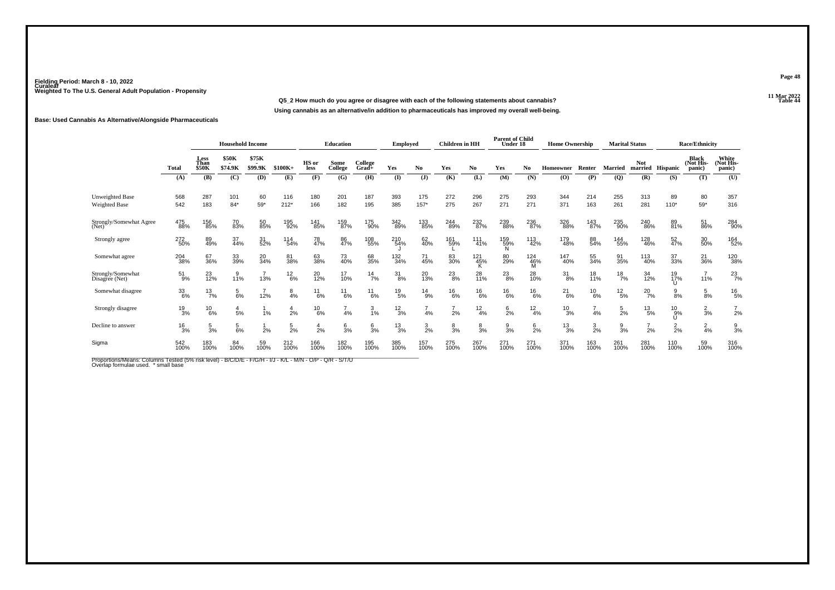### **11 Mar 2022Q5\_2 How much do you agree or disagree with each of the following statements about cannabis?Using cannabis as an alternative/in addition to pharmaceuticals has improved my overall well-being.**

#### **Base: Used Cannabis As Alternative/Alongside Pharmaceuticals**

|                                     |                 |                              |                         | <b>Household Income</b> |                 |                | <b>Education</b> |                     | <b>Employed</b> |                 | <b>Children</b> in HH |                | <b>Parent of Child</b><br>Under 18 |                 | <b>Home Ownership</b> |                 |                 | <b>Marital Status</b> |               | <b>Race/Ethnicity</b>                |                              |
|-------------------------------------|-----------------|------------------------------|-------------------------|-------------------------|-----------------|----------------|------------------|---------------------|-----------------|-----------------|-----------------------|----------------|------------------------------------|-----------------|-----------------------|-----------------|-----------------|-----------------------|---------------|--------------------------------------|------------------------------|
|                                     | <b>Total</b>    | Less<br>Than<br><b>\$50K</b> | <b>\$50K</b><br>\$74.9K | \$75K<br>\$99.9K        | $$100K+$        | HS or<br>less  | Some<br>College  | College<br>$Grad +$ | Yes             | No              | Yes                   | No.            | Yes                                | N <sub>0</sub>  | Homeowner             | Renter          | <b>Married</b>  | <b>Not</b><br>married | Hispanic      | <b>Black</b><br>(Not His-<br>(panic) | White<br>(Not His-<br>panic) |
|                                     | (A)             | (B)                          | (C)                     | (D)                     | (E)             | (F)            | (G)              | (H)                 | (I)             | (J)             | (K)                   | (L)            | (M)                                | (N)             | (0)                   | (P)             | (Q)             | (R)                   | (S)           | (T)                                  | (U)                          |
| Unweighted Base<br>Weighted Base    | 568<br>542      | 287<br>183                   | 101<br>$84*$            | 60<br>$59*$             | 116<br>$212*$   | 180<br>166     | 201<br>182       | 187<br>195          | 393<br>385      | 175<br>$157*$   | 272<br>275            | 296<br>267     | 275<br>271                         | 293<br>271      | 344<br>371            | 214<br>163      | 255<br>261      | 313<br>281            | 89<br>$110*$  | 80<br>$59*$                          | 357<br>316                   |
| Strongly/Somewhat Agree<br>(Net)    | 475<br>88%      | 156<br>85%                   | 70<br>83%               | 50<br>85%               | 195<br>92%      | 141<br>85%     | 159<br>87%       | 175<br>90%          | 342<br>89%      | 133<br>85%      | 244<br>89%            | 232<br>87%     | 239<br>88%                         | 236<br>87%      | 326<br>88%            | 143<br>87%      | 235<br>90%      | 240<br>86%            | 89<br>81%     | 51<br>86%                            | 284<br>90%                   |
| Strongly agree                      | 272<br>50%      | 89<br>49%                    | 37<br>44%               | 31<br>52%               | 114<br>54%      | 78<br>47%      | 86<br>47%        | 108<br>55%          | 210<br>54%      | 62<br>40%       | 161<br>59%            | 111<br>41%     | 159<br>59%<br>N                    | 113<br>42%      | 179<br>48%            | 88<br>54%       | 144<br>55%      | 128<br>46%            | 52<br>47%     | 30 <sub>%</sub>                      | 164<br>52%                   |
| Somewhat agree                      | 204<br>38%      | 67<br>36%                    | 33<br>39%               | 20<br>34%               | 81<br>38%       | 63<br>38%      | 73<br>40%        | 68<br>35%           | 132<br>34%      | 71<br>45%       | 83<br>30%             | 121<br>45%     | 80<br>29%                          | 124<br>46%      | 147<br>40%            | 55<br>34%       | 91<br>35%       | 113<br>40%            | 37<br>33%     | $^{21}_{36\%}$                       | 120<br>38%                   |
| Strongly/Somewhat<br>Disagree (Net) | 51<br>9%        | 23<br>12%                    | 9<br>11%                | 13%                     | $^{12}_{6\%}$   | 20<br>12%      | 17<br>10%        | $^{14}_{7\%}$       | 31<br>8%        | 20<br>13%       | $^{23}_{8\%}$         | 28<br>11%      | $^{23}_{8\%}$                      | 28<br>10%       | $\frac{31}{8\%}$      | 18<br>11%       | $^{18}_{7\%}$   | 34<br>12%             | 19<br>17%     | 11%                                  | $^{23}_{7%}$                 |
| Somewhat disagree                   | 33<br>6%        | $^{13}_{7\%}$                | $\frac{5}{6%}$          | 12%                     | 8<br>4%         | $^{11}_{6\%}$  | $^{11}_{6\%}$    | 11<br>6%            | $^{19}_{5\%}$   | $^{14}_{9\%}$   | $^{16}_{6\%}$         | $^{16}_{6\%}$  | $^{16}_{6\%}$                      | $^{16}_{6\%}$   | $^{21}_{6\%}$         | $^{10}_{6\%}$   | $^{12}_{\,5\%}$ | $^{20}_{7\%}$         | 8%            | $\frac{5}{8%}$                       | $^{16}_{5\%}$                |
| Strongly disagree                   | $^{19}_{3\%}$   | $^{10}_{6\%}$                | $\frac{4}{5%}$          | 1%                      | 4<br>2%         | $^{10}_{6\%}$  | 4%               | 3<br>1%             | $\frac{12}{3%}$ | 4%              | 2%                    | $^{12}_{4\%}$  | $6\over 2%$                        | $\frac{12}{4%}$ | $^{10}_{3%}$          | 4%              | $\frac{5}{2%}$  | $^{13}_{\ 5\%}$       | $^{10}_{9%}$  | $\frac{2}{3}$ %                      | $\frac{7}{2}$ %              |
| Decline to answer                   | $\frac{16}{3%}$ | $\frac{5}{3}$ %              | $\frac{5}{6%}$          | 2%                      | $\frac{5}{2\%}$ | $\frac{4}{2%}$ | $\frac{6}{3}$ %  | $\frac{6}{3}$ %     | $\frac{13}{3%}$ | $\frac{3}{2}$ % | $\frac{8}{3%}$        | $\frac{8}{3%}$ | $\frac{9}{3}$ %                    | $^{6}_{2\%}$    | $^{13}_{3\%}$         | $\frac{3}{2\%}$ | $\frac{9}{3\%}$ | 2%                    | $rac{2}{2}$ % | $\frac{2}{4}$ %                      | $\frac{9}{3}$ %              |
| Sigma                               | 542<br>100%     | 183<br>100%                  | 84<br>100%              | 59<br>100%              | 212<br>100%     | 166<br>100%    | 182<br>100%      | 195<br>100%         | 385<br>100%     | 157<br>100%     | 275<br>100%           | 267<br>100%    | 271<br>100%                        | 271<br>100%     | 371<br>100%           | 163<br>100%     | 261<br>100%     | 281<br>100%           | 110<br>100%   | 59<br>100%                           | 316<br>100%                  |

Proportions/Means: Columns Tested (5% risk level) - B/C/D/E - F/G/H - I/J - K/L - M/N - O/P - Q/R - S/T/U<br>Overlap formulae used. \* small base

**Page 48**

11 Mar 2022<br>Table 44 **Properties and the set of the set of the set of the set of the set of the set of the set of the set of the set of the set of the set of the set of the set of the set of the set of the set of the set of the set of the set**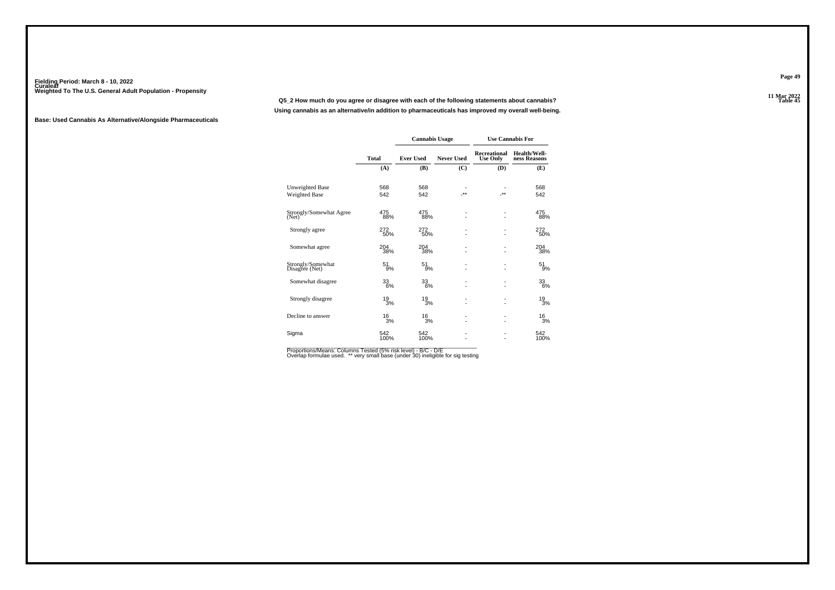**11 Mar 2022Q5\_2 How much do you agree or disagree with each of the following statements about cannabis?Using cannabis as an alternative/in addition to pharmaceuticals has improved my overall well-being.**

#### **Base: Used Cannabis As Alternative/Alongside Pharmaceuticals**

|                                     |                 | <b>Cannabis Usage</b> |                   |                                 | <b>Use Cannabis For</b>      |
|-------------------------------------|-----------------|-----------------------|-------------------|---------------------------------|------------------------------|
|                                     | Total           | <b>Ever Used</b>      | <b>Never Used</b> | Recreational<br><b>Use Only</b> | Health/Well-<br>ness Reasons |
|                                     | (A)             | (B)                   | (C)               | (D)                             | (E)                          |
| Unweighted Base                     | 568             | 568                   |                   |                                 | 568                          |
| Weighted Base                       | 542             | 542                   | -**               | $**$                            | 542                          |
| Strongly/Somewhat Agree<br>(Net)    | 475<br>88%      | 475<br>88%            |                   | $\overline{\phantom{a}}$        | 475<br>88%                   |
| Strongly agree                      | 272<br>50%      | 272<br>50%            | ä,                |                                 | 272<br>50%                   |
| Somewhat agree                      | 204<br>38%      | 204<br>38%            |                   |                                 | 204<br>38%                   |
| Strongly/Somewhat<br>Disagree (Net) | 51<br>9%        | 51<br>9%              |                   | $\overline{a}$                  | 51<br>9%                     |
| Somewhat disagree                   | 33<br>6%        | 33<br>6%              | ٠                 | $\overline{a}$                  | 33<br>6%                     |
| Strongly disagree                   | 19<br>3%        | $^{19}_{3\%}$         |                   |                                 | $\frac{19}{3%}$              |
| Decline to answer                   | $\frac{16}{3%}$ | $^{16}_{3\%}$         | ٠                 |                                 | $^{16}_{3%}$                 |
| Sigma                               | 542<br>100%     | 542<br>100%           |                   |                                 | 542<br>100%                  |

Proportions/Means: Columns Tested (5% risk level) - B/C - D/E<br>Overlap formulae used. \*\* very small base (under 30) ineligible for sig testing

**Page 49**

11 Mar 2022<br>Table 45 **Table 45**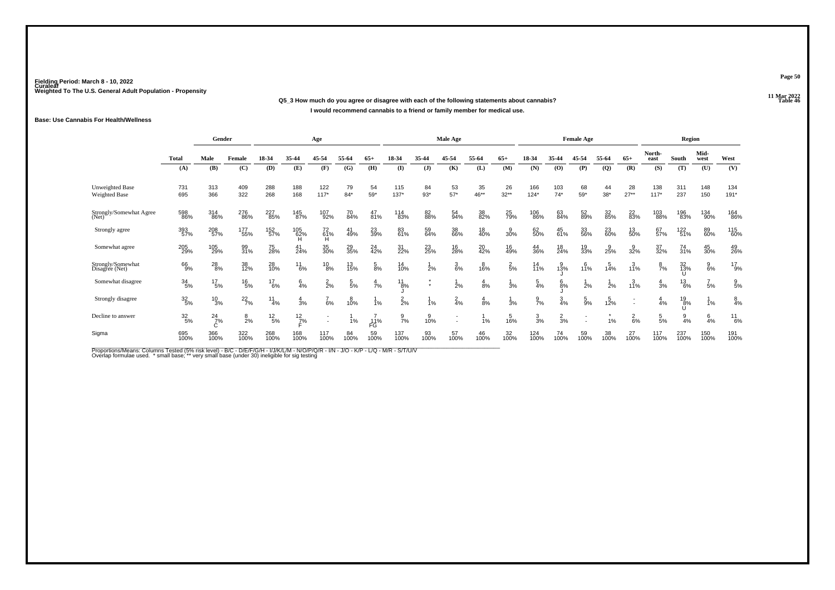#### **11 Mar 2022Q5\_3 How much do you agree or disagree with each of the following statements about cannabis? Table 46 I would recommend cannabis to a friend or family member for medical use.**

#### **Base: Use Cannabis For Health/Wellness**

|                                     |                  | Gender          |                 |                  |                 | Age             |                 |                 |                 |               | <b>Male Age</b> |                |                  |                 |                 | <b>Female Age</b> |                 |                 |                 | Region        |                 |                 |
|-------------------------------------|------------------|-----------------|-----------------|------------------|-----------------|-----------------|-----------------|-----------------|-----------------|---------------|-----------------|----------------|------------------|-----------------|-----------------|-------------------|-----------------|-----------------|-----------------|---------------|-----------------|-----------------|
|                                     | <b>Total</b>     | Male            | Female          | 18-34            | 35-44           | 45-54           | 55-64           | $65+$           | 18-34           | 35-44         | 45-54           | 55-64          | $65+$            | 18-34           | 35-44           | 45-54             | 55-64           | $65+$           | North-<br>east  | South         | Mid-<br>west    | West            |
|                                     | (A)              | (B)             | (C)             | (D)              | (E)             | (F)             | (G)             | (H)             | (I)             | $($ $\bf{J})$ | (K)             | (L)            | (M)              | (N)             | (O)             | (P)               | $\mathbf{Q}$    | (R)             | (S)             | (T)           | (U)             | (V)             |
| Unweighted Base<br>Weighted Base    | 731<br>695       | 313<br>366      | 409<br>322      | 288<br>268       | 188<br>168      | 122<br>$117*$   | 79<br>$84*$     | 54<br>$59*$     | 115<br>$137*$   | 84<br>$93*$   | 53<br>$57*$     | 35<br>46**     | 26<br>$32***$    | 166<br>$124*$   | 103<br>$74*$    | 68<br>$59*$       | 44<br>$38*$     | 28<br>$27**$    | 138<br>$117*$   | 311<br>237    | 148<br>150      | 134<br>$191*$   |
| Strongly/Somewhat Agree<br>(Net)    | 598<br>86%       | 314<br>86%      | 276<br>86%      | 227<br>85%       | 145<br>87%      | 107<br>92%      | 70<br>84%       | 47<br>81%       | 114<br>83%      | 82<br>88%     | 54<br>94%       | 38<br>82%      | 25<br>79%        | 106<br>86%      | 63<br>84%       | 52<br>89%         | 32<br>85%       | 22<br>83%       | 103<br>88%      | 196<br>83%    | 134<br>90%      | 164<br>86%      |
| Strongly agree                      | 393<br>57%       | 208<br>57%      | 177<br>55%      | 152<br>57%       | 105<br>62%<br>Ή | 72<br>61%<br>Ή  | 41<br>49%       | 23<br>39%       | 83<br>61%       | 59<br>64%     | 38<br>66%       | 18<br>40%      | $\frac{9}{30\%}$ | 62<br>50%       | 45<br>61%       | 33<br>56%         | 23<br>60%       | 13<br>50%       | 67<br>57%       | 122<br>51%    | 89<br>60%       | 115<br>60%      |
| Somewhat agree                      | 205<br>29%       | 105<br>29%      | 99<br>31%       | 75<br>28%        | $^{41}_{24\%}$  | 35<br>30%       | 29<br>35%       | $^{24}_{42\%}$  | 31<br>22%       | 23<br>25%     | 16<br>28%       | 20<br>42%      | 16<br>49%        | 44<br>36%       | 18<br>24%       | 19<br>33%         | $\frac{9}{25%}$ | 32%             | 37<br>32%       | 74<br>31%     | 45<br>30%       | 49<br>26%       |
| Strongly/Somewhat<br>Disagree (Net) | 66<br>9%         | $^{28}_{8\%}$   | 38<br>12%       | 28<br>10%        | $^{11}_{6\%}$   | $^{10}_{8\%}$   | 13<br>15%       | $\frac{5}{8%}$  | 14<br>10%       | 2%            | $\frac{3}{6\%}$ | 16%            | $\frac{2}{5\%}$  | $14$<br>11%     | $3\%$           | 11%               | 14%             | 11%             | $\frac{8}{7}$ % | 32<br>13%     | $\frac{9}{6\%}$ | $^{17}_{9\%}$   |
| Somewhat disagree                   | 34/5%            | $^{17}_{\ 5\%}$ | $^{16}_{5\%}$   | $^{17}_{6\%}$    | $6\frac{4}{\%}$ | $\frac{2}{2}$ % | $\frac{5}{5\%}$ | $\frac{4}{7}$ % | $^{11}_{8\%}$   | $\bullet$     | 2%              | 8%             | 3%               | $\frac{5}{4%}$  | $\frac{6}{8%}$  | 2%                | 2%              | 3<br>11%        | $\frac{4}{3%}$  | $^{13}_{6\%}$ | 5%              | $\frac{9}{5}$ % |
| Strongly disagree                   | $\frac{32}{5\%}$ | $\frac{10}{3%}$ | $^{22}_{7\%}$   | $\frac{11}{4\%}$ | 4<br>3%         | 6%              | $^{8}_{10\%}$   | 1%              | $\frac{2}{2}$ % | 1%            | $\frac{2}{4}$ % | $\frac{4}{8%}$ | 3%               | $\frac{9}{7}$ % | $\frac{3}{4%}$  | $\frac{5}{9%}$    | 12%             |                 | 4%              | $^{19}_{8\%}$ | 1%              | $^{8}_{4%}$     |
| Decline to answer                   | 32/5%            | $^{24}_{7\%}$   | $\frac{8}{2}$ % | $^{12}_{5\%}$    | $^{12}_{7\%}$   |                 | 1%              | 11%<br>FG       | $\frac{9}{7}$ % | 10%           |                 | 1%             | 16%              | $\frac{3}{3}$ % | $\frac{2}{3}$ % |                   | 1%              | $\frac{2}{6}$ % | $\frac{5}{5}$ % | 9<br>4%       | $\frac{6}{4}$ % | $11_{6%}$       |
| Sigma                               | 695<br>100%      | 366<br>100%     | 322<br>100%     | 268<br>100%      | 168<br>100%     | 117<br>100%     | 84<br>100%      | 59<br>100%      | 137<br>100%     | 93<br>100%    | 57<br>100%      | 46<br>100%     | 32<br>100%       | 124<br>100%     | 74<br>100%      | 59<br>100%        | 38<br>100%      | 27<br>100%      | 117<br>100%     | 237<br>100%   | 150<br>100%     | 191<br>100%     |

Proportions/Means: Columns Tested (5% risk level) - B/C - D/E/F/G/H - I/J/K/L/M - N/O/P/Q/R - I/N - J/O - K/P - L/Q - M/R - S/T/U/V<br>Overlap formulae used. \* small base; \*\* very small base (under 30) ineligible for sig te

**Page 50**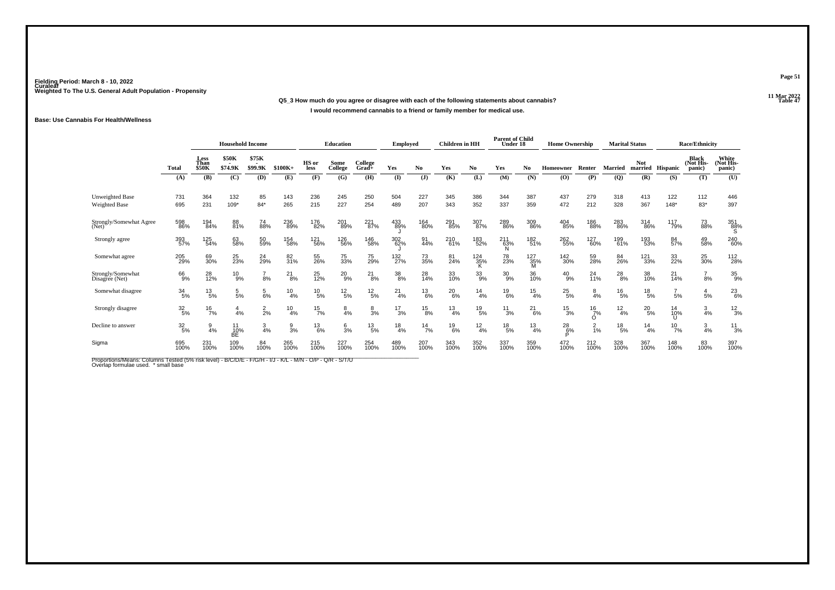#### **11 Mar 2022Q5\_3 How much do you agree or disagree with each of the following statements about cannabis?I would recommend cannabis to a friend or family member for medical use.**

#### **Base: Use Cannabis For Health/Wellness**

|                                         |                  | <b>Household Income</b>      |                               |                                    |                | Education       |                 | <b>Employed</b>  |                 | Children in HH |                 | <b>Parent of Child</b><br>Under 18 |                      | <b>Home Ownership</b> |               |                    | <b>Marital Status</b> |                       | <b>Race/Ethnicity</b> |                                     |                              |
|-----------------------------------------|------------------|------------------------------|-------------------------------|------------------------------------|----------------|-----------------|-----------------|------------------|-----------------|----------------|-----------------|------------------------------------|----------------------|-----------------------|---------------|--------------------|-----------------------|-----------------------|-----------------------|-------------------------------------|------------------------------|
|                                         | Total            | Less<br>Than<br><b>\$50K</b> | <b>\$50K</b><br>۰.<br>\$74.9K | \$75K<br>$\blacksquare$<br>\$99.9K | $$100K+$       | HS or<br>less   | Some<br>College | College<br>Grad+ | Yes             | No.            | Yes             | No.                                | Yes                  | No                    | Homeowner     | Renter             | <b>Married</b>        | <b>Not</b><br>married | Hispanic              | <b>Black</b><br>(Not His-<br>panic) | White<br>(Not His-<br>panic) |
|                                         | (A)              | (B)                          | (C)                           | (D)                                | (E)            | (F)             | (G)             | (H)              | $($ I           | (1)            | (K)             | (L)                                | (M)                  | (N)                   | (O)           | (P)                | (Q)                   | (R)                   | (S)                   | (T)                                 | (U)                          |
| Unweighted Base<br><b>Weighted Base</b> | 731<br>695       | 364<br>231                   | 132<br>$109*$                 | 85<br>$84*$                        | 143<br>265     | 236<br>215      | 245<br>227      | 250<br>254       | 504<br>489      | 227<br>207     | 345<br>343      | 386<br>352                         | 344<br>337           | 387<br>359            | 437<br>472    | 279<br>212         | 318<br>328            | 413<br>367            | 122<br>$148*$         | 112<br>83*                          | 446<br>397                   |
| Strongly/Somewhat Agree<br>(Net)        | 598<br>86%       | 194<br>84%                   | 88<br>81%                     | 74<br>88%                          | 236<br>89%     | 176<br>82%      | 201<br>89%      | 221<br>87%       | 433<br>89%      | 164<br>80%     | 291<br>85%      | 307<br>87%                         | 289<br>86%           | 309<br>86%            | 404<br>85%    | 186<br>88%         | 283<br>86%            | 314<br>86%            | 117<br>79%            | 73<br>88%                           | 351<br>88%                   |
| Strongly agree                          | 393<br>57%       | 125<br>54%                   | 63<br>58%                     | 50<br>59%                          | 154<br>58%     | 121<br>56%      | 126<br>56%      | 146<br>58%       | 302<br>62%      | 91<br>44%      | 210<br>61%      | 183<br>52%                         | $^{211}_{63\%}$<br>Ñ | 182<br>51%            | 262<br>55%    | 127<br>60%         | 199<br>61%            | 193<br>53%            | 84<br>57%             | 49<br>58%                           | 240<br>60%                   |
| Somewhat agree                          | 205<br>29%       | 69<br>30%                    | 25<br>23%                     | 24<br>29%                          | 82<br>31%      | 55<br>26%       | 75<br>33%       | 75<br>29%        | 132<br>27%      | 73<br>35%      | 81<br>24%       | 124<br>35%                         | 78<br>23%            | 127<br>35%            | 142<br>30%    | 59<br>28%          | 84<br>26%             | 121<br>33%            | 33<br>22%             | 25<br>30%                           | 112<br>28%                   |
| Strongly/Somewhat<br>Disagree (Net)     | 66<br>9%         | 28<br>12%                    | $^{10}_{9\%}$                 | 8%                                 | $^{21}_{8\%}$  | 25<br>12%       | $^{20}_{9\%}$   | $^{21}_{8\%}$    |                 | 28<br>14%      | 33<br>10%       | $33\atop{9\%}$                     | $^{30}_{9\%}$        | 36<br>10%             | $^{40}_{9\%}$ | 24<br>11%          | $^{28}_{8\%}$         | 38<br>10%             | $^{21}_{14\%}$        | 8%                                  | 35 <sub>9%</sub>             |
| Somewhat disagree                       | $\frac{34}{5\%}$ | $^{13}_{\ 5\%}$              | $\frac{5}{5}$ %               | $\frac{5}{6}$ %                    | $^{10}_{4\%}$  | $^{10}_{\ 5\%}$ | $^{12}_{\ 5\%}$ | $^{12}_{\ 5\%}$  | $^{21}_{4\%}$   | $^{13}_{6\%}$  | $^{20}_{6\%}$   | $\frac{14}{4%}$                    | $^{19}_{6\%}$        | $\frac{15}{4\%}$      | $^{25}_{5\%}$ | $\frac{8}{4%}$     | $^{16}_{5\%}$         | $^{18}_{\ 5\%}$       | 5%                    | 5%                                  | 23<br>6%                     |
| Strongly disagree                       | $\frac{32}{5\%}$ | $^{16}_{7\%}$                | 4%                            | $\frac{2}{2}$ %                    | $^{10}_{4\%}$  | $^{15}_{7\%}$   | $\frac{8}{4%}$  | $\frac{8}{3}$ %  | $\frac{17}{3%}$ | $^{15}_{8\%}$  | $\frac{13}{4%}$ | $^{19}_{5\%}$                      | $^{11}_{3\%}$        | $^{21}_{6\%}$         | $^{15}_{3\%}$ | $^{16}_{7\%}$<br>O | $\frac{12}{4%}$       | $^{20}_{\ 5\%}$       | 14<br>10%             | $\frac{3}{4%}$                      | $^{12}_{3\%}$                |
| Decline to answer                       | $\frac{32}{5\%}$ | $\frac{9}{4%}$               | 10%<br><b>BE</b>              | $\frac{3}{4%}$                     | $\frac{9}{3%}$ | $^{13}_{6\%}$   | $\frac{6}{3}$ % | $^{13}_{\ 5\%}$  | $\frac{18}{4%}$ | $^{14}$ 7%     | $^{19}_{6\%}$   | $\frac{12}{4%}$                    | $^{18}_{\ 5\%}$      | $\frac{13}{4%}$       | $^{28}_{6\%}$ | $\frac{2}{1%}$     | $^{18}_{\ 5\%}$       | $^{14}_{4\%}$         | $^{10}_{7\%}$         | $\frac{3}{4%}$                      | $^{11}_{3%}$                 |
| Sigma                                   | 695<br>100%      | 231<br>100%                  | 109<br>100%                   | 84<br>100%                         | 265<br>100%    | 215<br>100%     | 227<br>100%     | 254<br>100%      | 489<br>100%     | 207<br>100%    | 343<br>100%     | 352<br>100%                        | 337<br>100%          | 359<br>100%           | 472<br>100%   | 212<br>100%        | 328<br>100%           | 367<br>100%           | 148<br>100%           | 83<br>100%                          | 397<br>100%                  |

Proportions/Means: Columns Tested (5% risk level) - B/C/D/E - F/G/H - I/J - K/L - M/N - O/P - Q/R - S/T/U<br>Overlap formulae used. \* small base

**Page 51**

#### 11 Mar 2022<br>Table 47 **Properties 22 Table 47**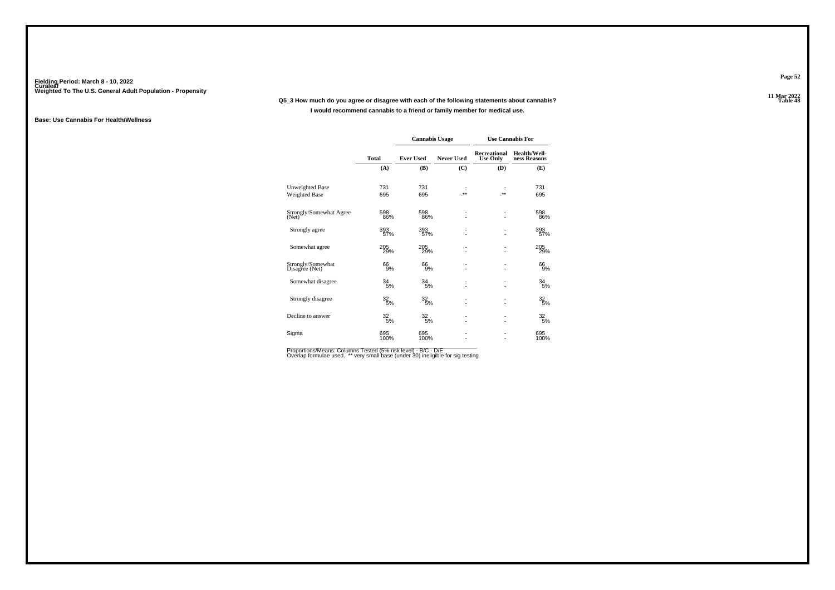#### **11 Mar 2022Q5\_3 How much do you agree or disagree with each of the following statements about cannabis?I would recommend cannabis to a friend or family member for medical use.**

#### **Base: Use Cannabis For Health/Wellness**

|                                     |                  | <b>Cannabis Usage</b> |                   |                                        | <b>Use Cannabis For</b>      |
|-------------------------------------|------------------|-----------------------|-------------------|----------------------------------------|------------------------------|
|                                     | <b>Total</b>     | <b>Ever Used</b>      | <b>Never Used</b> | <b>Recreational</b><br><b>Use Only</b> | Health/Well-<br>ness Reasons |
|                                     | (A)              | (B)                   | (C)               | (D)                                    | (E)                          |
| Unweighted Base                     | 731              | 731                   |                   |                                        | 731                          |
| Weighted Base                       | 695              | 695                   | $**$              | $-**$                                  | 695                          |
| Strongly/Somewhat Agree<br>(Net)    | 598<br>86%       | 598<br>86%            | ٠<br>٠            |                                        | 598<br>86%                   |
| Strongly agree                      | 393<br>57%       | 393<br>57%            | ٠                 |                                        | 393<br>57%                   |
| Somewhat agree                      | 205<br>29%       | 205<br>29%            | ٠                 |                                        | 205<br>29%                   |
| Strongly/Somewhat<br>Disagree (Net) | 66<br>9%         | 66<br>9%              | ä,                |                                        | 66<br>9%                     |
| Somewhat disagree                   | 34<br>5%         | 34<br>5%              | ä,                |                                        | 34<br>5%                     |
| Strongly disagree                   | $\frac{32}{5\%}$ | 32<br>5%              | ٠<br>٠            | $\overline{\phantom{0}}$               | 32<br>5%                     |
| Decline to answer                   | 32/5%            | 32 <sub>5%</sub>      | ٠<br>٠            |                                        | 32 <sub>5%</sub>             |
| Sigma                               | 695<br>100%      | 695<br>100%           | ٠                 |                                        | 695<br>100%                  |

Proportions/Means: Columns Tested (5% risk level) - B/C - D/E<br>Overlap formulae used. \*\* very small base (under 30) ineligible for sig testing

**Page 52**

11 Mar 2022<br>Table 48 **Table 48**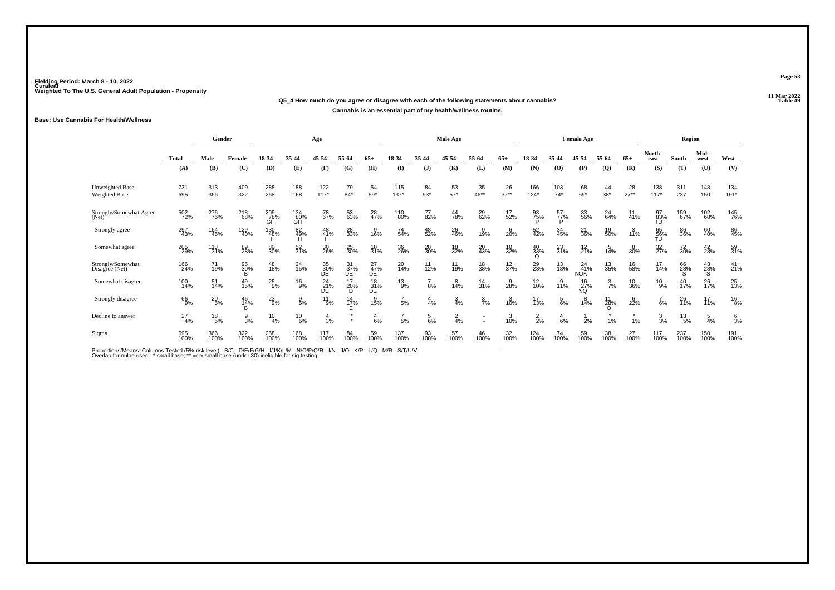#### **11 Mar 2022Q5\_4 How much do you agree or disagree with each of the following statements about cannabis?Cannabis is an essential part of my health/wellness routine.**

#### **Base: Use Cannabis For Health/Wellness**

|                                     |               | Gender                              |                 |                  |                  | Age             |                           |                   |               |               | Male Age        |                   |                   |                       |                 | <b>Female Age</b>            |                 |               |                 | Region         |                   |                 |
|-------------------------------------|---------------|-------------------------------------|-----------------|------------------|------------------|-----------------|---------------------------|-------------------|---------------|---------------|-----------------|-------------------|-------------------|-----------------------|-----------------|------------------------------|-----------------|---------------|-----------------|----------------|-------------------|-----------------|
|                                     | <b>Total</b>  | Male<br>Female<br>(B)<br>(C)<br>(A) |                 | 18-34            | 35-44            | 45-54           | 55-64                     | 65+               | 18-34         | 35-44         | 45-54           | 55-64             | $65+$             | 18-34                 | 35-44           | 45-54                        | 55-64           | $65+$         | North-<br>east  | South          | Mid-<br>west      | West            |
|                                     |               |                                     |                 | (D)              | (E)              | (F)             | (G)                       | (H)               | (I)           | $($ $\bf{J})$ | (K)             | (L)               | (M)               | (N)                   | (0)             | (P)                          | (Q)             | (R)           | (S)             | (T)            | (U)               | (V)             |
| Unweighted Base<br>Weighted Base    | 731<br>695    | 313<br>366                          | 409<br>322      | 288<br>268       | 188<br>168       | 122<br>$117*$   | 79<br>$84*$               | 54<br>$59*$       | 115<br>$137*$ | 84<br>$93*$   | 53<br>$57*$     | 35<br>46**        | 26<br>$32**$      | 166<br>$124*$         | 103<br>$74*$    | 68<br>59*                    | 44<br>$38*$     | 28<br>$27**$  | 138<br>$117*$   | 311<br>237     | 148<br>150        | 134<br>$191*$   |
| Strongly/Somewhat Agree<br>(Net)    | 502<br>72%    | 276<br>76%                          | 218<br>68%      | 209<br>78%<br>GĤ | 134<br>80%<br>ĞĤ | 78<br>67%       | 53<br>63%                 | 28<br>47%         | 110<br>80%    | 77<br>82%     | 44<br>78%       | 29<br>62%         | 17/52%            | 93<br>75%             | 57<br>77%       | 33<br>56%                    | $^{24}_{64\%}$  | 11<br>41%     | 97<br>83%       | 159<br>67%     | 102<br>68%        | 145<br>76%      |
| Strongly agree                      | 297<br>43%    | 164<br>45%                          | 129<br>40%      | 130<br>48%       | 82<br>49%<br>н   | 48<br>41%       | 28<br>33%                 | $\frac{9}{16\%}$  | 74<br>54%     | 48<br>52%     | 26<br>46%       | 30/19             | $^{6}_{20\%}$     | 52<br>42%             | 34<br>45%       | 21<br>36%                    | 19<br>50%       | 3/11%         | 65<br>56%<br>TU | 86<br>36%      | 60<br>40%         | 86<br>45%       |
| Somewhat agree                      | 205<br>29%    | $\frac{113}{31\%}$                  | 89<br>28%       | 80<br>30%        | 52<br>31%        | 30<br>26%       | 25<br>30%                 | 18<br>31%         | 36<br>26%     | 28<br>30%     | 18<br>32%       | 20<br>43%         | $\frac{10}{32\%}$ | 40<br>33%<br>$\Omega$ | 23<br>31%       | $^{12}_{21\%}$               | 5<br>14%        | 30%           | 32<br>27%       | 72<br>30%      | 42<br>28%         | 59<br>31%       |
| Strongly/Somewhat<br>Disagree (Net) | 166<br>24%    | 71<br>19%                           | 95<br>30%<br>B  | 48<br>18%        | $^{24}_{15\%}$   | 35<br>30%<br>ĎΕ | $\frac{31}{37\%}$ DE      | $^{27}_{47\%}$ DE | 20<br>14%     | 11<br>12%     | 11<br>19%       | 18<br>38%         | $\frac{12}{37\%}$ | 29<br>23%             | 13<br>18%       | $^{24}_{41\%}$<br><b>NOK</b> | 13<br>35%       | 16<br>58%     | 17<br>14%       | 66<br>28%<br>S | 43<br>28%         | $^{41}_{21\%}$  |
| Somewhat disagree                   | 100<br>14%    | $\frac{51}{14\%}$                   | 49<br>15%       | $^{25}_{9\%}$    | $^{16}_{9%}$     | $^{24}_{21\%}$  | 17<br>20%<br><sub>D</sub> | 18<br>31%<br>DΕ   | $^{13}_{9\%}$ | 8%            | $^{8}_{14\%}$   | $\frac{14}{31\%}$ | $\frac{9}{28\%}$  | $^{12}_{10\%}$        | 3/11%           | 16<br>27%<br>NQ              | $\frac{3}{7}$ % | 10<br>36%     | $^{10}_{9\%}$   | $^{40}_{17\%}$ | 26<br>17%         | 25<br>13%       |
| Strongly disagree                   | 66<br>9%      | $^{20}_{\ 5\%}$                     | 46<br>14%       | $^{23}_{9\%}$    | $\frac{9}{5%}$   | $^{11}_{9\%}$   | $\frac{14}{17\%}$         | $3^{9}_{15\%}$    | 5%            | 4%            | $\frac{3}{4%}$  | $\frac{3}{7}$ %   | 3/10%             | 17<br>13%             | $\frac{5}{6\%}$ | 14%                          | 11<br>28%       | $^{6}_{22\%}$ | 6%              | 26<br>11%      | $\frac{17}{11\%}$ | $^{16}_{8%}$    |
| Decline to answer                   | $^{27}_{4\%}$ | $^{18}_{\ 5\%}$                     | $\frac{9}{3}$ % | $^{10}_{4\%}$    | $^{10}_{6\%}$    | $\frac{4}{3}$ % | $\bullet$                 | $rac{4}{6%}$      | ,<br>5%       | 5<br>6%       | $\frac{2}{4}$ % |                   | 3/10%             | $\frac{2}{2}$ %       | $rac{4}{6%}$    | 2%                           | 1%              | 1%            | $\frac{3}{3}$ % | $^{13}_{5\%}$  | $\frac{5}{4}$ %   | $\frac{6}{3}$ % |
| Sigma                               | 695<br>100%   | 366<br>100%                         | 322<br>100%     | 268<br>100%      | 168<br>100%      | 117<br>100%     | 84<br>100%                | 59<br>100%        | 137<br>100%   | 93<br>100%    | 57<br>100%      | 46<br>100%        | 32<br>100%        | 124<br>100%           | 74<br>100%      | 59<br>100%                   | 38<br>100%      | 27<br>100%    | 117<br>100%     | 237<br>100%    | 150<br>100%       | 191<br>100%     |

Proportions/Means: Columns Tested (5% risk level) - B/C - D/E/F/G/H - I/J/K/L/M - N/O/P/Q/R - I/N - J/O - K/P - L/Q - M/R - S/T/U/V<br>Overlap formulae used. \* small base; \*\* very small base (under 30) ineligible for sig te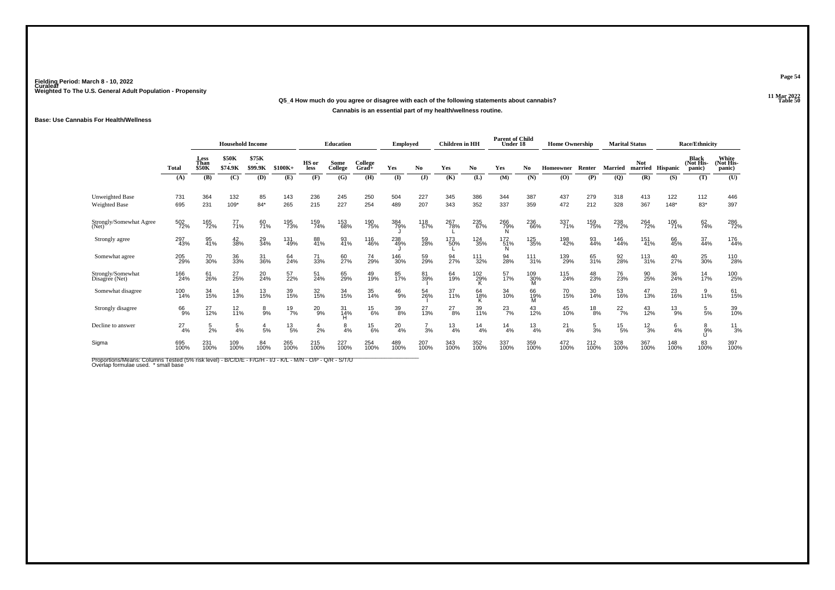#### **11 Mar 2022Q5\_4 How much do you agree or disagree with each of the following statements about cannabis?Cannabis is an essential part of my health/wellness routine.**

#### **Base: Use Cannabis For Health/Wellness**

|                                         |               | <b>Household Income</b> |                         |                  |                 | <b>Education</b> |                 | <b>Employed</b>     |               | <b>Children</b> in HH |                   | <b>Parent of Child</b><br>Under 18 |                 | <b>Home Ownership</b> |               |                 | <b>Marital Status</b> |                       | <b>Race/Ethnicity</b> |                                     |                              |
|-----------------------------------------|---------------|-------------------------|-------------------------|------------------|-----------------|------------------|-----------------|---------------------|---------------|-----------------------|-------------------|------------------------------------|-----------------|-----------------------|---------------|-----------------|-----------------------|-----------------------|-----------------------|-------------------------------------|------------------------------|
|                                         | Total         | Less<br>Than<br>\$50K   | <b>\$50K</b><br>\$74.9K | \$75K<br>\$99.9K | $$100K+$        | HS or<br>less    | Some<br>College | College<br>$Grad +$ | Yes           | No.                   | Yes               | No                                 | Yes             | N <sub>0</sub>        | Homeowner     | Renter          | <b>Married</b>        | <b>Not</b><br>married | Hispanic              | <b>Black</b><br>(Not His-<br>panic) | White<br>(Not His-<br>panic) |
|                                         | (A)           | (B)                     | (C)                     | (D)              | (E)             | (F)              | (G)             | (H)                 | $\mathbf{I}$  | $\mathbf{J}$          | (K)               | (L)                                | (M)             | (N)                   | (O)           | (P)             | (Q)                   | (R)                   | (S)                   | (T)                                 | (U)                          |
| <b>Unweighted Base</b><br>Weighted Base | 731<br>695    | 364<br>231              | 132<br>$109*$           | 85<br>$84*$      | 143<br>265      | 236<br>215       | 245<br>227      | 250<br>254          | 504<br>489    | 227<br>207            | 345<br>343        | 386<br>352                         | 344<br>337      | 387<br>359            | 437<br>472    | 279<br>212      | 318<br>328            | 413<br>367            | 122<br>$148*$         | 112<br>83*                          | 446<br>397                   |
| Strongly/Somewhat Agree<br>(Net)        | 502<br>72%    | 165<br>72%              | $77$<br>$71%$           | 60<br>71%        | 195<br>73%      | 159<br>74%       | 153<br>68%      | 190<br>75%          | 384<br>79%    | 118<br>57%            | 267<br>78%        | 235<br>67%                         | 266<br>79%<br>N | 236<br>66%            | 337<br>71%    | 159<br>75%      | 238<br>72%            | 264<br>72%            | 106<br>71%            | 62<br>74%                           | 286<br>72%                   |
| Strongly agree                          | 297<br>43%    | 95<br>41%               | 42<br>38%               | 29<br>34%        | 131<br>49%      | 88<br>41%        | 93<br>41%       | 116<br>46%          | 238<br>49%    | 59<br>28%             | 173<br>50%        | 124<br>35%                         | 172<br>51%<br>N | 125<br>35%            | 198<br>42%    | 93<br>44%       | 146<br>44%            | $\frac{151}{41\%}$    | 66<br>45%             | 37<br>44%                           | 176<br>44%                   |
| Somewhat agree                          | 205<br>29%    | 70<br>30%               | 36<br>33%               | 31<br>36%        | 64<br>24%       | 71<br>33%        | 60<br>27%       | 74<br>29%           | 146<br>30%    | 59 <sub>%</sub>       | 94<br>27%         | 111<br>32%                         | 94<br>28%       | 111<br>31%            | 139<br>29%    | 65<br>31%       | 92<br>28%             | $\frac{113}{31\%}$    | 40<br>27%             | 25<br>30%                           | 110<br>28%                   |
| Strongly/Somewhat<br>Disagree (Net)     | 166<br>24%    | 61<br>26%               | 27<br>25%               | 20<br>24%        | 57<br>22%       | 51<br>24%        | 65<br>29%       | 49<br>19%           | 85<br>17%     | 81<br>39%             | 64<br>19%         | 102<br>29%                         | 57<br>17%       | 109<br>30%            | 115<br>24%    | 48<br>23%       | 76<br>23%             | 90<br>25%             | 36<br>24%             | 14<br>17%                           | 100<br>25%                   |
| Somewhat disagree                       | 100<br>14%    | 34<br>15%               | 14<br>13%               | 13/15%           | 39<br>15%       | 32<br>15%        | 34<br>15%       | 35<br>14%           | $^{46}_{9%}$  | 54<br>26%             | $\frac{37}{11\%}$ | 64<br>18%                          | 34<br>10%       | 66<br>19%             | 70<br>15%     | 30<br>14%       | 53<br>16%             | 47<br>13%             | 23<br>16%             | 9<br>11%                            | 61<br>15%                    |
| Strongly disagree                       | 66<br>9%      | 27<br>12%               | $^{12}_{11\%}$          | $\frac{8}{9%}$   | $^{19}_{7\%}$   | $^{20}_{9\%}$    | 31<br>14%<br>н  | $^{15}_{6\%}$       | 39<br>8%      | 27<br>13%             | $^{27}_{8\%}$     | 39<br>11%                          | $^{23}_{7\%}$   | 43<br>12%             | 45<br>10%     | $^{18}_{8\%}$   | $^{22}_{7\%}$         | $^{43}_{12\%}$        | $^{13}_{9\%}$         | $\frac{5}{5}$ %                     | 39<br>10%                    |
| Decline to answer                       | $^{27}_{4\%}$ | $\frac{5}{2%}$          | $\frac{5}{4%}$          | $\frac{4}{5%}$   | $^{13}_{\ 5\%}$ | 2%               | $\frac{8}{4%}$  | $^{15}_{6\%}$       | $^{20}_{4\%}$ | 3%                    | $\frac{13}{4%}$   | $\frac{14}{4%}$                    | $^{14}_{4\%}$   | $\frac{13}{4%}$       | $^{21}_{4\%}$ | $\frac{5}{3}$ % | $^{15}_{5\%}$         | $\frac{12}{3%}$       | 6<br>4%               | $\frac{8}{9%}$                      | $\frac{11}{3%}$              |
| Sigma                                   | 695<br>100%   | 231<br>100%             | 109<br>100%             | 84<br>100%       | 265<br>100%     | 215<br>100%      | 227<br>100%     | 254<br>100%         | 489<br>100%   | 207<br>100%           | 343<br>100%       | 352<br>100%                        | 337<br>100%     | 359<br>100%           | 472<br>100%   | 212<br>100%     | 328<br>100%           | 367<br>100%           | 148<br>100%           | 83<br>100%                          | 397<br>100%                  |

Proportions/Means: Columns Tested (5% risk level) - B/C/D/E - F/G/H - I/J - K/L - M/N - O/P - Q/R - S/T/U<br>Overlap formulae used. \* small base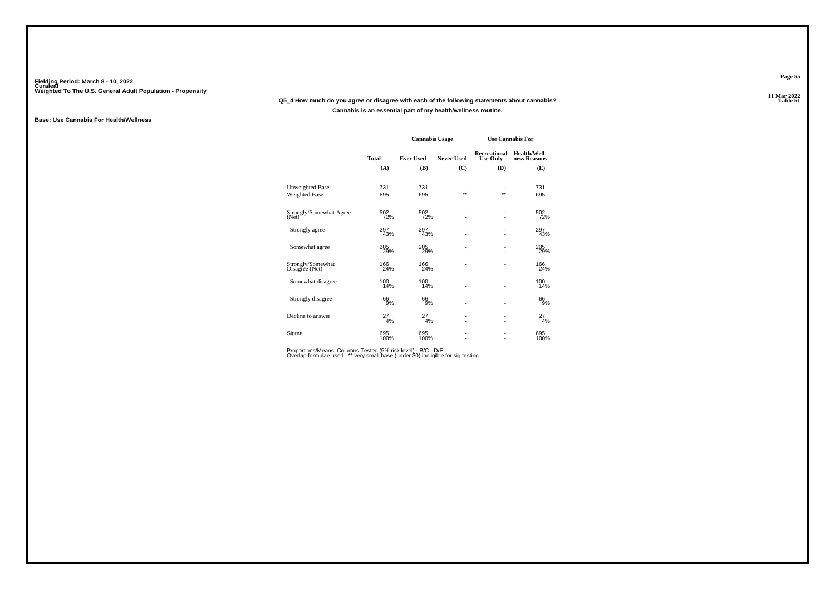#### **11 Mar 2022Q5\_4 How much do you agree or disagree with each of the following statements about cannabis?Cannabis is an essential part of my health/wellness routine.**

#### **Base: Use Cannabis For Health/Wellness**

|                                     |               | <b>Cannabis Usage</b> |                   |                                        | <b>Use Cannabis For</b>      |
|-------------------------------------|---------------|-----------------------|-------------------|----------------------------------------|------------------------------|
|                                     | Total         | <b>Ever Used</b>      | <b>Never Used</b> | <b>Recreational</b><br><b>Use Only</b> | Health/Well-<br>ness Reasons |
|                                     | (A)           | (B)                   | (C)               | (D)                                    | (E)                          |
| <b>Unweighted Base</b>              | 731           | 731                   | ٠                 |                                        | 731                          |
| Weighted Base                       | 695           | 695                   | $.**$             | $.**$                                  | 695                          |
| Strongly/Somewhat Agree<br>(Net)    | 502<br>72%    | 502<br>72%            |                   |                                        | 502<br>72%                   |
| Strongly agree                      | 297<br>43%    | 297<br>43%            |                   | ۰                                      | 297<br>43%                   |
| Somewhat agree                      | 205<br>29%    | 205<br>29%            |                   |                                        | 205<br>29%                   |
| Strongly/Somewhat<br>Disagree (Net) | 166<br>24%    | 166<br>24%            | ä,                | ٠                                      | 166<br>24%                   |
| Somewhat disagree                   | 100<br>14%    | 100<br>14%            | ä,                | ٠                                      | 100<br>14%                   |
| Strongly disagree                   | 66<br>9%      | 66<br>9%              | ٠<br>ä,           | $\overline{a}$                         | 66<br>9%                     |
| Decline to answer                   | $^{27}_{4\%}$ | 27<br>4%              | ٠<br>٠            | ٠                                      | $^{27}_{4\%}$                |
| Sigma                               | 695<br>100%   | 695<br>100%           |                   |                                        | 695<br>100%                  |

Proportions/Means: Columns Tested (5% risk level) - B/C - D/E<br>Overlap formulae used. \*\* very small base (under 30) ineligible for sig testing

**Page 55**

11 Mar 2022<br>Table 51 **P** Table 51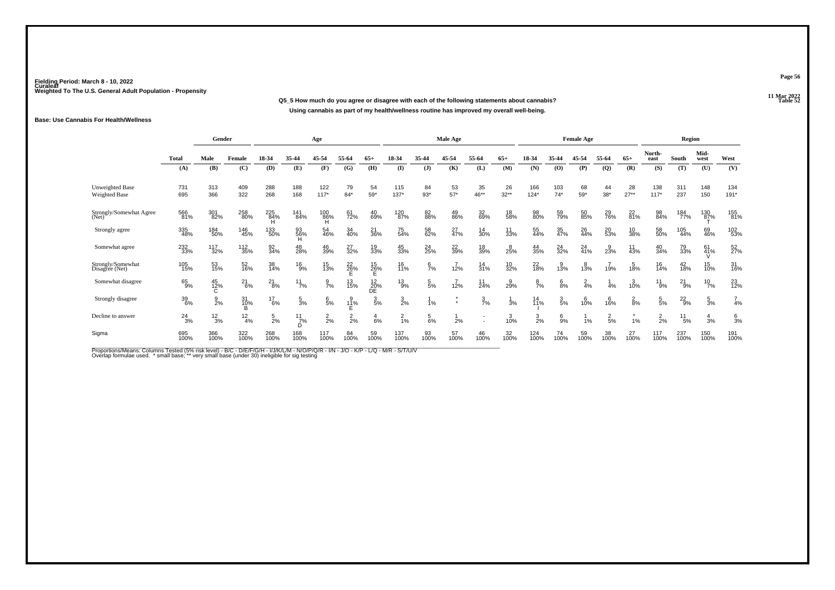**11 Mar 2022Q5\_5 How much do you agree or disagree with each of the following statements about cannabis?Using cannabis as part of my health/wellness routine has improved my overall well-being.**

#### **Base: Use Cannabis For Health/Wellness**

|                                     |               | Gender           |               |                 |                       | Age             |                  |                                                                   |                 |                 | Male Age        |                   |                   |                  |                 | <b>Female Age</b> |                 |                  |                 | Region        |                 |                 |
|-------------------------------------|---------------|------------------|---------------|-----------------|-----------------------|-----------------|------------------|-------------------------------------------------------------------|-----------------|-----------------|-----------------|-------------------|-------------------|------------------|-----------------|-------------------|-----------------|------------------|-----------------|---------------|-----------------|-----------------|
|                                     | Total         | Male             | Female        | 18-34           | 35-44                 | 45-54           | 55-64            | $65+$                                                             | 18-34           | 35-44           | 45-54           | 55-64             | $65+$             | 18-34            | 35-44           | 45-54             | 55-64           | $65+$            | North-<br>east  | South         | Mid-<br>west    | West            |
|                                     | (A)           | (B)              | (C)           | (D)             | (E)                   | (F)             | (G)              | (H)                                                               | (I)             | $($ $\bf{J})$   | (K)             | (L)               | (M)               | (N)              | (0)             | (P)               | $\mathbf{Q}$    | (R)              | (S)             | (T)           | (U)             | (V)             |
| Unweighted Base<br>Weighted Base    | 731<br>695    | 313<br>366       | 409<br>322    | 288<br>268      | 188<br>168            | 122<br>$117*$   | 79<br>$84*$      | 54<br>59*                                                         | 115<br>$137*$   | 84<br>$93*$     | 53<br>$57*$     | 35<br>46**        | 26<br>$32**$      | 166<br>$124*$    | 103<br>$74*$    | 68<br>59*         | 44<br>$38*$     | 28<br>$27**$     | 138<br>$117*$   | 311<br>237    | 148<br>150      | 134<br>$191*$   |
| Strongly/Somewhat Agree<br>(Net)    | 566<br>81%    | 301<br>82%       | 258<br>80%    | 225<br>84%<br>н | 141<br>84%            | $^{100}_{86\%}$ | 61<br>72%        | 40<br>69%                                                         | 120<br>87%      | 82<br>88%       | 49<br>86%       | 32 <sub>69%</sub> | 18<br>58%         | 98<br>80%        | 59<br>79%       | 50<br>85%         | 29<br>76%       | 22<br>81%        | 98<br>84%       | 184<br>77%    | 130<br>87%      | 155<br>81%      |
| Strongly agree                      | 335<br>48%    | 184<br>50%       | 146<br>45%    | 133<br>50%      | 93<br>56%<br>Ή        | 54<br>46%       | 34<br>40%        | 21<br>36%                                                         | 75<br>54%       | 58<br>62%       | 27 <sub>%</sub> | 14<br>30%         | $\frac{11}{33\%}$ | 55<br>44%        | 35<br>47%       | 26<br>44%         | 20<br>53%       | 10<br>38%        | 58<br>50%       | 105<br>44%    | 69<br>46%       | 102<br>53%      |
| Somewhat agree                      | 232<br>33%    | 117<br>32%       | 112<br>35%    | 92<br>34%       | 48<br>28%             | 46<br>39%       | 27<br>32%        | 19<br>33%                                                         | 45<br>33%       | 24<br>25%       | 22<br>39%       | 18<br>39%         | 25%               | 44<br>35%        | $^{24}_{32\%}$  | 24<br>41%         | $\frac{9}{23%}$ | $\frac{11}{43%}$ | 40<br>34%       | 79<br>33%     | 61 <sub>%</sub> | 52<br>27%       |
| Strongly/Somewhat<br>Disagree (Net) | 105<br>15%    | 53<br>15%        | 52<br>16%     | 38<br>14%       | $^{16}_{9\%}$         | 15<br>13%       | $^{22}_{26\%}$   | $^{15}_{26\%}$                                                    | 16<br>11%       | $\frac{6}{7}$ % | 12%             | $\frac{14}{31\%}$ | 10<br>32%         | 22<br>18%        | $3\%$           | 13%               | 19%             | 18%              | 16<br>14%       | 42<br>18%     | 15<br>10%       | 31<br>16%       |
| Somewhat disagree                   | $^{65}_{9\%}$ | 45<br>12%<br>C   | $^{21}_{6\%}$ | $^{21}_{8\%}$   | $11$ <sub>7%</sub>    | $\frac{9}{7\%}$ | 13<br>15%        | $\begin{array}{c} 12 \\ 20\% \\ \overline{\text{DE}} \end{array}$ | $^{13}_{9\%}$   | $\frac{5}{5}$ % | 12%             | $11$<br>24%       | $\frac{9}{29\%}$  | $\frac{8}{7}$ %  | $\frac{6}{8%}$  | $\frac{2}{4}$ %   | 4%              | 3/10%            | $^{11}_{9\%}$   | $^{21}_{9\%}$ | $^{10}_{7\%}$   | 23<br>12%       |
| Strongly disagree                   | 39<br>6%      | $\frac{9}{2%}$   | 31<br>10%     | $^{17}_{6\%}$   | $\frac{5}{3}$ %       | 6/5%            | $\frac{9}{11}$ % | $\frac{3}{5\%}$                                                   | $\frac{3}{2%}$  | 1%              |                 | $\frac{3}{7}$ %   | 3%                | $\frac{14}{11%}$ | $\frac{3}{5\%}$ | 6<br>10%          | 6<br>16%        | $\frac{2}{8%}$   | $\frac{5}{5\%}$ | $^{22}_{9\%}$ | $\frac{5}{3}$ % | $\frac{7}{4%}$  |
| Decline to answer                   | $^{24}_{3\%}$ | $\frac{12}{3\%}$ | $^{12}_{4\%}$ | $\frac{5}{2}$ % | $\frac{11}{7}$ %<br>D | $\frac{2}{2}$ % | $\frac{2}{2}$ %  | $rac{4}{6%}$                                                      | $\frac{2}{1}$ % | $\frac{5}{6}$ % | 2%              |                   | $3/10$ %          | $\frac{3}{2\%}$  | $\S$ %          | 1%                | $\frac{2}{5}$ % | 1%               | 2<br>2%         | $^{11}_{5\%}$ | $\frac{4}{3}$ % | $\frac{6}{3}$ % |
| Sigma                               | 695<br>100%   | 366<br>100%      | 322<br>100%   | 268<br>100%     | 168<br>100%           | 117<br>100%     | 84<br>100%       | 59<br>100%                                                        | 137<br>100%     | 93<br>100%      | 57<br>100%      | 46<br>100%        | 32<br>100%        | 124<br>100%      | 74<br>100%      | 59<br>100%        | 38<br>100%      | 27<br>100%       | 117<br>100%     | 237<br>100%   | 150<br>100%     | 191<br>100%     |

Proportions/Means: Columns Tested (5% risk level) - B/C - D/E/F/G/H - I/J/K/L/M - N/O/P/Q/R - I/N - J/O - K/P - L/Q - M/R - S/T/U/V<br>Overlap formulae used. \* small base; \*\* very small base (under 30) ineligible for sig te

**Page 56**

11 Mar 2022<br>Table 52 **Table 52**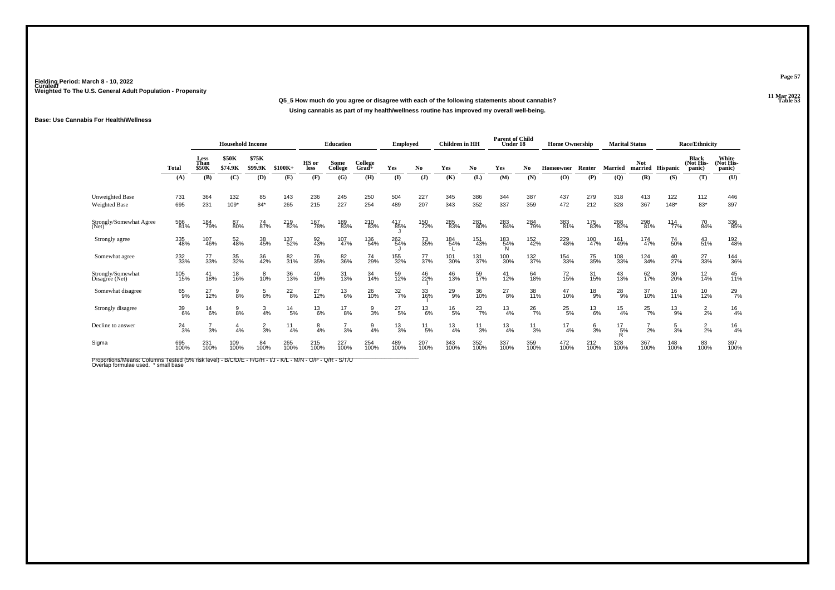### **11 Mar 2022Q5\_5 How much do you agree or disagree with each of the following statements about cannabis?Using cannabis as part of my health/wellness routine has improved my overall well-being.**

#### **Base: Use Cannabis For Health/Wellness**

|                                         |               | <b>Household Income</b>      |                               |                                    |                  | Education      |                    | Employed         |                  | Children in HH |                  | <b>Parent of Child</b><br>Under 18 |                  | <b>Home Ownership</b> |                  |                 | <b>Marital Status</b> |                       | <b>Race/Ethnicity</b> |                                     |                              |
|-----------------------------------------|---------------|------------------------------|-------------------------------|------------------------------------|------------------|----------------|--------------------|------------------|------------------|----------------|------------------|------------------------------------|------------------|-----------------------|------------------|-----------------|-----------------------|-----------------------|-----------------------|-------------------------------------|------------------------------|
|                                         | Total         | Less<br>Than<br><b>\$50K</b> | <b>\$50K</b><br>۰.<br>\$74.9K | \$75K<br>$\blacksquare$<br>\$99.9K | $$100K+$         | HS or<br>less  | Some<br>College    | College<br>Grad+ | Yes              | No.            | Yes              | No.                                | Yes              | No                    | Homeowner        | Renter          | <b>Married</b>        | <b>Not</b><br>married | Hispanic              | <b>Black</b><br>(Not His-<br>panic) | White<br>(Not His-<br>panic) |
|                                         | (A)           | (B)                          | (C)                           | (D)                                | (E)              | (F)            | (G)                | (H)              | (I)              | $(\mathbf{J})$ | (K)              | (L)                                | (M)              | (N)                   | (O)              | (P)             | (Q)                   | (R)                   | (S)                   | (T)                                 | (U)                          |
| Unweighted Base<br><b>Weighted Base</b> | 731<br>695    | 364<br>231                   | 132<br>$109*$                 | 85<br>$84*$                        | 143<br>265       | 236<br>215     | 245<br>227         | 250<br>254       | 504<br>489       | 227<br>207     | 345<br>343       | 386<br>352                         | 344<br>337       | 387<br>359            | 437<br>472       | 279<br>212      | 318<br>328            | 413<br>367            | 122<br>$148*$         | 112<br>83*                          | 446<br>397                   |
| Strongly/Somewhat Agree<br>(Net)        | 566<br>81%    | 184<br>79%                   | 87<br>80%                     | 74<br>87%                          | 219<br>82%       | 167<br>78%     | 189<br>83%         | 210<br>83%       | 417<br>85%       | 150<br>72%     | 285<br>83%       | 281<br>80%                         | 283<br>84%       | 284<br>79%            | 383<br>81%       | 175<br>83%      | 268<br>82%            | 298<br>81%            | 114<br>77%            | 70<br>84%                           | 336<br>85%                   |
| Strongly agree                          | 335<br>48%    | 107<br>46%                   | 52<br>48%                     | 38<br>45%                          | 137<br>52%       | 92<br>43%      | $\frac{107}{47\%}$ | 136<br>54%       | 262<br>54%       | 73<br>35%      | 184<br>54%       | 151<br>43%                         | 183<br>54%<br>Ν  | 152<br>42%            | 229<br>48%       | 100<br>47%      | 161<br>49%            | $\frac{174}{47\%}$    | 74<br>50%             | 43<br>51%                           | 192<br>48%                   |
| Somewhat agree                          | 232<br>33%    | 77<br>33%                    | 35<br>32%                     | 36<br>42%                          | 82<br>31%        | 76<br>35%      | 82<br>36%          | 74<br>29%        | 155<br>32%       | 77<br>37%      | 101<br>30%       | 131<br>37%                         | 100<br>30%       | 132%                  | 154<br>33%       | 75<br>35%       | 108<br>33%            | $\frac{124}{34\%}$    | 40<br>27%             | 27<br>33%                           | 144<br>36%                   |
| Strongly/Somewhat<br>Disagree (Net)     | 105<br>15%    | 41<br>18%                    | 18<br>16%                     | 10%                                | 36<br>13%        | 40<br>19%      | 31<br>13%          | 34<br>14%        | 59<br>12%        | 46<br>22%      | 46<br>13%        | 59<br>17%                          | $^{41}_{12\%}$   | 64<br>18%             | 72<br>15%        | 31<br>15%       | 43<br>13%             | 62<br>17%             | 30 <sub>%</sub>       | $\frac{12}{14%}$                    | 45<br>11%                    |
| Somewhat disagree                       | 65<br>9%      | 27<br>12%                    | $\frac{9}{8\%}$               | $\frac{5}{6%}$                     | $^{22}_{8\%}$    | $^{27}_{12\%}$ | $^{13}_{6\%}$      | 26<br>10%        | $\frac{32}{7\%}$ | 33<br>16%      | $^{29}_{9\%}$    | 36<br>10%                          | $^{27}_{8\%}$    | 38<br>11%             | $^{47}_{10\%}$   | $^{18}_{9%}$    | $^{28}_{9%}$          | 37<br>10%             | $\frac{16}{11\%}$     | $^{10}_{12\%}$                      | $^{29}_{7%}$                 |
| Strongly disagree                       | 39<br>6%      | $^{14}_{6\%}$                | $\frac{9}{8\%}$               | $\frac{3}{4%}$                     | $^{14}_{5\%}$    | $^{13}_{6\%}$  | $^{17}_{8\%}$      | $\frac{9}{3}$ %  | $^{27}_{5\%}$    | $^{13}_{6\%}$  | $^{16}_{5\%}$    | $^{23}_{7\%}$                      | $\frac{13}{4\%}$ | $^{26}_{7\%}$         | $^{25}_{\ 5\%}$  | $^{13}_{6\%}$   | $\frac{15}{4\%}$      | $^{25}_{7\%}$         | $^{13}_{9\%}$         | $\frac{2}{2}$ %                     | $\frac{16}{4%}$              |
| Decline to answer                       | $^{24}_{3\%}$ | $\overline{ }$<br>3%         | 4%                            | $\frac{2}{3}$ %                    | $\frac{11}{4\%}$ | $\frac{8}{4%}$ | 3%                 | $\frac{9}{4%}$   | $\frac{13}{3%}$  | $^{11}_{5\%}$  | $\frac{13}{4\%}$ | $^{11}_{3\%}$                      | $\frac{13}{4%}$  | $^{11}_{3\%}$         | $\frac{17}{4\%}$ | $\frac{6}{3}$ % | $^{17}_{5\%}$<br>Ŕ    | $^{7}_{2\%}$          | $\frac{5}{3%}$        | $\frac{2}{2}$ %                     | $\frac{16}{4%}$              |
| Sigma                                   | 695<br>100%   | 231<br>100%                  | 109<br>100%                   | 84<br>100%                         | 265<br>100%      | 215<br>100%    | 227<br>100%        | 254<br>100%      | 489<br>100%      | 207<br>100%    | 343<br>100%      | 352<br>100%                        | 337<br>100%      | 359<br>100%           | 472<br>100%      | 212<br>100%     | 328<br>100%           | 367<br>100%           | 148<br>100%           | 83<br>100%                          | 397<br>100%                  |

Proportions/Means: Columns Tested (5% risk level) - B/C/D/E - F/G/H - I/J - K/L - M/N - O/P - Q/R - S/T/U<br>Overlap formulae used. \* small base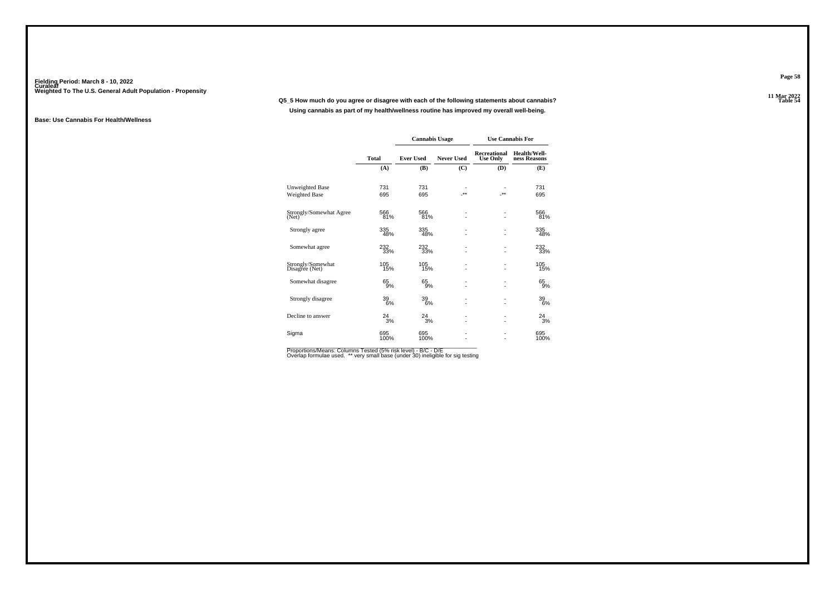**11 Mar 2022Q5\_5 How much do you agree or disagree with each of the following statements about cannabis?Using cannabis as part of my health/wellness routine has improved my overall well-being.**

#### **Base: Use Cannabis For Health/Wellness**

|                                     |              | <b>Cannabis Usage</b> |                   |                                 | <b>Use Cannabis For</b>      |
|-------------------------------------|--------------|-----------------------|-------------------|---------------------------------|------------------------------|
|                                     | <b>Total</b> | <b>Ever Used</b>      | <b>Never Used</b> | Recreational<br><b>Use Only</b> | Health/Well-<br>ness Reasons |
|                                     | (A)          | (B)                   | (C)               | (D)                             | (E)                          |
| Unweighted Base                     | 731          | 731                   |                   |                                 | 731                          |
| Weighted Base                       | 695          | 695                   | $**$              | -**                             | 695                          |
| Strongly/Somewhat Agree<br>(Net)    | 566<br>81%   | 566<br>81%            | ä,                |                                 | 566<br>81%                   |
| Strongly agree                      | 335<br>48%   | 335<br>48%            | ä,                |                                 | 335<br>48%                   |
| Somewhat agree                      | 232<br>33%   | 232<br>33%            | ä,                |                                 | 232<br>33%                   |
| Strongly/Somewhat<br>Disagree (Net) | 105<br>15%   | 105<br>15%            | ä,                |                                 | 105<br>15%                   |
| Somewhat disagree                   | 65<br>9%     | 65<br>9%              | ٠<br>٠            | $\overline{\phantom{0}}$        | 65<br>9%                     |
| Strongly disagree                   | 39<br>6%     | 39<br>6%              | ٠<br>٠            |                                 | 39<br>6%                     |
| Decline to answer                   | $^{24}_{3%}$ | $^{24}_{3%}$          | ٠<br>٠            |                                 | $^{24}_{3%}$                 |
| Sigma                               | 695<br>100%  | 695<br>100%           | ٠                 |                                 | 695<br>100%                  |

Proportions/Means: Columns Tested (5% risk level) - B/C - D/E<br>Overlap formulae used. \*\* very small base (under 30) ineligible for sig testing

**Page 58**

11 Mar 2022<br>Table 54 **Table 54**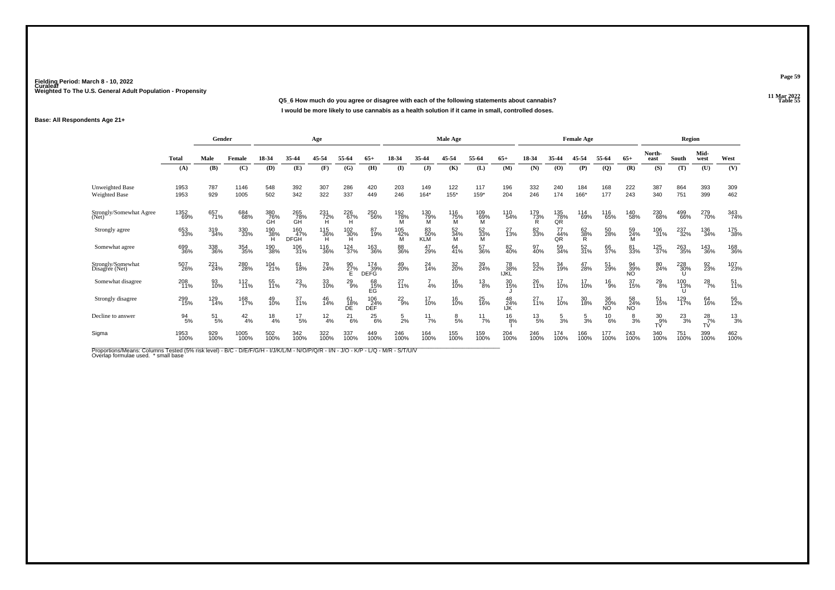**11 Mar 2022Q5\_6 How much do you agree or disagree with each of the following statements about cannabis? Table 55 I would be more likely to use cannabis as a health solution if it came in small, controlled doses.**

#### **Base: All Respondents Age 21+**

|                                         |               | Gender                              |                 |                  |                           | Age                |                     |                    |                 |                         | Male Age        |                 |                   |               |                  | <b>Female Age</b> |                 |                 |                     | Region          |                     |               |
|-----------------------------------------|---------------|-------------------------------------|-----------------|------------------|---------------------------|--------------------|---------------------|--------------------|-----------------|-------------------------|-----------------|-----------------|-------------------|---------------|------------------|-------------------|-----------------|-----------------|---------------------|-----------------|---------------------|---------------|
|                                         | <b>Total</b>  | Male<br>Female<br>(B)<br>(C)<br>(A) |                 |                  | 35-44                     | 45-54              | 55-64               | 65+                | 18-34           | 35-44                   | 45-54           | 55-64           | $65+$             | 18-34         | 35-44            | 45-54             | 55-64           | $65+$           | North-<br>east      | South           | Mid-<br>west        | West          |
|                                         |               |                                     |                 | (D)              | (E)                       | (F)                | (G)                 | (H)                | (I)             | (J)                     | (K)             | (L)             | (M)               | (N)           | (O)              | (P)               | (Q)             | (R)             | (S)                 | (T)             | (U)                 | (V)           |
| <b>Unweighted Base</b><br>Weighted Base | 1953<br>1953  | 787<br>929                          | 1146<br>1005    | 548<br>502       | 392<br>342                | 307<br>322         | 286<br>337          | 420<br>449         | 203<br>246      | 149<br>$164*$           | 122<br>$155*$   | 117<br>159*     | 196<br>204        | 332<br>246    | 240<br>174       | 184<br>166*       | 168<br>177      | 222<br>243      | 387<br>340          | 864<br>751      | 393<br>399          | 309<br>462    |
| Strongly/Somewhat Agree<br>(Net)        | 1352<br>69%   | 657<br>71%                          | 684<br>68%      | 380<br>76%<br>GH | 265<br>78%<br>GH          | 231<br>72%<br>H    | 226<br>67%<br>Н     | 250<br>56%         | 192<br>78%<br>м | 130<br>79%<br>M         | 116<br>75%<br>M | 109<br>69%<br>M | 110<br>54%        | 179<br>73%    | 135<br>78%<br>QR | 114<br>69%        | 116<br>65%      | 140<br>58%      | 230<br>68%          | 499<br>66%      | 279<br>70%          | 343<br>74%    |
| Strongly agree                          | 653<br>33%    | 319<br>34%                          | 330<br>33%      | 190<br>38%       | 160<br>47%<br><b>DFGH</b> | $\frac{115}{36\%}$ | 102<br>- 30%<br>- H | 87<br>19%          | 105<br>42%<br>М | 83<br>50%<br><b>KLM</b> | 52<br>34%<br>м  | 52<br>33%<br>M  | 27<br>13%         | 82<br>33%     | 44%<br>QR        | $\frac{62}{38\%}$ | 50<br>28%       | 59<br>24%<br>M  | 106<br>31%          | 237<br>32%      | 136<br>34%          | 175<br>38%    |
| Somewhat agree                          | 699<br>36%    | 338<br>36%                          | 354<br>35%      | 190<br>38%       | 106<br>31%                | 116<br>36%         | 124<br>37%          | 163<br>36%         | 88<br>36%       | 47<br>29%               | 64<br>41%       | 57<br>36%       | 82<br>40%         | 97<br>40%     | 59<br>34%        | 52<br>31%         | 66<br>37%       | 81<br>33%       | 125<br>37%          | 263<br>35%      | 143<br>36%          | 168<br>36%    |
| Strongly/Somewhat<br>Disagree (Net)     | 507<br>26%    | 221<br>24%                          | 280<br>28%      | 104<br>21%       | 61<br>18%                 | 79<br>24%          | 90<br>27%           | 174<br>39%<br>DEFĞ | 49<br>20%       | $^{24}_{14\%}$          | 32<br>20%       | 39<br>24%       | 78<br>38%<br>IJŘĽ | 53<br>22%     | 34<br>19%        | 47<br>28%         | 51<br>29%       | 94<br>39%<br>ΝÖ | 80<br>24%           | 228<br>30%<br>U | 92<br>23%           | 107<br>23%    |
| Somewhat disagree                       | 208<br>11%    | 93<br>10%                           | $^{112}_{11\%}$ | 55<br>11%        | $^{23}_{7\%}$             | 33<br>10%          | $^{29}_{9\%}$       | 68<br>15%<br>EG    | 27<br>11%       | 4%                      | 16<br>10%       | $^{13}_{8\%}$   | 30<br>15%         | 26<br>11%     | 17<br>10%        | 17<br>10%         | $^{16}_{9%}$    | 37<br>15%       | $^{29}_{8\%}$       | 100<br>13%      | $^{28}_{7\%}$       | 51<br>11%     |
| Strongly disagree                       | 299<br>15%    | 129<br>14%                          | 168<br>17%      | 49<br>10%        | 37<br>11%                 | 46<br>14%          | 61<br>18%<br>DE     | 106<br>24%<br>DEF  | $^{22}_{9\%}$   | 17<br>10%               | 16<br>10%       | 25<br>16%       | 48<br>24%<br>IJK  | 27<br>11%     | 17<br>10%        | 30<br>18%         | 36<br>20%<br>ΝÕ | 58<br>24%<br>ΝÖ | 51<br>15%           | 129<br>17%      | 64<br>16%           | 56<br>12%     |
| Decline to answer                       | $^{94}_{5\%}$ | $^{51}_{5\%}$                       | $^{42}_{4\%}$   | $^{18}_{4\%}$    | $^{17}_{5\%}$             | $^{12}_{4\%}$      | $^{21}_{6\%}$       | $^{25}_{6\%}$      | $\frac{5}{2}$ % | $^{11}_{7\%}$           | $\frac{8}{5}$ % | $^{11}_{7\%}$   | $^{16}_{8\%}$     | $^{13}_{5\%}$ | $\frac{5}{3}$ %  | $\frac{5}{3}$ %   | $^{10}_{6\%}$   | $\frac{8}{3}$ % | $^{30}_{9\%}$<br>TV | $^{23}_{3\%}$   | $^{28}_{7\%}$<br>TV | $^{13}_{3\%}$ |
| Sigma                                   | 1953<br>100%  | 929<br>100%                         | 1005<br>100%    | 502<br>100%      | 342<br>100%               | 322<br>100%        | 337<br>100%         | 449<br>100%        | 246<br>100%     | 164<br>100%             | 155<br>100%     | 159<br>100%     | 204<br>100%       | 246<br>100%   | 174<br>100%      | 166<br>100%       | 177<br>100%     | 243<br>100%     | 340<br>100%         | 751<br>100%     | 399<br>100%         | 462<br>100%   |

Proportions/Means: Columns Tested (5% risk level) - B/C - D/E/F/G/H - I/J/K/L/M - N/O/P/Q/R - I/N - J/O - K/P - L/Q - M/R - S/T/U/V<br>Overlap formulae used. \*small base

**Page 59**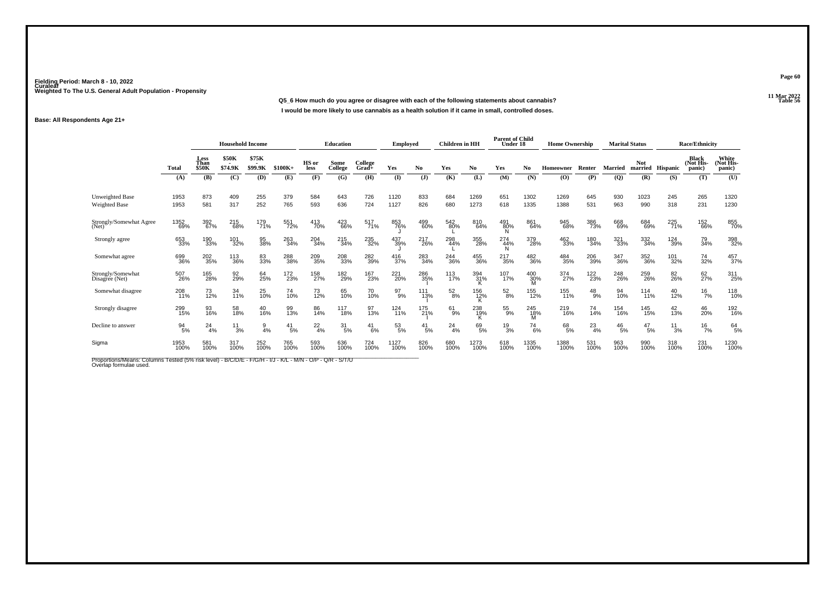**11 Mar 2022Q5\_6 How much do you agree or disagree with each of the following statements about cannabis?I would be more likely to use cannabis as a health solution if it came in small, controlled doses.**

#### **Base: All Respondents Age 21+**

|                                         |                  | <b>Household Income</b>      |                         |                  |                 | <b>Education</b> |                  | <b>Employed</b>  |                  | <b>Children</b> in HH |                    | <b>Parent of Child</b><br>Under 18 |                  | <b>Home Ownership</b> |              |                | <b>Marital Status</b> |                 | <b>Race/Ethnicity</b> |                              |                              |
|-----------------------------------------|------------------|------------------------------|-------------------------|------------------|-----------------|------------------|------------------|------------------|------------------|-----------------------|--------------------|------------------------------------|------------------|-----------------------|--------------|----------------|-----------------------|-----------------|-----------------------|------------------------------|------------------------------|
|                                         | Total            | Less<br>Than<br><b>\$50K</b> | <b>\$50K</b><br>\$74.9K | \$75K<br>\$99.9K | $$100K+$        | HS or<br>less    | Some<br>College  | College<br>Grad+ | Yes              | N <sub>0</sub>        | Yes                | No.                                | Yes              | No                    | Homeowner    | Renter         | <b>Married</b>        | Not.<br>married | <b>Hispanic</b>       | Black<br>(Not His-<br>panic) | White<br>(Not His-<br>panic) |
|                                         | (A)              | (B)                          | (C)                     | (D)              | (E)             | (F)              | (G)              | (H)              | (I)              | $\mathbf{J}$          | (K)                | (L)                                | (M)              | (N)                   | (0)          | (P)            | (Q)                   | (R)             | (S)                   | (T)                          | (U)                          |
| <b>Unweighted Base</b><br>Weighted Base | 1953<br>1953     | 873<br>581                   | 409<br>317              | 255<br>252       | 379<br>765      | 584<br>593       | 643<br>636       | 726<br>724       | 1120<br>1127     | 833<br>826            | 684<br>680         | 1269<br>1273                       | 651<br>618       | 1302<br>1335          | 1269<br>1388 | 645<br>531     | 930<br>963            | 1023<br>990     | 245<br>318            | 265<br>231                   | 1320<br>1230                 |
| Strongly/Somewhat Agree<br>(Net)        | 1352<br>69%      | 392<br>67%                   | 215<br>68%              | 179<br>71%       | 551<br>72%      | 413<br>70%       | 423<br>66%       | 517<br>71%       | 853<br>76%       | 499<br>60%            | 542<br>80%         | 810<br>64%                         | 491<br>80%<br>N  | 861<br>64%            | 945<br>68%   | 386<br>73%     | 668<br>69%            | 684<br>69%      | 225<br>71%            | 152<br>66%                   | 855<br>70%                   |
| Strongly agree                          | 653<br>33%       | 190<br>33%                   | 101<br>32%              | 95<br>38%        | 263<br>34%      | 204<br>34%       | 215<br>34%       | 235<br>32%       | 437<br>39%       | 217<br>26%            | 298<br>44%         | 355<br>28%                         | 274<br>44%<br>N  | 379<br>28%            | 462<br>33%   | 180<br>34%     | 321<br>33%            | 332<br>34%      | 124<br>39%            | 79<br>34%                    | 398<br>32%                   |
| Somewhat agree                          | 699<br>36%       | 202<br>35%                   | 113<br>36%              | 83<br>33%        | 288<br>38%      | 209<br>35%       | 208<br>33%       | 282<br>39%       | 416<br>37%       | 283<br>34%            | <sup>244</sup> 36% | 455<br>36%                         | 217<br>35%       | 482<br>36%            | 484<br>35%   | 206<br>39%     | 347<br>36%            | 352<br>36%      | 101<br>32%            | 74<br>32%                    | 457<br>37%                   |
| Strongly/Somewhat<br>Disagree (Net)     | 507<br>26%       | 165<br>28%                   | 92<br>29%               | 64<br>25%        | 172<br>23%      | 158<br>27%       | 182<br>29%       | 167<br>23%       | 221<br>20%       | 286<br>35%            | 113<br>17%         | 394<br>31%                         | 107<br>17%       | 400<br>30%            | 374<br>27%   | 122<br>23%     | 248<br>26%            | 259<br>26%      | 82<br>26%             | 62<br>27%                    | 311<br>25%                   |
| Somewhat disagree                       | 208<br>11%       | 73<br>12%                    | 34<br>11%               | 25<br>10%        | 74<br>10%       | 73<br>12%        | 65<br>10%        | 70 <sub>%</sub>  | $\frac{97}{9\%}$ | 111<br>13%            | $^{52}_{8\%}$      | 156<br>12%                         | $\frac{52}{8\%}$ | 155<br>12%            | 155<br>11%   | $^{48}_{9%}$   | 94<br>10%             | 114<br>11%      | 40<br>12%             | $^{16}_{7\%}$                | 118<br>10%                   |
| Strongly disagree                       | 299<br>15%       | 93<br>16%                    | 58<br>18%               | 40<br>16%        | 99<br>13%       | 86<br>14%        | 117<br>18%       | 97<br>13%        | 124<br>11%       | 175<br>21%            | 61<br>-9%          | 238<br>19%<br>ĸ                    | 55<br>9%         | 245<br>18%            | 219<br>16%   | $^{74}_{14\%}$ | 154<br>16%            | 145<br>15%      | 42<br>13%             | 46<br>20%                    | 192<br>16%                   |
| Decline to answer                       | $\frac{94}{5\%}$ | $^{24}_{4\%}$                | $\frac{11}{3%}$         | $\frac{9}{4%}$   | $^{41}_{\ 5\%}$ | $^{22}_{4\%}$    | $\frac{31}{5\%}$ | $^{41}_{6\%}$    | $^{53}_{\ 5\%}$  | 41<br>5%              | 24<br>4%           | 69<br>5%                           | $\frac{19}{3%}$  | $^{74}_{6\%}$         | 68<br>5%     | $^{23}_{4\%}$  | $^{46}_{\ 5\%}$       | $^{47}_{\ 5\%}$ | $^{11}_{3\%}$         | $\frac{16}{7%}$              | 64/5%                        |
| Sigma                                   | 1953<br>100%     | 581<br>100%                  | 317<br>100%             | 252<br>100%      | 765<br>100%     | 593<br>100%      | 636<br>100%      | 724<br>100%      | 1127<br>100%     | 826<br>100%           | 680<br>100%        | 1273<br>100%                       | 618<br>100%      | 1335<br>100%          | 1388<br>100% | 531<br>100%    | 963<br>100%           | 990<br>100%     | 318<br>100%           | 231<br>100%                  | 1230<br>100%                 |

Proportions/Means: Columns Tested (5% risk level) - B/C/D/E - F/G/H - I/J - K/L - M/N - O/P - Q/R - S/T/U<br>Overlap formulae used.

**Page 60**

11 Mar 2022<br>Table 56 **Table 56**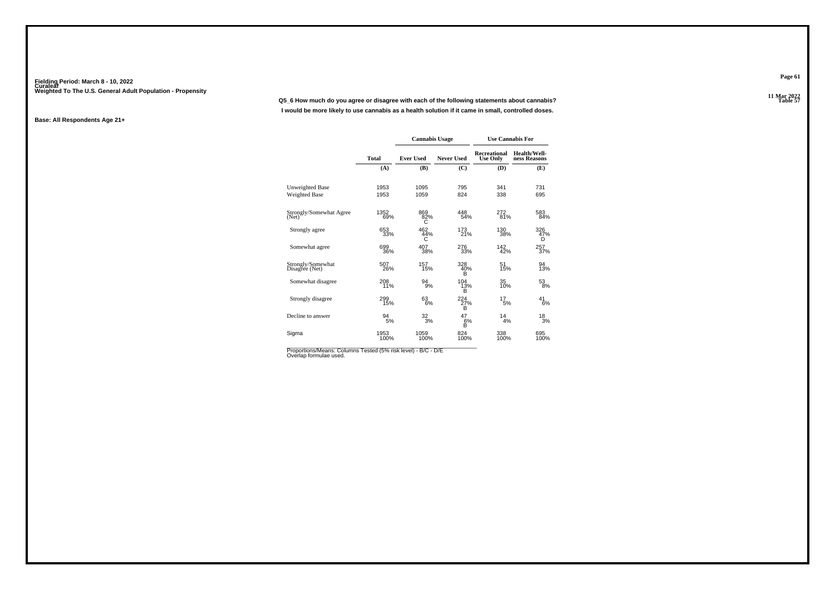**11 Mar 2022Q5\_6 How much do you agree or disagree with each of the following statements about cannabis?I would be more likely to use cannabis as a health solution if it came in small, controlled doses.**

#### **Base: All Respondents Age 21+**

|                                     |              | <b>Cannabis Usage</b> |                 |                                        | <b>Use Cannabis For</b>      |
|-------------------------------------|--------------|-----------------------|-----------------|----------------------------------------|------------------------------|
|                                     | Total        | <b>Ever Used</b>      | Never Used      | <b>Recreational</b><br><b>Use Only</b> | Health/Well-<br>ness Reasons |
|                                     | (A)          | (B)                   | (C)             | (D)                                    | (E)                          |
| <b>Unweighted Base</b>              | 1953         | 1095                  | 795             | 341                                    | 731                          |
| <b>Weighted Base</b>                | 1953         | 1059                  | 824             | 338                                    | 695                          |
| Strongly/Somewhat Agree<br>(Net)    | 1352<br>69%  | 869<br>82%<br>С       | 448<br>54%      | 272<br>81%                             | 583<br>84%                   |
| Strongly agree                      | 653<br>33%   | 462<br>44%<br>C       | 173<br>21%      | 130<br>38%                             | 326<br>47%<br>D              |
| Somewhat agree                      | 699<br>36%   | 407<br>38%            | 276<br>33%      | 142<br>42%                             | 257<br>37%                   |
| Strongly/Somewhat<br>Disagree (Net) | 507<br>26%   | 157<br>15%            | 328<br>40%<br>B | 51<br>15%                              | 94<br>13%                    |
| Somewhat disagree                   | 208<br>11%   | 94<br>9%              | 104<br>13%<br>B | 35<br>10%                              | 53<br>8%                     |
| Strongly disagree                   | 299<br>15%   | 63<br>6%              | 224<br>27%<br>B | 17<br>5%                               | 41<br>6%                     |
| Decline to answer                   | 94<br>5%     | $\frac{32}{3%}$       | 47<br>$6%$<br>B | 14<br>4%                               | $^{18}_{3%}$                 |
| Sigma                               | 1953<br>100% | 1059<br>100%          | 824<br>100%     | 338<br>100%                            | 695<br>100%                  |

Proportions/Means: Columns Tested (5% risk level) - B/C - D/E<br>Overlap formulae used.

**Page 61**

11 Mar 2022<br>Table 57 **Table 57**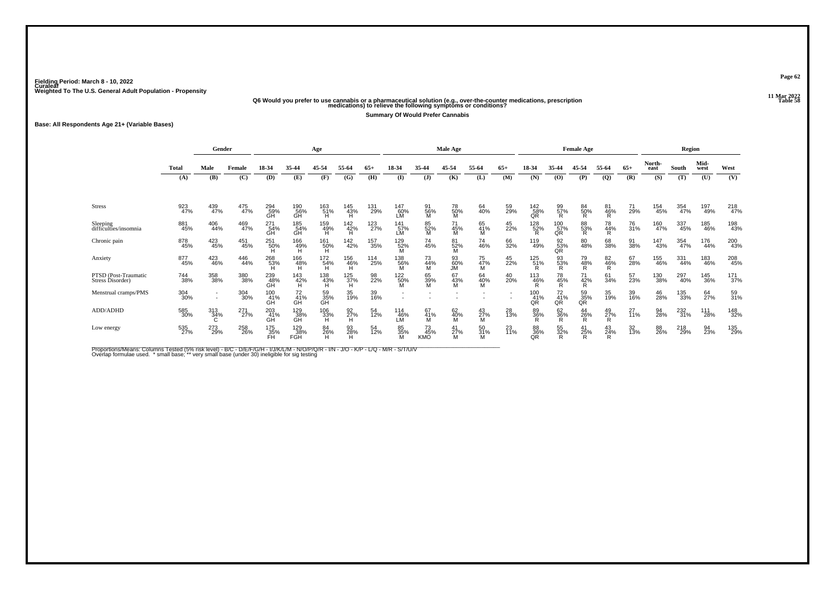# **11 Mar 2022Q6 Would you prefer to use cannabis or a pharmaceutical solution (e.g., over-the-counter medications, prescription Table 58 medications) to relieve the following symptoms or conditions?**

**Summary Of Would Prefer Cannabis**

**Base: All Respondents Age 21+ (Variable Bases)**

|                                          |                    | Gender             |            |                         |                         | Age             |                  |            |                                                      |                              | <b>Male Age</b>        |                   |           |                       |                      | <b>Female Age</b> |                |                  |                | Region     |              |            |
|------------------------------------------|--------------------|--------------------|------------|-------------------------|-------------------------|-----------------|------------------|------------|------------------------------------------------------|------------------------------|------------------------|-------------------|-----------|-----------------------|----------------------|-------------------|----------------|------------------|----------------|------------|--------------|------------|
|                                          | Total              | Male               | Female     | 18-34                   | 35-44                   | 45-54           | 55-64            | $65+$      | 18-34                                                | 35-44                        | 45-54                  | 55-64             | $65+$     | 18-34                 | 35-44                | 45-54             | 55-64          | $65+$            | North-<br>east | South      | Mid-<br>west | West       |
|                                          | (A)                | (B)                | (C)        | (D)                     | (E)                     | (F)             | (G)              | (H)        | $($ I                                                | $\mathbf{J}$                 | (K)                    | (L)               | (M)       | (N)                   | (0)                  | (P)               | (Q)            | (R)              | (S)            | (T)        | (U)          | (V)        |
|                                          |                    |                    |            |                         |                         |                 |                  |            |                                                      |                              |                        |                   |           |                       |                      |                   |                |                  |                |            |              |            |
| <b>Stress</b>                            | 923<br>47%         | 439<br>47%         | 475<br>47% | 294<br>59%<br>GH        | 190<br>56%<br>GH        | 163<br>51%<br>H | 145<br>43%<br>H. | 131<br>29% | 147<br>60%<br>LM                                     | 91<br>56%<br>M               | 78<br>50%<br>M         | 64<br>40%         | 59<br>29% | $\frac{142}{58\%}$ QR | 99<br>57%<br>R       | 84<br>50%<br>R    | 81<br>46%<br>R | 71<br>29%        | 154<br>45%     | 354<br>47% | 197<br>49%   | 218<br>47% |
| Sleeping<br>difficulties/insomnia        | 881<br>45%         | 406<br>44%         | 469<br>47% | 271<br>54%<br>GH        | 185<br>54%<br>GH        | 159<br>49%<br>H | 142<br>42%<br>H  | 123<br>27% | 141<br>57%<br>LM                                     | 85<br>52%<br>M               | 45%<br>M               | 65<br>41%         | 45<br>22% | 128<br>52%            | 100<br>57%<br>QR     | 88<br>53%<br>R    | 78<br>44%<br>R | 76<br>31%        | 160<br>47%     | 337<br>45% | 185<br>46%   | 198<br>43% |
| Chronic pain                             | 878<br>45%         | 423<br>45%         | 451<br>45% | 251<br>50%              | 166<br>49%<br>H         | 161<br>50%      | 142<br>42%       | 157<br>35% | 129<br>52%                                           | 74<br>45%                    | 81<br>52%<br>М         | 74<br>46%         | 66<br>32% | 119<br>49%            | $\frac{92}{53\%}$    | 80<br>48%         | 68<br>38%      | 91<br>38%        | 147<br>43%     | 354<br>47% | 176<br>44%   | 200<br>43% |
| Anxiety                                  | 877<br>45%         | 423<br>46%         | 446<br>44% | 268<br>53%<br>н         | 166<br>$\frac{48\%}{H}$ | 172<br>54%<br>Ή | 156<br>46%<br>H. | 114<br>25% | 138<br>56%                                           | 73<br>44%<br>М               | 93<br>60%<br><b>JM</b> | 75<br>47%<br>M    | 45<br>22% | 125<br>51%            | 93<br>53%            | 79<br>48%         | 82<br>46%<br>R | 67<br>28%        | 155<br>46%     | 331<br>44% | 183<br>46%   | 208<br>45% |
| PTSD (Post-Traumatic<br>Stress Disorder) | 744<br>38%         | 358<br>38%         | 380<br>38% | 239<br>48%<br>GH        | 143<br>42%<br>H         | 138<br>43%      | 125<br>37%<br>H  | 98<br>22%  | 122<br>50%                                           | 65<br>39%                    | 67<br>43%<br>M         | 64<br>40%         | 40<br>20% | 113<br>46%            | 78<br>45%            | 71<br>42%         | 61<br>34%      | 57<br>23%        | 130<br>38%     | 297<br>40% | 145<br>36%   | 171<br>37% |
| Menstrual cramps/PMS                     | 304<br>30%         | $\sim$<br>$\sim$   | 304<br>30% | 100<br>41%<br><b>GH</b> | $^{72}_{41\%}$<br>GH    | 59<br>35%<br>GH | 35<br>19%        | 39<br>16%  | $\overline{\phantom{a}}$<br>$\overline{\phantom{a}}$ |                              |                        |                   |           | 100<br>41%<br>QR      | $^{72}_{41\%}$<br>QR | 59<br>35%<br>QR   | 35<br>19%      | 39 <sub>0%</sub> | 46<br>28%      | 135<br>33% | 64<br>27%    | 59<br>31%  |
| ADD/ADHD                                 | 585<br>30%         | $\frac{313}{34\%}$ | 271<br>27% | 203<br>41%<br>GĤ        | 129<br>38%<br>GH        | $^{106}_{33\%}$ | 92<br>27%<br>H   | 54<br>12%  | 114<br>-46%<br>LM                                    | 67<br>41%<br>м               | 62<br>40%<br>M         | $^{43}_{27\%}$    | 28<br>13% | 89<br>36%             | 62<br>36%<br>R       | $^{44}_{26\%}$    | 49<br>27%<br>R | 27<br>11%        | 94<br>28%      | 232<br>31% | 111<br>28%   | 148<br>32% |
| Low energy                               | 535 <sub>27%</sub> | 273<br>29%         | 258<br>26% | 175<br>35%<br>FĤ        | 129%<br>FĞĤ             | 84<br>26%<br>H  | 93<br>28%<br>н   | 54<br>12%  | 85 <sub>%</sub>                                      | $^{73}_{45\%}$<br><b>KMO</b> | $\frac{41}{27\%}$<br>М | $\frac{50}{31\%}$ | 23<br>11% | 88%<br>QR             | 55<br>32%<br>R       | 41<br>25%         | 43<br>24%      | 32 <sub>%</sub>  | 88<br>26%      | 218<br>29% | 94<br>23%    | 135<br>29% |

Proportions/Means: Columns Tested (5% risk level) - B/C - D/E/F/G/H - I/J/K/L/M - N/O/P/Q/R - I/N - J/O - K/P - L/Q - M/R - S/T/U/V<br>Overlap formulae used. \*small base; \* very small base (under 30) ineligible for sig testin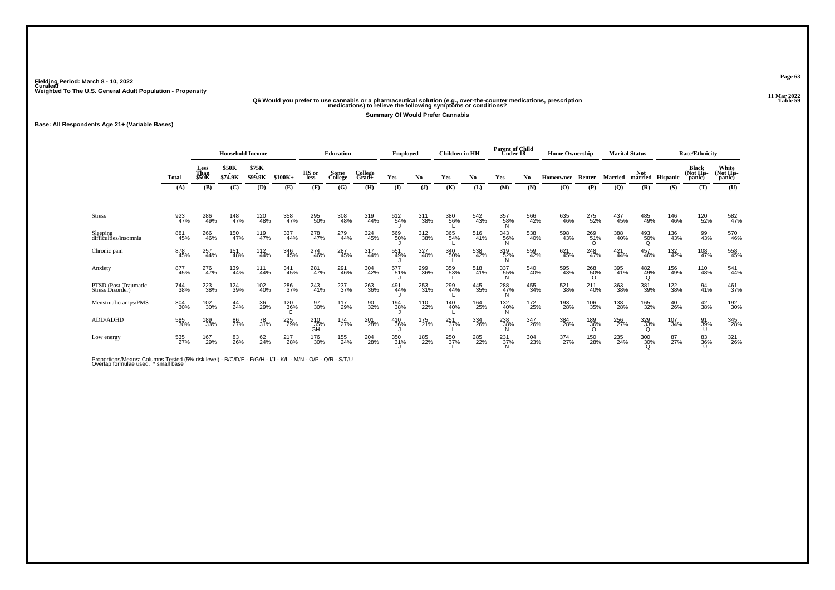# **11 Mar 2022Q6 Would you prefer to use cannabis or a pharmaceutical solution (e.g., over-the-counter medications, prescription Table 59 medications) to relieve the following symptoms or conditions?**

**Summary Of Would Prefer Cannabis**

**Base: All Respondents Age 21+ (Variable Bases)**

|                                          |              | <b>Household Income</b> |                         |                         |            |                      | <b>Education</b> |                  | <b>Employed</b> |            | <b>Children</b> in HH |            | <b>Parent of Child</b><br>Under 18 |            | <b>Home Ownership</b> |                        |            | <b>Marital Status</b> |                 | <b>Race/Ethnicity</b>        |                              |
|------------------------------------------|--------------|-------------------------|-------------------------|-------------------------|------------|----------------------|------------------|------------------|-----------------|------------|-----------------------|------------|------------------------------------|------------|-----------------------|------------------------|------------|-----------------------|-----------------|------------------------------|------------------------------|
|                                          | <b>Total</b> | Less<br>Than<br>\$50K   | <b>\$50K</b><br>\$74.9K | \$75K<br><b>\$99.9K</b> | $$100K+$   | HS or<br><b>less</b> | Some<br>College  | College<br>Grad+ | Yes             | No         | Yes                   | No.        | Yes                                | No         | Homeowner             | Renter                 | Married    | Not<br>married        | <b>Hispanic</b> | Black<br>(Not His-<br>panic) | White<br>(Not His-<br>panic) |
|                                          | (A)          | (B)                     | (C)                     | (D)                     | (E)        | (F)                  | (G)              | (H)              | (I)             | (J)        | (K)                   | (L)        | (M)                                | (N)        | (O)                   | (P)                    | (Q)        | (R)                   | (S)             | (T)                          | (U)                          |
| <b>Stress</b>                            | 923<br>47%   | 286<br>49%              | 148<br>47%              | 120<br>48%              | 358<br>47% | 295<br>50%           | 308<br>48%       | 319<br>44%       | 612<br>54%      | 311<br>38% | 380<br>56%            | 542<br>43% | 357<br>58%                         | 566<br>42% | 635<br>46%            | 275<br>52%             | 437<br>45% | 485<br>49%            | 146<br>46%      | 120<br>52%                   | 582<br>47%                   |
| Sleeping<br>difficulties/insomnia        | 881<br>45%   | 266<br>46%              | 150<br>47%              | 119<br>47%              | 337<br>44% | 278<br>47%           | 279<br>44%       | 324<br>45%       | 569<br>50%      | 312<br>38% | 365<br>54%            | 516<br>41% | 343<br>56%<br>N                    | 538<br>40% | 598<br>43%            | 269<br>51%<br>$\Omega$ | 388<br>40% | 493<br>50%<br>O       | 136<br>43%      | 99<br>43%                    | 570<br>46%                   |
| Chronic pain                             | 878<br>45%   | 257<br>44%              | 151<br>48%              | 112<br>44%              | 346<br>45% | 274<br>46%           | 287<br>45%       | 317<br>44%       | 551<br>49%      | 327<br>40% | 340<br>50%            | 538<br>42% | 319<br>52%                         | 559<br>42% | 621<br>45%            | 248<br>47%             | 421<br>44% | 457<br>46%            | 132<br>42%      | 108<br>47%                   | 558<br>45%                   |
| Anxiety                                  | 877<br>45%   | 276<br>47%              | 139<br>44%              | 111<br>44%              | 341<br>45% | 281<br>47%           | 291<br>46%       | 304<br>42%       | 577<br>51%      | 299<br>36% | 359<br>53%            | 518<br>41% | 337<br>55%                         | 540<br>40% | 595<br>43%            | 268<br>50%<br>$\Omega$ | 395<br>41% | 482<br>49%            | 156<br>49%      | 110<br>48%                   | 541<br>44%                   |
| PTSD (Post-Traumatic<br>Stress Disorder) | 744<br>38%   | 223<br>38%              | 124<br>39%              | 102<br>40%              | 286<br>37% | 243<br>41%           | 237<br>37%       | 263<br>36%       | 491<br>44%      | 253<br>31% | 299<br>44%            | 445<br>35% | 288<br>47%                         | 455<br>34% | 521<br>38%            | 211<br>40%             | 363<br>38% | 381<br>39%            | 122<br>38%      | 94<br>41%                    | 461<br>37%                   |
| Menstrual cramps/PMS                     | 304<br>30%   | 102<br>30%              | 44<br>24%               | 36<br>29%               | 120<br>36% | 97<br>30%            | 117<br>29%       | 90<br>32%        | 194<br>38%      | 110<br>22% | 140<br>40%            | 164<br>25% | 132<br>40%                         | 172<br>25% | 193<br>28%            | 106<br>35%             | 138<br>28% | 165<br>32%            | 40<br>26%       | 42<br>38%                    | 192<br>30%                   |
| ADD/ADHD                                 | 585<br>30%   | 189<br>33%              | 86<br>27%               | 78<br>31%               | 225<br>29% | 210<br>35%<br>GH     | 174<br>27%       | 201<br>28%       | 410<br>36%      | 175<br>21% | $^{251}_{37\%}$       | 334<br>26% | 238<br>38%<br>N                    | 347<br>26% | 384<br>28%            | 189<br>36%             | 256<br>27% | 329<br>33%            | 107<br>34%      | 91<br>39%                    | 345<br>28%                   |
| Low energy                               | 535<br>27%   | 167<br>29%              | 83<br>26%               | 62<br>24%               | 217<br>28% | 176<br>30%           | 155<br>24%       | 204<br>28%       | 350<br>31%      | 185<br>22% | 250<br>37%            | 285<br>22% | 231<br>37%                         | 304<br>23% | 374<br>27%            | 150<br>28%             | 235<br>24% | 300<br>30%<br>Ω       | 87<br>27%       | 83<br>36%                    | 321<br>26%                   |

Proportions/Means: Columns Tested (5% risk level) - B/C/D/E - F/G/H - I/J - K/L - M/N - O/P - Q/R - S/T/U<br>Overlap formulae used. \* small base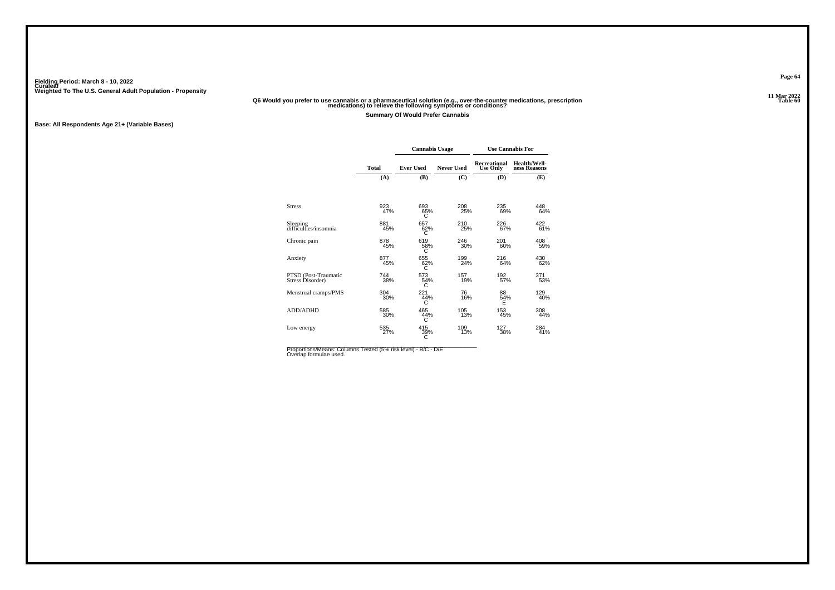# **11 Mar 2022Q6 Would you prefer to use cannabis or a pharmaceutical solution (e.g., over-the-counter medications, prescription Table 60 medications) to relieve the following symptoms or conditions?**

**Summary Of Would Prefer Cannabis**

**Base: All Respondents Age 21+ (Variable Bases)**

|                                          |              | <b>Cannabis Usage</b> |                   | <b>Use Cannabis For</b>                |                              |
|------------------------------------------|--------------|-----------------------|-------------------|----------------------------------------|------------------------------|
|                                          | <b>Total</b> | <b>Ever Used</b>      | <b>Never Used</b> | <b>Recreational</b><br><b>Use Only</b> | Health/Well-<br>ness Reasons |
|                                          | (A)          | (B)                   | (C)               | (D)                                    | (E)                          |
|                                          |              |                       |                   |                                        |                              |
| <b>Stress</b>                            | 923<br>47%   | 693<br>65%<br>C       | 208<br>25%        | 235<br>69%                             | 448<br>64%                   |
| Sleeping<br>difficulties/insomnia        | 881<br>45%   | 657<br>62%            | 210<br>25%        | 226<br>67%                             | 422<br>61%                   |
| Chronic pain                             | 878<br>45%   | 619<br>58%<br>С       | 246<br>30%        | 201<br>60%                             | 408<br>59%                   |
| Anxiety                                  | 877<br>45%   | 655<br>62%<br>C       | 199<br>24%        | 216<br>64%                             | 430<br>62%                   |
| PTSD (Post-Traumatic<br>Stress Disorder) | 744<br>38%   | 573<br>54%<br>C       | 157<br>19%        | 192<br>57%                             | 371<br>53%                   |
| Menstrual cramps/PMS                     | 304<br>30%   | 221<br>44%<br>С       | 76<br>16%         | 88<br>54%<br>E                         | 129<br>40%                   |
| ADD/ADHD                                 | 585<br>30%   | 465<br>44%<br>С       | 105<br>13%        | 153<br>45%                             | 308<br>44%                   |
| Low energy                               | 535<br>27%   | 415<br>39%<br>С       | 109<br>13%        | 127<br>38%                             | 284<br>41%                   |

Proportions/Means: Columns Tested (5% risk level) - B/C - D/E Overlap formulae used.<br>Overlap formulae used.

**Page 64**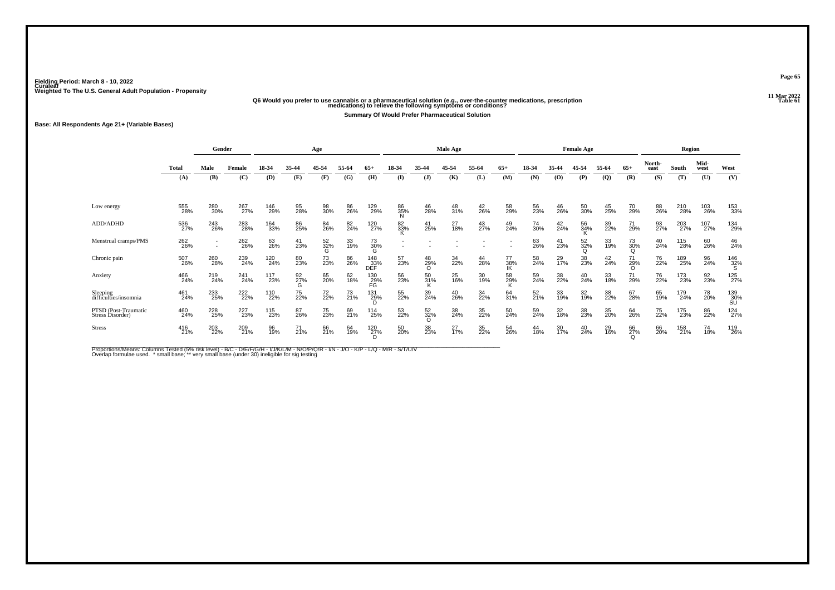# **11 Mar 2022Q6 Would you prefer to use cannabis or a pharmaceutical solution (e.g., over-the-counter medications, prescription Table 61 medications) to relieve the following symptoms or conditions?**

**Summary Of Would Prefer Pharmaceutical Solution**

**Base: All Respondents Age 21+ (Variable Bases)**

|                                          |              | Gender     |            |            |                | Age             |                |                   |                           |                       | <b>Male Age</b> |                |                 |                 |                 | <b>Female Age</b>     |                |                       |                | Region     |              |                  |
|------------------------------------------|--------------|------------|------------|------------|----------------|-----------------|----------------|-------------------|---------------------------|-----------------------|-----------------|----------------|-----------------|-----------------|-----------------|-----------------------|----------------|-----------------------|----------------|------------|--------------|------------------|
|                                          | <b>Total</b> | Male       | Female     | 18-34      | 35-44          | 45-54           | 55-64          | $65+$             | 18-34                     | 35-44                 | 45-54           | 55-64          | $65+$           | 18-34           | 35-44           | 45-54                 | 55-64          | $65+$                 | North-<br>east | South      | Mid-<br>west | West             |
|                                          | (A)          | (B)        | (C)        | (D)        | (E)            | (F)             | (G)            | (H)               | $($ I                     | $(\mathbf{J})$        | (K)             | (L)            | (M)             | (N)             | (0)             | (P)                   | $\mathbf{Q}$   | (R)                   | (S)            | (T)        | (U)          | (V)              |
| Low energy                               | 555<br>28%   | 280<br>30% | 267<br>27% | 146<br>29% | 95<br>28%      | 98<br>30%       | 86<br>26%      | 129<br>29%        | 86<br>35%<br><sup>N</sup> | 46<br>28%             | 48<br>31%       | $^{42}_{26\%}$ | 58<br>29%       | 56<br>23%       | 46<br>26%       | 50<br>30%             | 45<br>25%      | 70<br>29%             | 88<br>26%      | 210<br>28% | 103<br>26%   | 153<br>33%       |
| ADD/ADHD                                 | 536<br>27%   | 243<br>26% | 283<br>28% | 164<br>33% | 86<br>25%      | 84<br>26%       | 82<br>24%      | 120<br>27%        | 82<br>33%                 | 41<br>25%             | 27<br>18%       | 43<br>27%      | 49<br>24%       | 74<br>30%       | $^{42}_{24\%}$  | 56<br>34%             | 39<br>22%      | 71<br>29%             | 93<br>27%      | 203<br>27% | 107<br>27%   | 134<br>29%       |
| Menstrual cramps/PMS                     | 262<br>26%   | ٠<br>٠     | 262<br>26% | 63<br>26%  | 41<br>23%      | 52<br>32%<br>G  | 33<br>19%      | 73<br>30%<br>G    |                           |                       |                 |                |                 | 63<br>26%       | 41<br>23%       | 52<br>32%<br>$\Omega$ | 33<br>19%      | 73<br>30%<br>$\Omega$ | 40<br>24%      | 115<br>28% | 60<br>26%    | 46<br>24%        |
| Chronic pain                             | 507<br>26%   | 260<br>28% | 239<br>24% | 120<br>24% | 80<br>23%      | 73<br>23%       | 86<br>26%      | 148<br>33%<br>DEF | 57<br>23%                 | 48<br>29%<br>$\Omega$ | 34<br>22%       | 44<br>28%      | 77<br>38%<br>IK | 58<br>24%       | 29<br>17%       | 38<br>23%             | $^{42}_{24\%}$ | 71<br>29%             | 76<br>22%      | 189<br>25% | 96<br>24%    | $^{146}_{32\%}$  |
| Anxiety                                  | 466<br>24%   | 219<br>24% | 241<br>24% | 117<br>23% | 92<br>27%<br>G | 65<br>20%       | 62<br>18%      | 130<br>29%<br>FG  | 56<br>23%                 | 50<br>31%<br>ĸ        | 25<br>16%       | 30<br>19%      | 58<br>29%<br>ĸ  | 59<br>24%       | 38<br>22%       | 40<br>24%             | 33<br>18%      | 71<br>29%             | 76<br>22%      | 173<br>23% | 92<br>23%    | 125<br>27%       |
| Sleeping<br>difficulties/insomnia        | 461<br>24%   | 233<br>25% | 222%       | 110<br>22% | 75<br>22%      | 72 <sub>%</sub> | $^{73}_{21\%}$ | 131<br>29%<br>D   | 55<br>22%                 | 39<br>24%             | 40<br>26%       | 34<br>22%      | 64<br>31%       | 52 <sub>%</sub> | 33<br>19%       | 32 <sub>%</sub>       | 38<br>22%      | 67<br>28%             | 65<br>19%      | 179<br>24% | 78<br>20%    | 139<br>30%<br>SU |
| PTSD (Post-Traumatic<br>Stress Disorder) | 460<br>24%   | 228<br>25% | 227<br>23% | 115<br>23% | 87<br>26%      | 75<br>23%       | 69<br>21%      | 114<br>25%        | 53<br>22%                 | 52<br>32%<br>$\Omega$ | 38<br>24%       | 35<br>22%      | 50<br>24%       | 59<br>24%       | 32<br>18%       | 38<br>23%             | 35<br>20%      | 64<br>26%             | 75<br>22%      | 175<br>23% | 86<br>22%    | 124<br>27%       |
| <b>Stress</b>                            | 416<br>21%   | 203<br>22% | 209<br>21% | 96<br>19%  | $^{71}_{21\%}$ | 66<br>21%       | 64<br>19%      | 120 <sub>7%</sub> | 50 <sub>%</sub>           | 38<br>23%             | $^{27}_{17\%}$  | 35<br>22%      | 54<br>26%       | 44<br>18%       | 30 <sub>%</sub> | 40<br>24%             | 29<br>16%      | 66<br>27%             | 66<br>20%      | 158<br>21% | 74<br>18%    | 119<br>26%       |

Proportions/Means: Columns Tested (5% risk level) - B/C - D/E/F/G/H - I/J/K/L/M - N/O/P/Q/R - I/N - J/O - K/P - L/Q - M/R - S/T/U/V<br>Overlap formulae used. \*small base; \* very small base (under 30) ineligible for sig testin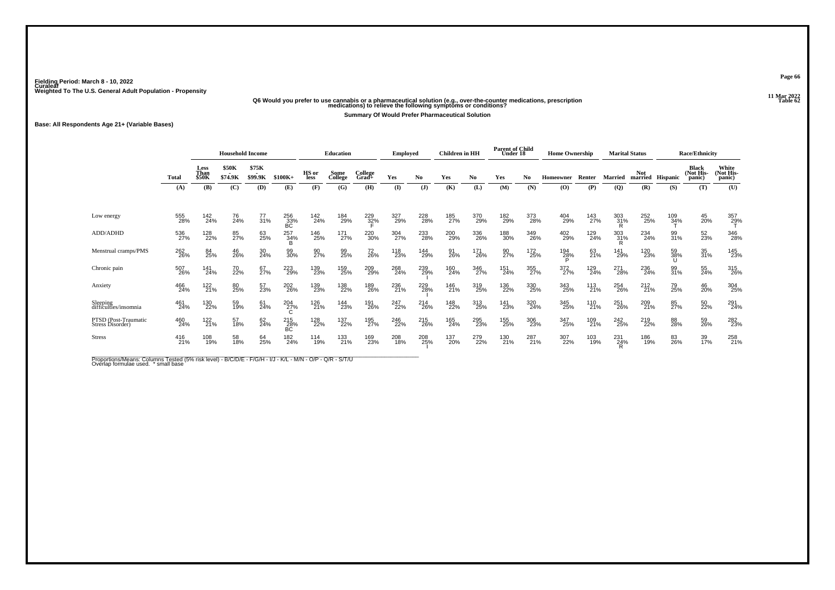# **11 Mar 2022Q6 Would you prefer to use cannabis or a pharmaceutical solution (e.g., over-the-counter medications, prescription Table 62 medications) to relieve the following symptoms or conditions?**

**Summary Of Would Prefer Pharmaceutical Solution**

**Base: All Respondents Age 21+ (Variable Bases)**

|                                          |              |                       | <b>Household Income</b> |                   |                  |               | Education       |                  | Employed     |                | <b>Children</b> in HH |            | <b>Parent of Child</b><br>Under 18 |            | <b>Home Ownership</b> |            |                 | <b>Marital Status</b> |            | <b>Race/Ethnicity</b>               |                              |
|------------------------------------------|--------------|-----------------------|-------------------------|-------------------|------------------|---------------|-----------------|------------------|--------------|----------------|-----------------------|------------|------------------------------------|------------|-----------------------|------------|-----------------|-----------------------|------------|-------------------------------------|------------------------------|
|                                          | <b>Total</b> | Less<br>Than<br>\$50K | \$50K<br>\$74.9K        | \$75K<br>\$99.9K  | $$100K+$         | HS or<br>less | Some<br>College | College<br>Grad+ | Yes          | N <sub>0</sub> | Yes                   | No         | Yes                                | No         | Homeowner             | Renter     | Married         | <b>Not</b><br>married | Hispanic   | <b>Black</b><br>(Not His-<br>panic) | White<br>(Not His-<br>panic) |
|                                          | (A)          | (B)                   | (C)                     | (D)               | (E)              | (F)           | (G)             | (H)              | $\mathbf{I}$ | $\mathbf{J}$   | (K)                   | (L)        | (M)                                | (N)        | (O)                   | (P)        | $\overline{Q}$  | (R)                   | (S)        | (T)                                 | (U)                          |
| Low energy                               | 555<br>28%   | 142<br>24%            | 76<br>24%               | $\frac{77}{31\%}$ | 256<br>33%<br>BC | 142<br>24%    | 184<br>29%      | $^{229}_{32\%}$  | 327<br>29%   | 228<br>28%     | 185<br>27%            | 370<br>29% | 182<br>29%                         | 373<br>28% | 404<br>29%            | 143<br>27% | 303<br>31%<br>R | 252<br>25%            | 109<br>34% | 45<br>20%                           | 357<br>29%                   |
| ADD/ADHD                                 | 536<br>27%   | 128<br>22%            | 85<br>27%               | 63<br>25%         | 257<br>34%       | 146<br>25%    | 171<br>27%      | 220<br>30%       | 304<br>27%   | 233<br>28%     | 200<br>29%            | 336<br>26% | 188<br>30%                         | 349<br>26% | 402<br>29%            | 129<br>24% | 303<br>31%      | 234<br>24%            | 99<br>31%  | 52<br>23%                           | 346<br>28%                   |
| Menstrual cramps/PMS                     | 262<br>26%   | 84<br>25%             | 46<br>26%               | 30<br>24%         | 99<br>30%        | 90<br>27%     | 99<br>25%       | 72<br>26%        | 118<br>23%   | 144<br>29%     | 91<br>26%             | 171<br>26% | 90<br>27%                          | 172<br>25% | 194<br>2 <u>8</u> %   | 63<br>21%  | 141<br>29%      | 120<br>23%            | 59<br>38%  | 35<br>31%                           | 145<br>23%                   |
| Chronic pain                             | 507<br>26%   | 141<br>24%            | 70<br>22%               | 67<br>27%         | 223<br>29%       | 139<br>23%    | 159<br>25%      | 209<br>29%       | 268<br>24%   | 239<br>29%     | 160<br>24%            | 346<br>27% | 151<br>24%                         | 355<br>27% | 372<br>27%            | 129<br>24% | 271<br>28%      | 236<br>24%            | 99<br>31%  | 55<br>24%                           | 315<br>26%                   |
| Anxiety                                  | 466<br>24%   | 122<br>21%            | 80<br>25%               | 57<br>23%         | 202<br>26%       | 139<br>23%    | 138<br>22%      | 189<br>26%       | 236<br>21%   | 229<br>28%     | 146<br>21%            | 319<br>25% | 136<br>22%                         | 330<br>25% | 343<br>25%            | 113<br>21% | 254<br>26%      | 212<br>21%            | 79<br>25%  | 46<br>20%                           | 304<br>25%                   |
| Sleeping<br>difficulties/insomnia        | 461<br>24%   | 130<br>22%            | 59<br>19%               | 61<br>24%         | 204<br>27%       | 126<br>21%    | 144<br>23%      | 191<br>26%       | 247<br>22%   | 214<br>26%     | 148<br>22%            | 313<br>25% | 141<br>23%                         | 320<br>24% | 345<br>25%            | 110<br>21% | 251<br>26%      | 209<br>21%            | 85<br>27%  | 50<br>22%                           | 291<br>24%                   |
| PTSD (Post-Traumatic<br>Stress Disorder) | 460<br>24%   | 122<br>21%            | 57<br>18%               | 62<br>24%         | 215<br>28%<br>BC | 128<br>22%    | 137<br>22%      | 195<br>27%       | 246<br>22%   | 215<br>26%     | 165<br>24%            | 295<br>23% | 155<br>25%                         | 306<br>23% | 347<br>25%            | 109<br>21% | 242<br>25%      | 219<br>22%            | 88<br>28%  | 59<br>26%                           | 282<br>23%                   |
| <b>Stress</b>                            | 416<br>21%   | 108<br>19%            | 58<br>18%               | 64<br>25%         | 182<br>24%       | 114<br>19%    | 133<br>21%      | 169<br>23%       | 208<br>18%   | 208<br>25%     | 137<br>20%            | 279<br>22% | 130<br>21%                         | 287<br>21% | 307<br>22%            | 103<br>19% | 231<br>24%      | 186<br>19%            | 83<br>26%  | 39<br>17%                           | 258<br>21%                   |

Proportions/Means: Columns Tested (5% risk level) - B/C/D/E - F/G/H - I/J - K/L - M/N - O/P - Q/R - S/T/U<br>Overlap formulae used. \* small base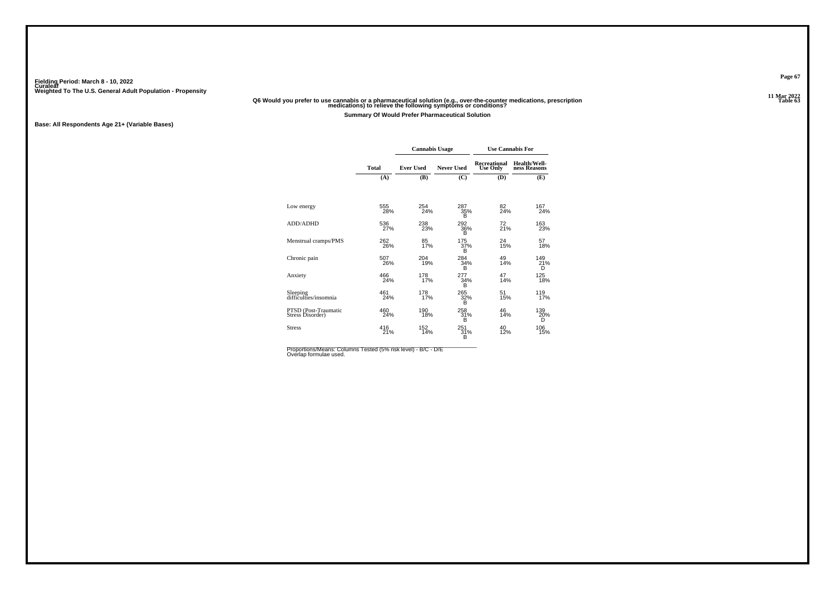# **11 Mar 2022Q6 Would you prefer to use cannabis or a pharmaceutical solution (e.g., over-the-counter medications, prescription Table 63 medications) to relieve the following symptoms or conditions?**

**Summary Of Would Prefer Pharmaceutical Solution**

**Base: All Respondents Age 21+ (Variable Bases)**

|                                          |              | <b>Cannabis Usage</b> |                   | <b>Use Cannabis For</b>                |                              |
|------------------------------------------|--------------|-----------------------|-------------------|----------------------------------------|------------------------------|
|                                          | <b>Total</b> | <b>Ever Used</b>      | <b>Never Used</b> | <b>Recreational</b><br><b>Use Only</b> | Health/Well-<br>ness Reasons |
|                                          | (A)          | (B)                   | (C)               | (D)                                    | (E)                          |
|                                          |              |                       |                   |                                        |                              |
| Low energy                               | 555<br>28%   | 254<br>24%            | 287<br>35%<br>B   | 82<br>24%                              | 167<br>24%                   |
| <b>ADD/ADHD</b>                          | 536<br>27%   | 238<br>23%            | 292<br>36%<br>Έŝ  | 72<br>21%                              | 163<br>23%                   |
| Menstrual cramps/PMS                     | 262<br>26%   | 85<br>17%             | 175<br>37%<br>B   | 24<br>15%                              | 57<br>18%                    |
| Chronic pain                             | 507<br>26%   | 204<br>19%            | 284<br>34%<br>B   | 49<br>14%                              | 149<br>21%<br>D              |
| Anxiety                                  | 466<br>24%   | 178<br>17%            | 277<br>34%<br>B   | 47<br>14%                              | 125<br>18%                   |
| Sleeping<br>difficulties/insomnia        | 461<br>24%   | 178<br>17%            | 265<br>32%<br>B   | 51<br>15%                              | 119 <sub>7%</sub>            |
| PTSD (Post-Traumatic<br>Stress Disorder) | 460<br>24%   | 190<br>18%            | 258<br>31%<br>B   | 46<br>14%                              | 139<br>20%<br>D              |
| <b>Stress</b>                            | 416<br>21%   | 152<br>14%            | $251_{31\%}$<br>B | 40<br>12%                              | 106<br>15%                   |

Proportions/Means: Columns Tested (5% risk level) - B/C - D/E<br>Overlap formulae used.

**Page 67**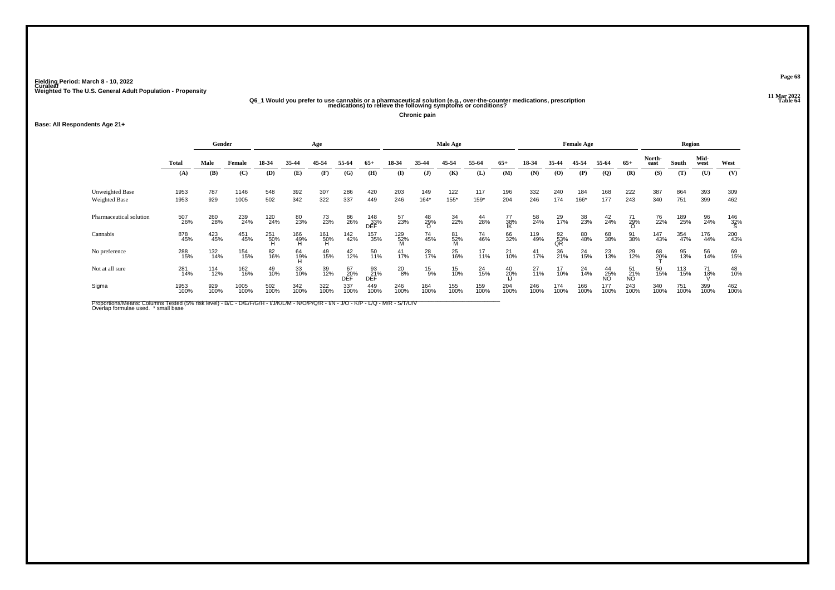# .11 Mar 2022<br>Q6\_1 Would you prefer to use cannabis or a pharmaceutical solution (e.g., over-the-counter medications, prescription<br>Table 64 medications) to relieve the following symptoms or conditions?

**Chronic pain**

#### **Base: All Respondents Age 21+**

|              |             |        |                                                                        |                                                                             | Age                             |                   |                                                                 |                                  |                                                            |                                            |                  |                 |                  |             |                   |                           |                          |                          |                                                    |                                                        |                    |
|--------------|-------------|--------|------------------------------------------------------------------------|-----------------------------------------------------------------------------|---------------------------------|-------------------|-----------------------------------------------------------------|----------------------------------|------------------------------------------------------------|--------------------------------------------|------------------|-----------------|------------------|-------------|-------------------|---------------------------|--------------------------|--------------------------|----------------------------------------------------|--------------------------------------------------------|--------------------|
| <b>Total</b> | Male        | Female | 18-34                                                                  | 35-44                                                                       | 45-54                           | 55-64             | $65+$                                                           | 18-34                            | 35-44                                                      | 45-54                                      | 55-64            | $65+$           | 18-34            | 35-44       | 45-54             | 55-64                     | $65+$                    | North-<br>east           | South                                              | Mid-<br>west                                           | West               |
| (A)          | (B)         | (C)    | (D)                                                                    | (E)                                                                         | (F)                             | (G)               | (H)                                                             | (I)                              | $($ $\bf{J})$                                              | (K)                                        | (L)              | (M)             | (N)              | (0)         | (P)               | $\mathbf{Q}$              | (R)                      | (S)                      | (T)                                                | (U)                                                    | (V)                |
| 1953         | 787         | 1146   | 548                                                                    | 392                                                                         | 307                             | 286               | 420                                                             | 203                              | 149                                                        | 122                                        | 117              | 196             | 332              | 240         | 184               | 168                       | 222                      | 387                      | 864                                                | 393                                                    | 309                |
|              |             |        |                                                                        |                                                                             |                                 |                   |                                                                 |                                  |                                                            |                                            |                  |                 |                  |             |                   |                           |                          |                          |                                                    |                                                        | 462                |
| 507<br>26%   |             |        |                                                                        | 80<br>23%                                                                   |                                 | 86<br>26%         |                                                                 | 57<br>23%                        | $^{48}_{29\%}$                                             | 34<br>22%                                  | 44<br>28%        | 77<br>38%<br>IK | 58<br>24%        | 29<br>17%   | 38<br>23%         | $^{42}_{24\%}$            | 71<br>29%<br>O           | 76<br>22%                | 189<br>25%                                         | 96<br>24%                                              | $\frac{146}{32\%}$ |
| 878<br>45%   |             |        |                                                                        |                                                                             |                                 |                   |                                                                 |                                  | 74<br>45%                                                  | 81<br>52%<br>M                             | 74<br>46%        | 66<br>32%       |                  |             | 80<br>48%         | 68<br>38%                 | 91<br>38%                |                          | 354<br>47%                                         | 176<br>44%                                             | 200<br>43%         |
| 288<br>15%   |             |        | 82<br>16%                                                              | 64<br>19%                                                                   | 49<br>15%                       | 42<br>12%         | 50<br>11%                                                       | $^{41}_{17\%}$                   | 28<br>17%                                                  | 25<br>16%                                  | $17_{11\%}$      | 21<br>10%       | $^{41}_{17\%}$   | 36<br>21%   | 24<br>15%         | 23<br>13%                 | 29<br>12%                |                          | 95<br>13%                                          | 56<br>14%                                              | 69<br>15%          |
| 281<br>14%   |             |        | 49<br>10%                                                              | 33<br>10%                                                                   |                                 | 67<br>20%<br>DĒĚ  |                                                                 |                                  | $^{15}_{9\%}$                                              | 15<br>10%                                  |                  | $^{40}_{20\%}$  | $^{27}_{11\%}$   | 17<br>10%   | 24<br>14%         |                           |                          |                          | 113<br>15%                                         | 71<br>18%                                              | 48<br>10%          |
| 1953<br>100% | 929<br>100% |        | 502<br>100%                                                            | 342<br>100%                                                                 |                                 |                   | 449<br>100%                                                     | 246<br>100%                      | 164<br>100%                                                | 155<br>100%                                | 159<br>100%      | 204<br>100%     | 246<br>100%      | 174<br>100% | 166<br>100%       | 177<br>100%               |                          |                          | 751<br>100%                                        | 399<br>100%                                            | 462<br>100%        |
|              | 1953        | 929    | Gender<br>1005<br>260<br>28%<br>423<br>45%<br>132<br>14%<br>114<br>12% | 502<br>239<br>24%<br>451<br>45%<br>154<br>15%<br>162<br>16%<br>1005<br>100% | 342<br>120<br>24%<br>251<br>50% | 322<br>166<br>49% | 337<br>73<br>23%<br>161<br>50%<br>H<br>39<br>12%<br>322<br>100% | 449<br>142<br>42%<br>337<br>100% | 246<br>148<br>33%<br>DEF<br>157<br>35%<br>93<br>21%<br>DEF | $164*$<br>129<br>52%<br>M<br>$^{20}_{8\%}$ | Male Age<br>155* | 159*            | 204<br>24<br>15% | 246         | 174<br>119<br>49% | 166*<br>$\frac{92}{53}\%$ | <b>Female Age</b><br>177 | 243<br>$^{44}_{25\%}$ NO | 340<br>50<br>15%<br>51<br>21%<br>NO<br>243<br>100% | 751<br>147<br>43%<br>68<br>2 <u>0</u> %<br>340<br>100% | Region<br>399      |

Proportions/Means: Columns Tested (5% risk level) - B/C - D/E/F/G/H - I/J/K/L/M - N/O/P/Q/R - I/N - J/O - K/P - L/Q - M/R - S/T/U/V<br>Overlap formulae used. \*small base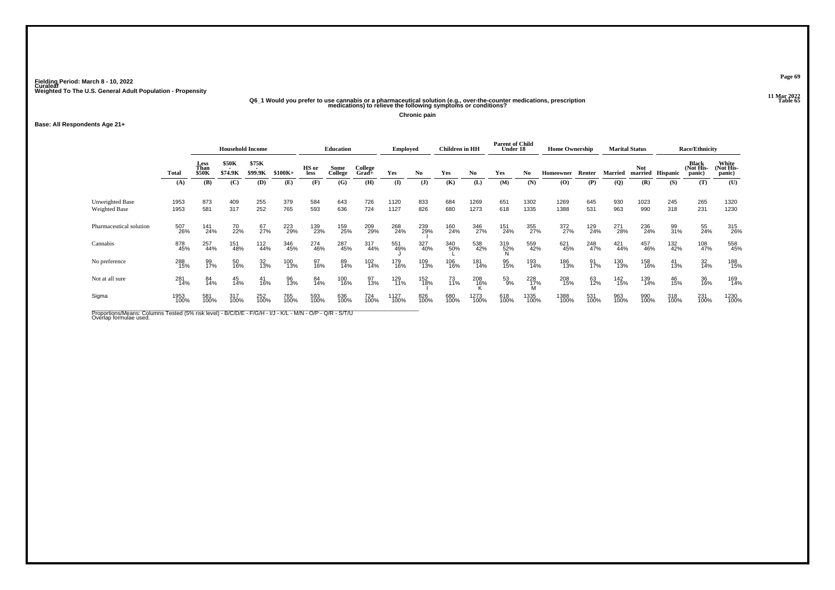# .11 Mar 2022<br>Q6\_1 Would you prefer to use cannabis or a pharmaceutical solution (e.g., over-the-counter medications, prescription<br>Table 65 medications) to relieve the following symptoms or conditions?

**Chronic pain**

#### **Base: All Respondents Age 21+**

|                                  |              | <b>Household Income</b> |                  |                  |             |               | <b>Education</b> |                  | <b>Employed</b> |                | Children in HH |              | <b>Parent of Child</b><br>Under 18 |              | <b>Home Ownership</b> |             |                | <b>Marital Status</b> |                 | <b>Race/Ethnicity</b>               |                              |
|----------------------------------|--------------|-------------------------|------------------|------------------|-------------|---------------|------------------|------------------|-----------------|----------------|----------------|--------------|------------------------------------|--------------|-----------------------|-------------|----------------|-----------------------|-----------------|-------------------------------------|------------------------------|
|                                  | <b>Total</b> | Less<br>Than<br>\$50K   | \$50K<br>\$74.9K | \$75K<br>\$99.9K | $$100K+$    | HS or<br>less | Some<br>College  | College<br>Grad+ | Yes             | N <sub>0</sub> | Yes            | No.          | Yes                                | No           | <b>Homeowner</b>      | Renter      | <b>Married</b> | Not<br>married        | <b>Hispanic</b> | <b>Black</b><br>(Not His-<br>panic) | White<br>(Not His-<br>panic) |
|                                  | (A)          | (B)                     | (C)              | (D)              | (E)         | (F)           | (G)              | (H)              | (I)             | $\mathbf{J}$   | (K)            | (L)          | (M)                                | (N)          | $\bf(0)$              | (P)         | (Q)            | (R)                   | (S)             | (T)                                 | (U)                          |
| Unweighted Base<br>Weighted Base | 1953<br>1953 | 873<br>581              | 409<br>317       | 255<br>252       | 379<br>765  | 584<br>593    | 643<br>636       | 726<br>724       | 1120<br>1127    | 833<br>826     | 684<br>680     | 1269<br>1273 | 651<br>618                         | 1302<br>1335 | 1269<br>1388          | 645<br>531  | 930<br>963     | 1023<br>990           | 245<br>318      | 265<br>231                          | 1320<br>1230                 |
| Pharmaceutical solution          | 507<br>26%   | 141<br>24%              | 70<br>22%        | 67<br>27%        | 223<br>29%  | 139<br>23%    | 159<br>25%       | 209<br>29%       | 268<br>24%      | 239<br>29%     | 160<br>24%     | 346<br>27%   | 151<br>24%                         | 355<br>27%   | 372<br>27%            | 129<br>24%  | 271<br>28%     | 236<br>24%            | 99<br>31%       | 55<br>24%                           | 315<br>26%                   |
| Cannabis                         | 878<br>45%   | 257<br>44%              | 151<br>48%       | 112<br>44%       | 346<br>45%  | 274<br>46%    | 287<br>45%       | 317<br>44%       | 551<br>49%      | 327<br>40%     | 340<br>50%     | 538<br>42%   | 319<br>52%                         | 559<br>42%   | 621<br>45%            | 248<br>47%  | 421<br>44%     | 457<br>46%            | 132<br>42%      | 108<br>47%                          | 558<br>45%                   |
| No preference                    | 288<br>15%   | 99<br>17%               | 50<br>16%        | 32<br>13%        | 100<br>13%  | 97<br>16%     | 89<br>14%        | 102<br>14%       | 179<br>16%      | 109<br>13%     | 106<br>16%     | 181<br>14%   | 95<br>15%                          | 193<br>14%   | 186<br>13%            | 91<br>17%   | 130<br>13%     | 158<br>16%            | 41<br>13%       | 32<br>14%                           | 188<br>15%                   |
| Not at all sure                  | 281<br>14%   | 84<br>14%               | 45<br>14%        | 41<br>16%        | 96<br>13%   | 84<br>14%     | 100<br>16%       | 97<br>13%        | 129<br>11%      | 152<br>18%     | $^{73}_{11\%}$ | 208<br>16%   | 53<br>9%                           | 228<br>17%   | 208<br>15%            | 63<br>12%   | 142<br>15%     | 139<br>14%            | 46<br>15%       | 36<br>16%                           | 169<br>14%                   |
| Sigma                            | 1953<br>100% | 581<br>100%             | 317<br>100%      | 252<br>100%      | 765<br>100% | 593<br>100%   | 636<br>100%      | 724<br>100%      | 1127<br>100%    | 826<br>100%    | 680<br>100%    | 1273<br>100% | 618<br>100%                        | 1335<br>100% | 1388<br>100%          | 531<br>100% | 963<br>100%    | 990<br>100%           | 318<br>100%     | 231<br>100%                         | 1230<br>100%                 |
|                                  |              |                         |                  |                  |             |               |                  |                  |                 |                |                |              |                                    |              |                       |             |                |                       |                 |                                     |                              |

Proportions/Means: Columns Tested (5% risk level) - B/C/D/E - F/G/H - I/J - K/L - M/N - O/P - Q/R - S/T/U<br>Overlap formulae used.

**Page 69**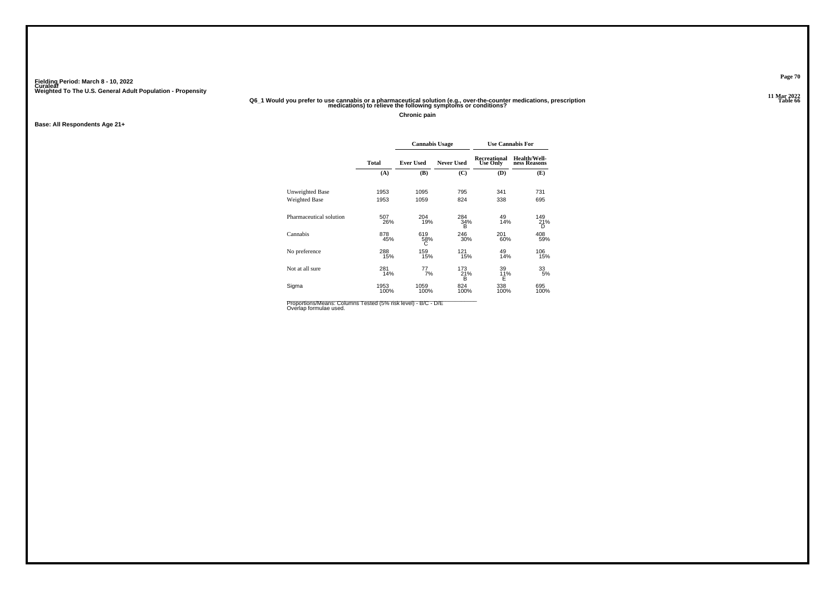### .11 Mar 2022<br>Q6\_1 Would you prefer to use cannabis or a pharmaceutical solution (e.g., over-the-counter medications, prescription<br>Table 66 medications) to relieve the following symptoms or conditions?

**Chronic pain**

**Base: All Respondents Age 21+**

|                         |              | <b>Cannabis Usage</b> |                   | <b>Use Cannabis For</b>                |                              |
|-------------------------|--------------|-----------------------|-------------------|----------------------------------------|------------------------------|
|                         | Total        | <b>Ever Used</b>      | <b>Never Used</b> | <b>Recreational</b><br><b>Use Only</b> | Health/Well-<br>ness Reasons |
|                         | (A)          | (B)                   | (C)               | (D)                                    | (E)                          |
| Unweighted Base         | 1953         | 1095                  | 795               | 341                                    | 731                          |
| Weighted Base           | 1953         | 1059                  | 824               | 338                                    | 695                          |
| Pharmaceutical solution | 507<br>26%   | 204<br>19%            | 284<br>34%<br>в   | 49<br>14%                              | 149<br>21%<br>D              |
| Cannabis                | 878<br>45%   | 619<br>58%<br>С       | 246<br>30%        | 201<br>60%                             | 408<br>59%                   |
| No preference           | 288<br>15%   | 159<br>15%            | 121<br>15%        | 49<br>14%                              | 106<br>15%                   |
| Not at all sure         | 281<br>14%   | 77<br>7%              | 173<br>21%<br>в   | 39<br>11%<br>E                         | 33<br>5%                     |
| Sigma                   | 1953<br>100% | 1059<br>100%          | 824<br>100%       | 338<br>100%                            | 695<br>100%                  |

Proportions/Means: Columns Tested (5% risk level) - B/C - D/E<br>Overlap formulae used.

**Page 70**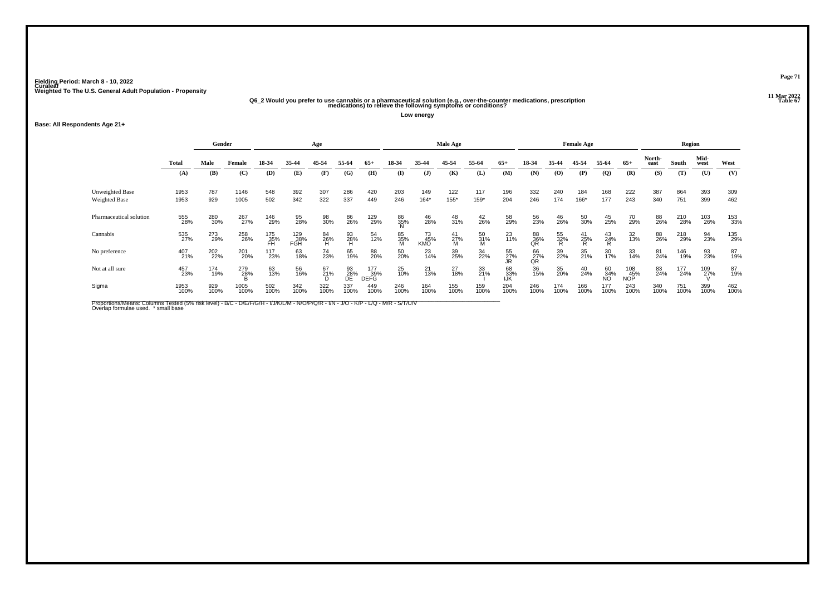# .11 Mar 2022<br>Q6\_2 Would you prefer to use cannabis or a pharmaceutical solution (e.g., over-the-counter medications, prescription<br>"Table 67 medications) to relieve the following symptoms or conditions?

**Low energy**

#### **Base: All Respondents Age 21+**

|                         |              | Gender      |              |                  |                   | Age            |                 |                           |                |                  | Male Age       |                |                  |                 |                                          | <b>Female Age</b> |                 |                   |                | Region      |              |             |
|-------------------------|--------------|-------------|--------------|------------------|-------------------|----------------|-----------------|---------------------------|----------------|------------------|----------------|----------------|------------------|-----------------|------------------------------------------|-------------------|-----------------|-------------------|----------------|-------------|--------------|-------------|
|                         | <b>Total</b> | Male        | Female       | 18-34            | 35-44             | 45-54          | 55-64           | $65+$                     | 18-34          | 35-44            | 45-54          | 55-64          | $65+$            | 18-34           | 35-44                                    | 45-54             | 55-64           | $65+$             | North-<br>east | South       | Mid-<br>west | West        |
|                         | (A)          | (B)         | (C)          | (D)              | (E)               | (F)            | (G)             | (H)                       | (I)            | $\mathbf{J}$     | (K)            | (L)            | (M)              | (N)             | $\boldsymbol{\left( \mathbf{O} \right)}$ | (P)               | $\overline{Q}$  | (R)               | (S)            | (T)         | (U)          | (V)         |
| Unweighted Base         | 1953         | 787         | 1146         | 548              | 392               | 307            | 286             | 420                       | 203            | 149              | 122            | 117            | 196              | 332             | 240                                      | 184               | 168             | 222               | 387            | 864         | 393          | 309         |
| Weighted Base           | 1953         | 929         | 1005         | 502              | 342               | 322            | 337             | 449                       | 246            | $164*$           | $155*$         | 159*           | 204              | 246             | 174                                      | 166*              | 177             | 243               | 340            | 751         | 399          | 462         |
| Pharmaceutical solution | 555<br>28%   | 280<br>30%  | 267<br>27%   | 146<br>29%       | 95<br>28%         | 98<br>30%      | 86<br>26%       | 129<br>29%                | 86<br>35%<br>N | 46<br>28%        | 48<br>31%      | 42<br>26%      | 58<br>29%        | 56<br>23%       | 46<br>26%                                | 50<br>30%         | 45<br>25%       | 70<br>29%         | 88<br>26%      | 210<br>28%  | 103<br>26%   | 153<br>33%  |
| Cannabis                | 535<br>27%   | 273<br>29%  | 258<br>26%   | 175<br>35%<br>FH | 129<br>38%<br>FGH | 84<br>26%<br>H | 93<br>28%<br>H  | 54<br>12%                 | 85<br>35%<br>M | 73<br>45%<br>KMO | $^{41}_{27\%}$ | 50<br>31%<br>M | 23<br>11%        | 88<br>36%<br>QR | 55<br>32%<br>R                           | $^{41}_{25\%}$    | $^{43}_{24\%}$  | 32<br>13%         | 88<br>26%      | 218<br>29%  | 94<br>23%    | 135<br>29%  |
| No preference           | 407<br>21%   | 202<br>22%  | 201<br>20%   | 117<br>23%       | 63<br>18%         | 74<br>23%      | 65<br>19%       | 88<br>20%                 | 50<br>20%      | 23<br>14%        | 39<br>25%      | 34<br>22%      | 55<br>27%<br>JR  | 66<br>27%<br>QR | 39<br>22%                                | 35<br>21%         | 30<br>17%       | 33<br>14%         | 81<br>24%      | 146<br>19%  | 93<br>23%    | 87<br>19%   |
| Not at all sure         | 457<br>23%   | 174<br>19%  | 279<br>28%   | 63<br>13%        | 56<br>16%         | 67<br>21%      | 93<br>28%<br>DE | 177<br>39%<br><b>DEFG</b> | 25<br>10%      | 21<br>13%        | 27<br>18%      | 33<br>21%      | 68<br>33%<br>IJK | 36<br>15%       | 35<br>20%                                | 40<br>24%         | 60<br>34%<br>NO | 108<br>45%<br>NOP | 83<br>24%      | 177<br>24%  | 109<br>27%   | 87<br>19%   |
| Sigma                   | 1953<br>100% | 929<br>100% | 1005<br>100% | 502<br>100%      | 342<br>100%       | 322<br>100%    | 337<br>100%     | 449<br>100%               | 246<br>100%    | 164<br>100%      | 155<br>100%    | 159<br>100%    | 204<br>100%      | 246<br>100%     | 174<br>100%                              | 166<br>100%       | 177<br>100%     | 243<br>100%       | 340<br>100%    | 751<br>100% | 399<br>100%  | 462<br>100% |

Proportions/Means: Columns Tested (5% risk level) - B/C - D/E/F/G/H - I/J/K/L/M - N/O/P/Q/R - I/N - J/O - K/P - L/Q - M/R - S/T/U/V<br>Overlap formulae used. \*small base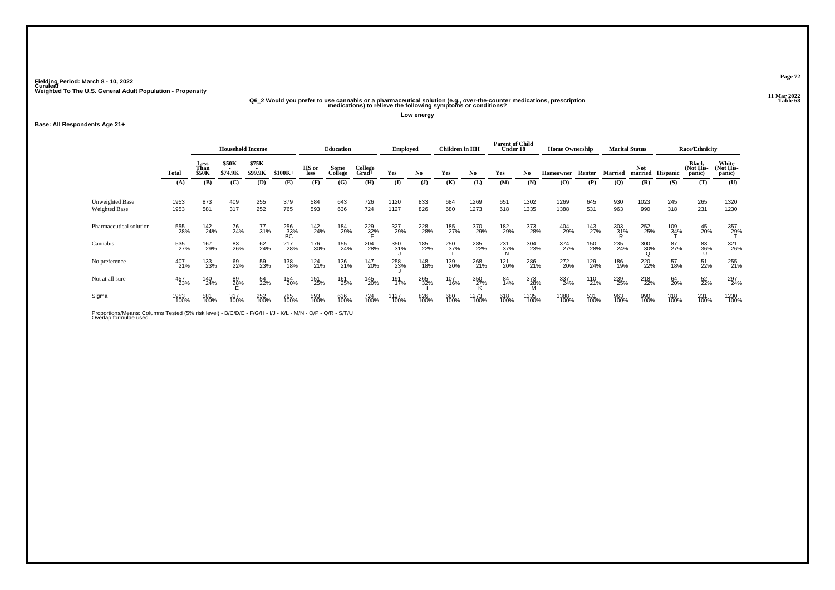# .11 Mar 2022<br>Q6\_2 Would you prefer to use cannabis or a pharmaceutical solution (e.g., over-the-counter medications, prescription<br>Table 68 medications) to relieve the following symptoms or conditions?

**Low energy**

#### **Base: All Respondents Age 21+**

|                                         |              | <b>Household Income</b>      |                         |                                              |                    |               | <b>Education</b> |                     | <b>Employed</b> |             | Children in HH |              | <b>Parent of Child</b><br>Under 18 |              | <b>Home Ownership</b> |             |             | <b>Marital Status</b> |                 | <b>Race/Ethnicity</b>        |                              |
|-----------------------------------------|--------------|------------------------------|-------------------------|----------------------------------------------|--------------------|---------------|------------------|---------------------|-----------------|-------------|----------------|--------------|------------------------------------|--------------|-----------------------|-------------|-------------|-----------------------|-----------------|------------------------------|------------------------------|
|                                         | <b>Total</b> | Less<br>Than<br><b>\$50K</b> | <b>\$50K</b><br>\$74.9K | \$75K<br>$\overline{\phantom{a}}$<br>\$99.9K | $$100K+$           | HS or<br>less | Some<br>College  | College<br>$Grad +$ | Yes             | No          | Yes            | No.          | Yes                                | No           | Homeowner             | Renter      | Married     | <b>Not</b><br>married | <b>Hispanic</b> | Black<br>(Not His-<br>panic) | White<br>(Not His-<br>panic) |
|                                         | (A)          | (B)                          | (C)                     | (D)                                          | (E)                | (F)           | (G)              | (H)                 | $\mathbf{I}$    | (J)         | (K)            | (L)          | (M)                                | (N)          | (O)                   | (P)         | (Q)         | (R)                   | (S)             | (T)                          | (U)                          |
| <b>Unweighted Base</b><br>Weighted Base | 1953<br>1953 | 873<br>581                   | 409<br>317              | 255<br>252                                   | 379<br>765         | 584<br>593    | 643<br>636       | 726<br>724          | 1120<br>1127    | 833<br>826  | 684<br>680     | 1269<br>1273 | 651<br>618                         | 1302<br>1335 | 1269<br>1388          | 645<br>531  | 930<br>963  | 1023<br>990           | 245<br>318      | 265<br>231                   | 1320<br>1230                 |
| Pharmaceutical solution                 | 555<br>28%   | 142<br>24%                   | 76<br>24%               | 77<br>31%                                    | $^{256}_{33\%}$ BC | 142<br>24%    | 184<br>29%       | 229<br>32%          | 327<br>29%      | 228<br>28%  | 185<br>27%     | 370<br>29%   | 182<br>29%                         | 373<br>28%   | 404<br>29%            | 143<br>27%  | 303<br>31%  | 252<br>25%            | 109<br>34%      | 45<br>20%                    | 357<br>29%                   |
| Cannabis                                | 535<br>27%   | 167<br>29%                   | 83<br>26%               | 62<br>24%                                    | 217<br>28%         | 176<br>30%    | 155<br>24%       | 204<br>28%          | 350<br>31%      | 185<br>22%  | 250<br>37%     | 285<br>22%   | $\frac{231}{37\%}$                 | 304<br>23%   | 374<br>27%            | 150<br>28%  | 235<br>24%  | 300<br>30%            | 87<br>27%       | 83<br>36%                    | 321<br>26%                   |
| No preference                           | 407<br>21%   | 133<br>23%                   | 69<br>22%               | 59<br>23%                                    | 138<br>18%         | 124<br>21%    | 136<br>21%       | 147<br>20%          | 258<br>23%      | 148<br>18%  | 139<br>20%     | 268<br>21%   | 121<br>20%                         | 286<br>21%   | 272<br>20%            | 129<br>24%  | 186<br>19%  | 220<br>22%            | 57<br>18%       | 51<br>22%                    | 255<br>21%                   |
| Not at all sure                         | 457<br>23%   | 140<br>24%                   | 89<br>28%               | 54<br>22%                                    | 154<br>20%         | 151<br>25%    | 161<br>25%       | 145<br>20%          | 191<br>17%      | 265<br>32%  | 107<br>16%     | 350<br>27%   | 84<br>14%                          | 373<br>28%   | 337<br>24%            | 110<br>21%  | 239<br>25%  | 218<br>22%            | 64<br>20%       | 52<br>22%                    | 297<br>24%                   |
| Sigma                                   | 1953<br>100% | 581<br>100%                  | 317<br>100%             | 252<br>100%                                  | 765<br>100%        | 593<br>100%   | 636<br>100%      | 724<br>100%         | 1127<br>100%    | 826<br>100% | 680<br>100%    | 1273<br>100% | 618<br>100%                        | 1335<br>100% | 1388<br>100%          | 531<br>100% | 963<br>100% | 990<br>100%           | 318<br>100%     | 231<br>100%                  | 1230<br>100%                 |
|                                         |              |                              |                         |                                              |                    |               |                  |                     |                 |             |                |              |                                    |              |                       |             |             |                       |                 |                              |                              |

Proportions/Means: Columns Tested (5% risk level) - B/C/D/E - F/G/H - I/J - K/L - M/N - O/P - Q/R - S/T/U<br>Overlap formulae used.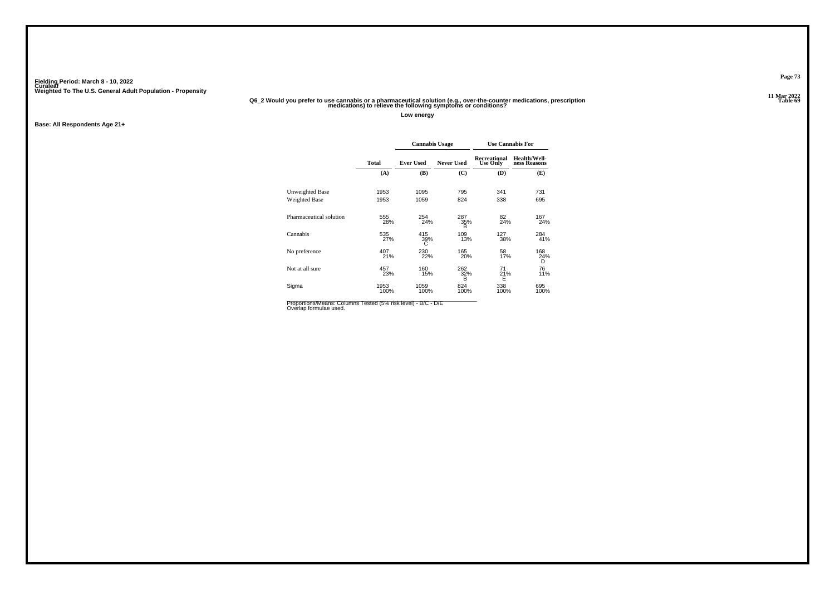### .11 Mar 2022<br>Q6\_2 Would you prefer to use cannabis or a pharmaceutical solution (e.g., over-the-counter medications, prescription<br>Table 69 medications) to relieve the following symptoms or conditions?

**Low energy**

**Base: All Respondents Age 21+**

|                         |              | <b>Cannabis Usage</b> |                   | <b>Use Cannabis For</b>                |                              |
|-------------------------|--------------|-----------------------|-------------------|----------------------------------------|------------------------------|
|                         | Total        | <b>Ever Used</b>      | <b>Never Used</b> | <b>Recreational</b><br><b>Use Only</b> | Health/Well-<br>ness Reasons |
|                         | (A)          | (B)                   | (C)               | (D)                                    | (E)                          |
| Unweighted Base         | 1953         | 1095                  | 795               | 341                                    | 731                          |
| Weighted Base           | 1953         | 1059                  | 824               | 338                                    | 695                          |
| Pharmaceutical solution | 555<br>28%   | 254<br>24%            | 287<br>35%<br>в   | 82<br>24%                              | 167<br>24%                   |
| Cannabis                | 535<br>27%   | 415<br>39%<br>С       | 109<br>13%        | 127<br>38%                             | 284<br>41%                   |
| No preference           | 407<br>21%   | 230<br>22%            | 165<br>20%        | 58<br>17%                              | 168<br>24%<br>D              |
| Not at all sure         | 457<br>23%   | 160<br>15%            | 262<br>32%<br>в   | 71<br>21%<br>E                         | 76<br>11%                    |
| Sigma                   | 1953<br>100% | 1059<br>100%          | 824<br>100%       | 338<br>100%                            | 695<br>100%                  |

Proportions/Means: Columns Tested (5% risk level) - B/C - D/E<br>Overlap formulae used.

**Page 73**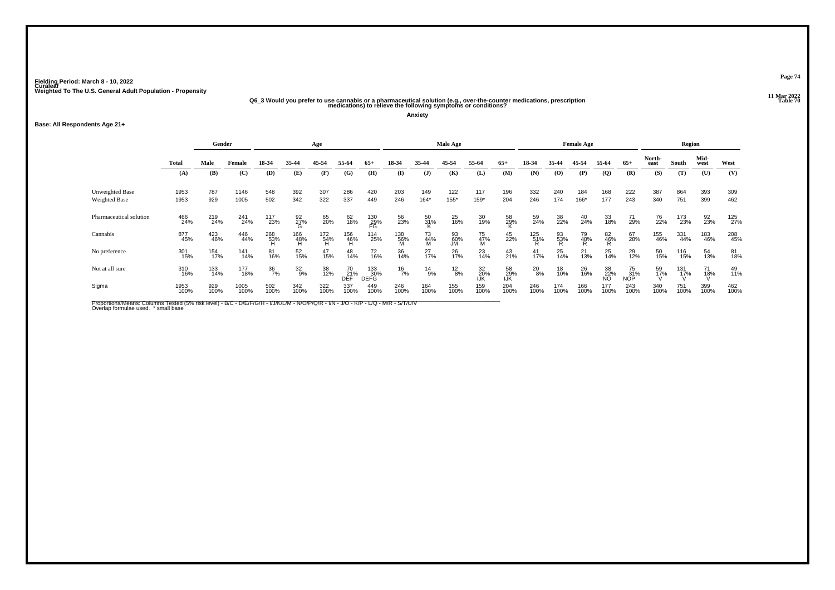## .11 Mar 2022<br>Q6\_3 Would you prefer to use cannabis or a pharmaceutical solution (e.g., over-the-counter medications, prescription<br>Table <sup>70</sup> medications) to relieve the following symptoms or conditions?

**Anxiety**

### **Base: All Respondents Age 21+**

|                                  | Gender       |             |              |                  |                  | Age             |                                       |                    |                 |                 | <b>Male Age</b> |                  |                  |                 |                             | <b>Female Age</b> |                               |                  |                | Region      |              |             |
|----------------------------------|--------------|-------------|--------------|------------------|------------------|-----------------|---------------------------------------|--------------------|-----------------|-----------------|-----------------|------------------|------------------|-----------------|-----------------------------|-------------------|-------------------------------|------------------|----------------|-------------|--------------|-------------|
|                                  | Total        | Male        | Female       | 18-34            | 35-44            | 45-54           | 55-64                                 | $65+$              | 18-34           | 35-44           | 45-54           | 55-64            | $65+$            | 18-34           | 35-44                       | 45-54             | 55-64                         | $65+$            | North-<br>east | South       | Mid-<br>west | West        |
|                                  | (A)          | (B)         | (C)          | (D)              | (E)              | (F)             | (G)                                   | (H)                | $\bf(I)$        | (J)             | (K)             | (L)              | (M)              | (N)             | $\boldsymbol{\mathrm{(O)}}$ | (P)               | $\mathbf{Q}$                  | (R)              | (S)            | (T)         | (U)          | (V)         |
| Unweighted Base<br>Weighted Base | 1953<br>1953 | 787<br>929  | 1146<br>1005 | 548<br>502       | 392<br>342       | 307<br>322      | 286<br>337                            | 420<br>449         | 203<br>246      | 149<br>$164*$   | 122<br>155*     | 117<br>159*      | 196<br>204       | 332<br>246      | 240<br>174                  | 184<br>166*       | 168<br>177                    | 222<br>243       | 387<br>340     | 864<br>751  | 393<br>399   | 309<br>462  |
| Pharmaceutical solution          | 466<br>24%   | 219<br>24%  | 241<br>24%   | 117<br>23%       | 92 <sub>7%</sub> | 65<br>20%       | 62<br>18%                             | 130<br>29%<br>FG   | 56<br>23%       | 50<br>31%       | 25<br>16%       | 30<br>19%        | 58<br>29%        | 59<br>24%       | 38<br>22%                   | 40<br>24%         | 33<br>18%                     | 71<br>29%        | 76<br>22%      | 173<br>23%  | 92<br>23%    | 125<br>27%  |
| Cannabis                         | 877<br>45%   | 423<br>46%  | 446<br>44%   | 268<br>53%       | 166<br>48%<br>H  | 172<br>54%<br>H | $^{156}_{\  \  \, 46\%}_{\  \  \, H}$ | 114<br>25%         | 138<br>56%<br>M | 73<br>44%<br>M  | 93<br>60%<br>JM | 75<br>47%<br>M   | 45<br>22%        | $^{125}_{51\%}$ | 93<br>53%                   | 79<br>48%         | $^{82}_{\substack{46% \\ R}}$ | 67<br>28%        | 155<br>46%     | 331<br>44%  | 183<br>46%   | 208<br>45%  |
| No preference                    | 301<br>15%   | 154<br>17%  | 141<br>14%   | 81<br>16%        | 52<br>15%        | $^{47}_{15\%}$  | 48<br>14%                             | 72<br>16%          | 36<br>14%       | 27 <sub>%</sub> | 26<br>17%       | 23<br>14%        | $^{43}_{21\%}$   | 41<br>17%       | 25<br>14%                   | $^{21}_{13\%}$    | $^{25}_{14\%}$                | 29<br>12%        | 50<br>15%      | 116<br>15%  | 54<br>13%    | 81<br>18%   |
| Not at all sure                  | 310<br>16%   | 133<br>14%  | 177<br>18%   | $\frac{36}{7\%}$ | $^{32}_{9\%}$    | 38<br>12%       | 70<br>21%<br>DEF                      | 133<br>30%<br>DEFG | $^{16}_{7\%}$   | $^{14}_{9\%}$   | $^{12}_{8\%}$   | 32<br>20%<br>IJK | 58<br>29%<br>IJK | $^{20}_{8\%}$   | 18<br>10%                   | 26<br>16%         | 38<br>22%<br>NO               | 75<br>31%<br>NOP | 59<br>17%      | 131<br>17%  | 71<br>18%    | 49<br>11%   |
| Sigma                            | 1953<br>100% | 929<br>100% | 1005<br>100% | 502<br>100%      | 342<br>100%      | 322<br>100%     | 337<br>100%                           | 449<br>100%        | 246<br>100%     | 164<br>100%     | 155<br>100%     | 159<br>100%      | 204<br>100%      | 246<br>100%     | 174<br>100%                 | 166<br>100%       | 177<br>100%                   | 243<br>100%      | 340<br>100%    | 751<br>100% | 399<br>100%  | 462<br>100% |

Proportions/Means: Columns Tested (5% risk level) - B/C - D/E/F/G/H - I/J/K/L/M - N/O/P/Q/R - I/N - J/O - K/P - L/Q - M/R - S/T/U/V<br>Overlap formulae used. \*small base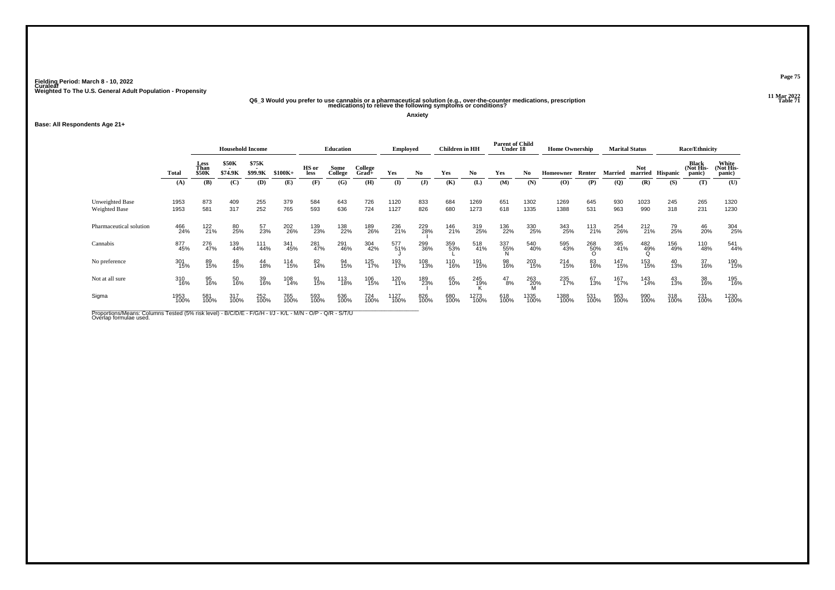## .11 Mar 2022<br>Q6\_3 Would you prefer to use cannabis or a pharmaceutical solution (e.g., over-the-counter medications, prescription<br>Table 71 medications) to relieve the following symptoms or conditions?

**Anxiety**

### **Base: All Respondents Age 21+**

|                                  |              | <b>Household Income</b>      |                  |                  |             |               | <b>Education</b> |                     | <b>Employed</b> |                | <b>Children</b> in HH |              | <b>Parent of Child</b><br>Under 18 |                 | <b>Home Ownership</b> |             |                | <b>Marital Status</b> |             | <b>Race/Ethnicity</b>        |                              |
|----------------------------------|--------------|------------------------------|------------------|------------------|-------------|---------------|------------------|---------------------|-----------------|----------------|-----------------------|--------------|------------------------------------|-----------------|-----------------------|-------------|----------------|-----------------------|-------------|------------------------------|------------------------------|
|                                  | <b>Total</b> | Less<br>Than<br><b>\$50K</b> | \$50K<br>\$74.9K | \$75K<br>\$99.9K | $$100K+$    | HS or<br>less | Some<br>College  | College<br>$Grad +$ | Yes             | N <sub>0</sub> | Yes                   | No.          | Yes                                | No              | Homeowner             | Renter      | <b>Married</b> | Not<br>married        | Hispanic    | Black<br>(Not His-<br>panic) | White<br>(Not His-<br>panic) |
|                                  | (A)          | (B)                          | (C)              | (D)              | (E)         | (F)           | (G)              | (H)                 | (I)             | $\mathbf{J}$   | (K)                   | (L)          | (M)                                | (N)             | (O)                   | (P)         | (Q)            | (R)                   | (S)         | (T)                          | (U)                          |
| Unweighted Base<br>Weighted Base | 1953<br>1953 | 873<br>581                   | 409<br>317       | 255<br>252       | 379<br>765  | 584<br>593    | 643<br>636       | 726<br>724          | 1120<br>1127    | 833<br>826     | 684<br>680            | 1269<br>1273 | 651<br>618                         | 1302<br>1335    | 1269<br>1388          | 645<br>531  | 930<br>963     | 1023<br>990           | 245<br>318  | 265<br>231                   | 1320<br>1230                 |
| Pharmaceutical solution          | 466<br>24%   | 122<br>21%                   | 80<br>25%        | 57<br>23%        | 202<br>26%  | 139<br>23%    | 138<br>22%       | 189<br>26%          | 236<br>21%      | 229<br>28%     | 146<br>21%            | 319<br>25%   | 136<br>22%                         | 330<br>25%      | 343<br>25%            | 113<br>21%  | 254<br>26%     | 212<br>21%            | 79<br>25%   | 46<br>20%                    | 304<br>25%                   |
| Cannabis                         | 877<br>45%   | 276<br>47%                   | 139<br>44%       | 111<br>44%       | 341<br>45%  | 281<br>47%    | 291<br>46%       | 304<br>42%          | 577<br>51%      | 299<br>36%     | 359<br>53%            | 518<br>41%   | 337<br>55%                         | 540<br>40%      | 595<br>43%            | 268<br>50%  | 395<br>41%     | 482<br>49%            | 156<br>49%  | 110<br>48%                   | 541<br>44%                   |
| No preference                    | 301<br>15%   | 89<br>15%                    | 48<br>15%        | 44<br>18%        | 114<br>15%  | 82<br>14%     | 94<br>15%        | 125<br>17%          | 193<br>17%      | 108<br>13%     | 110<br>16%            | 191<br>15%   | 98<br>16%                          | 203<br>15%      | 214<br>15%            | 83<br>16%   | 147<br>15%     | 153<br>15%            | 40<br>13%   | 37<br>16%                    | 190<br>15%                   |
| Not at all sure                  | 310<br>16%   | 95<br>16%                    | 50<br>16%        | 39<br>16%        | 108<br>14%  | 91<br>15%     | 113<br>18%       | 106<br>15%          | 120<br>11%      | 189<br>23%     | 65<br>10%             | 245<br>19%   | $^{47}_{8\%}$                      | 263<br>20%<br>M | 235<br>17%            | 67<br>13%   | 167<br>17%     | 143<br>14%            | 43<br>13%   | 38<br>16%                    | 195<br>16%                   |
| Sigma                            | 1953<br>100% | 581<br>100%                  | 317<br>100%      | 252<br>100%      | 765<br>100% | 593<br>100%   | 636<br>100%      | 724<br>100%         | 1127<br>100%    | 826<br>100%    | 680<br>100%           | 1273<br>100% | 618<br>100%                        | 1335<br>100%    | 1388<br>100%          | 531<br>100% | 963<br>100%    | 990<br>100%           | 318<br>100% | 231<br>100%                  | 1230<br>100%                 |

Proportions/Means: Columns Tested (5% risk level) - B/C/D/E - F/G/H - I/J - K/L - M/N - O/P - Q/R - S/T/U<br>Overlap formulae used.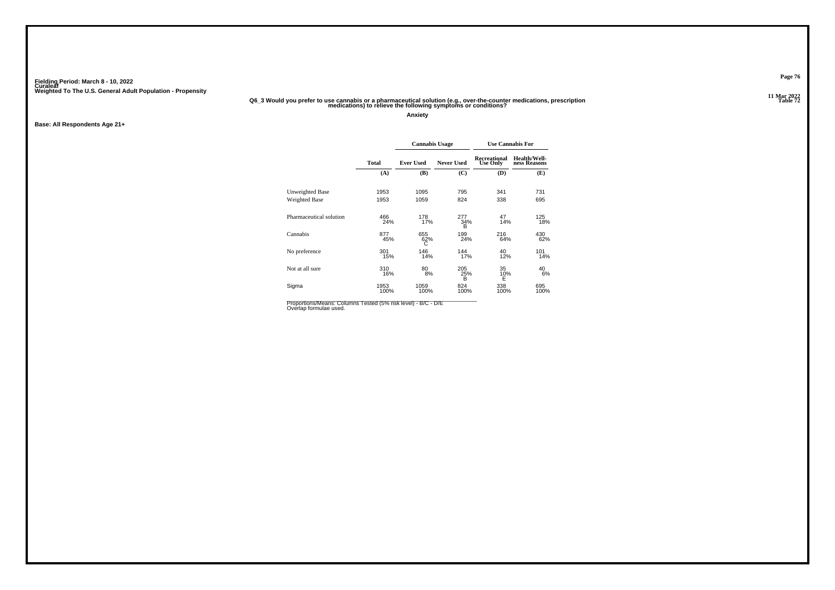### .11 Mar 2022<br>27 Q6\_3 Would you prefer to use cannabis or a pharmaceutical solution (e.g., over-the-counter medications, prescription<br>12 medications) to relieve the following symptoms or conditions?

**Anxiety**

**Base: All Respondents Age 21+**

|                         |              | <b>Cannabis Usage</b> |                   |                                 | <b>Use Cannabis For</b>      |
|-------------------------|--------------|-----------------------|-------------------|---------------------------------|------------------------------|
|                         | <b>Total</b> | <b>Ever Used</b>      | <b>Never Used</b> | Recreational<br><b>Use Only</b> | Health/Well-<br>ness Reasons |
|                         | (A)          | (B)                   | (C)               | (D)                             | (E)                          |
| Unweighted Base         | 1953         | 1095                  | 795               | 341                             | 731                          |
| Weighted Base           | 1953         | 1059                  | 824               | 338                             | 695                          |
| Pharmaceutical solution | 466<br>24%   | 178<br>17%            | 277<br>34%<br>B   | 47<br>14%                       | 125<br>18%                   |
| Cannabis                | 877<br>45%   | 655<br>62%<br>С       | 199<br>24%        | 216<br>64%                      | 430<br>62%                   |
| No preference           | 301<br>15%   | 146<br>14%            | 144<br>17%        | 40<br>12%                       | 101<br>14%                   |
| Not at all sure         | 310<br>16%   | 80<br>8%              | 205<br>25%<br>B   | 35<br>10%<br>Ė                  | 40<br>6%                     |
| Sigma                   | 1953<br>100% | 1059<br>100%          | 824<br>100%       | 338<br>100%                     | 695<br>100%                  |

Proportions/Means: Columns Tested (5% risk level) - B/C - D/E<br>Overlap formulae used.

**Page 76**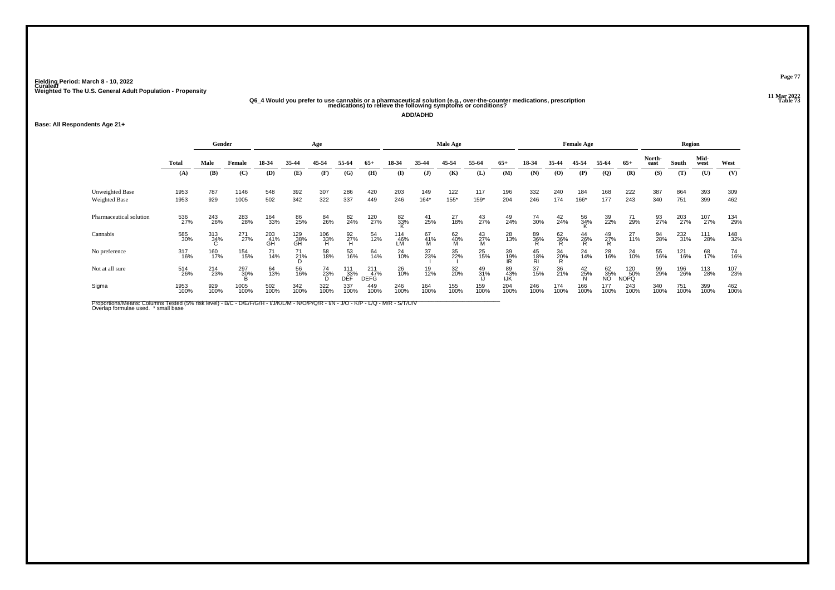# 06\_4 Would you prefer to use cannabis or a pharmaceutical solution (e.g., over-the-counter medications, prescription<br>27 Table 73 medications) to relieve the following symptoms or conditions?

**ADD/ADHD**

### **Base: All Respondents Age 21+**

|                         |              | Gender      |                     |                  |                  | Age             |                    |                                |                  |                | Male Age            |                     |                  |                 |                                          | <b>Female Age</b> |                 |                           |                | Region      |              |             |
|-------------------------|--------------|-------------|---------------------|------------------|------------------|-----------------|--------------------|--------------------------------|------------------|----------------|---------------------|---------------------|------------------|-----------------|------------------------------------------|-------------------|-----------------|---------------------------|----------------|-------------|--------------|-------------|
|                         | <b>Total</b> | Male        | Female              | 18-34            | 35-44            | 45-54           | 55-64              | $65+$                          | 18-34            | 35-44          | 45-54               | 55-64               | $65+$            | 18-34           | 35-44                                    | 45-54             | 55-64           | $65+$                     | North-<br>east | South       | Mid-<br>west | West        |
|                         | (A)          | (B)         | (C)                 | (D)              | (E)              | (F)             | (G)                | (H)                            | (I)              | $($ $\bf{J})$  | (K)                 | (L)                 | (M)              | (N)             | $\boldsymbol{\left( \mathbf{O} \right)}$ | (P)               | $\overline{Q}$  | (R)                       | (S)            | (T)         | (U)          | (V)         |
| Unweighted Base         | 1953         | 787         | 1146                | 548              | 392              | 307             | 286                | 420                            | 203              | 149            | 122                 | 117                 | 196              | 332             | 240                                      | 184               | 168             | 222                       | 387            | 864         | 393          | 309         |
| Weighted Base           | 1953         | 929         | 1005                | 502              | 342              | 322             | 337                | 449                            | 246              | $164*$         | $155*$              | 159*                | 204              | 246             | 174                                      | 166*              | 177             | 243                       | 340            | 751         | 399          | 462         |
| Pharmaceutical solution | 536<br>27%   | 243<br>26%  | 283<br>28%          | 164<br>33%       | 86<br>25%        | 84<br>26%       | 82<br>24%          | 120<br>27%                     | 82<br>33%        | 41<br>25%      | 27<br>18%           | 43<br>27%           | 49<br>24%        | 74<br>30%       | $^{42}_{24\%}$                           | 56<br>34%         | 39<br>22%       | 71<br>29%                 | 93<br>27%      | 203<br>27%  | 107<br>27%   | 134<br>29%  |
| Cannabis                | 585<br>30%   | 313<br>34%  | 271<br>27%          | 203<br>41%<br>GĤ | 129<br>38%<br>GH | 106<br>33%<br>H | 92<br>27%<br>H     | 54<br>12%                      | 114<br>46%<br>LM | 67<br>41%<br>M | $^{62}_{40\%}$<br>M | $^{43}_{27\%}$<br>M | 28<br>13%        | 89<br>36%       | 62<br>36%                                | $^{44}_{26\%}$    | $^{49}_{27\%}$  | $^{27}_{11\%}$            | 94<br>28%      | 232<br>31%  | 111<br>28%   | 148<br>32%  |
| No preference           | 317<br>16%   | 160<br>17%  | 154<br>15%          | 71<br>14%        | $^{71}_{21\%}$   | 58<br>18%       | 53<br>16%          | 64<br>14%                      | $^{24}_{10\%}$   | 37<br>23%      | 35<br>22%           | 25<br>15%           | 39<br>19%<br>IR  | 45<br>18%<br>RI | 34<br>20%                                | 24<br>14%         | 28<br>16%       | 24<br>10%                 | 55<br>16%      | 121<br>16%  | 68<br>17%    | 74<br>16%   |
| Not at all sure         | 514<br>26%   | 214<br>23%  | 297<br>3 <u>0</u> % | 64<br>13%        | 56<br>16%        | 74<br>23%       | 111<br>_33%<br>DEF | $^{211}_{47\%}$<br><b>DEFG</b> | 26<br>10%        | 19<br>12%      | 32<br>20%           | 49<br>31%           | 89<br>43%<br>IJK | 37<br>15%       | 36<br>21%                                | $^{42}_{25\%}$    | 62<br>35%<br>NO | 120<br>50%<br><b>NOPQ</b> | 99<br>29%      | 196<br>26%  | 113<br>28%   | 107<br>23%  |
| Sigma                   | 1953<br>100% | 929<br>100% | 1005<br>100%        | 502<br>100%      | 342<br>100%      | 322<br>100%     | 337<br>100%        | 449<br>100%                    | 246<br>100%      | 164<br>100%    | 155<br>100%         | 159<br>100%         | 204<br>100%      | 246<br>100%     | 174<br>100%                              | 166<br>100%       | 177<br>100%     | 243<br>100%               | 340<br>100%    | 751<br>100% | 399<br>100%  | 462<br>100% |

Proportions/Means: Columns Tested (5% risk level) - B/C - D/E/F/G/H - I/J/K/L/M - N/O/P/Q/R - I/N - J/O - K/P - L/Q - M/R - S/T/U/V<br>Overlap formulae used. \*small base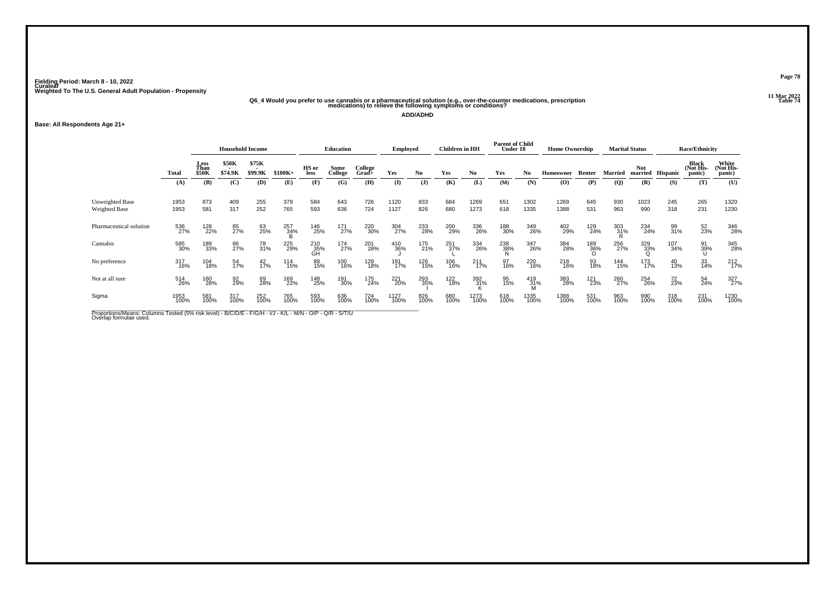# .11 Mar 2022<br>47 Q6\_4 Would you prefer to use cannabis or a pharmaceutical solution (e.g., over-the-counter medications, prescription<br>47 medications) to relieve the following symptoms or conditions?

**ADD/ADHD**

### **Base: All Respondents Age 21+**

|                                         |              | <b>Household Income</b>      |                                                     |                  |             |                  | <b>Education</b> |                  | <b>Employed</b> |                | Children in HH |              | <b>Parent of Child</b><br>Under 18 |              | <b>Home Ownership</b> |             |             | <b>Marital Status</b> |             | <b>Race/Ethnicity</b>        |                              |
|-----------------------------------------|--------------|------------------------------|-----------------------------------------------------|------------------|-------------|------------------|------------------|------------------|-----------------|----------------|----------------|--------------|------------------------------------|--------------|-----------------------|-------------|-------------|-----------------------|-------------|------------------------------|------------------------------|
|                                         | <b>Total</b> | Less<br>Than<br><b>\$50K</b> | <b>\$50K</b><br>$\overline{\phantom{a}}$<br>\$74.9K | \$75K<br>\$99.9K | $$100K+$    | HS or<br>less    | Some<br>College  | College<br>Grad+ | Yes             | N <sub>0</sub> | Yes            | No.          | Yes                                | No           | Homeowner             | Renter      | Married     | <b>Not</b><br>married | Hispanic    | Black<br>(Not His-<br>panic) | White<br>(Not His-<br>panic) |
|                                         | (A)          | (B)                          | (C)                                                 | (D)              | (E)         | (F)              | (G)              | (H)              | $($ I           | $\mathbf{J}$   | (K)            | (L)          | (M)                                | (N)          | (O)                   | (P)         | (Q)         | (R)                   | (S)         | (T)                          | (U)                          |
| <b>Unweighted Base</b><br>Weighted Base | 1953<br>1953 | 873<br>581                   | 409<br>317                                          | 255<br>252       | 379<br>765  | 584<br>593       | 643<br>636       | 726<br>724       | 1120<br>1127    | 833<br>826     | 684<br>680     | 1269<br>1273 | 651<br>618                         | 1302<br>1335 | 1269<br>1388          | 645<br>531  | 930<br>963  | 1023<br>990           | 245<br>318  | 265<br>231                   | 1320<br>1230                 |
| Pharmaceutical solution                 | 536<br>27%   | 128<br>22%                   | 85<br>27%                                           | 63<br>25%        | 257<br>34%  | 146<br>25%       | 171<br>27%       | 220<br>30%       | 304<br>27%      | 233<br>28%     | 200<br>29%     | 336<br>26%   | 188<br>30%                         | 349<br>26%   | 402<br>29%            | 129<br>24%  | 303<br>31%  | 234<br>24%            | 99<br>31%   | 52<br>23%                    | 346<br>28%                   |
| Cannabis                                | 585<br>30%   | 189<br>33%                   | 86<br>27%                                           | 78<br>31%        | 225<br>29%  | 210<br>35%<br>GH | 174<br>27%       | 201<br>28%       | 410<br>36%      | 175<br>21%     | 251<br>37%     | 334<br>26%   | 238<br>38%                         | 347<br>26%   | 384<br>28%            | 189<br>36%  | 256<br>27%  | 329<br>33%<br>O       | 107<br>34%  | 91<br>39%                    | 345<br>28%                   |
| No preference                           | 317<br>16%   | 104<br>18%                   | 54<br>17%                                           | $^{42}_{17\%}$   | 114<br>15%  | 89<br>15%        | 100<br>16%       | 129<br>18%       | 191<br>17%      | 126<br>15%     | 106<br>16%     | 211<br>17%   | 97<br>16%                          | 220<br>16%   | 218<br>16%            | 93<br>18%   | 144<br>15%  | 173<br>17%            | 40<br>13%   | 33<br>14%                    | $^{212}_{17\%}$              |
| Not at all sure                         | 514<br>26%   | 160<br>28%                   | 92<br>29%                                           | 69<br>28%        | 169<br>22%  | 148<br>25%       | 191<br>30%       | 175<br>24%       | 221<br>20%      | 293<br>35%     | 122<br>18%     | 392<br>31%   | 95<br>15%                          | 419<br>31%   | 383<br>28%            | 121<br>23%  | 260<br>27%  | 254<br>26%            | 72<br>23%   | 54 <sub>%</sub>              | 327<br>27%                   |
| Sigma                                   | 1953<br>100% | 581<br>100%                  | 317<br>100%                                         | 252<br>100%      | 765<br>100% | 593<br>100%      | 636<br>100%      | 724<br>100%      | 1127<br>100%    | 826<br>100%    | 680<br>100%    | 1273<br>100% | 618<br>100%                        | 1335<br>100% | 1388<br>100%          | 531<br>100% | 963<br>100% | 990<br>100%           | 318<br>100% | 231<br>100%                  | 1230<br>100%                 |

Proportions/Means: Columns Tested (5% risk level) - B/C/D/E - F/G/H - I/J - K/L - M/N - O/P - Q/R - S/T/U<br>Overlap formulae used.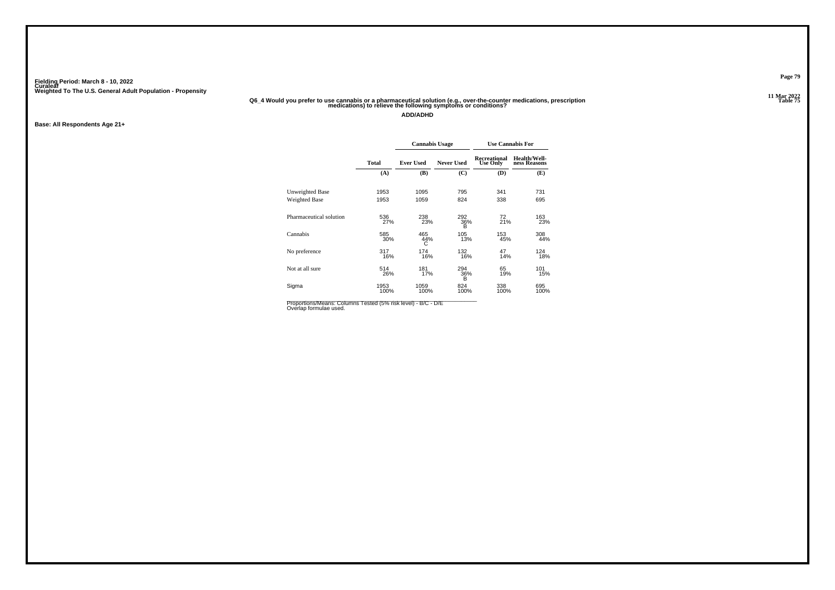## 06\_4 Would you prefer to use cannabis or a pharmaceutical solution (e.g., over-the-counter medications, prescription<br>75 Table 75 medications) to relieve the following symptoms or conditions?

**ADD/ADHD**

**Base: All Respondents Age 21+**

|                         |              | <b>Cannabis Usage</b> |                   |                                 | <b>Use Cannabis For</b>      |
|-------------------------|--------------|-----------------------|-------------------|---------------------------------|------------------------------|
|                         | <b>Total</b> | <b>Ever Used</b>      | <b>Never Used</b> | Recreational<br><b>Use Only</b> | Health/Well-<br>ness Reasons |
|                         | (A)          | (B)                   | (C)               | (D)                             | (E)                          |
| Unweighted Base         | 1953         | 1095                  | 795               | 341                             | 731                          |
| Weighted Base           | 1953         | 1059                  | 824               | 338                             | 695                          |
| Pharmaceutical solution | 536<br>27%   | 238<br>23%            | 292<br>36%<br>в   | 72<br>21%                       | 163<br>23%                   |
| Cannabis                | 585<br>30%   | 465<br>44%<br>С       | 105<br>13%        | 153<br>45%                      | 308<br>44%                   |
| No preference           | 317<br>16%   | 174<br>16%            | 132<br>16%        | 47<br>14%                       | 124<br>18%                   |
| Not at all sure         | 514<br>26%   | 181<br>17%            | 294<br>36%<br>B   | 65<br>19%                       | 101<br>15%                   |
| Sigma                   | 1953<br>100% | 1059<br>100%          | 824<br>100%       | 338<br>100%                     | 695<br>100%                  |

Proportions/Means: Columns Tested (5% risk level) - B/C - D/E<br>Overlap formulae used.

**Page 79**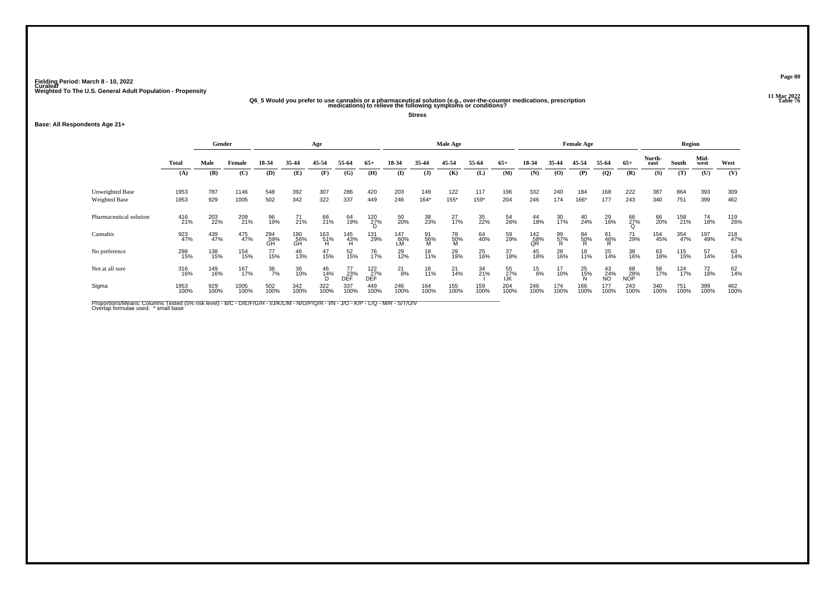## .11 Mar 2022<br>Q6\_5 Would you prefer to use cannabis or a pharmaceutical solution (e.g., over-the-counter medications, prescription<br>67 medications) to relieve the following symptoms or conditions?

**Stress**

### **Base: All Respondents Age 21+**

|                                  | Gender       |             |              |                  |                  | Age             |                                       |                   |                   |                | Male Age       |             |                  |                                       |                             | <b>Female Age</b> |                               |                  |                | Region      |              |             |
|----------------------------------|--------------|-------------|--------------|------------------|------------------|-----------------|---------------------------------------|-------------------|-------------------|----------------|----------------|-------------|------------------|---------------------------------------|-----------------------------|-------------------|-------------------------------|------------------|----------------|-------------|--------------|-------------|
|                                  | Total        | Male        | Female       | 18-34            | 35-44            | 45-54           | 55-64                                 | $65+$             | 18-34             | 35-44          | 45-54          | 55-64       | $65+$            | 18-34                                 | 35-44                       | 45-54             | 55-64                         | $65+$            | North-<br>east | South       | Mid-<br>west | West        |
|                                  | (A)          | (B)         | (C)          | (D)              | (E)              | (F)             | (G)                                   | (H)               | $\mathbf{I}$      | (J)            | (K)            | (L)         | (M)              | (N)                                   | $\boldsymbol{\mathrm{(O)}}$ | (P)               | $\mathbf{Q}$                  | (R)              | (S)            | (T)         | (U)          | (V)         |
| Unweighted Base<br>Weighted Base | 1953<br>1953 | 787<br>929  | 1146<br>1005 | 548<br>502       | 392<br>342       | 307<br>322      | 286<br>337                            | 420<br>449        | 203<br>246        | 149<br>$164*$  | 122<br>155*    | 117<br>159* | 196<br>204       | 332<br>246                            | 240<br>174                  | 184<br>166*       | 168<br>177                    | 222<br>243       | 387<br>340     | 864<br>751  | 393<br>399   | 309<br>462  |
| Pharmaceutical solution          | 416<br>21%   | 203<br>22%  | 209<br>21%   | 96<br>19%        | $^{71}_{21\%}$   | 66<br>21%       | 64<br>19%                             | $^{120}_{27\%}$   | $\frac{50}{20\%}$ | 38<br>23%      | $^{27}_{17\%}$ | 35<br>22%   | 54<br>26%        | 44<br>18%                             | 30<br>17%                   | 40<br>24%         | 29<br>16%                     | 66<br>27%        | 66<br>20%      | 158<br>21%  | 74<br>18%    | 119<br>26%  |
| Cannabis                         | 923<br>47%   | 439<br>47%  | 475<br>47%   | 294<br>59%<br>GH | 190<br>56%<br>GH | 163<br>51%<br>H | $^{145}_{\substack{43\%\\ \text{H}}}$ | 131<br>29%        | 147<br>60%<br>LM  | 91<br>56%<br>M | 78<br>50%<br>M | 64<br>40%   | 59<br>29%        | $^{142}_{\substack{58\\{\text{QR}}}}$ | 99<br>57%<br>R              | 84<br>50%<br>R    | $^{81}_{\substack{46% \\ R}}$ | 71<br>29%        | 154<br>45%     | 354<br>47%  | 197<br>49%   | 218<br>47%  |
| No preference                    | 298<br>15%   | 138<br>15%  | 154<br>15%   | 77<br>15%        | 46<br>13%        | 47<br>15%       | 52<br>15%                             | 76<br>17%         | 29<br>12%         | 18<br>11%      | 29<br>19%      | 25<br>16%   | 37<br>18%        | 45<br>18%                             | 28<br>16%                   | 18<br>11%         | 25<br>14%                     | 38<br>16%        | 63<br>18%      | 115<br>15%  | 57<br>14%    | 63<br>14%   |
| Not at all sure                  | 316<br>16%   | 149<br>16%  | 167<br>17%   | 36<br>7%         | 36<br>10%        | 46<br>14%<br>D  | 77<br>23%<br>DEF                      | 122<br>27%<br>DEF | $^{21}_{8\%}$     | 18<br>11%      | $^{21}_{14\%}$ | 34<br>21%   | 55<br>27%<br>IJK | $^{15}_{6\%}$                         | $\frac{17}{10\%}$           | $\frac{25}{15\%}$ | $^{43}_{24\%}$ NO             | 68<br>28%<br>NOP | 58<br>17%      | 124<br>17%  | 72<br>18%    | 62<br>14%   |
| Sigma                            | 1953<br>100% | 929<br>100% | 1005<br>100% | 502<br>100%      | 342<br>100%      | 322<br>100%     | 337<br>100%                           | 449<br>100%       | 246<br>100%       | 164<br>100%    | 155<br>100%    | 159<br>100% | 204<br>100%      | 246<br>100%                           | 174<br>100%                 | 166<br>100%       | 177<br>100%                   | 243<br>100%      | 340<br>100%    | 751<br>100% | 399<br>100%  | 462<br>100% |

Proportions/Means: Columns Tested (5% risk level) - B/C - D/E/F/G/H - I/J/K/L/M - N/O/P/Q/R - I/N - J/O - K/P - L/Q - M/R - S/T/U/V<br>Overlap formulae used. \*small base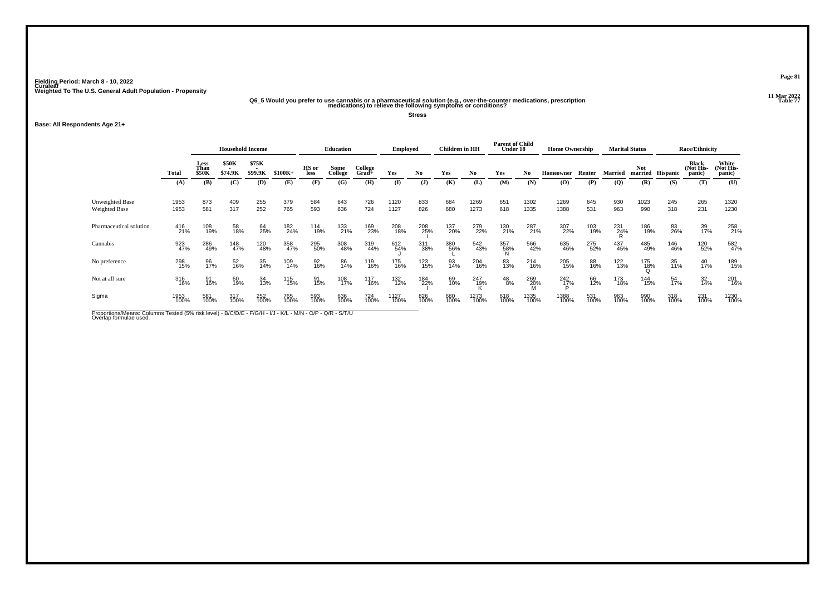## .11 Mar 2022<br>Q6\_5 Would you prefer to use cannabis or a pharmaceutical solution (e.g., over-the-counter medications, prescription<br>Table 77 medications) to relieve the following symptoms or conditions?

**Stress**

### **Base: All Respondents Age 21+**

| \$75K<br>\$50K<br>Less<br>College<br>HS or<br>Than<br>Some<br>\$74.9K<br>\$99.9K<br>Yes<br>Yes<br>No<br>Total<br><b>\$50K</b><br>$$100K+$<br>College<br>No<br>No<br>Yes<br>$Grad +$<br>less                                                  | Homeowner<br>Renter<br>(0)<br>(P)<br>645<br>1269 | <b>Married</b><br>(Q) | <b>Not</b><br>married Hispanic<br>(R)<br>(S) | White<br>Black<br>(Not His-<br>(Not His-<br>panic)<br>panic)<br>(T)<br>(U) |
|----------------------------------------------------------------------------------------------------------------------------------------------------------------------------------------------------------------------------------------------|--------------------------------------------------|-----------------------|----------------------------------------------|----------------------------------------------------------------------------|
|                                                                                                                                                                                                                                              |                                                  |                       |                                              |                                                                            |
| (K)<br>(C)<br>(E)<br>(F)<br>(G)<br>(H)<br>$($ I<br>$\mathbf{J}$<br>(L)<br>(N)<br>(A)<br>(B)<br>(D)<br>(M)                                                                                                                                    |                                                  |                       |                                              |                                                                            |
| 409<br>255<br>379<br>726<br>Unweighted Base<br>873<br>584<br>1120<br>833<br>651<br>1302<br>1953<br>643<br>684<br>1269<br>252<br>317<br>765<br>593<br>724<br>1127<br>826<br>680<br>1273<br>581<br>636<br>618<br>1335<br>Weighted Base<br>1953 | 531<br>1388                                      | 930<br>963            | 1023<br>245<br>990<br>318                    | 265<br>1320<br>231<br>1230                                                 |
| Pharmaceutical solution<br>58<br>18%<br>169<br>23%<br>208<br>25%<br>279<br>22%<br>130<br>21%<br>287<br>21%<br>416<br>21%<br>108<br>19%<br>182<br>24%<br>133<br>21%<br>208<br>18%<br>137<br>20%<br>64<br>25%<br>114<br>19%                    | 307<br>22%<br>103<br>19%                         | 231<br>24%            | 186<br>19%<br>83<br>26%                      | 258<br>21%<br>39<br>17%                                                    |
| Cannabis<br>286<br>49%<br>357<br>58%<br>566<br>42%<br>923<br>47%<br>148<br>47%<br>120<br>48%<br>358<br>47%<br>295<br>50%<br>308<br>48%<br>319<br>44%<br>311<br>38%<br>380<br>56%<br>542<br>43%<br>612<br>54%                                 | 275<br>52%<br>635<br>46%                         | 437<br>45%            | 485<br>49%<br>146<br>46%                     | 582<br>47%<br>120<br>52%                                                   |
| No preference<br>298<br>15%<br>96<br>17%<br>52<br>16%<br>175<br>16%<br>93<br>14%<br>204<br>16%<br>35<br>14%<br>109<br>14%<br>92<br>16%<br>86<br>14%<br>123<br>15%<br>83<br>13%<br>214<br>16%<br>119<br>16%                                   | 205<br>15%<br>88<br>16%                          | 122<br>13%            | 175<br>1 <u>8</u> %<br>35<br>11%             | 189<br>15%<br>40<br>17%                                                    |
| Not at all sure<br>91<br>16%<br>60<br>19%<br>69<br>10%<br>247<br>19%<br>316<br>16%<br>117<br>16%<br>132<br>12%<br>$^{48}_{8\%}$<br>269<br>20%<br>M<br>34<br>13%<br>115<br>15%<br>108<br>17%<br>184<br>22%<br>91<br>15%                       | 242<br>1 <u>7</u> %<br>66<br>12%                 | 173<br>18%            | 144<br>15%<br>54<br>17%                      | 201<br>16%<br>32<br>14%                                                    |
| Sigma<br>317<br>100%<br>252<br>100%<br>826<br>100%<br>581<br>100%<br>765<br>100%<br>593<br>100%<br>636<br>100%<br>724<br>100%<br>1127<br>100%<br>680<br>100%<br>1273<br>100%<br>618<br>100%<br>1335<br>100%<br>1953<br>100%                  | 1388<br>100%<br>531<br>100%                      | 963<br>100%           | 990<br>100%<br>318<br>100%                   | 231<br>100%<br>1230<br>100%                                                |

Proportions/Means: Columns Tested (5% risk level) - B/C/D/E - F/G/H - I/J - K/L - M/N - O/P - Q/R - S/T/U<br>Overlap formulae used.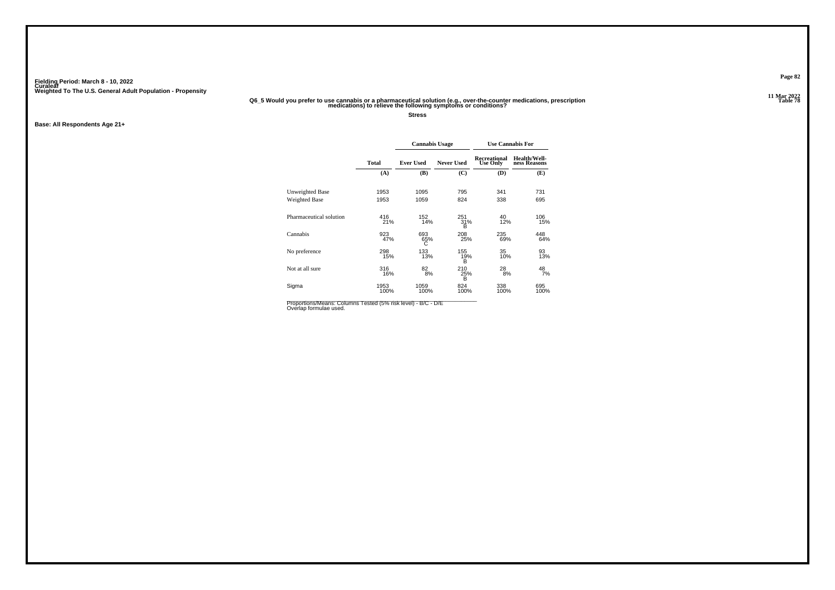### 01 Mar 2022<br>Q6\_5 Would you prefer to use cannabis or a pharmaceutical solution (e.g., over-the-counter medications, prescription<br>Table 78 medications) to relieve the following symptoms or conditions?

**Stress**

**Base: All Respondents Age 21+**

|                         |              | <b>Cannabis Usage</b> |                   |                                 | <b>Use Cannabis For</b>      |
|-------------------------|--------------|-----------------------|-------------------|---------------------------------|------------------------------|
|                         | <b>Total</b> | <b>Ever Used</b>      | <b>Never Used</b> | Recreational<br><b>Use Only</b> | Health/Well-<br>ness Reasons |
|                         | (A)          | (B)                   | (C)               | (D)                             | (E)                          |
| Unweighted Base         | 1953         | 1095                  | 795               | 341                             | 731                          |
| Weighted Base           | 1953         | 1059                  | 824               | 338                             | 695                          |
| Pharmaceutical solution | 416<br>21%   | 152<br>14%            | 251<br>31%<br>B   | 40<br>12%                       | 106<br>15%                   |
| Cannabis                | 923<br>47%   | 693<br>65%<br>С       | 208<br>25%        | 235<br>69%                      | 448<br>64%                   |
| No preference           | 298<br>15%   | 133<br>13%            | 155<br>19%<br>B   | 35<br>10%                       | 93<br>13%                    |
| Not at all sure         | 316<br>16%   | 82<br>8%              | 210<br>25%<br>B   | 28<br>8%                        | 48<br>7%                     |
| Sigma                   | 1953<br>100% | 1059<br>100%          | 824<br>100%       | 338<br>100%                     | 695<br>100%                  |

Proportions/Means: Columns Tested (5% risk level) - B/C - D/E<br>Overlap formulae used.

**Page 82**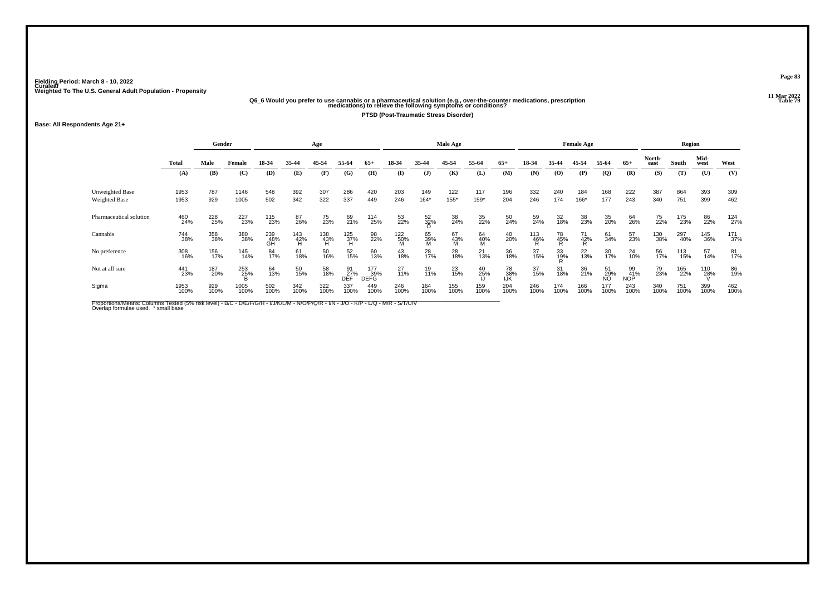# 012.21 Mar 2022<br>Q6\_6 Would you prefer to use cannabis or a pharmaceutical solution (e.g., over-the-counter medications, prescription<br>Table 79 medications) to relieve the following symptoms or conditions?

**PTSD (Post-Traumatic Stress Disorder)**

### **Base: All Respondents Age 21+**

|              |             |        |                                                  |                                                                             | Age                                   |                   |                                                                 |                                       |                   |                                             |                            |                        |                         |           |                                          |                                                                 |                                                           |                        |                                                     |                                                                                 |                                           |
|--------------|-------------|--------|--------------------------------------------------|-----------------------------------------------------------------------------|---------------------------------------|-------------------|-----------------------------------------------------------------|---------------------------------------|-------------------|---------------------------------------------|----------------------------|------------------------|-------------------------|-----------|------------------------------------------|-----------------------------------------------------------------|-----------------------------------------------------------|------------------------|-----------------------------------------------------|---------------------------------------------------------------------------------|-------------------------------------------|
| <b>Total</b> | Male        | Female | 18-34                                            | 35-44                                                                       | 45-54                                 | 55-64             | $65+$                                                           | 18-34                                 | 35-44             | 45-54                                       | 55-64                      | $65+$                  | 18-34                   | 35-44     | 45-54                                    | 55-64                                                           | $65+$                                                     | North-<br>east         | South                                               | Mid-<br>west                                                                    | West                                      |
| (A)          | (B)         | (C)    | (D)                                              | (E)                                                                         | (F)                                   | (G)               | (H)                                                             | (I)                                   | $($ $\bf{J})$     | (K)                                         | (L)                        | (M)                    | (N)                     | (O)       | (P)                                      | $\overline{Q}$                                                  | (R)                                                       | (S)                    | (T)                                                 | (U)                                                                             | (V)                                       |
| 1953         | 787         | 1146   | 548                                              | 392                                                                         | 307                                   | 286               | 420                                                             | 203                                   | 149               | 122                                         | 117                        | 196                    | 332                     | 240       | 184                                      | 168                                                             | 222                                                       | 387                    | 864                                                 | 393                                                                             | 309                                       |
| 1953         |             | 1005   |                                                  |                                                                             |                                       |                   |                                                                 |                                       |                   | 155*                                        |                            |                        |                         |           |                                          |                                                                 |                                                           |                        | 751                                                 |                                                                                 | 462                                       |
| 460<br>24%   |             |        |                                                  | 87<br>26%                                                                   | 75<br>23%                             | 69<br>21%         |                                                                 | 53<br>22%                             | $\frac{52}{32\%}$ | 38<br>24%                                   | 35<br>22%                  | 50<br>24%              | 59<br>24%               | 32<br>18% | 38<br>23%                                | 35<br>20%                                                       |                                                           | 75<br>22%              |                                                     | 86<br>22%                                                                       | 124<br>27%                                |
| 744<br>38%   |             |        |                                                  |                                                                             |                                       |                   | 98<br>22%                                                       |                                       |                   |                                             |                            | $^{40}_{20\%}$         |                         |           |                                          | 61<br>34%                                                       | 57<br>23%                                                 |                        |                                                     | 145<br>36%                                                                      | 171<br>37%                                |
| 308<br>16%   |             |        | 84<br>17%                                        | 61<br>18%                                                                   |                                       | 52<br>15%         | 60<br>13%                                                       | 43<br>18%                             | 28<br>17%         | 28<br>18%                                   | 21<br>13%                  | 36<br>18%              | 37<br>15%               |           |                                          | 30<br>17%                                                       | 24<br>10%                                                 |                        |                                                     | 57<br>14%                                                                       | 81<br>17%                                 |
| 441<br>23%   | 187<br>20%  |        | 64<br>13%                                        | 50<br>15%                                                                   |                                       | 91<br>27%<br>DĒF  | 177<br>39%                                                      | $^{27}_{11\%}$                        | 19<br>11%         | 23<br>15%                                   | 40<br>25%                  |                        | 37<br>15%               |           | 36<br>21%                                |                                                                 |                                                           |                        |                                                     | 110<br>28%                                                                      | 86<br>19%                                 |
| 1953<br>100% | 929<br>100% |        | 502<br>100%                                      | 342<br>100%                                                                 |                                       | 337<br>100%       | 449<br>100%                                                     | 246<br>100%                           | 164<br>100%       | 155<br>100%                                 | 159<br>100%                | 204<br>100%            | 246<br>100%             |           |                                          | 177<br>100%                                                     |                                                           |                        | 751<br>100%                                         | 399<br>100%                                                                     | 462<br>100%                               |
|              |             | 929    | Gender<br>228<br>25%<br>358<br>38%<br>156<br>17% | 502<br>227<br>23%<br>380<br>38%<br>145<br>14%<br>253<br>25%<br>1005<br>100% | 342<br>115<br>23%<br>239<br>48%<br>GH | 322<br>143<br>42% | 337<br>138<br>43%<br>H<br>50<br>16%<br>58<br>18%<br>322<br>100% | 449<br>125<br>37%<br>H<br><b>DEFG</b> | 246<br>114<br>25% | $164*$<br>122<br>50%<br>M<br>65<br>39%<br>M | Male Age<br>67<br>43%<br>M | 159*<br>64<br>40%<br>M | 204<br>78<br>38%<br>IJK | 246       | 174<br>113<br>46%<br>R<br>78<br>45%<br>R | 166*<br>71<br>42%<br>R<br>33<br>19%<br>31<br>18%<br>174<br>100% | <b>Female Age</b><br>177<br>$^{22}_{13\%}$<br>166<br>100% | 243<br>51<br>29%<br>NO | 340<br>64<br>26%<br>99<br>41%<br>NOP<br>243<br>100% | 175<br>23%<br>130<br>38%<br>56<br>17%<br>79<br>23%<br>165<br>22%<br>340<br>100% | Region<br>399<br>297<br>40%<br>113<br>15% |

Proportions/Means: Columns Tested (5% risk level) - B/C - D/E/F/G/H - I/J/K/L/M - N/O/P/Q/R - I/N - J/O - K/P - L/Q - M/R - S/T/U/V<br>Overlap formulae used. \*small base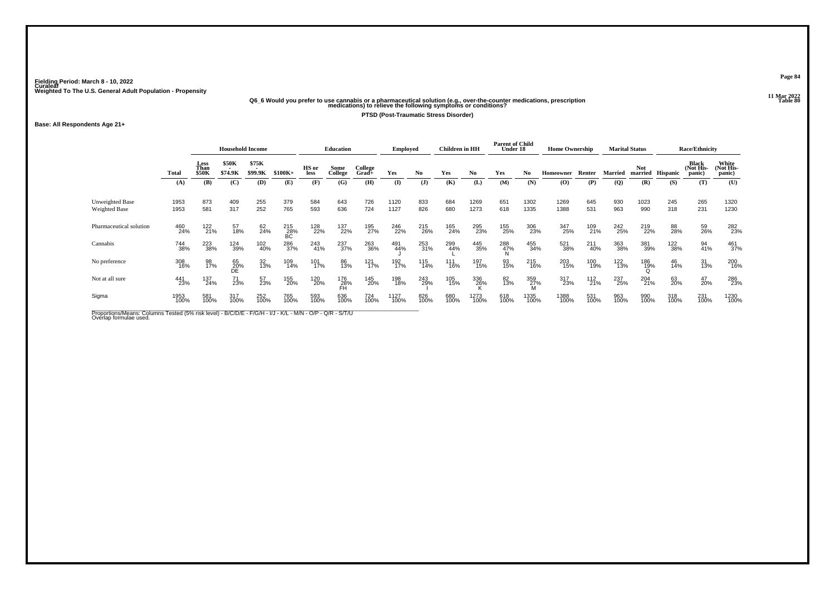# .11 Mar 2022<br>Q6\_6 Would you prefer to use cannabis or a pharmaceutical solution (e.g., over-the-counter medications, prescription<br>Table 80 medications) to relieve the following symptoms or conditions?

**PTSD (Post-Traumatic Stress Disorder)**

**Base: All Respondents Age 21+**

|                                         |              | <b>Household Income</b> |                         |                  |                  | <b>Education</b> |                  | <b>Employed</b>  |              | Children in HH |             | <b>Parent of Child</b><br>Under 18 |             | <b>Home Ownership</b> |                |             | <b>Marital Status</b> |             | <b>Race/Ethnicity</b>         |                                     |                              |
|-----------------------------------------|--------------|-------------------------|-------------------------|------------------|------------------|------------------|------------------|------------------|--------------|----------------|-------------|------------------------------------|-------------|-----------------------|----------------|-------------|-----------------------|-------------|-------------------------------|-------------------------------------|------------------------------|
|                                         | <b>Total</b> | Less<br>Than<br>\$50K   | <b>\$50K</b><br>\$74.9K | \$75K<br>\$99.9K | $$100K+$         | HS or<br>less    | Some<br>College  | College<br>Grad+ | Yes          | No.            | Yes         | No.                                | Yes         | No                    | Homeowner      | Renter      | <b>Married</b>        | Not.        | married Hispanic              | <b>Black</b><br>(Not His-<br>panic) | White<br>(Not His-<br>panic) |
|                                         | (A)          | (B)                     | (C)                     | (D)              | (E)              | (F)              | (G)              | (H)              | $($ I        | $\mathbf{J}$   | (K)         | (L)                                | (M)         | (N)                   | $\mathbf{(O)}$ | (P)         | $\overline{Q}$        | (R)         | (S)                           | (T)                                 | (U)                          |
| <b>Unweighted Base</b><br>Weighted Base | 1953<br>1953 | 873<br>581              | 409<br>317              | 255<br>252       | 379<br>765       | 584<br>593       | 643<br>636       | 726<br>724       | 1120<br>1127 | 833<br>826     | 684<br>680  | 1269<br>1273                       | 651<br>618  | 1302<br>1335          | 1269<br>1388   | 645<br>531  | 930<br>963            | 1023<br>990 | 245<br>318                    | 265<br>231                          | 1320<br>1230                 |
| Pharmaceutical solution                 | 460<br>24%   | 122<br>21%              | 57<br>18%               | 62<br>24%        | 215<br>28%<br>BC | 128<br>22%       | 137<br>22%       | 195<br>27%       | 246<br>22%   | 215<br>26%     | 165<br>24%  | 295<br>23%                         | 155<br>25%  | 306<br>23%            | 347<br>25%     | 109<br>21%  | 242<br>25%            | 219<br>22%  | 88<br>28%                     | 59<br>26%                           | 282<br>23%                   |
| Cannabis                                | 744<br>38%   | 223<br>38%              | 124<br>39%              | 102<br>40%       | 286<br>37%       | 243<br>41%       | 237<br>37%       | 263<br>36%       | 491<br>44%   | 253<br>31%     | 299<br>44%  | 445<br>35%                         | 288<br>47%  | 455<br>34%            | 521<br>38%     | 211<br>40%  | 363<br>38%            | 381<br>39%  | <sup>122</sup> <sub>38%</sub> | 94<br>41%                           | 461<br>37%                   |
| No preference                           | 308<br>16%   | 98<br>17%               | 65<br>20%<br>DÉ         | 32<br>13%        | 109<br>14%       | 101<br>17%       | 86<br>13%        | 121<br>17%       | 192<br>17%   | 115<br>14%     | 111<br>16%  | 197<br>15%                         | 93<br>15%   | 215<br>16%            | 203<br>15%     | 100<br>19%  | 122<br>13%            | 186<br>19%  | 46<br>14%                     | 31<br>13%                           | 200<br>16%                   |
| Not at all sure                         | 441<br>23%   | 137<br>24%              | 71<br>23%               | 57<br>23%        | 155<br>20%       | 120<br>20%       | 176<br>28%<br>FĤ | 145<br>20%       | 198<br>18%   | 243<br>29%     | 105<br>15%  | 336<br>26%                         | 82<br>13%   | 359<br>27%            | 317<br>23%     | 112<br>21%  | 237<br>25%            | 204<br>21%  | 63<br>20%                     | 47<br>20%                           | 286<br>23%                   |
| Sigma                                   | 1953<br>100% | 581<br>100%             | 317<br>100%             | 252<br>100%      | 765<br>100%      | 593<br>100%      | 636<br>100%      | 724<br>100%      | 1127<br>100% | 826<br>100%    | 680<br>100% | 1273<br>100%                       | 618<br>100% | 1335<br>100%          | 1388<br>100%   | 531<br>100% | 963<br>100%           | 990<br>100% | 318<br>100%                   | 231<br>100%                         | 1230<br>100%                 |

Proportions/Means: Columns Tested (5% risk level) - B/C/D/E - F/G/H - I/J - K/L - M/N - O/P - Q/R - S/T/U<br>Overlap formulae used.

**Page 84**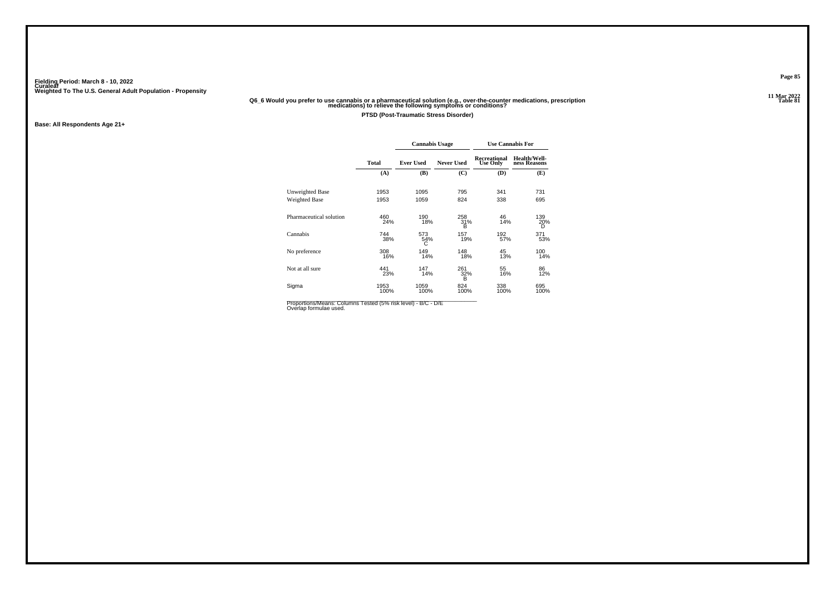# .11 Mar 2022<br>Q6\_6 Would you prefer to use cannabis or a pharmaceutical solution (e.g., over-the-counter medications, prescription<br>Table 81 medications) to relieve the following symptoms or conditions?

**PTSD (Post-Traumatic Stress Disorder)**

**Base: All Respondents Age 21+**

|                         |              | <b>Cannabis Usage</b> |                   | <b>Use Cannabis For</b>         |                              |  |  |  |  |
|-------------------------|--------------|-----------------------|-------------------|---------------------------------|------------------------------|--|--|--|--|
|                         | Total        | <b>Ever Used</b>      | <b>Never Used</b> | Recreational<br><b>Use Only</b> | Health/Well-<br>ness Reasons |  |  |  |  |
|                         | (A)          | (B)                   | (C)               | (D)                             | (E)                          |  |  |  |  |
| Unweighted Base         | 1953         | 1095                  | 795               | 341                             | 731                          |  |  |  |  |
| Weighted Base           | 1953         | 1059                  | 824               | 338                             | 695                          |  |  |  |  |
| Pharmaceutical solution | 460<br>24%   | 190<br>18%            | 258<br>31%<br>в   | 46<br>14%                       | 139<br>20%<br>D              |  |  |  |  |
| Cannabis                | 744<br>38%   | 573<br>54%<br>С       | 157<br>19%        | 192<br>57%                      | 371<br>53%                   |  |  |  |  |
| No preference           | 308<br>16%   | 149<br>14%            | 148<br>18%        | 45<br>13%                       | 100<br>14%                   |  |  |  |  |
| Not at all sure         | 441<br>23%   | 147<br>14%            | 261<br>32%<br>в   | 55<br>16%                       | 86<br>12%                    |  |  |  |  |
| Sigma                   | 1953<br>100% | 1059<br>100%          | 824<br>100%       | 338<br>100%                     | 695<br>100%                  |  |  |  |  |

Proportions/Means: Columns Tested (5% risk level) - B/C - D/E<br>Overlap formulae used.

**Page 85**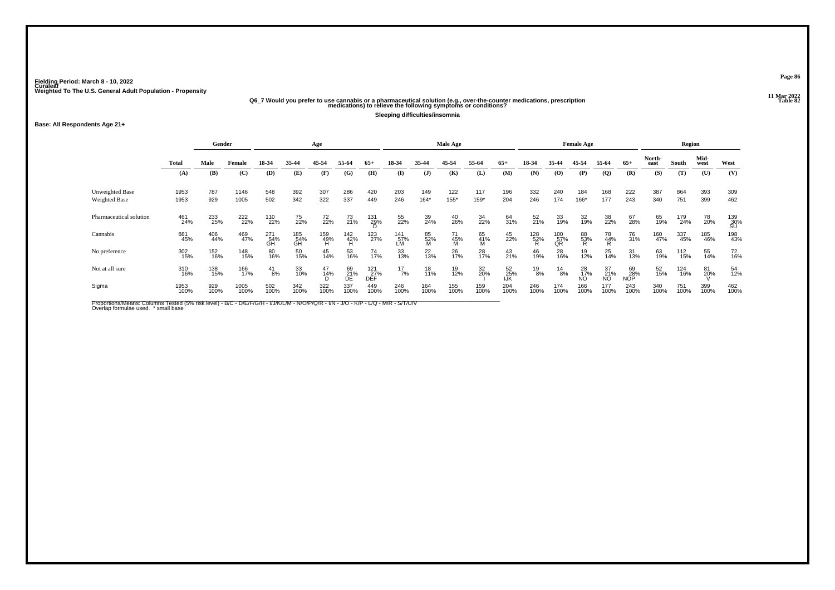# .11 Mar 2022<br>Q6\_7 Would you prefer to use cannabis or a pharmaceutical solution (e.g., over-the-counter medications, prescription<br>Table 82 medications) to relieve the following symptoms or conditions?

**Sleeping difficulties/insomnia**

### **Base: All Respondents Age 21+**

|                                  |              | Gender      |              |                  | Age              |                 |                 |                   | Male Age         |                |                     |                |                  |                 |                                     | <b>Female Age</b> |                 |                  | Region         |             |              |                    |  |
|----------------------------------|--------------|-------------|--------------|------------------|------------------|-----------------|-----------------|-------------------|------------------|----------------|---------------------|----------------|------------------|-----------------|-------------------------------------|-------------------|-----------------|------------------|----------------|-------------|--------------|--------------------|--|
|                                  | Total        | Male        | Female       | 18-34            | 35-44            | 45-54           | 55-64           | $65+$             | 18-34            | 35-44          | 45-54               | 55-64          | $65+$            | 18-34           | 35-44                               | 45-54             | 55-64           | $65+$            | North-<br>east | South       | Mid-<br>west | West               |  |
|                                  | (A)          | (B)         | (C)          | (D)              | (E)              | (F)             | (G)             | (H)               | $\mathbf{I}$     | (J)            | (K)                 | (L)            | (M)              | (N)             | $\boldsymbol{\mathrm{(O)}}$         | (P)               | $\mathbf{Q}$    | (R)              | (S)            | (T)         | (U)          | (V)                |  |
| Unweighted Base<br>Weighted Base | 1953<br>1953 | 787<br>929  | 1146<br>1005 | 548<br>502       | 392<br>342       | 307<br>322      | 286<br>337      | 420<br>449        | 203<br>246       | 149<br>$164*$  | 122<br>155*         | 117<br>159*    | 196<br>204       | 332<br>246      | 240<br>174                          | 184<br>166*       | 168<br>177      | 222<br>243       | 387<br>340     | 864<br>751  | 393<br>399   | 309<br>462         |  |
| Pharmaceutical solution          | 461<br>24%   | 233<br>25%  | 222<br>22%   | 110<br>22%       | 75<br>22%        | 72<br>22%       | 73<br>21%       | 131<br>29%<br>D   | 55<br>22%        | 39<br>24%      | $^{40}_{26\%}$      | 34<br>22%      | 64<br>31%        | 52<br>21%       | 33<br>19%                           | 32<br>19%         | 38<br>22%       | 67<br>28%        | 65<br>19%      | 179<br>24%  | 78<br>20%    | $^{139}_{30\%}$ SU |  |
| Cannabis                         | 881<br>45%   | 406<br>44%  | 469<br>47%   | 271<br>54%<br>GH | 185<br>54%<br>GH | 159<br>49%<br>H | $^{142}_{42\%}$ | 123<br>27%        | 141<br>57%<br>LM | 85<br>52%<br>M | $^{71}_{45\%}$<br>M | 65<br>41%<br>M | 45<br>22%        | $^{128}_{52\%}$ | $^{100}_{\substack{57}{\text{QR}}}$ | 88<br>53%<br>R    | 78<br>44%<br>R  | 76<br>31%        | 160<br>47%     | 337<br>45%  | 185<br>46%   | 198<br>43%         |  |
| No preference                    | 302<br>15%   | 152<br>16%  | 148<br>15%   | 80<br>16%        | 50<br>15%        | 45<br>14%       | 53<br>16%       | 74<br>17%         | 33<br>13%        | 22<br>13%      | 26<br>17%           | 28<br>17%      | 43<br>21%        | 46<br>19%       | 28<br>16%                           | 19<br>12%         | 25<br>14%       | 31<br>13%        | 63<br>19%      | 112<br>15%  | 55<br>14%    | 72<br>16%          |  |
| Not at all sure                  | 310<br>16%   | 138<br>15%  | 166<br>17%   | $^{41}_{8\%}$    | 33<br>10%        | 47<br>14%       | 69<br>21%<br>DE | 121<br>27%<br>DEF | $^{17}_{7\%}$    | 18<br>11%      | 19<br>12%           | 32<br>20%      | 52<br>25%<br>IJK | 19<br>8%        | $^{14}_{8\%}$                       | 28<br>17%<br>ΝÔ   | 37<br>21%<br>NO | 69<br>28%<br>NOP | 52<br>15%      | 124<br>16%  | 81<br>20%    | 54<br>12%          |  |
| Sigma                            | 1953<br>100% | 929<br>100% | 1005<br>100% | 502<br>100%      | 342<br>100%      | 322<br>100%     | 337<br>100%     | 449<br>100%       | 246<br>100%      | 164<br>100%    | 155<br>100%         | 159<br>100%    | 204<br>100%      | 246<br>100%     | 174<br>100%                         | 166<br>100%       | 177<br>100%     | 243<br>100%      | 340<br>100%    | 751<br>100% | 399<br>100%  | 462<br>100%        |  |

Proportions/Means: Columns Tested (5% risk level) - B/C - D/E/F/G/H - I/J/K/L/M - N/O/P/Q/R - I/N - J/O - K/P - L/Q - M/R - S/T/U/V<br>Overlap formulae used. \*small base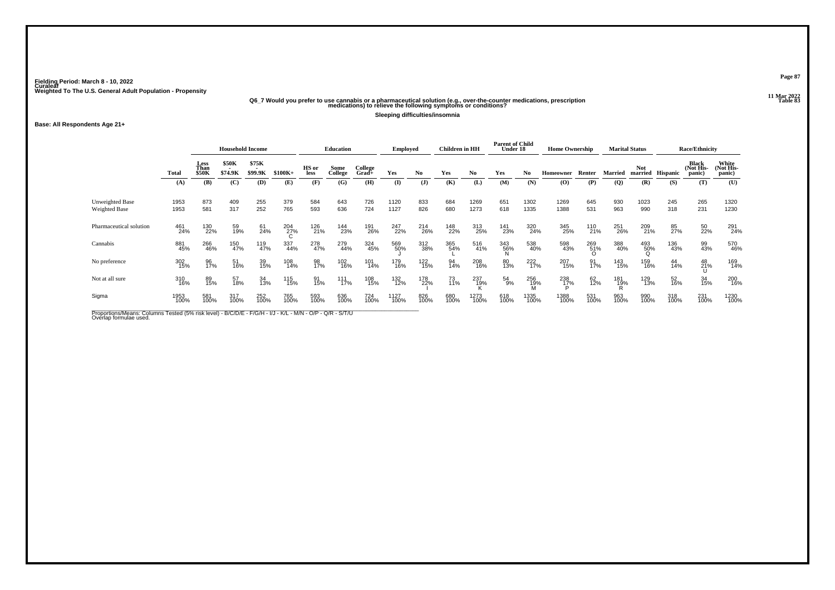# .11 Mar 2022<br>Q6\_7 Would you prefer to use cannabis or a pharmaceutical solution (e.g., over-the-counter medications, prescription<br>Table 83 medications) to relieve the following symptoms or conditions?

**Sleeping difficulties/insomnia**

**Base: All Respondents Age 21+**

|                                  |              |                       | <b>Household Income</b>                      |                  |             | <b>Education</b>     |                 |                     | <b>Employed</b> |                | <b>Children</b> in HH |              | <b>Parent of Child</b><br>Under 18 |              | <b>Home Ownership</b> |             | <b>Marital Status</b> |             | <b>Race/Ethnicity</b> |                              |                             |
|----------------------------------|--------------|-----------------------|----------------------------------------------|------------------|-------------|----------------------|-----------------|---------------------|-----------------|----------------|-----------------------|--------------|------------------------------------|--------------|-----------------------|-------------|-----------------------|-------------|-----------------------|------------------------------|-----------------------------|
|                                  | Total        | Less<br>Than<br>\$50K | \$50K<br>$\overline{\phantom{a}}$<br>\$74.9K | \$75K<br>\$99.9K | $$100K+$    | HS or<br><b>less</b> | Some<br>College | College<br>$Grad +$ | Yes             | N <sub>0</sub> | Yes                   | No           | Yes                                | No           | Homeowner             | Renter      | <b>Married</b>        | <b>Not</b>  | married Hispanic      | Black<br>(Not His-<br>panic) | White<br>Not His-<br>panic) |
|                                  | (A)          | (B)                   | (C)                                          | (D)              | (E)         | (F)                  | (G)             | (H)                 | $($ $\Gamma$    | $\mathbf{J}$   | (K)                   | (L)          | (M)                                | (N)          | (O)                   | (P)         | (Q)                   | (R)         | (S)                   | (T)                          | (U)                         |
| Unweighted Base<br>Weighted Base | 1953<br>1953 | 873<br>581            | 409<br>317                                   | 255<br>252       | 379<br>765  | 584<br>593           | 643<br>636      | 726<br>724          | 1120<br>1127    | 833<br>826     | 684<br>680            | 1269<br>1273 | 651<br>618                         | 1302<br>1335 | 1269<br>1388          | 645<br>531  | 930<br>963            | 1023<br>990 | 245<br>318            | 265<br>231                   | 1320<br>1230                |
| Pharmaceutical solution          | 461<br>24%   | 130<br>22%            | 59<br>19%                                    | 61<br>24%        | 204<br>27%  | 126<br>21%           | 144<br>23%      | 191<br>26%          | 247<br>22%      | 214<br>26%     | 148<br>22%            | 313<br>25%   | 141<br>23%                         | 320<br>24%   | 345<br>25%            | 110<br>21%  | 251<br>26%            | 209<br>21%  | 85<br>27%             | 50<br>22%                    | 291<br>24%                  |
| Cannabis                         | 881<br>45%   | 266<br>46%            | 150<br>47%                                   | 119<br>47%       | 337<br>44%  | 278<br>47%           | 279<br>44%      | 324<br>45%          | 569<br>50%      | 312<br>38%     | 365<br>54%            | 516<br>41%   | 343<br>56%                         | 538<br>40%   | 598<br>43%            | 269<br>51%  | 388<br>40%            | 493<br>50%  | 136<br>43%            | 99<br>43%                    | 570<br>46%                  |
| No preference                    | 302<br>15%   | 96<br>17%             | 51<br>16%                                    | 39<br>15%        | 108<br>14%  | 98<br>17%            | 102<br>16%      | 101<br>14%          | 179<br>16%      | 122<br>15%     | 94<br>14%             | 208<br>16%   | 80<br>13%                          | 222<br>17%   | 207<br>15%            | 91<br>17%   | 143<br>15%            | 159<br>16%  | 44<br>14%             | 48<br>21%                    | 169<br>14%                  |
| Not at all sure                  | 310<br>16%   | 89<br>15%             | 57<br>18%                                    | 34<br>13%        | 115<br>15%  | 91<br>15%            | 111<br>17%      | 108<br>15%          | 132<br>12%      | 178<br>22%     | 73<br>11%             | 237<br>19%   | 54<br>9%                           | 256<br>19%   | 238<br>17%<br>D       | 62<br>12%   | 181<br>1 <u>9</u> %   | 129<br>13%  | 52<br>16%             | 34<br>15%                    | 200<br>16%                  |
| Sigma                            | 1953<br>100% | 581<br>100%           | 317<br>100%                                  | 252<br>100%      | 765<br>100% | 593<br>100%          | 636<br>100%     | 724<br>100%         | 1127<br>100%    | 826<br>100%    | 680<br>100%           | 1273<br>100% | 618<br>100%                        | 1335<br>100% | 1388<br>100%          | 531<br>100% | 963<br>100%           | 990<br>100% | 318<br>100%           | 231<br>100%                  | 1230<br>100%                |

Proportions/Means: Columns Tested (5% risk level) - B/C/D/E - F/G/H - I/J - K/L - M/N - O/P - Q/R - S/T/U<br>Overlap formulae used.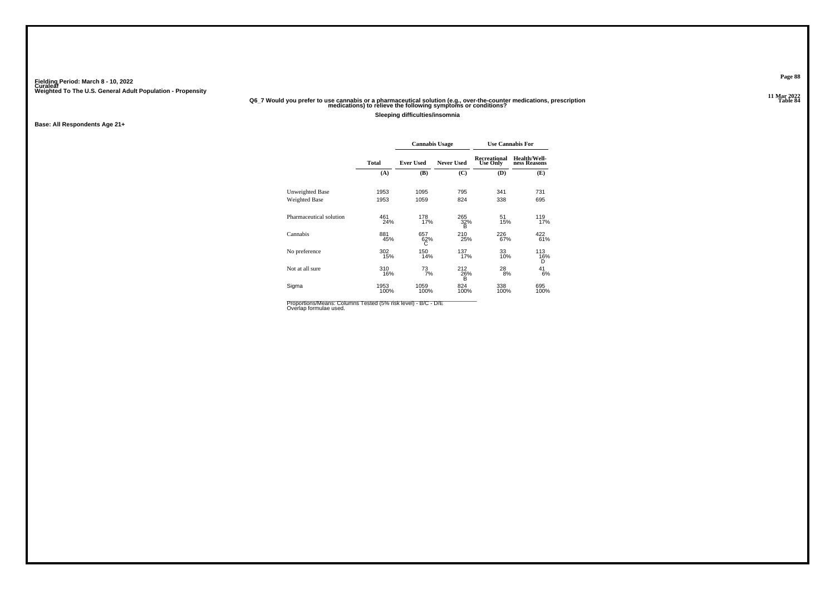# .11 Mar 2022<br>Q6\_7 Would you prefer to use cannabis or a pharmaceutical solution (e.g., over-the-counter medications, prescription<br>Table 84 medications) to relieve the following symptoms or conditions?

**Sleeping difficulties/insomnia**

**Base: All Respondents Age 21+**

|              |                  |                   | <b>Use Cannabis For</b>         |                                  |  |  |  |
|--------------|------------------|-------------------|---------------------------------|----------------------------------|--|--|--|
| <b>Total</b> | <b>Ever Used</b> | <b>Never Used</b> | Recreational<br><b>Use Only</b> | Health/Well-<br>ness Reasons     |  |  |  |
| (A)          | (B)              | (C)               | (D)                             | (E)                              |  |  |  |
| 1953         | 1095             | 795               | 341                             | 731                              |  |  |  |
| 1953         | 1059             | 824               | 338                             | 695                              |  |  |  |
| 461<br>24%   | 178<br>17%       | 265<br>B          | 51<br>15%                       | 119<br>17%                       |  |  |  |
| 881<br>45%   | 657<br>62%<br>С  | 210               | 226<br>67%                      | 422<br>61%                       |  |  |  |
| 302<br>15%   | 150<br>14%       | 137               | 33<br>10%                       | 113<br>16%<br>D                  |  |  |  |
| 310<br>16%   | 73<br>7%         | 212<br>B          | 28<br>8%                        | 41<br>6%                         |  |  |  |
| 1953<br>100% | 1059<br>100%     | 824               | 338<br>100%                     | 695<br>100%                      |  |  |  |
|              |                  |                   | <b>Cannabis Usage</b>           | 32%<br>25%<br>17%<br>26%<br>100% |  |  |  |

Proportions/Means: Columns Tested (5% risk level) - B/C - D/E<br>Overlap formulae used.

**Page 88**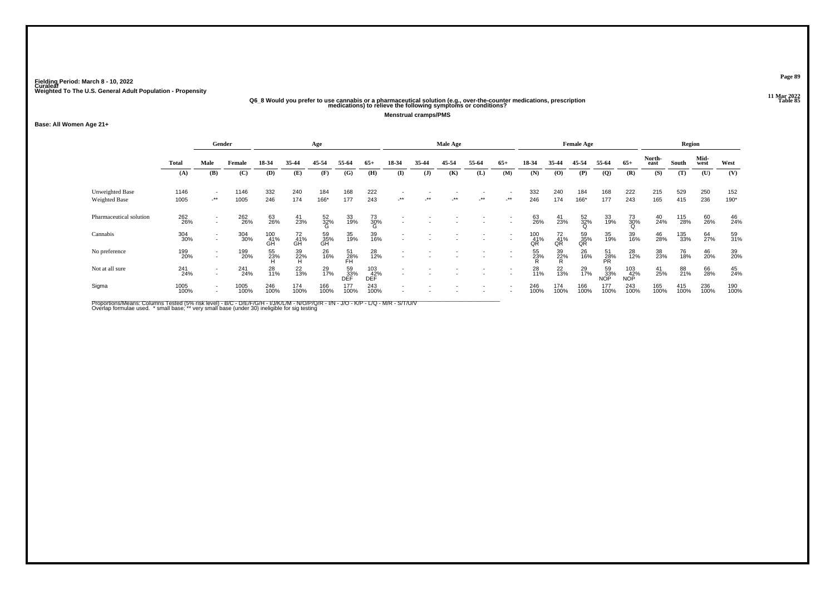# .11 Mar 2022<br>Q6\_8 Would you prefer to use cannabis or a pharmaceutical solution (e.g., over-the-counter medications, prescription<br>Table 85 medications) to relieve the following symptoms or conditions?

**Menstrual cramps/PMS**

### **Base: All Women Age 21+**

|                         | Gender<br>Age |                  |              |                  |                 |                 | Male Age          |                   |                          |         |            |       |                          | <b>Female Age</b> |                 |                 | Region               |                          |                |             |              |             |
|-------------------------|---------------|------------------|--------------|------------------|-----------------|-----------------|-------------------|-------------------|--------------------------|---------|------------|-------|--------------------------|-------------------|-----------------|-----------------|----------------------|--------------------------|----------------|-------------|--------------|-------------|
|                         | <b>Total</b>  | Male             | Female       | 18-34            | 35-44           | 45-54           | 55-64             | $65+$             | 18-34                    | 35-44   | 45-54      | 55-64 | $65+$                    | 18-34             | 35-44           | 45-54           | 55-64                | $65+$                    | North-<br>east | South       | Mid-<br>west | West        |
|                         | (A)           | (B)              | (C)          | (D)              | (E)             | (F)             | (G)               | (H)               | (I)                      | $($ $)$ | (K)        | (L)   | (M)                      | (N)               | (O)             | (P)             | $\mathbf{Q}$         | (R)                      | (S)            | (T)         | (U)          | (V)         |
| <b>Unweighted Base</b>  | 1146          | $\sim$           | 1146         | 332              | 240             | 184             | 168               | 222               |                          |         |            |       |                          | 332               | 240             | 184             | 168                  | 222                      | 215            | 529         | 250          | 152         |
| Weighted Base           | 1005          | $-$ **           | 1005         | 246              | 174             | 166*            | 177               | 243               | $-$ **                   | $-$ **  | $\cdot$ ** | $.**$ | $-$ **                   | 246               | 174             | 166*            | 177                  | 243                      | 165            | 415         | 236          | 190*        |
| Pharmaceutical solution | 262<br>26%    | $\sim$<br>$\sim$ | 262<br>26%   | 63<br>26%        | $^{41}_{23\%}$  | 52<br>32%<br>G  | 33<br>19%         | 73<br>30%<br>G    |                          |         |            |       | $\overline{\phantom{a}}$ | 63<br>26%         | 41<br>23%       | 52<br>32%<br>Q  | 33<br>19%            | 73<br>30%<br>Q           | 40<br>24%      | 115<br>28%  | 60<br>26%    | 46<br>24%   |
| Cannabis                | 304<br>30%    | $\sim$           | 304<br>30%   | 100<br>41%<br>GH | 72<br>41%<br>GH | 59<br>35%<br>GH | 35<br>19%         | 39<br>16%         | $\overline{\phantom{a}}$ |         |            |       | $\overline{a}$           | 100<br>41%<br>QR  | 72<br>41%<br>QR | 59<br>35%<br>QR | 35<br>19%            | 39<br>16%                | 46<br>28%      | 135<br>33%  | 64<br>27%    | 59<br>31%   |
| No preference           | 199<br>20%    | $\sim$           | 199<br>20%   | 55<br>23%        | 39<br>22%<br>H  | 26<br>16%       | 51<br>28%<br>FH   | 28<br>12%         |                          |         |            |       |                          | 55<br>23%         | 39<br>22%<br>R  | 26<br>16%       | $\frac{51}{28\%}$ PR | 28<br>12%                | 38<br>23%      | 76<br>18%   | 46<br>20%    | 39<br>20%   |
| Not at all sure         | 241<br>24%    | $\sim$<br>$\sim$ | 241<br>24%   | 28<br>11%        | 22<br>13%       | 29<br>17%       | 59<br>_33%<br>DEF | 103<br>42%<br>DEF | $\overline{a}$           |         |            |       |                          | 28<br>11%         | $^{22}_{13\%}$  | 29<br>17%       | 59<br>33%<br>NOP     | 103<br>42%<br><b>NOP</b> | $^{41}_{25\%}$ | 88<br>21%   | 66<br>28%    | 45<br>24%   |
| Sigma                   | 1005<br>100%  | $\sim$<br>$\sim$ | 1005<br>100% | 246<br>100%      | 174<br>100%     | 166<br>100%     | 177<br>100%       | 243<br>100%       |                          |         |            |       |                          | 246<br>100%       | 174<br>100%     | 166<br>100%     | 177<br>100%          | 243<br>100%              | 165<br>100%    | 415<br>100% | 236<br>100%  | 190<br>100% |

Proportions/Means: Columns Tested (5% risk level) - B/C - D/E/F/G/H - I/J/K/L/M - N/O/P/Q/R - I/N - J/O - K/P - L/Q - M/R - S/T/U/V<br>Overlap formulae used. \*small base; \* very small base (under 30) ineligible for sig testin

**Page 89**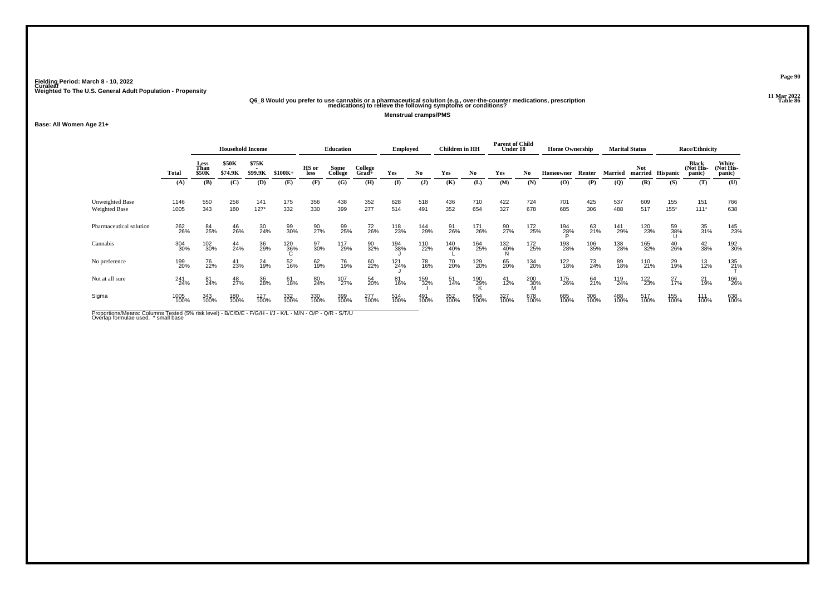# .11 Mar 2022<br>Q6\_8 Would you prefer to use cannabis or a pharmaceutical solution (e.g., over-the-counter medications, prescription<br>Table 86 medications) to relieve the following symptoms or conditions?

**Menstrual cramps/PMS**

### **Base: All Women Age 21+**

|                                  |              | <b>Household Income</b>      |                  |                  |             | <b>Education</b> |                 |                  | <b>Employed</b> |              | <b>Children</b> in HH |             | <b>Parent of Child</b><br>Under 18 |             | <b>Home Ownership</b> |             | <b>Marital Status</b> |                       | <b>Race/Ethnicity</b> |                              |                              |
|----------------------------------|--------------|------------------------------|------------------|------------------|-------------|------------------|-----------------|------------------|-----------------|--------------|-----------------------|-------------|------------------------------------|-------------|-----------------------|-------------|-----------------------|-----------------------|-----------------------|------------------------------|------------------------------|
|                                  | Total        | Less<br>Than<br><b>\$50K</b> | \$50K<br>\$74.9K | \$75K<br>\$99.9K | $$100K+$    | HS or<br>less    | Some<br>College | College<br>Grad+ | Yes             | No           | Yes                   | No          | Yes                                | No          | Homeowner             | Renter      | <b>Married</b>        | <b>Not</b><br>married | Hispanic              | Black<br>(Not His-<br>panic) | White<br>(Not His-<br>panic) |
|                                  | (A)          | (B)                          | (C)              | (D)              | (E)         | (F)              | (G)             | (H)              | $\mathbf{I}$    | $\mathbf{J}$ | (K)                   | (L)         | (M)                                | (N)         | (O)                   | (P)         | $\overline{Q}$        | (R)                   | (S)                   | (T)                          | (U)                          |
| Unweighted Base<br>Weighted Base | 1146<br>1005 | 550<br>343                   | 258<br>180       | 141<br>$127*$    | 175<br>332  | 356<br>330       | 438<br>399      | 352<br>277       | 628<br>514      | 518<br>491   | 436<br>352            | 710<br>654  | 422<br>327                         | 724<br>678  | 701<br>685            | 425<br>306  | 537<br>488            | 609<br>517            | 155<br>$155*$         | 151<br>$111*$                | 766<br>638                   |
| Pharmaceutical solution          | 262<br>26%   | 84<br>25%                    | 46<br>26%        | 30<br>24%        | 99<br>30%   | 90<br>27%        | 99<br>25%       | 72<br>26%        | 118<br>23%      | 144<br>29%   | 91<br>26%             | 171<br>26%  | 90<br>27%                          | 172<br>25%  | 194<br>28%            | 63<br>21%   | 141<br>29%            | 120<br>23%            | 59<br>38%             | 35<br>31%                    | 145<br>23%                   |
| Cannabis                         | 304<br>30%   | 102<br>30%                   | 44<br>24%        | 36<br>29%        | 120<br>36%  | 97<br>30%        | 117<br>29%      | 90<br>32%        | 194<br>38%      | 110<br>22%   | 140<br>40%            | 164<br>25%  | 132<br>40%                         | 172<br>25%  | 193<br>28%            | 106<br>35%  | 138<br>28%            | 165<br>32%            | 40<br>26%             | 42<br>38%                    | 192<br>30%                   |
| No preference                    | 199<br>20%   | 76<br>22%                    | 41<br>23%        | 24<br>19%        | 52<br>16%   | 62<br>19%        | 76<br>19%       | 60<br>22%        | 121<br>24%      | 78<br>16%    | 70<br>20%             | 129<br>20%  | 65<br>20%                          | 134<br>20%  | 122<br>18%            | 73<br>24%   | 89<br>18%             | 110<br>21%            | 29<br>19%             | $^{13}_{12\%}$               | 135<br>21%                   |
| Not at all sure                  | 241<br>24%   | 81<br>24%                    | 48<br>27%        | 36<br>28%        | 61<br>18%   | 80<br>24%        | 107<br>27%      | 54<br>20%        | 81<br>16%       | 159<br>32%   | 51<br>14%             | 190<br>29%  | $^{41}_{12\%}$                     | 200<br>30%  | 175<br>26%            | 64<br>21%   | 119<br>24%            | 122<br>23%            | $^{27}_{17\%}$        | 21<br>19%                    | 166<br>26%                   |
| Sigma                            | 1005<br>100% | 343<br>100%                  | 180<br>100%      | 127<br>100%      | 332<br>100% | 330<br>100%      | 399<br>100%     | 277<br>100%      | 514<br>100%     | 491<br>100%  | 352<br>100%           | 654<br>100% | 327<br>100%                        | 678<br>100% | 685<br>100%           | 306<br>100% | 488<br>100%           | 517<br>100%           | 155<br>100%           | 111<br>100%                  | 638<br>100%                  |
|                                  |              |                              |                  |                  |             |                  |                 |                  |                 |              |                       |             |                                    |             |                       |             |                       |                       |                       |                              |                              |

Proportions/Means: Columns Tested (5% risk level) - B/C/D/E - F/G/H - I/J - K/L - M/N - O/P - Q/R - S/T/U<br>Overlap formulae used. \* small base

**Page 90**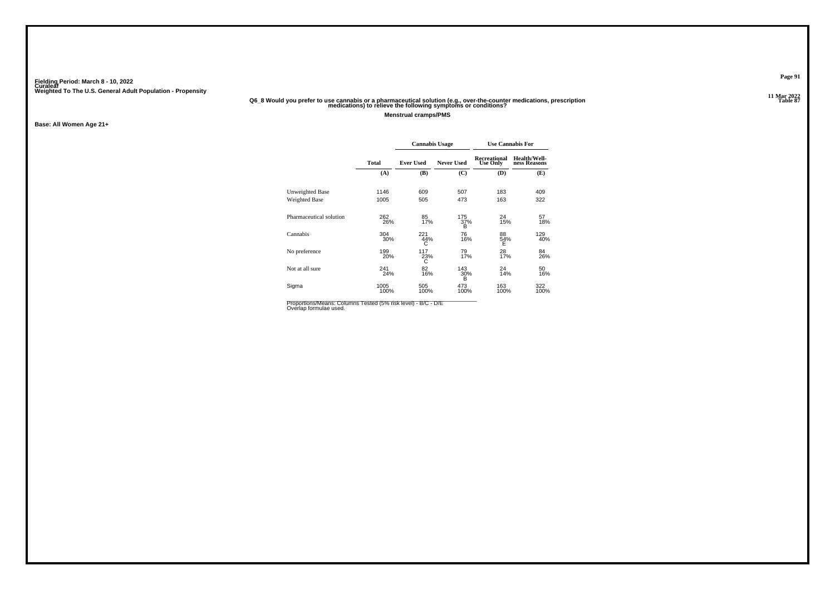# .11 Mar 2022<br>"Q6\_8 Would you prefer to use cannabis or a pharmaceutical solution (e.g., over-the-counter medications, prescription<br>"Table 87 medications) to relieve the following symptoms or conditions?

**Menstrual cramps/PMS**

**Base: All Women Age 21+**

|                         |              | <b>Cannabis Usage</b> |                   | <b>Use Cannabis For</b>         |                              |  |  |  |
|-------------------------|--------------|-----------------------|-------------------|---------------------------------|------------------------------|--|--|--|
|                         | <b>Total</b> | <b>Ever Used</b>      | <b>Never Used</b> | Recreational<br><b>Use Only</b> | Health/Well-<br>ness Reasons |  |  |  |
|                         | (A)          | (B)                   | (C)               | (D)                             | (E)                          |  |  |  |
| Unweighted Base         | 1146         | 609                   | 507               | 183                             | 409                          |  |  |  |
| Weighted Base           | 1005         | 505                   | 473               | 163                             | 322                          |  |  |  |
| Pharmaceutical solution | 262<br>26%   | 85<br>17%             | 175<br>37%<br>B   | 24<br>15%                       | 57<br>18%                    |  |  |  |
| Cannabis                | 304<br>30%   | 221<br>44%<br>С       | 76<br>16%         | 88<br>54%<br>Ε                  | 129<br>40%                   |  |  |  |
| No preference           | 199<br>20%   | 117<br>23%<br>Ċ       | 79<br>17%         | 28<br>17%                       | 84<br>26%                    |  |  |  |
| Not at all sure         | 241<br>24%   | 82<br>16%             | 143<br>30%<br>B   | 24<br>14%                       | 50<br>16%                    |  |  |  |
| Sigma                   | 1005<br>100% | 505<br>100%           | 473<br>100%       | 163<br>100%                     | 322<br>100%                  |  |  |  |

Proportions/Means: Columns Tested (5% risk level) - B/C - D/E<br>Overlap formulae used.

**Page 91**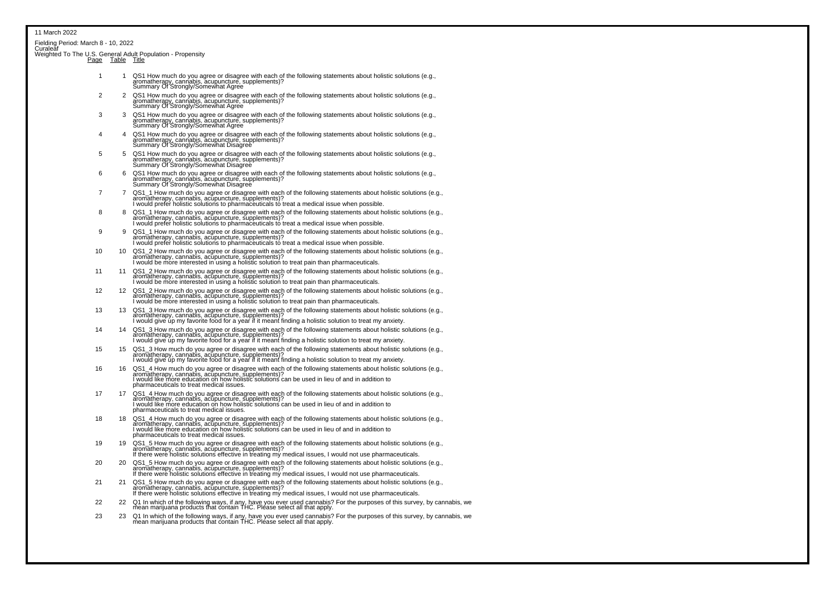| Curaleăf | Fielding Period: March 8 - 10, 2022 |                                                                                                                                                                                                                                                                                  |
|----------|-------------------------------------|----------------------------------------------------------------------------------------------------------------------------------------------------------------------------------------------------------------------------------------------------------------------------------|
|          |                                     | Weighted To The U.S. General Adult Population - Propensity<br>Page Table Title                                                                                                                                                                                                   |
| 1        | 1                                   | QS1 How much do you agree or disagree with each of the following statements about holistic solutions (e.g., acupuncture, supported by Statements)<br>aromatherapy, cannabis, acupuncture, supplements)?<br>Summary Of Strongly/Somew                                             |
| 2        |                                     | 2 QS1 How much do you agree or disagree with each of the following statements about holistic solutions (e.g., aromatherapy, cannabis, acupuncture, supplements)?<br>Summary Of Strongly/Somewhat Agree                                                                           |
| 3        | 3                                   | QS1 How much do you agree or disagree with each of the following statements about holistic solutions (e.g.,<br>aromatherapy, cannabis, acupuncture, supplements)?<br>Summary Of Strongly/Somewhat Agree                                                                          |
| 4        | 4                                   | QS1 How much do you agree or disagree with each of the following statements about holistic solutions (e.g., Supprediction of the following statements about holistic solutions (e.g., Summary care suppredictions (e.g., Summa                                                   |
| 5        | 5                                   | QS1 How much do you agree or disagree with each of the following statements about holistic solutions (e.g., acupuncture, supplements)?<br>aromatherapy, cannabis, acupuncture, supplements)?<br>Summary Of Strongly/Somewhat Disagre                                             |
| 6        | 6                                   | QS1 How much do you agree or disagree with each of the following statements about holistic solutions (e.g.,<br>aromatherapy, cannabis, acupuncture, supplements)?<br>Summary Of Strongly/Somewhat Disagree                                                                       |
| 7        | $\overline{7}$                      | QS1_1 How much do you agree or disagree with each of the following statements about holistic solutions (e.g.,<br>aromatherapy, cannabis, acupuncture, supplements)?<br>I would prefer holistic solutions to pharmaceuticals to treat a medical issue when possible.              |
| 8        | 8                                   | QS1_1 How much do you agree or disagree with each of the following statements about holistic solutions (e.g.,<br>aromatherapy, cannabis, acupuncture, supplements)?<br>I would prefer holistic solutions to pharmaceuticals to treat                                             |
| 9        | 9                                   | QS1_1 How much do you agree or disagree with each of the following statements about holistic solutions (e.g., and the list of the following statements about holistic solutions (e.g., and it is under the list of the list of                                                   |
| 10       | 10                                  | QS1_2 How much do you agree or disagree with each of the following statements about holistic solutions (e.g.,<br>aromatherapy, cannabis, acupuncture, supplements)?<br>I would be more interested in using a holistic solution to tr                                             |
| 11       | 11                                  | QS1_2 How much do you agree or disagree with each of the following statements about holistic solutions (e.g.,<br>aromatherapy, cannabis, acupuncture, supplements)?<br>I would be more interested in using a holistic solution to tr                                             |
| 12       | 12                                  | QS1_2 How much do you agree or disagree with each of the following statements about holistic solutions (e.g.,<br>aromatherapy, cannabis, acupuncture, supplements)?<br>I would be more interested in using a holistic solution to tr                                             |
| 13       | 13                                  | QS1_3 How much do you agree or disagree with each of the following statements about holistic solutions (e.g.,<br>aromatherapy, cannabis, acupuncture, supplements)?<br>I would give up my favorite food for a year if it meant findi                                             |
| 14       | 14                                  | QS1_3 How much do you agree or disagree with each of the following statements about holistic solutions (e.g.,<br>aromatherapy, cannabis, acupuncture, supplements)?<br>I would give up my favorite food for a year if it meant findi                                             |
| 15       | 15                                  | QS1_3 How much do you agree or disagree with each of the following statements about holistic solutions (e.g.,<br>aromatherapy, cannabis, acupuncture, supplements)?<br>I would give up my favorite food for a year if it meant finding a holistic solution to treat my anxiety.  |
| 16       | 16                                  | QS1_4 How much do you agree or disagree with each of the following statements about holistic solutions (e.g., aromatherapy, cannabis, acupuncture, supplements)?<br>aromatherapy, cannabis, acupuncture, supplements)?<br>I would li                                             |
| 17       | 17                                  | QS1_4 How much do you agree or disagree with each of the following statements about holistic solutions (e.g.,<br>aromatherapy, cannabis, acupuncture, supplements)?<br>I would like more education on how holistic solutions can be<br>pharmaceuticals to treat medical issues.  |
| 18       | 18                                  | QS1_4 How much do you agree or disagree with each of the following statements about holistic solutions (e.g., arcuments)?<br>aromatherapy, cannabis, acupuncture, supplements)?<br>I would like more education on how holistic solut<br>pharmaceuticals to treat medical issues. |
| 19       | 19                                  | QS1_5 How much do you agree or disagree with each of the following statements about holistic solutions (e.g.,<br>aromatherapy, cannabis, acupuncture, supplements)?<br>If there were holistic solutions effective in treating my med                                             |
| 20       | 20                                  | QS1_5 How much do you agree or disagree with each of the following statements about holistic solutions (e.g.,<br>aromatherapy, cannabis, acupuncture, supplements)?<br>If there were holistic solutions effective in treating my med                                             |
| 21       | 21                                  | QS1_5 How much do you agree or disagree with each of the following statements about holistic solutions (e.g.,<br>aromatherapy, cannabis, acupuncture, supplements)?<br>If there were holistic solutions effective in treating my med                                             |

- <sup>22</sup> <sup>22</sup> Q1 In which of the following ways, if any, have you ever used cannabis? For the purposes of this survey, by cannabis, we mean marijuana products that contain THC. Please select all that apply.
- 23 23 Q1 In which of the following ways, if any, have you ever used cannabis? For the purposes of this survey, by cannabis, we<br>mean marijuana products that contain THC. Please select all that apply.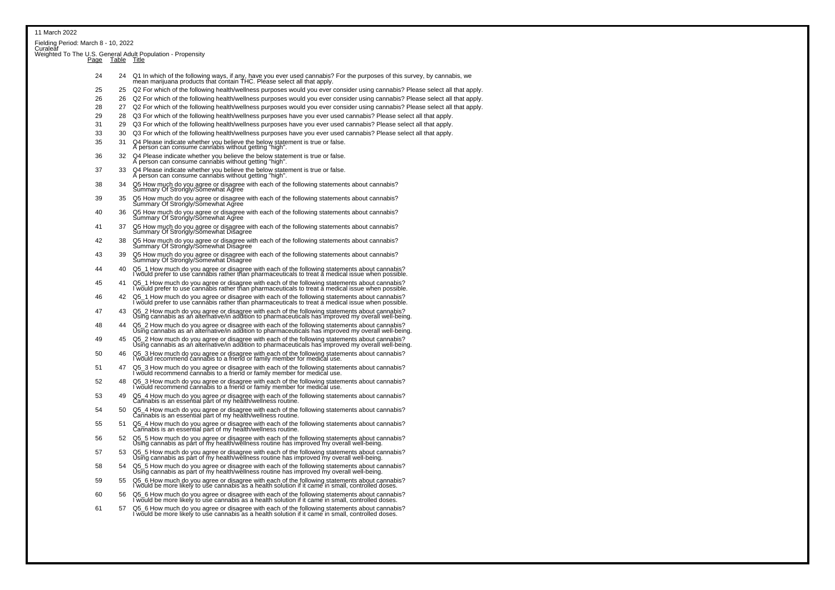| Eielding Period: March 8 - 10, 2022<br>Curaleaf<br>Weighted To The U.S. General Adult Population - Propensity<br>Page Table Title<br>24<br>25<br>25<br>26<br>26<br>28<br>27<br>29<br>28<br>31<br>33<br>30<br>35<br>Q4 Please indicate whether you believe the below statement is true or false.<br>31 | 24 Q1 In which of the following ways, if any, have you ever used cannabis? For the purposes of this survey, by cannabis, we mean marijuana products that contain THC. Please select all that apply.<br>Q2 For which of the following health/wellness purposes would you ever consider using cannabis? Please select all that apply.<br>Q2 For which of the following health/wellness purposes would you ever consider using cannabis? Please select all that apply.<br>Q2 For which of the following health/wellness purposes would you ever consider using cannabis? Please select all that apply.<br>Q3 For which of the following health/wellness purposes have you ever used cannabis? Please select all that apply. |
|-------------------------------------------------------------------------------------------------------------------------------------------------------------------------------------------------------------------------------------------------------------------------------------------------------|--------------------------------------------------------------------------------------------------------------------------------------------------------------------------------------------------------------------------------------------------------------------------------------------------------------------------------------------------------------------------------------------------------------------------------------------------------------------------------------------------------------------------------------------------------------------------------------------------------------------------------------------------------------------------------------------------------------------------|
|                                                                                                                                                                                                                                                                                                       |                                                                                                                                                                                                                                                                                                                                                                                                                                                                                                                                                                                                                                                                                                                          |
|                                                                                                                                                                                                                                                                                                       |                                                                                                                                                                                                                                                                                                                                                                                                                                                                                                                                                                                                                                                                                                                          |
|                                                                                                                                                                                                                                                                                                       |                                                                                                                                                                                                                                                                                                                                                                                                                                                                                                                                                                                                                                                                                                                          |
|                                                                                                                                                                                                                                                                                                       |                                                                                                                                                                                                                                                                                                                                                                                                                                                                                                                                                                                                                                                                                                                          |
|                                                                                                                                                                                                                                                                                                       |                                                                                                                                                                                                                                                                                                                                                                                                                                                                                                                                                                                                                                                                                                                          |
|                                                                                                                                                                                                                                                                                                       |                                                                                                                                                                                                                                                                                                                                                                                                                                                                                                                                                                                                                                                                                                                          |
|                                                                                                                                                                                                                                                                                                       |                                                                                                                                                                                                                                                                                                                                                                                                                                                                                                                                                                                                                                                                                                                          |
|                                                                                                                                                                                                                                                                                                       |                                                                                                                                                                                                                                                                                                                                                                                                                                                                                                                                                                                                                                                                                                                          |
|                                                                                                                                                                                                                                                                                                       | 29 Q3 For which of the following health/wellness purposes have you ever used cannabis? Please select all that apply.                                                                                                                                                                                                                                                                                                                                                                                                                                                                                                                                                                                                     |
|                                                                                                                                                                                                                                                                                                       | Q3 For which of the following health/wellness purposes have you ever used cannabis? Please select all that apply.                                                                                                                                                                                                                                                                                                                                                                                                                                                                                                                                                                                                        |
| A person can consume cannabis without getting "high".                                                                                                                                                                                                                                                 |                                                                                                                                                                                                                                                                                                                                                                                                                                                                                                                                                                                                                                                                                                                          |
| Q4 Please indicate whether you believe the below statement is true or false.<br>36<br>32<br>A person can consume cannabis without getting "high".                                                                                                                                                     |                                                                                                                                                                                                                                                                                                                                                                                                                                                                                                                                                                                                                                                                                                                          |
| 37<br>Q4 Please indicate whether you believe the below statement is true or false.<br>A person can consume cannabis without getting "high".<br>33                                                                                                                                                     |                                                                                                                                                                                                                                                                                                                                                                                                                                                                                                                                                                                                                                                                                                                          |
| 38<br>34                                                                                                                                                                                                                                                                                              | Q5 How much do you agree or disagree with each of the following statements about cannabis?<br>Summary Of Strongly/Somewhat Agree                                                                                                                                                                                                                                                                                                                                                                                                                                                                                                                                                                                         |
| 39<br>35                                                                                                                                                                                                                                                                                              | Q5 How much do you agree or disagree with each of the following statements about cannabis?<br>Summary Of Strongly/Somewhat Agree                                                                                                                                                                                                                                                                                                                                                                                                                                                                                                                                                                                         |
| 40<br>36                                                                                                                                                                                                                                                                                              | Q5 How much do you agree or disagree with each of the following statements about cannabis?<br>Summary Of Strongly/Somewhat Agree                                                                                                                                                                                                                                                                                                                                                                                                                                                                                                                                                                                         |
| 41<br>37                                                                                                                                                                                                                                                                                              | Q5 How much do you agree or disagree with each of the following statements about cannabis?<br>Summary Of Strongly/Somewhat Disagree                                                                                                                                                                                                                                                                                                                                                                                                                                                                                                                                                                                      |
| 42<br>38                                                                                                                                                                                                                                                                                              | Q5 How much do you agree or disagree with each of the following statements about cannabis?<br>Summary Of Strongly/Somewhat Disagree                                                                                                                                                                                                                                                                                                                                                                                                                                                                                                                                                                                      |
| 43<br>39                                                                                                                                                                                                                                                                                              | Q5 How much do you agree or disagree with each of the following statements about cannabis?<br>Summary Of Strongly/Somewhat Disagree                                                                                                                                                                                                                                                                                                                                                                                                                                                                                                                                                                                      |
| 44<br>40                                                                                                                                                                                                                                                                                              | Q5_1 How much do you agree or disagree with each of the following statements about cannabis?<br>I would prefer to use cannabis rather than pharmaceuticals to treat a medical issue when possible.                                                                                                                                                                                                                                                                                                                                                                                                                                                                                                                       |
| 45<br>41                                                                                                                                                                                                                                                                                              | Q5_1 How much do you agree or disagree with each of the following statements about cannabis?<br>I would prefer to use cannabis rather than pharmaceuticals to treat a medical issue when possible.                                                                                                                                                                                                                                                                                                                                                                                                                                                                                                                       |
| 46<br>42                                                                                                                                                                                                                                                                                              | Q5_1 How much do you agree or disagree with each of the following statements about cannabis?<br>I would prefer to use cannabis rather than pharmaceuticals to treat a medical issue when possible.                                                                                                                                                                                                                                                                                                                                                                                                                                                                                                                       |
| 47<br>43                                                                                                                                                                                                                                                                                              | Q5_2 How much do you agree or disagree with each of the following statements about cannabis?<br>Using cannabis as an alternative/in addition to pharmaceuticals has improved my overall well-being.                                                                                                                                                                                                                                                                                                                                                                                                                                                                                                                      |
| 48<br>44                                                                                                                                                                                                                                                                                              | Q5_2 How much do you agree or disagree with each of the following statements about cannabis?<br>Using cannabis as an alternative/in addition to pharmaceuticals has improved my overall well-being.                                                                                                                                                                                                                                                                                                                                                                                                                                                                                                                      |
| 49<br>45                                                                                                                                                                                                                                                                                              | Q5_2 How much do you agree or disagree with each of the following statements about cannabis?<br>Using cannabis as an alternative/in addition to pharmaceuticals has improved my overall well-being.                                                                                                                                                                                                                                                                                                                                                                                                                                                                                                                      |
| 50<br>46                                                                                                                                                                                                                                                                                              | Q5_3 How much do you agree or disagree with each of the following statements about cannabis?<br>I would recommend cannabis to a friend or family member for medical use.                                                                                                                                                                                                                                                                                                                                                                                                                                                                                                                                                 |
| 51<br>47                                                                                                                                                                                                                                                                                              | Q5_3 How much do you agree or disagree with each of the following statements about cannabis?<br>I would recommend cannabis to a friend or family member for medical use.                                                                                                                                                                                                                                                                                                                                                                                                                                                                                                                                                 |
| 52<br>48                                                                                                                                                                                                                                                                                              | Q5_3 How much do you agree or disagree with each of the following statements about cannabis?<br>I would recommend cannabis to a friend or family member for medical use.                                                                                                                                                                                                                                                                                                                                                                                                                                                                                                                                                 |
| 53<br>49                                                                                                                                                                                                                                                                                              | Q5_4 How much do you agree or disagree with each of the following statements about cannabis?<br>Cannabis is an essential part of my health/wellness routine.                                                                                                                                                                                                                                                                                                                                                                                                                                                                                                                                                             |
| 54<br>50                                                                                                                                                                                                                                                                                              | Q5_4 How much do you agree or disagree with each of the following statements about cannabis?<br>Cannabis is an essential part of my health/wellness routine.                                                                                                                                                                                                                                                                                                                                                                                                                                                                                                                                                             |
| 55<br>51                                                                                                                                                                                                                                                                                              | Q5_4 How much do you agree or disagree with each of the following statements about cannabis?<br>Cannabis is an essential part of my health/wellness routine.                                                                                                                                                                                                                                                                                                                                                                                                                                                                                                                                                             |
| 56<br>52                                                                                                                                                                                                                                                                                              | Q5_5 How much do you agree or disagree with each of the following statements about cannabis?<br>Using cannabis as part of my health/wellness routine has improved my overall well-being.                                                                                                                                                                                                                                                                                                                                                                                                                                                                                                                                 |
| 57<br>53                                                                                                                                                                                                                                                                                              | Q5_5 How much do you agree or disagree with each of the following statements about cannabis?<br>Using cannabis as part of my health/wellness routine has improved my overall well-being.                                                                                                                                                                                                                                                                                                                                                                                                                                                                                                                                 |
| 58<br>54                                                                                                                                                                                                                                                                                              | Q5 5 How much do you agree or disagree with each of the following statements about cannabis?<br>Using cannabis as part of my health/wellness routine has improved my overall well-being.                                                                                                                                                                                                                                                                                                                                                                                                                                                                                                                                 |
| 59<br>55                                                                                                                                                                                                                                                                                              | Q5 6 How much do you agree or disagree with each of the following statements about cannabis?<br>I would be more likely to use cannabis as a health solution if it came in small, controlled doses.                                                                                                                                                                                                                                                                                                                                                                                                                                                                                                                       |
| 60<br>56                                                                                                                                                                                                                                                                                              | Q5_6 How much do you agree or disagree with each of the following statements about cannabis?<br>I would be more likely to use cannabis as a health solution if it came in small, controlled doses.                                                                                                                                                                                                                                                                                                                                                                                                                                                                                                                       |
| 61<br>57                                                                                                                                                                                                                                                                                              | Q5_6 How much do you agree or disagree with each of the following statements about cannabis? I would be more likely to use cannabis as a health solution if it came in small, controlled doses.                                                                                                                                                                                                                                                                                                                                                                                                                                                                                                                          |
|                                                                                                                                                                                                                                                                                                       |                                                                                                                                                                                                                                                                                                                                                                                                                                                                                                                                                                                                                                                                                                                          |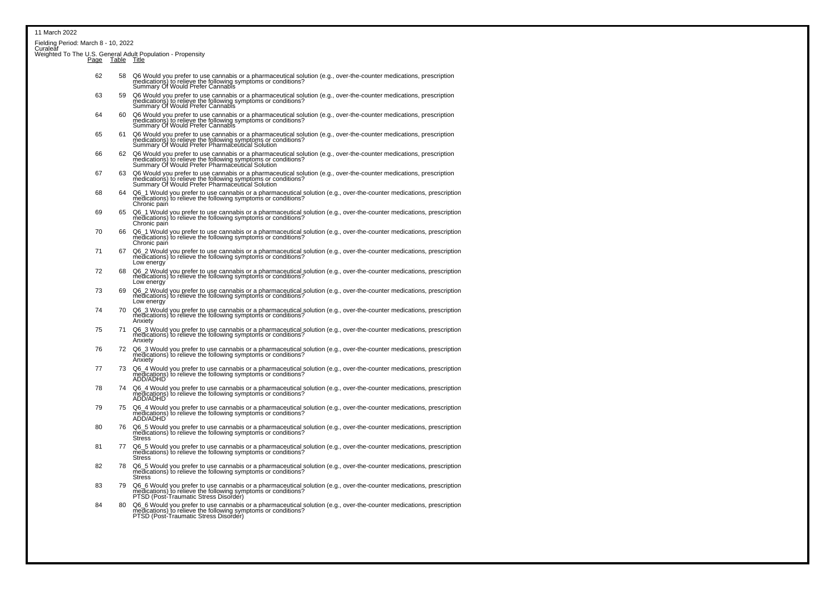| 11 March 2022                                                                  |    |                                                                                                                                                                                                                                        |
|--------------------------------------------------------------------------------|----|----------------------------------------------------------------------------------------------------------------------------------------------------------------------------------------------------------------------------------------|
| Fielding Period: March 8 - 10, 2022<br>Curaleaf                                |    |                                                                                                                                                                                                                                        |
| Weighted To The U.S. General Adult Population - Propensity<br>Page Table Title |    |                                                                                                                                                                                                                                        |
| 62                                                                             | 58 | Q6 Would you prefer to use cannabis or a pharmaceutical solution (e.g., over-the-counter medications, prescription<br>medications) to relieve the following symptoms or conditions?<br>Summary Of Would Prefer Cannabis                |
| 63                                                                             | 59 | Q6 Would you prefer to use cannabis or a pharmaceutical solution (e.g., over-the-counter medications, prescription<br>medications) to relieve the following symptoms or conditions?<br>Summary Of Would Prefer Cannabis                |
| 64                                                                             | 60 | Q6 Would you prefer to use cannabis or a pharmaceutical solution (e.g., over-the-counter medications, prescription<br>medications) to relieve the following symptoms or conditions?<br>Summary Of Would Prefer Cannabis                |
| 65                                                                             | 61 | Q6 Would you prefer to use cannabis or a pharmaceutical solution (e.g., over-the-counter medications, prescription<br>medications) to relieve the following symptoms or conditions?<br>Summary Of Would Prefer Pharmaceutical Soluti   |
| 66                                                                             | 62 | Q6 Would you prefer to use cannabis or a pharmaceutical solution (e.g., over-the-counter medications, prescription<br>medications) to relieve the following symptoms or conditions?<br>Summary Of Would Prefer Pharmaceutical Solution |
| 67                                                                             | 63 | Q6 Would you prefer to use cannabis or a pharmaceutical solution (e.g., over-the-counter medications, prescription<br>medications) to relieve the following symptoms or conditions?<br>Summary Of Would Prefer Pharmaceutical Solution |
| 68                                                                             | 64 | Q6_1 Would you prefer to use cannabis or a pharmaceutical solution (e.g., over-the-counter medications, prescription<br>medications) to relieve the following symptoms or conditions?<br>Chronic paiń                                  |
| 69                                                                             | 65 | Q6_1 Would you prefer to use cannabis or a pharmaceutical solution (e.g., over-the-counter medications, prescription<br>medications) to relieve the following symptoms or conditions?<br>Chronic pain                                  |
| 70                                                                             | 66 | Q6_1 Would you prefer to use cannabis or a pharmaceutical solution (e.g., over-the-counter medications, prescription<br>medications) to relieve the following symptoms or conditions?<br>Chronic pain                                  |
| 71                                                                             | 67 | Q6 2 Would you prefer to use cannabis or a pharmaceutical solution (e.g., over-the-counter medications, prescription medications) to relieve the following symptoms or conditions?<br>Low energy                                       |
| 72                                                                             | 68 | Q6_2 Would you prefer to use cannabis or a pharmaceutical solution (e.g., over-the-counter medications, prescription<br>medications) to relieve the following symptoms or conditions?<br>Low energy                                    |
| 73                                                                             | 69 | Q6_2 Would you prefer to use cannabis or a pharmaceutical solution (e.g., over-the-counter medications, prescription<br>medications) to relieve the following symptoms or conditions?<br>Low energy                                    |
| 74                                                                             | 70 | Q6_3 Would you prefer to use cannabis or a pharmaceutical solution (e.g., over-the-counter medications, prescription<br>medications) to relieve the following symptoms or conditions?<br>Anxiety                                       |
| 75                                                                             | 71 | Q6 3 Would you prefer to use cannabis or a pharmaceutical solution (e.g., over-the-counter medications, prescription<br>medications) to relieve the following symptoms or conditions?<br>Anxiety                                       |
| 76                                                                             | 72 | Q6_3 Would you prefer to use cannabis or a pharmaceutical solution (e.g., over-the-counter medications, prescription<br>medications) to relieve the following symptoms or conditions?<br>Anxietv                                       |
| 77                                                                             | 73 | Q6 4 Would you prefer to use cannabis or a pharmaceutical solution (e.g., over-the-counter medications, prescription medications) to relieve the following symptoms or conditions?<br>ADD/ADHD                                         |
| 78                                                                             | 74 | Q6 4 Would you prefer to use cannabis or a pharmaceutical solution (e.g., over-the-counter medications, prescription<br>medications) to relieve the following symptoms or conditions?<br>ADD/ADHD                                      |
| 79                                                                             | 75 | Q6_4 Would you prefer to use cannabis or a pharmaceutical solution (e.g., over-the-counter medications, prescription<br>medications) to relieve the following symptoms or conditions?<br>ADD/ADHD                                      |
| 80                                                                             | 76 | Q6_5 Would you prefer to use cannabis or a pharmaceutical solution (e.g., over-the-counter medications, prescription<br>medications) to relieve the following symptoms or conditions?<br>Stress                                        |
| 81                                                                             | 77 | Q6 5 Would you prefer to use cannabis or a pharmaceutical solution (e.g., over-the-counter medications, prescription<br>medications) to relieve the following symptoms or conditions?<br><b>Stress</b>                                 |
| 82                                                                             | 78 | Q6_5 Would you prefer to use cannabis or a pharmaceutical solution (e.g., over-the-counter medications, prescription<br>medications) to relieve the following symptoms or conditions?<br>Stress                                        |
| 83                                                                             | 79 | Q6 6 Would you prefer to use cannabis or a pharmaceutical solution (e.g., over-the-counter medications, prescription medications) to relieve the following symptoms or conditions?<br>PTSD (Post-Traumatic Stress Disorder)            |
| 84                                                                             | 80 | Q6_6 Would you prefer to use cannabis or a pharmaceutical solution (e.g., over-the-counter medications, prescription<br>medications) to relieve the following symptoms or conditions?<br>PTSD (Post-Traumatic Stress Disorder)         |